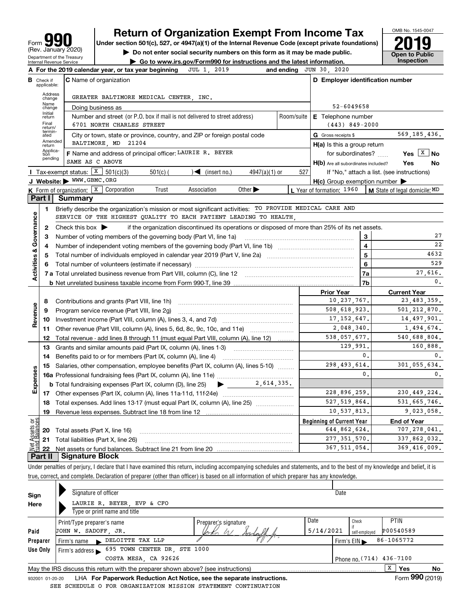| q<br>Form                                              |
|--------------------------------------------------------|
| (Rev. January 2020)                                    |
| Department of the Treasury<br>Internal Revenue Service |

# **Return of Organization Exempt From Income Tax**

Under section 501(c), 527, or 4947(a)(1) of the Internal Revenue Code (except private foundations) **2019** 

**| Do not enter social security numbers on this form as it may be made public.**



**| Go to www.irs.gov/Form990 for instructions and the latest information. Inspection**

|                           |                             | 2019<br>A For the 2019 calendar year, or tax year beginning<br>JUL 1,                                                                   |                                  | and ending JUN 30, 2020                             |                                            |  |  |  |
|---------------------------|-----------------------------|-----------------------------------------------------------------------------------------------------------------------------------------|----------------------------------|-----------------------------------------------------|--------------------------------------------|--|--|--|
| В                         | Check if<br>applicable:     | <b>C</b> Name of organization                                                                                                           |                                  | D Employer identification number                    |                                            |  |  |  |
|                           | Address<br>change           | GREATER BALTIMORE MEDICAL CENTER. INC.                                                                                                  |                                  |                                                     |                                            |  |  |  |
|                           | Name<br>change              | Doing business as                                                                                                                       | 52-6049658                       |                                                     |                                            |  |  |  |
|                           | Initial<br>return           | Number and street (or P.O. box if mail is not delivered to street address)                                                              | Room/suite<br>E Telephone number |                                                     |                                            |  |  |  |
|                           | Final<br>return/            | 6701 NORTH CHARLES STREET                                                                                                               |                                  | $(443) 849 - 2000$                                  |                                            |  |  |  |
|                           | termin-<br>ated             | City or town, state or province, country, and ZIP or foreign postal code                                                                |                                  | G Gross receipts \$                                 | 569, 185, 436.                             |  |  |  |
|                           | Amended<br>return           | BALTIMORE MD 21204                                                                                                                      |                                  | $H(a)$ is this a group return                       |                                            |  |  |  |
|                           | Applica-<br>tion<br>pending | F Name and address of principal officer: LAURIE R. BEYER                                                                                |                                  | for subordinates?                                   | Yes $X \mid N$                             |  |  |  |
|                           |                             | SAME AS C ABOVE                                                                                                                         |                                  | H(b) Are all subordinates included?                 | Yes<br>No                                  |  |  |  |
|                           |                             | <b>I</b> Tax-exempt status: $X \ 501(c)(3)$<br>$\sqrt{\frac{1}{1}}$ (insert no.)<br>$501(c)$ (<br>$4947(a)(1)$ or                       | 527                              |                                                     | If "No," attach a list. (see instructions) |  |  |  |
|                           |                             | J Website: WWW.GBMC.ORG                                                                                                                 |                                  | $H(c)$ Group exemption number $\blacktriangleright$ |                                            |  |  |  |
|                           |                             | K Form of organization: X Corporation<br>Trust<br>Association<br>Other $\blacktriangleright$                                            |                                  | L Year of formation: $1960$                         | M State of legal domicile: MD              |  |  |  |
|                           | Part I                      | Summary                                                                                                                                 |                                  |                                                     |                                            |  |  |  |
|                           | 1                           | Briefly describe the organization's mission or most significant activities: TO PROVIDE MEDICAL CARE AND                                 |                                  |                                                     |                                            |  |  |  |
| Governance                |                             | SERVICE OF THE HIGHEST QUALITY TO EACH PATIENT LEADING TO HEALTH.                                                                       |                                  |                                                     |                                            |  |  |  |
|                           | $\mathbf{2}$                | Check this box $\blacktriangleright$<br>if the organization discontinued its operations or disposed of more than 25% of its net assets. |                                  |                                                     | 27                                         |  |  |  |
|                           | з                           | Number of voting members of the governing body (Part VI, line 1a)                                                                       | 3                                | 22                                                  |                                            |  |  |  |
|                           | 4                           |                                                                                                                                         | 4<br>5                           | 4632                                                |                                            |  |  |  |
|                           | 5                           |                                                                                                                                         | 6                                | 529                                                 |                                            |  |  |  |
| <b>Activities &amp;</b>   | 6                           |                                                                                                                                         | 7a                               | 27.616.                                             |                                            |  |  |  |
|                           |                             |                                                                                                                                         | 7b                               | 0.                                                  |                                            |  |  |  |
|                           |                             |                                                                                                                                         | <b>Prior Year</b>                | <b>Current Year</b>                                 |                                            |  |  |  |
|                           | 8                           | Contributions and grants (Part VIII, line 1h)                                                                                           |                                  | 10, 237, 767.                                       | 23, 483, 359.                              |  |  |  |
|                           | 9                           | Program service revenue (Part VIII, line 2g)                                                                                            |                                  | 508,618,923.                                        | 501, 212, 870.                             |  |  |  |
| Revenue                   | 10                          |                                                                                                                                         |                                  | 17, 152, 647.                                       | 14, 497, 901.                              |  |  |  |
|                           | 11                          | Other revenue (Part VIII, column (A), lines 5, 6d, 8c, 9c, 10c, and 11e)                                                                |                                  | 2,048,340.                                          | 1,494,674.                                 |  |  |  |
|                           | 12                          | Total revenue - add lines 8 through 11 (must equal Part VIII, column (A), line 12)                                                      |                                  | 538,057,677.                                        | 540,688,804.                               |  |  |  |
|                           | 13                          | Grants and similar amounts paid (Part IX, column (A), lines 1-3)                                                                        |                                  | 129,991.                                            | 160,888.                                   |  |  |  |
|                           | 14                          | Benefits paid to or for members (Part IX, column (A), line 4)                                                                           |                                  | 0.                                                  | 0.                                         |  |  |  |
|                           | 15                          | Salaries, other compensation, employee benefits (Part IX, column (A), lines 5-10)                                                       |                                  | 298, 493, 614.                                      | 301.055.634.                               |  |  |  |
| Expenses                  |                             |                                                                                                                                         |                                  | $\mathbf{0}$ .                                      | 0.                                         |  |  |  |
|                           |                             | $\bullet$ 2,614,335.<br><b>b</b> Total fundraising expenses (Part IX, column (D), line 25)                                              |                                  |                                                     |                                            |  |  |  |
|                           |                             |                                                                                                                                         |                                  | 228,896,259.                                        | 230, 449, 224.                             |  |  |  |
|                           | 18                          | Total expenses. Add lines 13-17 (must equal Part IX, column (A), line 25) <i>marronomini</i>                                            |                                  | 527, 519, 864.                                      | 531,665,746.                               |  |  |  |
|                           | 19                          |                                                                                                                                         | 10,537,813.                      | 9,023,058.                                          |                                            |  |  |  |
| ិន្ទ                      |                             |                                                                                                                                         |                                  | <b>Beginning of Current Year</b>                    | <b>End of Year</b>                         |  |  |  |
| Net Assets<br>Eund Balanc |                             | <b>20</b> Total assets (Part X, line 16)                                                                                                |                                  | 644,862,624.                                        | 707,278,041.                               |  |  |  |
|                           |                             | <b>21</b> Total liabilities (Part X, line 26)                                                                                           |                                  | 277, 351, 570.                                      | 337,862,032.                               |  |  |  |
|                           | Part II                     | Signature Block                                                                                                                         |                                  | 367, 511, 054.                                      | 369,416,009.                               |  |  |  |
|                           |                             |                                                                                                                                         |                                  |                                                     |                                            |  |  |  |

Under penalties of perjury, I declare that I have examined this return, including accompanying schedules and statements, and to the best of my knowledge and belief, it is true, correct, and complete. Declaration of preparer (other than officer) is based on all information of which preparer has any knowledge.

| Sign     | Signature of officer                                                                                         |                      | Date                       |                                                |  |  |  |  |  |  |
|----------|--------------------------------------------------------------------------------------------------------------|----------------------|----------------------------|------------------------------------------------|--|--|--|--|--|--|
| Here     | LAURIE R. BEYER, EVP & CFO                                                                                   |                      |                            |                                                |  |  |  |  |  |  |
|          | Type or print name and title                                                                                 |                      |                            |                                                |  |  |  |  |  |  |
|          | Print/Type preparer's name                                                                                   | Preparer's signature | Date                       | <b>PTIN</b><br>Check                           |  |  |  |  |  |  |
| Paid     | JOHN W. SADOFF JR.                                                                                           | 5/14/2021            | P00540589<br>self-emploved |                                                |  |  |  |  |  |  |
| Preparer | DELOITTE TAX LLP<br>Firm's name $\blacktriangleright$                                                        |                      |                            | 86-1065772<br>Firm's $EIN \blacktriangleright$ |  |  |  |  |  |  |
| Use Only | 695 TOWN CENTER DR. STE 1000<br>Firm's address $\blacktriangleright$                                         |                      |                            |                                                |  |  |  |  |  |  |
|          | COSTA MESA, CA 92626<br>Phone no. (714) 436-7100                                                             |                      |                            |                                                |  |  |  |  |  |  |
|          | x<br><b>Yes</b><br>No<br>May the IRS discuss this return with the preparer shown above? (see instructions)   |                      |                            |                                                |  |  |  |  |  |  |
|          | Form 990 (2019)<br>LHA For Paperwork Reduction Act Notice, see the separate instructions.<br>932001 01-20-20 |                      |                            |                                                |  |  |  |  |  |  |

LHA **For Paperwork Reduction Act Notice, see the separate instructions.**<br>EDIILE O FOR ORGANIZATION MISSION STATEMENT CONTINUATION SEE SCHEDULE O FOR ORGANIZATION MISSION STATEMENT CONTINUATION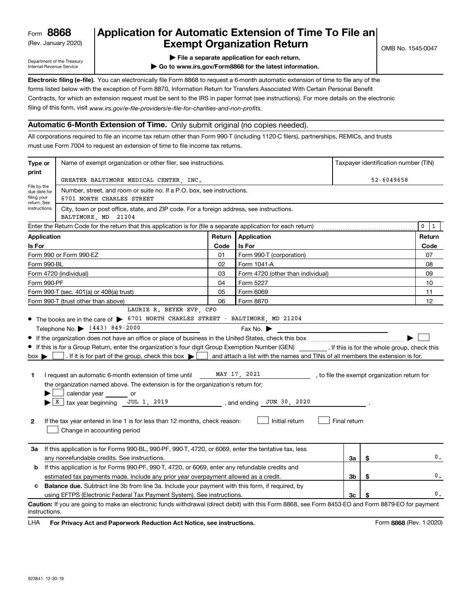(Rev. January 2020)

# **Application for Automatic Extension of Time To File an Exempt Organization Return**

Department of the Treasury Internal Revenue Service

**| File a separate application for each return.**

**| Go to www.irs.gov/Form8868 for the latest information.**

**Electronic filing (e-file).**  You can electronically file Form 8868 to request a 6-month automatic extension of time to file any of the filing of this form, visit www.irs.gov/e-file-providers/e-file-for-charities-and-non-profits. forms listed below with the exception of Form 8870, Information Return for Transfers Associated With Certain Personal Benefit Contracts, for which an extension request must be sent to the IRS in paper format (see instructions). For more details on the electronic

### **Automatic 6-Month Extension of Time.** Only submit original (no copies needed).

All corporations required to file an income tax return other than Form 990-T (including 1120-C filers), partnerships, REMICs, and trusts must use Form 7004 to request an extension of time to file income tax returns.

|                                                                                                                                                                                                                                                                                                                                                                                                                                                                                                                                                                                                                                                                                                                                                                                                                                                                                                                                                                                                                   | Name of exempt organization or other filer, see instructions.<br>Taxpayer identification number (TIN)<br>Type or                                   |        |                                   |    |                |        |  |  |  |  |
|-------------------------------------------------------------------------------------------------------------------------------------------------------------------------------------------------------------------------------------------------------------------------------------------------------------------------------------------------------------------------------------------------------------------------------------------------------------------------------------------------------------------------------------------------------------------------------------------------------------------------------------------------------------------------------------------------------------------------------------------------------------------------------------------------------------------------------------------------------------------------------------------------------------------------------------------------------------------------------------------------------------------|----------------------------------------------------------------------------------------------------------------------------------------------------|--------|-----------------------------------|----|----------------|--------|--|--|--|--|
| print                                                                                                                                                                                                                                                                                                                                                                                                                                                                                                                                                                                                                                                                                                                                                                                                                                                                                                                                                                                                             |                                                                                                                                                    |        |                                   |    |                |        |  |  |  |  |
| File by the                                                                                                                                                                                                                                                                                                                                                                                                                                                                                                                                                                                                                                                                                                                                                                                                                                                                                                                                                                                                       | GREATER BALTIMORE MEDICAL CENTER, INC.                                                                                                             |        |                                   |    | $52 - 6049658$ |        |  |  |  |  |
| due date for<br>filing your<br>return. See                                                                                                                                                                                                                                                                                                                                                                                                                                                                                                                                                                                                                                                                                                                                                                                                                                                                                                                                                                        | Number, street, and room or suite no. If a P.O. box, see instructions.<br>6701 NORTH CHARLES STREET                                                |        |                                   |    |                |        |  |  |  |  |
| instructions.                                                                                                                                                                                                                                                                                                                                                                                                                                                                                                                                                                                                                                                                                                                                                                                                                                                                                                                                                                                                     | City, town or post office, state, and ZIP code. For a foreign address, see instructions.<br>BALTIMORE, MD 21204                                    |        |                                   |    |                |        |  |  |  |  |
| $\pmb{0}$<br>Enter the Return Code for the return that this application is for (file a separate application for each return)                                                                                                                                                                                                                                                                                                                                                                                                                                                                                                                                                                                                                                                                                                                                                                                                                                                                                      |                                                                                                                                                    |        |                                   |    |                |        |  |  |  |  |
| <b>Application</b>                                                                                                                                                                                                                                                                                                                                                                                                                                                                                                                                                                                                                                                                                                                                                                                                                                                                                                                                                                                                |                                                                                                                                                    | Return | Application                       |    |                | Return |  |  |  |  |
| Is For                                                                                                                                                                                                                                                                                                                                                                                                                                                                                                                                                                                                                                                                                                                                                                                                                                                                                                                                                                                                            |                                                                                                                                                    | Code   | Is For                            |    |                | Code   |  |  |  |  |
|                                                                                                                                                                                                                                                                                                                                                                                                                                                                                                                                                                                                                                                                                                                                                                                                                                                                                                                                                                                                                   | Form 990 or Form 990-EZ                                                                                                                            | 01     | Form 990-T (corporation)          |    |                | 07     |  |  |  |  |
| Form 990-BL                                                                                                                                                                                                                                                                                                                                                                                                                                                                                                                                                                                                                                                                                                                                                                                                                                                                                                                                                                                                       |                                                                                                                                                    | 02     | Form 1041-A                       |    |                | 08     |  |  |  |  |
|                                                                                                                                                                                                                                                                                                                                                                                                                                                                                                                                                                                                                                                                                                                                                                                                                                                                                                                                                                                                                   | Form 4720 (individual)                                                                                                                             | 03     | Form 4720 (other than individual) |    |                | 09     |  |  |  |  |
| Form 990-PF                                                                                                                                                                                                                                                                                                                                                                                                                                                                                                                                                                                                                                                                                                                                                                                                                                                                                                                                                                                                       |                                                                                                                                                    | 04     | Form 5227                         |    |                | 10     |  |  |  |  |
|                                                                                                                                                                                                                                                                                                                                                                                                                                                                                                                                                                                                                                                                                                                                                                                                                                                                                                                                                                                                                   | Form 990-T (sec. 401(a) or 408(a) trust)                                                                                                           | 05     | Form 6069                         |    |                | 11     |  |  |  |  |
|                                                                                                                                                                                                                                                                                                                                                                                                                                                                                                                                                                                                                                                                                                                                                                                                                                                                                                                                                                                                                   | Form 990-T (trust other than above)                                                                                                                | 06     | Form 8870                         |    |                | 12     |  |  |  |  |
| LAURIE R. BEYER EVP, CFO<br>• The books are in the care of > 6701 NORTH CHARLES STREET - BALTIMORE, MD 21204<br>Telephone No. (443) 849-2000<br>Fax No. $\blacktriangleright$<br>If this is for a Group Return, enter the organization's four digit Group Exemption Number (GEN) __________. If this is for the whole group, check this<br>. If it is for part of the group, check this box $\blacktriangleright$ $\mid$<br>and attach a list with the names and TINs of all members the extension is for.<br>$box \blacktriangleright$<br>MAY 17, 2021<br>I request an automatic 6-month extension of time until<br>1.<br>, to file the exempt organization return for<br>the organization named above. The extension is for the organization's return for:<br>calendar year or<br>$X$ tax year beginning JUL 1, 2019<br>and ending JUN 30, 2020<br>Final return<br>Initial return<br>$\mathbf{2}$<br>If the tax year entered in line 1 is for less than 12 months, check reason:<br>Change in accounting period |                                                                                                                                                    |        |                                   |    |                |        |  |  |  |  |
| За                                                                                                                                                                                                                                                                                                                                                                                                                                                                                                                                                                                                                                                                                                                                                                                                                                                                                                                                                                                                                | If this application is for Forms 990-BL, 990-PF, 990-T, 4720, or 6069, enter the tentative tax, less                                               |        |                                   |    |                |        |  |  |  |  |
|                                                                                                                                                                                                                                                                                                                                                                                                                                                                                                                                                                                                                                                                                                                                                                                                                                                                                                                                                                                                                   | any nonrefundable credits. See instructions.                                                                                                       |        |                                   | За | \$             | 0.     |  |  |  |  |
| b                                                                                                                                                                                                                                                                                                                                                                                                                                                                                                                                                                                                                                                                                                                                                                                                                                                                                                                                                                                                                 | If this application is for Forms 990-PF, 990-T, 4720, or 6069, enter any refundable credits and                                                    |        |                                   |    |                |        |  |  |  |  |
|                                                                                                                                                                                                                                                                                                                                                                                                                                                                                                                                                                                                                                                                                                                                                                                                                                                                                                                                                                                                                   | estimated tax payments made. Include any prior year overpayment allowed as a credit.                                                               |        |                                   | Зb | \$             | 0.     |  |  |  |  |
|                                                                                                                                                                                                                                                                                                                                                                                                                                                                                                                                                                                                                                                                                                                                                                                                                                                                                                                                                                                                                   | c Balance due. Subtract line 3b from line 3a. Include your payment with this form, if required, by                                                 |        |                                   |    |                |        |  |  |  |  |
|                                                                                                                                                                                                                                                                                                                                                                                                                                                                                                                                                                                                                                                                                                                                                                                                                                                                                                                                                                                                                   | 0.<br>using EFTPS (Electronic Federal Tax Payment System). See instructions.<br>3c<br>S                                                            |        |                                   |    |                |        |  |  |  |  |
| instructions.                                                                                                                                                                                                                                                                                                                                                                                                                                                                                                                                                                                                                                                                                                                                                                                                                                                                                                                                                                                                     | Caution: If you are going to make an electronic funds withdrawal (direct debit) with this Form 8868, see Form 8453-EO and Form 8879-EO for payment |        |                                   |    |                |        |  |  |  |  |

**HA** For Privacy Act and Paperwork Reduction Act Notice, see instructions. **But a struction of the Constantion Constant** Form 8868 (Rev. 1-2020) LHA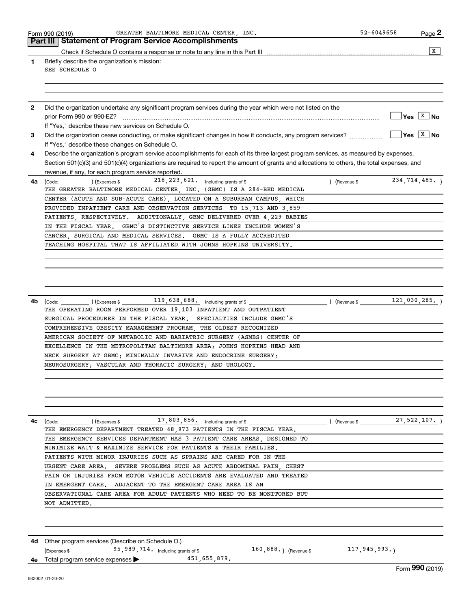|              | GREATER BALTIMORE MEDICAL CENTER, INC.<br>Form 990 (2019)<br><b>Part III Statement of Program Service Accomplishments</b>                     | 52-6049658               | Page 2                      |
|--------------|-----------------------------------------------------------------------------------------------------------------------------------------------|--------------------------|-----------------------------|
|              |                                                                                                                                               |                          |                             |
|              |                                                                                                                                               |                          | $\overline{\mathbf{x}}$     |
| 1            | Briefly describe the organization's mission:<br>SEE SCHEDULE O                                                                                |                          |                             |
|              |                                                                                                                                               |                          |                             |
|              |                                                                                                                                               |                          |                             |
|              |                                                                                                                                               |                          |                             |
| $\mathbf{2}$ | Did the organization undertake any significant program services during the year which were not listed on the                                  |                          |                             |
|              | prior Form 990 or 990-EZ?                                                                                                                     |                          | $\sqrt{Y}$ es $\sqrt{X}$ No |
|              | If "Yes," describe these new services on Schedule O.                                                                                          |                          |                             |
| 3            |                                                                                                                                               |                          | $\sqrt{Y}$ es $\sqrt{X}$ No |
|              | If "Yes," describe these changes on Schedule O.                                                                                               |                          |                             |
| 4            | Describe the organization's program service accomplishments for each of its three largest program services, as measured by expenses.          |                          |                             |
|              | Section 501(c)(3) and 501(c)(4) organizations are required to report the amount of grants and allocations to others, the total expenses, and  |                          |                             |
|              | revenue, if any, for each program service reported.                                                                                           |                          |                             |
| 4a           | 218, 223, 621. including grants of \$<br>$\left(\text{Code:}\right)$ $\left(\text{Expenses $}\right)$                                         | (Revenue \$              | 234,714,485.)               |
|              | THE GREATER BALTIMORE MEDICAL CENTER, INC. (GBMC) IS A 284-BED MEDICAL                                                                        |                          |                             |
|              | CENTER (ACUTE AND SUB-ACUTE CARE), LOCATED ON A SUBURBAN CAMPUS, WHICH                                                                        |                          |                             |
|              | PROVIDED INPATIENT CARE AND OBSERVATION SERVICES TO 15 713 AND 3 859                                                                          |                          |                             |
|              | PATIENTS, RESPECTIVELY. ADDITIONALLY, GBMC DELIVERED OVER 4,229 BABIES                                                                        |                          |                             |
|              | IN THE FISCAL YEAR. GBMC'S DISTINCTIVE SERVICE LINES INCLUDE WOMEN'S                                                                          |                          |                             |
|              | CANCER, SURGICAL AND MEDICAL SERVICES. GBMC IS A FULLY ACCREDITED                                                                             |                          |                             |
|              | TEACHING HOSPITAL THAT IS AFFILIATED WITH JOHNS HOPKINS UNIVERSITY.                                                                           |                          |                             |
|              |                                                                                                                                               |                          |                             |
|              |                                                                                                                                               |                          |                             |
|              |                                                                                                                                               |                          |                             |
|              |                                                                                                                                               |                          |                             |
|              |                                                                                                                                               |                          |                             |
|              |                                                                                                                                               | (Revenue \$121,030,285.) |                             |
| 4b           | $(\text{Code:})$ $(\text{Expenses}$ $119,638,688$ including grants of \$<br>THE OPERATING ROOM PERFORMED OVER 19,103 INPATIENT AND OUTPATIENT |                          |                             |
|              | SURGICAL PROCEDURES IN THE FISCAL YEAR. SPECIALTIES INCLUDE GBMC'S                                                                            |                          |                             |
|              | COMPREHENSIVE OBESITY MANAGEMENT PROGRAM, THE OLDEST RECOGNIZED                                                                               |                          |                             |
|              | AMERICAN SOCIETY OF METABOLIC AND BARIATRIC SURGERY (ASMBS) CENTER OF                                                                         |                          |                             |
|              | EXCELLENCE IN THE METROPOLITAN BALTIMORE AREA; JOHNS HOPKINS HEAD AND                                                                         |                          |                             |
|              | NECK SURGERY AT GBMC; MINIMALLY INVASIVE AND ENDOCRINE SURGERY;                                                                               |                          |                             |
|              | NEUROSURGERY; VASCULAR AND THORACIC SURGERY; AND UROLOGY.                                                                                     |                          |                             |
|              |                                                                                                                                               |                          |                             |
|              |                                                                                                                                               |                          |                             |
|              |                                                                                                                                               |                          |                             |
|              |                                                                                                                                               |                          |                             |
|              |                                                                                                                                               |                          |                             |
|              |                                                                                                                                               |                          |                             |
| 4с           | THE EMERGENCY DEPARTMENT TREATED 48 973 PATIENTS IN THE FISCAL YEAR.                                                                          |                          |                             |
|              | THE EMERGENCY SERVICES DEPARTMENT HAS 3 PATIENT CARE AREAS, DESIGNED TO                                                                       |                          |                             |
|              | MINIMIZE WAIT & MAXIMIZE SERVICE FOR PATIENTS & THEIR FAMILIES.                                                                               |                          |                             |
|              | PATIENTS WITH MINOR INJURIES SUCH AS SPRAINS ARE CARED FOR IN THE                                                                             |                          |                             |
|              | URGENT CARE AREA. SEVERE PROBLEMS SUCH AS ACUTE ABDOMINAL PAIN CHEST                                                                          |                          |                             |
|              |                                                                                                                                               |                          |                             |
|              | PAIN OR INJURIES FROM MOTOR VEHICLE ACCIDENTS ARE EVALUATED AND TREATED                                                                       |                          |                             |
|              | IN EMERGENT CARE. ADJACENT TO THE EMERGENT CARE AREA IS AN                                                                                    |                          |                             |
|              | OBSERVATIONAL CARE AREA FOR ADULT PATIENTS WHO NEED TO BE MONITORED BUT                                                                       |                          |                             |
|              | NOT ADMITTED.                                                                                                                                 |                          |                             |
|              |                                                                                                                                               |                          |                             |
|              |                                                                                                                                               |                          |                             |
|              |                                                                                                                                               |                          |                             |
| 4d           | Other program services (Describe on Schedule O.)                                                                                              |                          |                             |
|              | 95, 989, 714. including grants of \$<br>160,888.) (Revenue\$117,945,993.)<br>(Expenses \$                                                     |                          |                             |
|              | 451,655,879.<br><b>4e</b> Total program service expenses $\blacktriangleright$                                                                |                          | Form 990 (2019)             |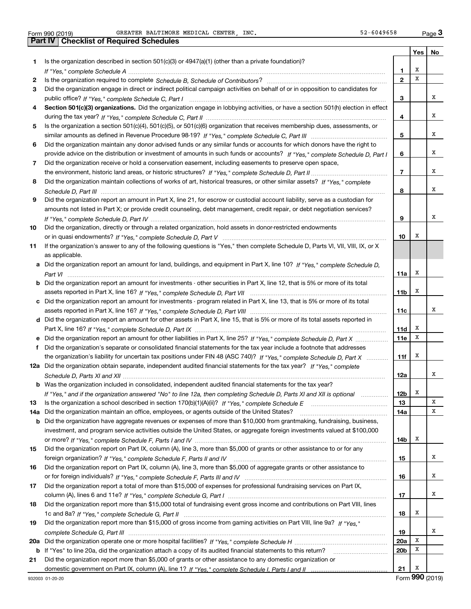| Form 990 (2019) |  |  |
|-----------------|--|--|

**1**

**2 3**

**4**

**5**

**6**

**7**

**8**

**9**

**10**

**11**

**ef**

**12a**

**1314a**

**15**

**16**

**17**

**18**

**19**

**20 a**

**21**

Form 990 (2019) Page GREATER BALTIMORE MEDICAL CENTER, INC. 52-6049658Form 990 (2019) GREATER BALTIMORE MEDICAL CENTER, INC. 52-6049658 <sub>Page</sub> 3<br>| **Part IV** | Checklist of Required Schedules

|     | oncompt or neganed ochedd                                                                                                        |                 | Yes | No |
|-----|----------------------------------------------------------------------------------------------------------------------------------|-----------------|-----|----|
|     | Is the organization described in section 501(c)(3) or 4947(a)(1) (other than a private foundation)?                              |                 |     |    |
|     |                                                                                                                                  | 1               | х   |    |
|     |                                                                                                                                  | $\overline{2}$  | X   |    |
|     | Did the organization engage in direct or indirect political campaign activities on behalf of or in opposition to candidates for  |                 |     |    |
|     |                                                                                                                                  | 3               |     | x  |
|     | Section 501(c)(3) organizations. Did the organization engage in lobbying activities, or have a section 501(h) election in effect |                 |     |    |
|     |                                                                                                                                  | 4               |     | x  |
|     | Is the organization a section 501(c)(4), 501(c)(5), or 501(c)(6) organization that receives membership dues, assessments, or     |                 |     |    |
|     |                                                                                                                                  | 5               |     | x  |
|     | Did the organization maintain any donor advised funds or any similar funds or accounts for which donors have the right to        |                 |     |    |
|     | provide advice on the distribution or investment of amounts in such funds or accounts? If "Yes," complete Schedule D, Part I     | 6               |     | x  |
|     |                                                                                                                                  |                 |     |    |
|     | Did the organization receive or hold a conservation easement, including easements to preserve open space,                        |                 |     | x  |
|     |                                                                                                                                  | $\overline{7}$  |     |    |
|     | Did the organization maintain collections of works of art, historical treasures, or other similar assets? If "Yes," complete     |                 |     |    |
|     |                                                                                                                                  | 8               |     | x  |
|     | Did the organization report an amount in Part X, line 21, for escrow or custodial account liability, serve as a custodian for    |                 |     |    |
|     | amounts not listed in Part X; or provide credit counseling, debt management, credit repair, or debt negotiation services?        |                 |     |    |
|     |                                                                                                                                  | 9               |     | х  |
|     | Did the organization, directly or through a related organization, hold assets in donor-restricted endowments                     |                 |     |    |
|     |                                                                                                                                  | 10              | x   |    |
|     | If the organization's answer to any of the following questions is "Yes," then complete Schedule D, Parts VI, VII, VIII, IX, or X |                 |     |    |
|     | as applicable.                                                                                                                   |                 |     |    |
|     | a Did the organization report an amount for land, buildings, and equipment in Part X, line 10? If "Yes," complete Schedule D,    |                 |     |    |
|     |                                                                                                                                  | 11a             | х   |    |
|     | b Did the organization report an amount for investments - other securities in Part X, line 12, that is 5% or more of its total   |                 |     |    |
|     |                                                                                                                                  | 11 <sub>b</sub> | х   |    |
|     | c Did the organization report an amount for investments - program related in Part X, line 13, that is 5% or more of its total    |                 |     |    |
|     |                                                                                                                                  | 11c             |     | х  |
|     | d Did the organization report an amount for other assets in Part X, line 15, that is 5% or more of its total assets reported in  |                 |     |    |
|     |                                                                                                                                  | 11d             | х   |    |
|     |                                                                                                                                  | <b>11e</b>      | Х   |    |
|     | f Did the organization's separate or consolidated financial statements for the tax year include a footnote that addresses        |                 |     |    |
|     | the organization's liability for uncertain tax positions under FIN 48 (ASC 740)? If "Yes," complete Schedule D, Part X           | 11f             | х   |    |
|     | 2a Did the organization obtain separate, independent audited financial statements for the tax year? If "Yes," complete           |                 |     |    |
|     |                                                                                                                                  | 12a             |     | х  |
|     | <b>b</b> Was the organization included in consolidated, independent audited financial statements for the tax year?               |                 |     |    |
|     |                                                                                                                                  | 12 <sub>b</sub> | Х   |    |
|     | Is the organization a school described in section 170(b)(1)(A)(ii)? If "Yes," complete Schedule E                                | 13              |     | х  |
| la. | Did the organization maintain an office, employees, or agents outside of the United States?                                      | 14a             |     | x  |
|     | <b>b</b> Did the organization have aggregate revenues or expenses of more than \$10,000 from grantmaking, fundraising, business, |                 |     |    |
|     | investment, and program service activities outside the United States, or aggregate foreign investments valued at \$100,000       |                 |     |    |
|     |                                                                                                                                  | 14b             | Х   |    |
|     | Did the organization report on Part IX, column (A), line 3, more than \$5,000 of grants or other assistance to or for any        |                 |     |    |
|     |                                                                                                                                  |                 |     | х  |
|     |                                                                                                                                  | 15              |     |    |
|     | Did the organization report on Part IX, column (A), line 3, more than \$5,000 of aggregate grants or other assistance to         |                 |     | х  |
|     |                                                                                                                                  | 16              |     |    |
|     | Did the organization report a total of more than \$15,000 of expenses for professional fundraising services on Part IX,          |                 |     |    |
|     |                                                                                                                                  | 17              |     | x  |
|     | Did the organization report more than \$15,000 total of fundraising event gross income and contributions on Part VIII, lines     |                 |     |    |
|     |                                                                                                                                  | 18              | Х   |    |
|     | Did the organization report more than \$15,000 of gross income from gaming activities on Part VIII, line 9a? If "Yes."           |                 |     |    |
|     |                                                                                                                                  | 19              |     | x  |
| )a  |                                                                                                                                  | <b>20a</b>      | X   |    |

**b** If "Yes" to line 20a, did the organization attach a copy of its audited financial statements to this return? \_\_\_\_\_\_\_\_\_\_\_\_\_\_\_\_\_\_\_\_\_\_ *If "Yes," complete Schedule I, Parts I and II* domestic government on Part IX, column (A), line 1? Did the organization report more than \$5,000 of grants or other assistance to any domestic organization or

X

**20b**

**21**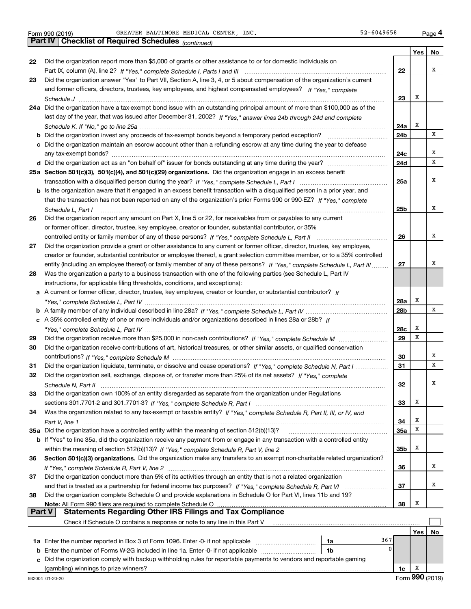|    | Pall IV I<br>Crieckist of Required Scriedules (continued)                                                                          |            |     |    |
|----|------------------------------------------------------------------------------------------------------------------------------------|------------|-----|----|
|    |                                                                                                                                    |            | Yes | No |
| 22 | Did the organization report more than \$5,000 of grants or other assistance to or for domestic individuals on                      |            |     |    |
|    |                                                                                                                                    | 22         |     | х  |
| 23 | Did the organization answer "Yes" to Part VII, Section A, line 3, 4, or 5 about compensation of the organization's current         |            |     |    |
|    | and former officers, directors, trustees, key employees, and highest compensated employees? If "Yes," complete                     |            |     |    |
|    |                                                                                                                                    | 23         | x   |    |
|    | 24a Did the organization have a tax-exempt bond issue with an outstanding principal amount of more than \$100,000 as of the        |            |     |    |
|    | last day of the year, that was issued after December 31, 2002? If "Yes," answer lines 24b through 24d and complete                 |            |     |    |
|    |                                                                                                                                    | 24a        | х   | х  |
|    | <b>b</b> Did the organization invest any proceeds of tax-exempt bonds beyond a temporary period exception?                         | 24b        |     |    |
|    | c Did the organization maintain an escrow account other than a refunding escrow at any time during the year to defease             |            |     | х  |
|    |                                                                                                                                    | 24c<br>24d |     | х  |
|    | 25a Section 501(c)(3), 501(c)(4), and 501(c)(29) organizations. Did the organization engage in an excess benefit                   |            |     |    |
|    |                                                                                                                                    | 25a        |     | х  |
|    | b Is the organization aware that it engaged in an excess benefit transaction with a disqualified person in a prior year, and       |            |     |    |
|    | that the transaction has not been reported on any of the organization's prior Forms 990 or 990-EZ? If "Yes," complete              |            |     |    |
|    | Schedule L, Part I                                                                                                                 | 25b        |     | х  |
| 26 | Did the organization report any amount on Part X, line 5 or 22, for receivables from or payables to any current                    |            |     |    |
|    | or former officer, director, trustee, key employee, creator or founder, substantial contributor, or 35%                            |            |     |    |
|    |                                                                                                                                    | 26         |     | х  |
| 27 | Did the organization provide a grant or other assistance to any current or former officer, director, trustee, key employee,        |            |     |    |
|    | creator or founder, substantial contributor or employee thereof, a grant selection committee member, or to a 35% controlled        |            |     |    |
|    | entity (including an employee thereof) or family member of any of these persons? If "Yes," complete Schedule L, Part III           | 27         |     | x  |
| 28 | Was the organization a party to a business transaction with one of the following parties (see Schedule L, Part IV                  |            |     |    |
|    | instructions, for applicable filing thresholds, conditions, and exceptions):                                                       |            |     |    |
|    | a A current or former officer, director, trustee, key employee, creator or founder, or substantial contributor? If                 |            |     |    |
|    |                                                                                                                                    | 28a        | x   |    |
|    |                                                                                                                                    | 28b        |     | х  |
|    | c A 35% controlled entity of one or more individuals and/or organizations described in lines 28a or 28b? If                        |            |     |    |
|    |                                                                                                                                    | 28c        | х   |    |
| 29 |                                                                                                                                    | 29         | x   |    |
| 30 | Did the organization receive contributions of art, historical treasures, or other similar assets, or qualified conservation        |            |     |    |
|    |                                                                                                                                    | 30         |     | х  |
| 31 | Did the organization liquidate, terminate, or dissolve and cease operations? If "Yes," complete Schedule N, Part I                 | 31         |     | х  |
| 32 | Did the organization sell, exchange, dispose of, or transfer more than 25% of its net assets? If "Yes," complete                   |            |     |    |
|    | Schedule N. Part II                                                                                                                | 32         |     | х  |
| 33 | Did the organization own 100% of an entity disregarded as separate from the organization under Regulations                         |            |     |    |
|    |                                                                                                                                    | 33         | x   |    |
| 34 | Was the organization related to any tax-exempt or taxable entity? If "Yes," complete Schedule R, Part II, III, or IV, and          |            |     |    |
|    |                                                                                                                                    | 34         | х   |    |
|    | 35a Did the organization have a controlled entity within the meaning of section 512(b)(13)?                                        | <b>35a</b> | х   |    |
|    | <b>b</b> If "Yes" to line 35a, did the organization receive any payment from or engage in any transaction with a controlled entity |            |     |    |
|    |                                                                                                                                    | 35b        | x   |    |
| 36 | Section 501(c)(3) organizations. Did the organization make any transfers to an exempt non-charitable related organization?         |            |     |    |
|    |                                                                                                                                    | 36         |     | x  |
| 37 | Did the organization conduct more than 5% of its activities through an entity that is not a related organization                   |            |     |    |
|    |                                                                                                                                    | 37         |     | х  |
| 38 | Did the organization complete Schedule O and provide explanations in Schedule O for Part VI, lines 11b and 19?                     |            |     |    |
|    | Note: All Form 990 filers are required to complete Schedule O                                                                      | 38         | х   |    |
|    | <b>Statements Regarding Other IRS Filings and Tax Compliance</b><br><b>Part V</b>                                                  |            |     |    |
|    | Check if Schedule O contains a response or note to any line in this Part V                                                         |            |     |    |
|    |                                                                                                                                    |            | Yes | No |
|    | 367<br>1a                                                                                                                          |            |     |    |
|    | 0<br><b>b</b> Enter the number of Forms W-2G included in line 1a. Enter -0- if not applicable<br>1b                                |            |     |    |
|    | c Did the organization comply with backup withholding rules for reportable payments to vendors and reportable gaming               |            |     |    |
|    | (gambling) winnings to prize winners?                                                                                              | 1c         | x   |    |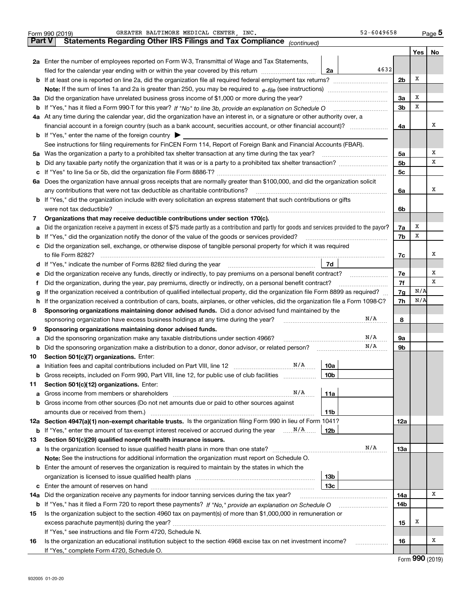|        | Form 990 (2019) | GREATER BALTIMORE MEDICAL CENTER, INC.<br>52-6049658                                                                                            |                |     | Page 5 |
|--------|-----------------|-------------------------------------------------------------------------------------------------------------------------------------------------|----------------|-----|--------|
| Part V |                 | Statements Regarding Other IRS Filings and Tax Compliance (continued)                                                                           |                |     |        |
|        |                 |                                                                                                                                                 |                | Yes | No     |
|        |                 | 2a Enter the number of employees reported on Form W-3, Transmittal of Wage and Tax Statements,                                                  |                |     |        |
|        |                 | 4632<br>filed for the calendar year ending with or within the year covered by this return<br>2a                                                 |                |     |        |
| b      |                 |                                                                                                                                                 | 2 <sub>b</sub> | х   |        |
|        |                 |                                                                                                                                                 |                |     |        |
| За     |                 | Did the organization have unrelated business gross income of \$1,000 or more during the year?                                                   | 3a             | х   |        |
| b      |                 |                                                                                                                                                 | 3 <sub>b</sub> | X   |        |
|        |                 | 4a At any time during the calendar year, did the organization have an interest in, or a signature or other authority over, a                    |                |     |        |
|        |                 | financial account in a foreign country (such as a bank account, securities account, or other financial account)?                                | 4a             |     | х      |
|        |                 | <b>b</b> If "Yes," enter the name of the foreign country $\blacktriangleright$                                                                  |                |     |        |
|        |                 | See instructions for filing requirements for FinCEN Form 114, Report of Foreign Bank and Financial Accounts (FBAR).                             |                |     |        |
| 5a     |                 | Was the organization a party to a prohibited tax shelter transaction at any time during the tax year?                                           | 5a             |     | х      |
| b      |                 |                                                                                                                                                 | 5 <sub>b</sub> |     | х      |
| с      |                 |                                                                                                                                                 | 5с             |     |        |
|        |                 | 6a Does the organization have annual gross receipts that are normally greater than \$100,000, and did the organization solicit                  |                |     |        |
|        |                 | any contributions that were not tax deductible as charitable contributions?                                                                     | 6a             |     | х      |
|        |                 | <b>b</b> If "Yes," did the organization include with every solicitation an express statement that such contributions or gifts                   |                |     |        |
|        |                 | were not tax deductible?                                                                                                                        | 6b             |     |        |
| 7      |                 | Organizations that may receive deductible contributions under section 170(c).                                                                   |                |     |        |
| а      |                 | Did the organization receive a payment in excess of \$75 made partly as a contribution and partly for goods and services provided to the payor? | 7a             | х   |        |
| b      |                 | If "Yes," did the organization notify the donor of the value of the goods or services provided?                                                 | 7b             | x   |        |
|        |                 | Did the organization sell, exchange, or otherwise dispose of tangible personal property for which it was required                               |                |     |        |
|        |                 |                                                                                                                                                 | 7c             |     | х      |
| d      |                 | 7d<br>If "Yes," indicate the number of Forms 8282 filed during the year                                                                         |                |     |        |
| е      |                 | Did the organization receive any funds, directly or indirectly, to pay premiums on a personal benefit contract?                                 | 7е             |     | х      |
| f      |                 | Did the organization, during the year, pay premiums, directly or indirectly, on a personal benefit contract?                                    | 7f             |     | х      |
| g      |                 | If the organization received a contribution of qualified intellectual property, did the organization file Form 8899 as required?                | 7g             | N/A |        |
| h      |                 | If the organization received a contribution of cars, boats, airplanes, or other vehicles, did the organization file a Form 1098-C?              | 7h             | N/A |        |
| 8      |                 | Sponsoring organizations maintaining donor advised funds. Did a donor advised fund maintained by the                                            |                |     |        |
|        |                 | N/A<br>sponsoring organization have excess business holdings at any time during the year?                                                       | 8              |     |        |
| 9      |                 | Sponsoring organizations maintaining donor advised funds.                                                                                       |                |     |        |
| а      |                 | N/A<br>Did the sponsoring organization make any taxable distributions under section 4966?                                                       | 9а             |     |        |
| b      |                 | N/A<br>Did the sponsoring organization make a distribution to a donor, donor advisor, or related person?                                        | 9b             |     |        |
| 10     |                 | Section 501(c)(7) organizations. Enter:                                                                                                         |                |     |        |
| а      |                 | N/A<br>10a                                                                                                                                      |                |     |        |
|        |                 | 10 <sub>b</sub><br>Gross receipts, included on Form 990, Part VIII, line 12, for public use of club facilities                                  |                |     |        |
| 11     |                 | Section 501(c)(12) organizations. Enter:                                                                                                        |                |     |        |
| а      |                 | N/A<br>11a<br>Gross income from members or shareholders                                                                                         |                |     |        |
| b      |                 | Gross income from other sources (Do not net amounts due or paid to other sources against                                                        |                |     |        |
|        |                 | 11 <sub>b</sub>                                                                                                                                 |                |     |        |
|        |                 | 12a Section 4947(a)(1) non-exempt charitable trusts. Is the organization filing Form 990 in lieu of Form 1041?                                  | 12a            |     |        |
|        |                 | <b>b</b> If "Yes," enter the amount of tax-exempt interest received or accrued during the year  N/A<br>12b                                      |                |     |        |
| 13     |                 | Section 501(c)(29) qualified nonprofit health insurance issuers.                                                                                |                |     |        |
| a      |                 | N/A<br>Is the organization licensed to issue qualified health plans in more than one state?                                                     | 13a            |     |        |
|        |                 | Note: See the instructions for additional information the organization must report on Schedule O.                                               |                |     |        |
| b      |                 | Enter the amount of reserves the organization is required to maintain by the states in which the                                                |                |     |        |
|        |                 | 13 <sub>b</sub>                                                                                                                                 |                |     |        |
| с      |                 | 13c                                                                                                                                             |                |     |        |
| 14a    |                 | Did the organization receive any payments for indoor tanning services during the tax year?                                                      | 14a            |     | x      |
|        |                 | <b>b</b> If "Yes," has it filed a Form 720 to report these payments? If "No," provide an explanation on Schedule O                              | 14b            |     |        |
| 15     |                 | Is the organization subject to the section 4960 tax on payment(s) of more than \$1,000,000 in remuneration or                                   |                |     |        |
|        |                 |                                                                                                                                                 | 15             | x   |        |
|        |                 | If "Yes," see instructions and file Form 4720, Schedule N.                                                                                      |                |     |        |
| 16     |                 | Is the organization an educational institution subject to the section 4968 excise tax on net investment income?                                 | 16             |     | x      |
|        |                 | If "Yes," complete Form 4720, Schedule O.                                                                                                       |                |     |        |
|        |                 |                                                                                                                                                 |                | המם |        |

Form (2019) **990**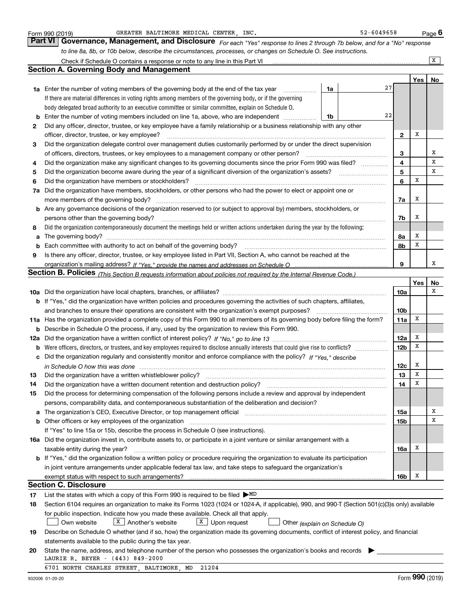|     | GREATER BALTIMORE MEDICAL CENTER, INC.<br>Form 990 (2019)                                                                                                             |    | 52-6049658 |                 |     | <u>Page</u> 6  |
|-----|-----------------------------------------------------------------------------------------------------------------------------------------------------------------------|----|------------|-----------------|-----|----------------|
|     | Part VI Governance, Management, and Disclosure For each "Yes" response to lines 2 through 7b below, and for a "No" response                                           |    |            |                 |     |                |
|     | to line 8a, 8b, or 10b below, describe the circumstances, processes, or changes on Schedule O. See instructions.                                                      |    |            |                 |     |                |
|     | Check if Schedule O contains a response or note to any line in this Part VI                                                                                           |    |            |                 |     | $\overline{X}$ |
|     | <b>Section A. Governing Body and Management</b>                                                                                                                       |    |            |                 |     |                |
|     |                                                                                                                                                                       |    |            |                 | Yes | No             |
|     | 1a Enter the number of voting members of the governing body at the end of the tax year                                                                                | 1a | 27         |                 |     |                |
|     | If there are material differences in voting rights among members of the governing body, or if the governing                                                           |    |            |                 |     |                |
|     | body delegated broad authority to an executive committee or similar committee, explain on Schedule O.                                                                 |    |            |                 |     |                |
| b   | Enter the number of voting members included on line 1a, above, who are independent                                                                                    | 1b | 22         |                 |     |                |
| 2   | Did any officer, director, trustee, or key employee have a family relationship or a business relationship with any other                                              |    |            |                 |     |                |
|     | officer, director, trustee, or key employee?                                                                                                                          |    |            | 2               | x   |                |
| 3   | Did the organization delegate control over management duties customarily performed by or under the direct supervision                                                 |    |            |                 |     |                |
|     | of officers, directors, trustees, or key employees to a management company or other person?                                                                           |    |            | 3               |     | х              |
| 4   | Did the organization make any significant changes to its governing documents since the prior Form 990 was filed?                                                      |    |            | 4               |     | X              |
| 5   | Did the organization become aware during the year of a significant diversion of the organization's assets?                                                            |    |            | 5               |     | х              |
| 6   | Did the organization have members or stockholders?                                                                                                                    |    |            | 6               | Х   |                |
| 7a  | Did the organization have members, stockholders, or other persons who had the power to elect or appoint one or                                                        |    |            |                 |     |                |
|     | more members of the governing body?                                                                                                                                   |    |            | 7a              | x   |                |
| b   | Are any governance decisions of the organization reserved to (or subject to approval by) members, stockholders, or                                                    |    |            |                 |     |                |
|     | persons other than the governing body?                                                                                                                                |    |            | 7b              | х   |                |
| 8   | Did the organization contemporaneously document the meetings held or written actions undertaken during the year by the following:                                     |    |            |                 |     |                |
| a   |                                                                                                                                                                       |    |            | 8a              | х   |                |
| b   | Each committee with authority to act on behalf of the governing body?                                                                                                 |    |            | 8b              | X   |                |
| 9   | Is there any officer, director, trustee, or key employee listed in Part VII, Section A, who cannot be reached at the                                                  |    |            |                 |     |                |
|     |                                                                                                                                                                       |    |            | 9               |     | х              |
|     | Section B. Policies <sub>(This</sub> Section B requests information about policies not required by the Internal Revenue Code.)                                        |    |            |                 |     |                |
|     |                                                                                                                                                                       |    |            |                 | Yes | No             |
|     |                                                                                                                                                                       |    |            | 10a             |     | х              |
|     | <b>b</b> If "Yes," did the organization have written policies and procedures governing the activities of such chapters, affiliates,                                   |    |            |                 |     |                |
|     | and branches to ensure their operations are consistent with the organization's exempt purposes?                                                                       |    |            | 10 <sub>b</sub> |     |                |
| 11a | Has the organization provided a complete copy of this Form 990 to all members of its governing body before filing the form?                                           |    |            | 11a             | Х   |                |
| b   | Describe in Schedule O the process, if any, used by the organization to review this Form 990.                                                                         |    |            |                 |     |                |
| 12a |                                                                                                                                                                       |    |            | <b>12a</b>      | х   |                |
| b   |                                                                                                                                                                       |    |            | <b>12b</b>      | Х   |                |
|     | Did the organization regularly and consistently monitor and enforce compliance with the policy? If "Yes," describe                                                    |    |            |                 |     |                |
|     |                                                                                                                                                                       |    |            | 12c             | x   |                |
|     | in Schedule O how this was done manufactured and continuum and contained and contained and contained and conta                                                        |    |            | 13              | X   |                |
| 14  | Did the organization have a written document retention and destruction policy?                                                                                        |    |            | 14              | X   |                |
| 15  | Did the process for determining compensation of the following persons include a review and approval by independent                                                    |    |            |                 |     |                |
|     | persons, comparability data, and contemporaneous substantiation of the deliberation and decision?                                                                     |    |            |                 |     |                |
|     | The organization's CEO, Executive Director, or top management official manufactured content of the organization's CEO, Executive Director, or top management official |    |            | 15a             |     | х              |
| а   |                                                                                                                                                                       |    |            |                 |     | х              |
| b   | Other officers or key employees of the organization<br>If "Yes" to line 15a or 15b, describe the process in Schedule O (see instructions).                            |    |            | 15b             |     |                |
|     |                                                                                                                                                                       |    |            |                 |     |                |
|     | 16a Did the organization invest in, contribute assets to, or participate in a joint venture or similar arrangement with a                                             |    |            |                 | x   |                |
|     | taxable entity during the year?<br>b If "Yes," did the organization follow a written policy or procedure requiring the organization to evaluate its participation     |    |            | 16a             |     |                |
|     |                                                                                                                                                                       |    |            |                 |     |                |
|     | in joint venture arrangements under applicable federal tax law, and take steps to safeguard the organization's                                                        |    |            |                 |     |                |
|     | exempt status with respect to such arrangements?<br><b>Section C. Disclosure</b>                                                                                      |    |            | 16b             | x   |                |
|     |                                                                                                                                                                       |    |            |                 |     |                |
| 17  | List the states with which a copy of this Form 990 is required to be filed $\triangleright$ MD                                                                        |    |            |                 |     |                |
| 18  | Section 6104 requires an organization to make its Forms 1023 (1024 or 1024-A, if applicable), 990, and 990-T (Section 501(c)(3)s only) available                      |    |            |                 |     |                |
|     | for public inspection. Indicate how you made these available. Check all that apply.                                                                                   |    |            |                 |     |                |
|     | $X$   Another's website<br>$X$ Upon request<br>Own website<br>Other (explain on Schedule O)                                                                           |    |            |                 |     |                |
| 19  | Describe on Schedule O whether (and if so, how) the organization made its governing documents, conflict of interest policy, and financial                             |    |            |                 |     |                |
|     | statements available to the public during the tax year.                                                                                                               |    |            |                 |     |                |
| 20  | State the name, address, and telephone number of the person who possesses the organization's books and records                                                        |    |            |                 |     |                |
|     | LAURIE R. BEYER - (443) 849-2000                                                                                                                                      |    |            |                 |     |                |
|     | 6701 NORTH CHARLES STREET, BALTIMORE, MD<br>21204                                                                                                                     |    |            |                 |     |                |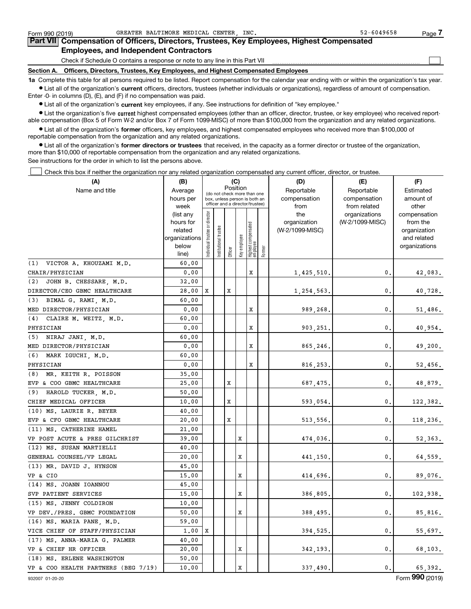| Form 990 (2019)                                                                                                                                            | GREATER BALTIMORE MEDICAL CENTER, INC.                                                     | $52 - 6049658$ | Page |  |  |  |  |  |
|------------------------------------------------------------------------------------------------------------------------------------------------------------|--------------------------------------------------------------------------------------------|----------------|------|--|--|--|--|--|
| Part VII Compensation of Officers, Directors, Trustees, Key Employees, Highest Compensated                                                                 |                                                                                            |                |      |  |  |  |  |  |
| <b>Employees, and Independent Contractors</b>                                                                                                              |                                                                                            |                |      |  |  |  |  |  |
|                                                                                                                                                            | Check if Schedule O contains a response or note to any line in this Part VII               |                |      |  |  |  |  |  |
|                                                                                                                                                            | Section A. Officers, Directors, Trustees, Key Employees, and Highest Compensated Employees |                |      |  |  |  |  |  |
| 1a Complete this table for all persons required to be listed. Report compensation for the calendar year ending with or within the organization's tay year. |                                                                                            |                |      |  |  |  |  |  |

**1a •** List all of the organization's current officers, directors, trustees (whether individuals or organizations), regardless of amount of compensation. ons required to be listed. Report compensation for the calendar year ending with or within the orga Enter -0- in columns (D), (E), and (F) if no compensation was paid.

 $\bullet$  List all of the organization's  $\,$ current key employees, if any. See instructions for definition of "key employee."

**•** List the organization's five current highest compensated employees (other than an officer, director, trustee, or key employee) who received reportable compensation (Box 5 of Form W-2 and/or Box 7 of Form 1099-MISC) of more than \$100,000 from the organization and any related organizations.

**•** List all of the organization's former officers, key employees, and highest compensated employees who received more than \$100,000 of reportable compensation from the organization and any related organizations.

**former directors or trustees**  ¥ List all of the organization's that received, in the capacity as a former director or trustee of the organization, more than \$10,000 of reportable compensation from the organization and any related organizations.

See instructions for the order in which to list the persons above.

Check this box if neither the organization nor any related organization compensated any current officer, director, or trustee.  $\mathcal{L}^{\text{max}}$ 

| (A)                                 | (B)                      |                                         |                                                                  | (C)     |              |                                   |            | (D)             | (E)             | (F)                         |
|-------------------------------------|--------------------------|-----------------------------------------|------------------------------------------------------------------|---------|--------------|-----------------------------------|------------|-----------------|-----------------|-----------------------------|
| Name and title                      | Average                  | Position<br>(do not check more than one |                                                                  |         |              |                                   | Reportable | Reportable      | Estimated       |                             |
|                                     | hours per                |                                         | box, unless person is both an<br>officer and a director/trustee) |         |              |                                   |            | compensation    | compensation    | amount of                   |
|                                     | week                     |                                         |                                                                  |         |              |                                   |            | from            | from related    | other                       |
|                                     | (list any                |                                         |                                                                  |         |              |                                   |            | the             | organizations   | compensation                |
|                                     | hours for                |                                         |                                                                  |         |              |                                   |            | organization    | (W-2/1099-MISC) | from the                    |
|                                     | related<br>organizations |                                         |                                                                  |         |              |                                   |            | (W-2/1099-MISC) |                 | organization<br>and related |
|                                     | below                    |                                         |                                                                  |         |              |                                   |            |                 |                 | organizations               |
|                                     | line)                    | ndividual trustee or director           | Institutional trustee                                            | Officer | key employee | Highest compensated<br>  employee | Former     |                 |                 |                             |
| (1)<br>VICTOR A. KHOUZAMI M.D.      | 60.00                    |                                         |                                                                  |         |              |                                   |            |                 |                 |                             |
| CHAIR/PHYSICIAN                     | 0.00                     |                                         |                                                                  |         |              | X                                 |            | 1,425,510.      | 0.              | 42,083.                     |
| JOHN B. CHESSARE, M.D.<br>(2)       | 32,00                    |                                         |                                                                  |         |              |                                   |            |                 |                 |                             |
| DIRECTOR/CEO GBMC HEALTHCARE        | 28,00                    | X                                       |                                                                  | X       |              |                                   |            | 1,254,563.      | $\mathbf 0$ .   | 40,728.                     |
| (3)<br>BIMAL G. RAMI, M.D.          | 60.00                    |                                         |                                                                  |         |              |                                   |            |                 |                 |                             |
| MED DIRECTOR/PHYSICIAN              | 0.00                     |                                         |                                                                  |         |              | х                                 |            | 989,268.        | 0.              | 51,486.                     |
| (4)<br>CLAIRE M. WEITZ, M.D.        | 60.00                    |                                         |                                                                  |         |              |                                   |            |                 |                 |                             |
| PHYSICIAN                           | 0.00                     |                                         |                                                                  |         |              | х                                 |            | 903,251.        | 0.              | 40,954.                     |
| (5) NIRAJ JANI, M.D.                | 60.00                    |                                         |                                                                  |         |              |                                   |            |                 |                 |                             |
| MED DIRECTOR/PHYSICIAN              | 0.00                     |                                         |                                                                  |         |              | x                                 |            | 865,246.        | 0.              | 49,200.                     |
| (6)<br>MARK IGUCHI, M.D.            | 60.00                    |                                         |                                                                  |         |              |                                   |            |                 |                 |                             |
| PHYSICIAN                           | 0.00                     |                                         |                                                                  |         |              | x                                 |            | 816,253.        | 0.              | 52,456.                     |
| (8) MR. KEITH R. POISSON            | 35.00                    |                                         |                                                                  |         |              |                                   |            |                 |                 |                             |
| EVP & COO GBMC HEALTHCARE           | 25.00                    |                                         |                                                                  | x       |              |                                   |            | 687,475.        | $\mathbf{0}$ .  | 48,879.                     |
| (9) HAROLD TUCKER, M.D.             | 50.00                    |                                         |                                                                  |         |              |                                   |            |                 |                 |                             |
| CHIEF MEDICAL OFFICER               | 10.00                    |                                         |                                                                  | x       |              |                                   |            | 593,054.        | 0.              | 122,382.                    |
| (10) MS. LAURIE R. BEYER            | 40.00                    |                                         |                                                                  |         |              |                                   |            |                 |                 |                             |
| EVP & CFO GBMC HEALTHCARE           | 20,00                    |                                         |                                                                  | X       |              |                                   |            | 513,556.        | $\mathbf{0}$ .  | 118,236.                    |
| (11) MS. CATHERINE HAMEL            | 21.00                    |                                         |                                                                  |         |              |                                   |            |                 |                 |                             |
| VP POST ACUTE & PRES GILCHRIST      | 39.00                    |                                         |                                                                  |         | x            |                                   |            | 474,036.        | 0.              | 52,363.                     |
| (12) MS. SUSAN MARTIELLI            | 40.00                    |                                         |                                                                  |         |              |                                   |            |                 |                 |                             |
| GENERAL COUNSEL/VP LEGAL            | 20.00                    |                                         |                                                                  |         | x            |                                   |            | 441,150         | 0.              | 64,559.                     |
| (13) MR. DAVID J. HYNSON            | 45.00                    |                                         |                                                                  |         |              |                                   |            |                 |                 |                             |
| VP & CIO                            | 15.00                    |                                         |                                                                  |         | x            |                                   |            | 414,696         | 0.              | 89,076.                     |
| (14) MS. JOANN IOANNOU              | 45.00                    |                                         |                                                                  |         |              |                                   |            |                 |                 |                             |
| SVP PATIENT SERVICES                | 15.00                    |                                         |                                                                  |         | x            |                                   |            | 386,805.        | 0.              | 102,938.                    |
| (15) MS. JENNY COLDIRON             | 10.00                    |                                         |                                                                  |         |              |                                   |            |                 |                 |                             |
| VP DEV./PRES. GBMC FOUNDATION       | 50.00                    |                                         |                                                                  |         | x            |                                   |            | 388,495.        | 0.              | 85,816.                     |
| (16) MS. MARIA PANE, M.D.           | 59.00                    |                                         |                                                                  |         |              |                                   |            |                 |                 |                             |
| VICE CHIEF OF STAFF/PHYSICIAN       | 1.00                     | X                                       |                                                                  |         |              |                                   |            | 394,525.        | 0.              | 55,697.                     |
| (17) MS. ANNA-MARIA G. PALMER       | 40.00                    |                                         |                                                                  |         |              |                                   |            |                 |                 |                             |
| VP & CHIEF HR OFFICER               | 20,00                    |                                         |                                                                  |         | X            |                                   |            | 342,193.        | $\mathbf{0}$ .  | 68,103.                     |
| (18) MS. ERLENE WASHINGTON          | 50.00                    |                                         |                                                                  |         |              |                                   |            |                 |                 |                             |
| VP & COO HEALTH PARTNERS (BEG 7/19) | 10.00                    |                                         |                                                                  |         | X            |                                   |            | 337,490.        | $\mathbf{0}$ .  | 65,392.                     |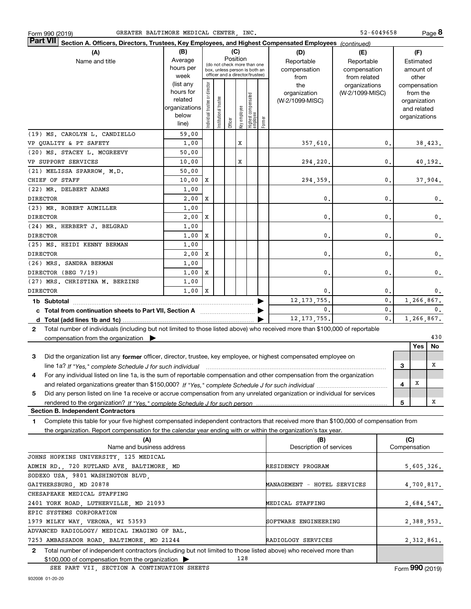|                                                                                                                                              | (list any<br>hours for<br>related<br> organizations <br>below<br>line) | director<br>Individual trustee or | Institutional trustee | Officer | Key employee | Highest compensated<br> employee | Former         | the<br>organization<br>(W-2/1099-MISC) | organizations<br>(W-2/1099-MISC) |                |                     | compensation<br>from the<br>organization<br>and related<br>organizations |                |
|----------------------------------------------------------------------------------------------------------------------------------------------|------------------------------------------------------------------------|-----------------------------------|-----------------------|---------|--------------|----------------------------------|----------------|----------------------------------------|----------------------------------|----------------|---------------------|--------------------------------------------------------------------------|----------------|
| (19) MS. CAROLYN L. CANDIELLO                                                                                                                | 59.00                                                                  |                                   |                       |         |              |                                  |                |                                        |                                  |                |                     |                                                                          |                |
| VP QUALITY & PT SAFETY                                                                                                                       | 1,00                                                                   |                                   |                       |         | x            |                                  |                | 357,610.                               |                                  | 0.             |                     |                                                                          | 38,423.        |
| (20) MS. STACEY L. MCGREEVY                                                                                                                  | 50.00                                                                  |                                   |                       |         |              |                                  |                |                                        |                                  |                |                     |                                                                          |                |
| VP SUPPORT SERVICES                                                                                                                          | 10.00                                                                  |                                   |                       |         | х            |                                  |                | 294,220.                               |                                  | 0.             |                     |                                                                          | 40,192.        |
| (21) MELISSA SPARROW, M.D.                                                                                                                   | 50.00                                                                  |                                   |                       |         |              |                                  |                |                                        |                                  |                |                     |                                                                          |                |
| CHIEF OF STAFF                                                                                                                               | 10.00                                                                  | Х                                 |                       |         |              |                                  |                | 294,359.                               |                                  | 0.             |                     |                                                                          | 37,904.        |
| (22) MR. DELBERT ADAMS                                                                                                                       | 1.00                                                                   |                                   |                       |         |              |                                  |                |                                        |                                  |                |                     |                                                                          |                |
| <b>DIRECTOR</b>                                                                                                                              | 2,00                                                                   | Х                                 |                       |         |              |                                  |                | 0.                                     |                                  | 0.             |                     |                                                                          | 0.             |
| (23) MR. ROBERT AUMILLER                                                                                                                     | 1,00                                                                   |                                   |                       |         |              |                                  |                |                                        |                                  |                |                     |                                                                          |                |
| <b>DIRECTOR</b>                                                                                                                              | 2,00                                                                   | Х                                 |                       |         |              |                                  |                | 0.                                     |                                  | 0.             |                     |                                                                          | $\mathbf{0}$ . |
| (24) MR. HERBERT J. BELGRAD                                                                                                                  | 1,00                                                                   |                                   |                       |         |              |                                  |                |                                        |                                  |                |                     |                                                                          |                |
| <b>DIRECTOR</b>                                                                                                                              | 1,00                                                                   | Х                                 |                       |         |              |                                  |                | 0.                                     |                                  | 0.             |                     |                                                                          | 0.             |
| (25) MS. HEIDI KENNY BERMAN                                                                                                                  | 1.00                                                                   |                                   |                       |         |              |                                  |                |                                        |                                  |                |                     |                                                                          |                |
| <b>DIRECTOR</b>                                                                                                                              | 2,00                                                                   | Х                                 |                       |         |              |                                  |                | 0.                                     |                                  | 0.             |                     |                                                                          | 0.             |
| (26) MRS. SANDRA BERMAN                                                                                                                      | 1,00                                                                   |                                   |                       |         |              |                                  |                |                                        |                                  |                |                     |                                                                          |                |
| DIRECTOR (BEG 7/19)                                                                                                                          | 1,00                                                                   | Х                                 |                       |         |              |                                  |                | 0.                                     |                                  | 0.             |                     |                                                                          | $\mathbf{0}$ . |
| (27) MRS. CHRISTINA M. BERZINS                                                                                                               | 1,00                                                                   |                                   |                       |         |              |                                  |                |                                        |                                  |                |                     |                                                                          |                |
| <b>DIRECTOR</b>                                                                                                                              | $1.00 \mid X$                                                          |                                   |                       |         |              |                                  |                | 0.                                     |                                  | 0.             |                     |                                                                          | 0.             |
| 12, 173, 755.<br>1b Subtotal                                                                                                                 |                                                                        |                                   |                       |         |              |                                  | $\mathbf{0}$ . |                                        |                                  | 1,266,867.     |                     |                                                                          |                |
| c Total from continuation sheets to Part VII, Section A <b>Constant Contact Part</b>                                                         |                                                                        |                                   |                       |         |              |                                  |                | 0.                                     |                                  | 0.             |                     |                                                                          | 0.             |
|                                                                                                                                              |                                                                        |                                   |                       |         |              |                                  |                | 12, 173, 755.                          |                                  | $\mathbf{0}$ . |                     |                                                                          | 1,266,867.     |
| Total number of individuals (including but not limited to those listed above) who received more than \$100,000 of reportable<br>$\mathbf{2}$ |                                                                        |                                   |                       |         |              |                                  |                |                                        |                                  |                |                     |                                                                          |                |
| compensation from the organization $\blacktriangleright$                                                                                     |                                                                        |                                   |                       |         |              |                                  |                |                                        |                                  |                |                     |                                                                          | 430            |
|                                                                                                                                              |                                                                        |                                   |                       |         |              |                                  |                |                                        |                                  |                |                     | Yes                                                                      | No             |
| Did the organization list any former officer, director, trustee, key employee, or highest compensated employee on<br>3                       |                                                                        |                                   |                       |         |              |                                  |                |                                        |                                  |                |                     |                                                                          |                |
| line 1a? If "Yes," complete Schedule J for such individual manufactured contained and the Yes," complete Schedule J for such individual      |                                                                        |                                   |                       |         |              |                                  |                |                                        |                                  |                | 3                   |                                                                          | x              |
| For any individual listed on line 1a, is the sum of reportable compensation and other compensation from the organization<br>4                |                                                                        |                                   |                       |         |              |                                  |                |                                        |                                  |                |                     |                                                                          |                |
|                                                                                                                                              |                                                                        |                                   |                       |         |              |                                  |                |                                        |                                  |                | 4                   | х                                                                        |                |
| Did any person listed on line 1a receive or accrue compensation from any unrelated organization or individual for services<br>5              |                                                                        |                                   |                       |         |              |                                  |                |                                        |                                  |                |                     |                                                                          |                |
|                                                                                                                                              |                                                                        |                                   |                       |         |              |                                  |                |                                        |                                  |                | 5                   |                                                                          | x              |
| <b>Section B. Independent Contractors</b>                                                                                                    |                                                                        |                                   |                       |         |              |                                  |                |                                        |                                  |                |                     |                                                                          |                |
| Complete this table for your five highest compensated independent contractors that received more than \$100,000 of compensation from<br>1.   |                                                                        |                                   |                       |         |              |                                  |                |                                        |                                  |                |                     |                                                                          |                |
| the organization. Report compensation for the calendar year ending with or within the organization's tax year.                               |                                                                        |                                   |                       |         |              |                                  |                |                                        |                                  |                |                     |                                                                          |                |
| (A)<br>Name and business address                                                                                                             |                                                                        |                                   |                       |         |              |                                  |                | (B)<br>Description of services         |                                  |                | (C)<br>Compensation |                                                                          |                |
| JOHNS HOPKINS UNIVERSITY, 125 MEDICAL                                                                                                        |                                                                        |                                   |                       |         |              |                                  |                |                                        |                                  |                |                     |                                                                          |                |
| ADMIN RD., 720 RUTLAND AVE, BALTIMORE, MD                                                                                                    |                                                                        |                                   |                       |         |              |                                  |                | RESIDENCY PROGRAM                      |                                  |                |                     |                                                                          | 5,605,326.     |
| SODEXO USA, 9801 WASHINGTON BLVD,                                                                                                            |                                                                        |                                   |                       |         |              |                                  |                |                                        |                                  |                |                     |                                                                          |                |
| GAITHERSBURG, MD 20878<br>MANAGEMENT - HOTEL SERVICES                                                                                        |                                                                        |                                   |                       |         |              |                                  |                |                                        |                                  | 4,700,817.     |                     |                                                                          |                |
| CHESAPEAKE MEDICAL STAFFING                                                                                                                  |                                                                        |                                   |                       |         |              |                                  |                |                                        |                                  |                |                     |                                                                          |                |
| MEDICAL STAFFING<br>2401 YORK ROAD, LUTHERVILLE, MD 21093                                                                                    |                                                                        |                                   |                       |         |              |                                  |                | 2,684,547.                             |                                  |                |                     |                                                                          |                |
| EPIC SYSTEMS CORPORATION                                                                                                                     |                                                                        |                                   |                       |         |              |                                  |                |                                        |                                  |                |                     |                                                                          |                |
| 1979 MILKY WAY, VERONA, WI 53593                                                                                                             |                                                                        |                                   |                       |         |              |                                  |                | SOFTWARE ENGINEERING                   |                                  |                |                     |                                                                          | 2,388,953.     |
| ADVANCED RADIOLOGY/ MEDICAL IMAGING OF BAL.                                                                                                  |                                                                        |                                   |                       |         |              |                                  |                |                                        |                                  |                |                     |                                                                          |                |
| 7253 AMBASSADOR ROAD, BALTIMORE, MD 21244                                                                                                    |                                                                        |                                   |                       |         |              |                                  |                | RADIOLOGY SERVICES                     |                                  |                |                     |                                                                          | 2,312,861.     |

(do not check more than one box, unless person is both an officer and a director/trustee)

**(B) (C) (D) (E) (F)**

**Section A. Officers, Directors, Trustees, Key Employees, and Highest Compensated Employees**  *(continued)*

Average Position

ctor

Name and title Reportable

**2**Total number of independent contractors (including but not limited to those listed above) who received more than \$100,000 of compensation from the organization  $\blacktriangleright$ 128

SEE PART VII, SECTION A CONTINUATION SHEETS

### Form 990 (2019) GREATER BALTIMORE MEDICAL CENTER , INC. 52-6049658 Page GREATER BALTIMORE MEDICAL CENTER, INC.

hours per week(list any

**(A)**

**Part VII**

Reportable compensation from related organizations

compensationfrom the

52-6049658

Estimated amount of other

**8**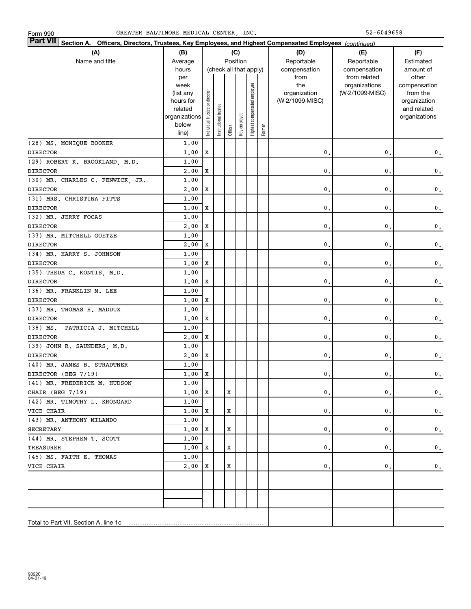| <b>Part VII</b> Section A. Officers, Directors, Trustees, Key Employees, and Highest Compensated Employees (continued) |                |                                |                       |         |                        |                              |        |                 |                               |                       |
|------------------------------------------------------------------------------------------------------------------------|----------------|--------------------------------|-----------------------|---------|------------------------|------------------------------|--------|-----------------|-------------------------------|-----------------------|
| (A)                                                                                                                    | (B)            |                                |                       |         | (C)                    |                              |        | (D)             | (E)                           | (F)                   |
| Name and title                                                                                                         | Average        |                                |                       |         | Position               |                              |        | Reportable      | Reportable                    | Estimated             |
|                                                                                                                        | hours          |                                |                       |         | (check all that apply) |                              |        | compensation    | compensation                  | amount of             |
|                                                                                                                        | per<br>week    |                                |                       |         |                        |                              |        | from<br>the     | from related<br>organizations | other<br>compensation |
|                                                                                                                        | (list any      |                                |                       |         |                        |                              |        | organization    | (W-2/1099-MISC)               | from the              |
|                                                                                                                        | hours for      |                                |                       |         |                        |                              |        | (W-2/1099-MISC) |                               | organization          |
|                                                                                                                        | related        |                                |                       |         |                        |                              |        |                 |                               | and related           |
|                                                                                                                        | organizations  |                                |                       |         |                        |                              |        |                 |                               | organizations         |
|                                                                                                                        | below          | Individual trustee or director | Institutional trustee | Officer | Key employee           | Highest compensated employee | Former |                 |                               |                       |
|                                                                                                                        | line)          |                                |                       |         |                        |                              |        |                 |                               |                       |
| (28) MS. MONIQUE BOOKER                                                                                                | 1.00           |                                |                       |         |                        |                              |        |                 |                               |                       |
| <b>DIRECTOR</b>                                                                                                        | 1,00           | $\mathbf X$                    |                       |         |                        |                              |        | $\mathbf{0}$ .  | $\mathbf 0$ .                 | 0.                    |
| (29) ROBERT K. BROOKLAND, M.D.                                                                                         | 1,00           |                                |                       |         |                        |                              |        |                 |                               |                       |
| <b>DIRECTOR</b>                                                                                                        | 2,00           | X                              |                       |         |                        |                              |        | 0.              | $\mathbf 0$ .                 | $\mathbf 0$ .         |
| (30) MR. CHARLES C. FENWICK, JR.                                                                                       | 1.00           |                                |                       |         |                        |                              |        |                 |                               |                       |
| <b>DIRECTOR</b>                                                                                                        | 2,00           | X                              |                       |         |                        |                              |        | $\mathbf{0}$ .  | 0.                            | $\mathbf 0$ .         |
| (31) MRS. CHRISTINA FITTS                                                                                              | 1.00           |                                |                       |         |                        |                              |        |                 |                               |                       |
| <b>DIRECTOR</b>                                                                                                        | 1,00           | X                              |                       |         |                        |                              |        | 0.              | 0.                            | $\mathbf 0$ .         |
| (32) MR. JERRY FOCAS                                                                                                   | 1.00           |                                |                       |         |                        |                              |        |                 |                               |                       |
| <b>DIRECTOR</b>                                                                                                        | 2,00           | X                              |                       |         |                        |                              |        | 0.              | $\mathbf 0$ .                 | $\mathbf 0$ .         |
| (33) MR. MITCHELL GOETZE                                                                                               | 1.00<br>2,00   | X                              |                       |         |                        |                              |        | 0.              | $\mathbf 0$ .                 |                       |
| <b>DIRECTOR</b><br>(34) MR. HARRY S. JOHNSON                                                                           | 1.00           |                                |                       |         |                        |                              |        |                 |                               | $\mathbf 0$ .         |
| <b>DIRECTOR</b>                                                                                                        | 1,00           | X                              |                       |         |                        |                              |        | $\mathbf{0}$ .  | 0.                            | $\mathbf 0$ .         |
| (35) THEDA C. KONTIS, M.D.                                                                                             | 1.00           |                                |                       |         |                        |                              |        |                 |                               |                       |
| <b>DIRECTOR</b>                                                                                                        | 1,00           | X                              |                       |         |                        |                              |        | 0.              | 0.                            | $\mathbf 0$ .         |
| (36) MR. FRANKLIN M. LEE                                                                                               | 1.00           |                                |                       |         |                        |                              |        |                 |                               |                       |
| <b>DIRECTOR</b>                                                                                                        | 1,00           | X                              |                       |         |                        |                              |        | 0.              | $\mathbf{0}$ .                | $\mathbf 0$ .         |
| (37) MR. THOMAS H. MADDUX                                                                                              | 1.00           |                                |                       |         |                        |                              |        |                 |                               |                       |
| <b>DIRECTOR</b>                                                                                                        | 1.00           | X                              |                       |         |                        |                              |        | 0.              | 0.                            | $\mathbf 0$ .         |
| $(38)$ MS.<br>PATRICIA J. MITCHELL                                                                                     | 1,00           |                                |                       |         |                        |                              |        |                 |                               |                       |
| <b>DIRECTOR</b>                                                                                                        | 2,00           | X                              |                       |         |                        |                              |        | $\mathbf{0}$ .  | 0.                            | $\mathbf 0$ .         |
| (39) JOHN R. SAUNDERS, M.D.                                                                                            | 1,00           |                                |                       |         |                        |                              |        |                 |                               |                       |
| <b>DIRECTOR</b>                                                                                                        | 2,00           | X                              |                       |         |                        |                              |        | $\mathbf{0}$ .  | 0.                            | 0.                    |
| (40) MR. JAMES B. STRADTNER                                                                                            | 1,00           |                                |                       |         |                        |                              |        |                 |                               |                       |
| DIRECTOR (BEG 7/19)                                                                                                    | 1,00           | X                              |                       |         |                        |                              |        | 0.              | 0.                            | $\mathbf 0$ .         |
| (41) MR. FREDERICK M. HUDSON                                                                                           | 1.00           |                                |                       |         |                        |                              |        |                 |                               |                       |
| CHAIR (BEG 7/19)                                                                                                       | $1.00 \mid X$  |                                |                       | X       |                        |                              |        | $\mathbf{0}$ .  | $\mathfrak o$ .               | $\mathbf 0$ .         |
| (42) MR. TIMOTHY L. KRONGARD                                                                                           | 1,00           |                                |                       |         |                        |                              |        |                 |                               |                       |
| VICE CHAIR                                                                                                             | $1.00 \quad X$ |                                |                       | X       |                        |                              |        | 0.              | 0.                            | $\mathbf{0}$ .        |
| (43) MR. ANTHONY MILANDO                                                                                               | 1,00           |                                |                       |         |                        |                              |        |                 |                               |                       |
| SECRETARY                                                                                                              | $1.00 \quad X$ |                                |                       | X       |                        |                              |        | 0.              | 0.                            | $\mathbf{0}$ .        |
| (44) MR. STEPHEN T. SCOTT                                                                                              | 1,00           |                                |                       |         |                        |                              |        |                 |                               |                       |
| TREASURER                                                                                                              | $1.00 \quad X$ |                                |                       | X       |                        |                              |        | 0.              | 0.                            | $\mathbf 0$ .         |
| (45) MS. FAITH E. THOMAS                                                                                               | 1,00           |                                |                       |         |                        |                              |        |                 |                               |                       |
| VICE CHAIR                                                                                                             | 2,00           | X                              |                       | X       |                        |                              |        | 0.              | $\mathbf{0}$ .                | $\mathbf{0}$ .        |
|                                                                                                                        |                |                                |                       |         |                        |                              |        |                 |                               |                       |
|                                                                                                                        |                |                                |                       |         |                        |                              |        |                 |                               |                       |
|                                                                                                                        |                |                                |                       |         |                        |                              |        |                 |                               |                       |
|                                                                                                                        |                |                                |                       |         |                        |                              |        |                 |                               |                       |
|                                                                                                                        |                |                                |                       |         |                        |                              |        |                 |                               |                       |
|                                                                                                                        |                |                                |                       |         |                        |                              |        |                 |                               |                       |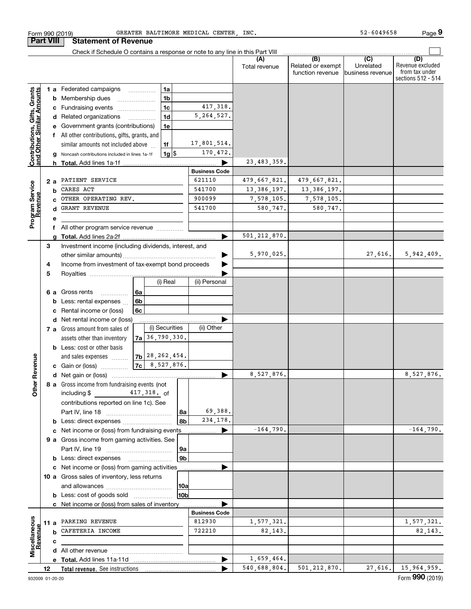|                                                           |      |                                                    | Check if Schedule O contains a response or note to any line in this Part VIII |    |                      |     |                      |                |                                              |                                       |                                                                 |
|-----------------------------------------------------------|------|----------------------------------------------------|-------------------------------------------------------------------------------|----|----------------------|-----|----------------------|----------------|----------------------------------------------|---------------------------------------|-----------------------------------------------------------------|
|                                                           |      |                                                    |                                                                               |    |                      |     |                      | Total revenue  | (B)<br>Related or exempt<br>function revenue | (C)<br>Unrelated<br>lbusiness revenue | (D)<br>Revenue excluded<br>from tax under<br>sections 512 - 514 |
|                                                           |      |                                                    | <b>1 a</b> Federated campaigns                                                |    | 1a                   |     |                      |                |                                              |                                       |                                                                 |
|                                                           |      | b                                                  | Membership dues                                                               |    | 1 <sub>b</sub>       |     |                      |                |                                              |                                       |                                                                 |
|                                                           |      |                                                    | c Fundraising events                                                          |    | 1c                   |     | 417, 318.            |                |                                              |                                       |                                                                 |
|                                                           |      |                                                    | d Related organizations                                                       |    | 1 <sub>d</sub>       |     | 5, 264, 527.         |                |                                              |                                       |                                                                 |
|                                                           |      | e Government grants (contributions)<br>1e          |                                                                               |    |                      |     |                      |                |                                              |                                       |                                                                 |
| Contributions, Gifts, Grants<br>and Other Similar Amounts |      |                                                    | f All other contributions, gifts, grants, and                                 |    |                      |     |                      |                |                                              |                                       |                                                                 |
|                                                           |      |                                                    | similar amounts not included above                                            |    | 1f                   |     | 17,801,514.          |                |                                              |                                       |                                                                 |
|                                                           |      |                                                    | Noncash contributions included in lines 1a-1f                                 |    | $1g$ \$              |     | 170,472.             |                |                                              |                                       |                                                                 |
|                                                           |      |                                                    | <b>h</b> Total. Add lines 1a-1f                                               |    |                      |     |                      | 23, 483, 359.  |                                              |                                       |                                                                 |
|                                                           |      |                                                    |                                                                               |    |                      |     | <b>Business Code</b> |                |                                              |                                       |                                                                 |
|                                                           |      | 2 a                                                | PATIENT SERVICE                                                               |    |                      |     | 621110               | 479,667,821.   | 479,667,821.                                 |                                       |                                                                 |
|                                                           |      | b                                                  | CARES ACT                                                                     |    |                      |     | 541700               | 13, 386, 197.  | 13, 386, 197.                                |                                       |                                                                 |
|                                                           |      |                                                    | OTHER OPERATING REV.                                                          |    |                      |     | 900099               | 7,578,105.     | 7,578,105.                                   |                                       |                                                                 |
|                                                           |      |                                                    | <b>GRANT REVENUE</b>                                                          |    |                      |     | 541700               | 580,747.       | 580,747.                                     |                                       |                                                                 |
| Program Service<br>Revenue                                |      | е                                                  |                                                                               |    |                      |     |                      |                |                                              |                                       |                                                                 |
|                                                           |      | f                                                  | All other program service revenue                                             |    |                      |     |                      |                |                                              |                                       |                                                                 |
|                                                           |      | a                                                  |                                                                               |    |                      |     |                      | 501, 212, 870. |                                              |                                       |                                                                 |
|                                                           | 3    |                                                    | Investment income (including dividends, interest, and                         |    |                      |     |                      |                |                                              |                                       |                                                                 |
|                                                           |      |                                                    |                                                                               |    |                      |     |                      | 5,970,025.     |                                              | 27,616.                               | 5,942,409.                                                      |
|                                                           | 4    | Income from investment of tax-exempt bond proceeds |                                                                               |    |                      |     |                      |                |                                              |                                       |                                                                 |
|                                                           | 5    |                                                    |                                                                               |    |                      |     |                      |                |                                              |                                       |                                                                 |
|                                                           |      |                                                    |                                                                               |    | (i) Real             |     | (ii) Personal        |                |                                              |                                       |                                                                 |
|                                                           |      | 6а                                                 | Gross rents                                                                   | 6а |                      |     |                      |                |                                              |                                       |                                                                 |
|                                                           |      | b                                                  | Less: rental expenses                                                         | 6b |                      |     |                      |                |                                              |                                       |                                                                 |
|                                                           |      | c                                                  | Rental income or (loss)                                                       | 6с |                      |     |                      |                |                                              |                                       |                                                                 |
|                                                           |      |                                                    | d Net rental income or (loss)                                                 |    |                      |     |                      |                |                                              |                                       |                                                                 |
|                                                           |      |                                                    | 7 a Gross amount from sales of                                                |    | (i) Securities       |     | (ii) Other           |                |                                              |                                       |                                                                 |
|                                                           |      |                                                    | assets other than inventory                                                   |    | $7a$ 36, 790, 330.   |     |                      |                |                                              |                                       |                                                                 |
|                                                           |      |                                                    | <b>b</b> Less: cost or other basis                                            |    |                      |     |                      |                |                                              |                                       |                                                                 |
|                                                           |      |                                                    | and sales expenses                                                            |    | $ 7b $ 28, 262, 454. |     |                      |                |                                              |                                       |                                                                 |
|                                                           |      |                                                    | <b>c</b> Gain or (loss) $\ldots$                                              |    | $ 7c $ 8, 527, 876.  |     |                      |                |                                              |                                       |                                                                 |
| ther Revenue                                              |      |                                                    |                                                                               |    |                      |     |                      | 8,527,876.     |                                              |                                       | 8,527,876.                                                      |
|                                                           |      |                                                    | 8 a Gross income from fundraising events (not                                 |    |                      |     |                      |                |                                              |                                       |                                                                 |
|                                                           |      |                                                    | including $\frac{2}{3}$ 417, 318. of                                          |    |                      |     |                      |                |                                              |                                       |                                                                 |
|                                                           |      |                                                    | contributions reported on line 1c). See                                       |    |                      |     |                      |                |                                              |                                       |                                                                 |
|                                                           |      |                                                    |                                                                               |    |                      | 8a  | 69,388.              |                |                                              |                                       |                                                                 |
|                                                           |      |                                                    |                                                                               |    |                      | 8b  | 234, 178.            |                |                                              |                                       |                                                                 |
|                                                           |      |                                                    | c Net income or (loss) from fundraising events                                |    |                      |     |                      | $-164,790.$    |                                              |                                       | $-164,790.$                                                     |
|                                                           |      |                                                    | 9 a Gross income from gaming activities. See                                  |    |                      |     |                      |                |                                              |                                       |                                                                 |
|                                                           |      |                                                    |                                                                               |    |                      | 9a  |                      |                |                                              |                                       |                                                                 |
|                                                           |      |                                                    | <b>b</b> Less: direct expenses                                                |    |                      | 9b  |                      |                |                                              |                                       |                                                                 |
|                                                           |      |                                                    | c Net income or (loss) from gaming activities                                 |    |                      |     |                      |                |                                              |                                       |                                                                 |
|                                                           |      |                                                    | 10 a Gross sales of inventory, less returns                                   |    |                      |     |                      |                |                                              |                                       |                                                                 |
|                                                           |      |                                                    |                                                                               |    |                      | 10a |                      |                |                                              |                                       |                                                                 |
|                                                           |      |                                                    | <b>b</b> Less: cost of goods sold                                             |    |                      | 10b |                      |                |                                              |                                       |                                                                 |
|                                                           |      |                                                    | <b>c</b> Net income or (loss) from sales of inventory                         |    |                      |     |                      |                |                                              |                                       |                                                                 |
|                                                           |      |                                                    |                                                                               |    |                      |     | <b>Business Code</b> |                |                                              |                                       |                                                                 |
|                                                           | 11 а |                                                    | PARKING REVENUE                                                               |    |                      |     | 812930               | 1,577,321.     |                                              |                                       | 1,577,321.                                                      |
|                                                           |      | b                                                  | CAFETERIA INCOME                                                              |    |                      |     | 722210               | 82, 143.       |                                              |                                       | 82,143.                                                         |
| Miscellaneous<br>Revenue                                  |      | с                                                  |                                                                               |    |                      |     |                      |                |                                              |                                       |                                                                 |
|                                                           |      |                                                    |                                                                               |    |                      |     |                      |                |                                              |                                       |                                                                 |
|                                                           |      |                                                    | e Total. Add lines 11a-11d                                                    |    |                      |     |                      | 1,659,464.     |                                              |                                       |                                                                 |
|                                                           | 12   |                                                    |                                                                               |    |                      |     | ▶                    | 540,688,804.   | 501, 212, 870.                               | 27,616.                               | 15,964,959.                                                     |

Form 990 (2019) GREATER BALTIMORE MEDICAL CENTER , INC. 52-6049658 Page GREATER BALTIMORE MEDICAL CENTER, INC.  $52-6049658$ 

**Part VIII Statement of Revenue**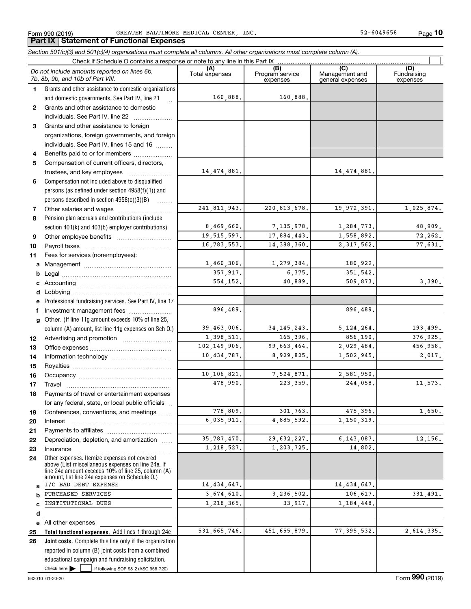Form 990 (2019) Page GREATER BALTIMORE MEDICAL CENTER, INC. 52-6049658

**10**

### **Total functional expenses.**  Add lines 1 through 24e **Joint costs.** Complete this line only if the organization **(A)**<br>Total expenses **(C)** (C) (C)<br>
penses Program service Management and Fundrai<br>
expenses general expenses expen **123** Grants and other assistance to foreign **4567891011abcdefg12131415161718192021222324abcde2526***Section 501(c)(3) and 501(c)(4) organizations must complete all columns. All other organizations must complete column (A).* Grants and other assistance to domestic organizations and domestic governments. See Part IV, line 21 Compensation not included above to disqualified persons (as defined under section 4958(f)(1)) and persons described in section 4958(c)(3)(B)  $\quad \ldots \ldots \ldots$ Pension plan accruals and contributions (include section 401(k) and 403(b) employer contributions) Professional fundraising services. See Part IV, line 17 Other. (If line 11g amount exceeds 10% of line 25, column (A) amount, list line 11g expenses on Sch O.) Other expenses. Itemize expenses not covered above (List miscellaneous expenses on line 24e. If line 24e amount exceeds 10% of line 25, column (A) amount, list line 24e expenses on Schedule O.) reported in column (B) joint costs from a combined educational campaign and fundraising solicitation. Check if Schedule O contains a response or note to any line in this Part IX (C) (C) (C) (C) (C) (C) Program service expensesFundraising expensesGrants and other assistance to domestic individuals. See Part IV, line 22 ~~~~~~~ organizations, foreign governments, and foreign individuals. See Part IV, lines 15 and 16  $\ldots$ Benefits paid to or for members .................... Compensation of current officers, directors, trustees, and key employees  $\ldots$   $\ldots$   $\ldots$   $\ldots$   $\ldots$   $\ldots$ Other salaries and wages ~~~~~~~~~~ Other employee benefits ~~~~~~~~~~ Payroll taxes ~~~~~~~~~~~~~~~~ Fees for services (nonemployees): Management ~~~~~~~~~~~~~~~~ Legal ~~~~~~~~~~~~~~~~~~~~Accounting ~~~~~~~~~~~~~~~~~ Lobbying ~~~~~~~~~~~~~~~~~~ lnvestment management fees ....................... Advertising and promotion www.communication Office expenses ~~~~~~~~~~~~~~~ Information technology ~~~~~~~~~~~ Royalties ~~~~~~~~~~~~~~~~~~ Occupancy ~~~~~~~~~~~~~~~~~ Travel ……………………………………………… Payments of travel or entertainment expenses for any federal, state, or local public officials ... Conferences, conventions, and meetings Interest Payments to affiliates ~~~~~~~~~~~~ Depreciation, depletion, and amortization  $\,\,\ldots\,\,$ Insurance~~~~~~~~~~~~~~~~~All other expenses *Do not include amounts reported on lines 6b, 7b, 8b, 9b, and 10b of Part VIII.*  $\mathcal{L}^{\text{max}}$ 160,888. 14,474,881. 241,811,943. 8,469,660. 19,515,597. 16,783,553. 1,460,306. 357,917. 554,152. 39,463,006. 1,398,511. 102,149,906. 10,434,787. 10,106,821. 478,990. 778,809. 6,035,911. 35,787,470. 1,218,527. 14,434,647. 3,674,610. 1,218,365. 531,665,746. 896,489. 160,888. 14,474,881. 220,813,678. 19,972,391. 1,025,874. 7,135,978. 1,284,773. 48,909. 17,884,443. 1,558,892. 72,262. 14,388,360. 2,317,562. 77,631. 1,279,384. 180,922. 6,375. 351,542. 40,889. 509,873. 3,390. 896,489. 34,145,243. 5,124,264. 193,499. 165,396. 856,190. 376,925. 99,663,464. 2,029,484. 456,958. 8,929,825. 1,502,945. 2,017. 7,524,871. 2,581,950. 223,359. 244,058. 11,573. 301,763. 475,396. 1,650. 4,885,592. 1,150,319. 29,632,227. 6,143,087. 12,156. 1,203,725. 14,802. 14,434,647. 3,236,502. 106,617. 331,491. 33,917. 1,184,448. 451,655,879. 77,395,532. 2,614,335. I/C BAD DEBT EXPENSE PURCHASED SERVICES INSTITUTIONAL DUES

Check here  $\blacktriangleright$ 

Check here  $\bullet$  if following SOP 98-2 (ASC 958-720)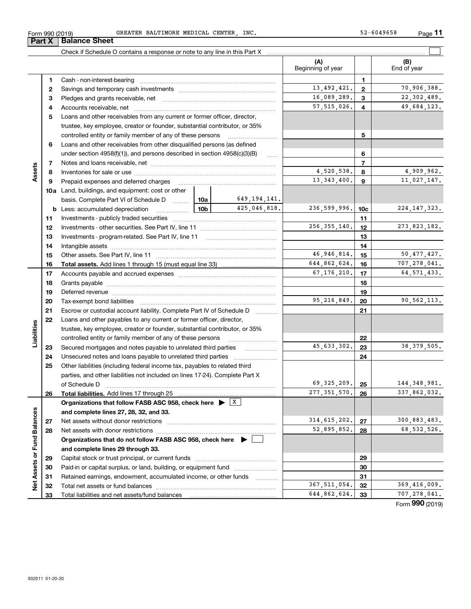| Form 990 (2019) | INC.<br>BALTIMORE<br>MEDICAL<br>CENTER<br>GREATER | 2-6049658<br>$ \sim$<br>Page<br>ے ت |
|-----------------|---------------------------------------------------|-------------------------------------|
|-----------------|---------------------------------------------------|-------------------------------------|

**Part X Balance Sheet**

|                                            |    |                                                                                                                                                                                                                                |                 |                | (A)<br>Beginning of year |                 | (B)<br>End of year |
|--------------------------------------------|----|--------------------------------------------------------------------------------------------------------------------------------------------------------------------------------------------------------------------------------|-----------------|----------------|--------------------------|-----------------|--------------------|
|                                            | 1. |                                                                                                                                                                                                                                |                 |                |                          | 1               |                    |
|                                            | 2  |                                                                                                                                                                                                                                |                 |                | 13, 492, 421.            | $\overline{2}$  | 70,906,388.        |
|                                            | 3  |                                                                                                                                                                                                                                |                 |                | 16,089,289.              | 3               | 22, 302, 489.      |
|                                            | 4  |                                                                                                                                                                                                                                |                 |                | 57, 515, 026.            | 4               | 49,684,123.        |
|                                            | 5  | Loans and other receivables from any current or former officer, director,                                                                                                                                                      |                 |                |                          |                 |                    |
|                                            |    | trustee, key employee, creator or founder, substantial contributor, or 35%                                                                                                                                                     |                 |                |                          |                 |                    |
|                                            |    | controlled entity or family member of any of these persons                                                                                                                                                                     |                 |                |                          | 5               |                    |
|                                            | 6  | Loans and other receivables from other disqualified persons (as defined                                                                                                                                                        |                 |                |                          |                 |                    |
|                                            |    | under section $4958(f)(1)$ , and persons described in section $4958(c)(3)(B)$                                                                                                                                                  |                 | 1.1.1.1        |                          | 6               |                    |
|                                            | 7  |                                                                                                                                                                                                                                |                 |                |                          | $\overline{7}$  |                    |
| Assets                                     | 8  |                                                                                                                                                                                                                                |                 | 4,520,538.     | 8                        | 4,909,962.      |                    |
|                                            | 9  | Prepaid expenses and deferred charges                                                                                                                                                                                          |                 |                | 13, 343, 400.            | 9               | 11,027,147.        |
|                                            |    | <b>10a</b> Land, buildings, and equipment: cost or other                                                                                                                                                                       |                 |                |                          |                 |                    |
|                                            |    | basis. Complete Part VI of Schedule D  10a                                                                                                                                                                                     |                 | 649, 194, 141. |                          |                 |                    |
|                                            |    | <b>b</b> Less: accumulated depreciation<br>. 1                                                                                                                                                                                 | 10 <sub>b</sub> | 425,046,818.   | 236,599,996.             | 10 <sub>c</sub> | 224, 147, 323.     |
|                                            | 11 |                                                                                                                                                                                                                                |                 |                |                          | 11              |                    |
|                                            | 12 |                                                                                                                                                                                                                                | 256, 355, 140.  | 12             | 273, 823, 182.           |                 |                    |
|                                            | 13 | Investments - program-related. See Part IV, line 11                                                                                                                                                                            |                 | 13             |                          |                 |                    |
|                                            | 14 |                                                                                                                                                                                                                                |                 |                |                          | 14              |                    |
|                                            | 15 |                                                                                                                                                                                                                                |                 |                | 46, 946, 814.            | 15              | 50, 477, 427.      |
|                                            | 16 |                                                                                                                                                                                                                                |                 |                | 644,862,624.             | 16              | 707,278,041.       |
|                                            | 17 |                                                                                                                                                                                                                                |                 |                | 67, 176, 210.            | 17              | 64, 571, 433.      |
|                                            | 18 |                                                                                                                                                                                                                                |                 | 18             |                          |                 |                    |
|                                            | 19 | Deferred revenue manual contracts and contracts are all the manual contracts and contracts are contracted and contracts are contracted and contract are contracted and contract are contracted and contract are contracted and |                 | 19             |                          |                 |                    |
|                                            | 20 |                                                                                                                                                                                                                                | 95, 216, 849.   | 20             | 90,562,113.              |                 |                    |
|                                            | 21 | Escrow or custodial account liability. Complete Part IV of Schedule D                                                                                                                                                          |                 | 21             |                          |                 |                    |
|                                            | 22 | Loans and other payables to any current or former officer, director,                                                                                                                                                           |                 |                |                          |                 |                    |
|                                            |    | trustee, key employee, creator or founder, substantial contributor, or 35%                                                                                                                                                     |                 |                |                          |                 |                    |
|                                            |    | controlled entity or family member of any of these persons                                                                                                                                                                     |                 |                |                          | 22              |                    |
|                                            | 23 | Secured mortgages and notes payable to unrelated third parties                                                                                                                                                                 |                 |                | 45, 633, 302.            | 23              | 38, 379, 505.      |
|                                            | 24 |                                                                                                                                                                                                                                |                 |                |                          | 24              |                    |
|                                            | 25 | Other liabilities (including federal income tax, payables to related third                                                                                                                                                     |                 |                |                          |                 |                    |
|                                            |    | parties, and other liabilities not included on lines 17-24). Complete Part X                                                                                                                                                   |                 |                |                          |                 |                    |
| Liabilities<br>Net Assets or Fund Balances |    | of Schedule D                                                                                                                                                                                                                  |                 |                | 69, 325, 209.            | 25              | 144, 348, 981.     |
|                                            | 26 |                                                                                                                                                                                                                                |                 |                | 277, 351, 570.           | 26              | 337,862,032.       |
|                                            |    | Organizations that follow FASB ASC 958, check here $\triangleright$ $\lfloor x \rfloor$                                                                                                                                        |                 |                |                          |                 |                    |
|                                            |    | and complete lines 27, 28, 32, and 33.                                                                                                                                                                                         |                 |                |                          |                 |                    |
|                                            | 27 | Net assets without donor restrictions                                                                                                                                                                                          |                 |                | 314, 615, 202.           | 27              | 300,883,483.       |
|                                            | 28 |                                                                                                                                                                                                                                |                 |                | 52,895,852.              | 28              | 68, 532, 526.      |
|                                            |    | Organizations that do not follow FASB ASC 958, check here $\blacktriangleright$                                                                                                                                                |                 |                |                          |                 |                    |
|                                            |    | and complete lines 29 through 33.                                                                                                                                                                                              |                 |                |                          |                 |                    |
|                                            | 29 |                                                                                                                                                                                                                                |                 | 29             |                          |                 |                    |
|                                            | 30 | Paid-in or capital surplus, or land, building, or equipment fund                                                                                                                                                               |                 |                |                          | 30              |                    |
|                                            | 31 | Retained earnings, endowment, accumulated income, or other funds                                                                                                                                                               |                 |                |                          | 31              |                    |
|                                            | 32 |                                                                                                                                                                                                                                |                 |                | 367, 511, 054.           | 32              | 369,416,009.       |
|                                            | 33 |                                                                                                                                                                                                                                |                 |                | 644,862,624.             | 33              | 707, 278, 041.     |

Form (2019) **990**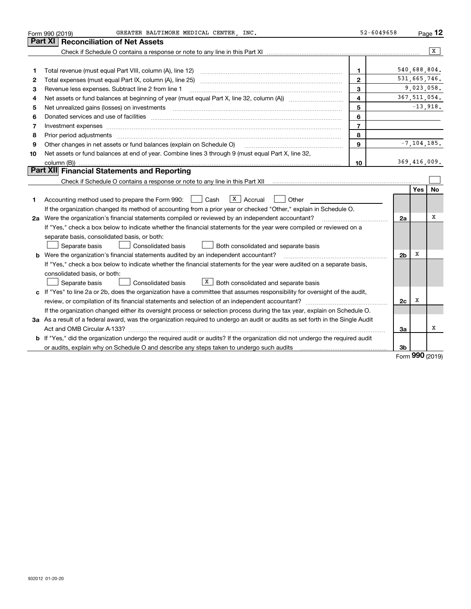|    | GREATER BALTIMORE MEDICAL CENTER . INC.<br>Form 990 (2019)                                                                      | $52 - 6049658$ |                |                 | Page 12      |
|----|---------------------------------------------------------------------------------------------------------------------------------|----------------|----------------|-----------------|--------------|
|    | <b>Reconciliation of Net Assets</b><br><b>Part XI</b>                                                                           |                |                |                 |              |
|    |                                                                                                                                 |                |                |                 | x            |
|    |                                                                                                                                 |                |                |                 |              |
| 1  | Total revenue (must equal Part VIII, column (A), line 12)                                                                       | 1              |                | 540,688,804.    |              |
| 2  |                                                                                                                                 | $\overline{2}$ |                | 531,665,746.    |              |
| 3  | Revenue less expenses. Subtract line 2 from line 1                                                                              | 3              |                | 9,023,058.      |              |
| 4  |                                                                                                                                 | 4              |                | 367, 511, 054.  |              |
| 5  |                                                                                                                                 | 5              |                |                 | $-13,918.$   |
| 6  |                                                                                                                                 | 6              |                |                 |              |
| 7  | Investment expenses www.communication.com/www.communication.com/www.communication.com/www.com                                   | $\overline{7}$ |                |                 |              |
| 8  | Prior period adjustments                                                                                                        | 8              |                |                 |              |
| 9  | Other changes in net assets or fund balances (explain on Schedule O)                                                            | 9              |                | $-7, 104, 185.$ |              |
| 10 | Net assets or fund balances at end of year. Combine lines 3 through 9 (must equal Part X, line 32,                              |                |                |                 |              |
|    |                                                                                                                                 | 10             |                |                 | 369,416,009. |
|    | Part XII Financial Statements and Reporting                                                                                     |                |                |                 |              |
|    |                                                                                                                                 |                |                |                 |              |
|    |                                                                                                                                 |                |                | Yes             | No           |
| 1  | $\boxed{\texttt{x}}$ Accrual<br>Accounting method used to prepare the Form 990: <u>June</u> Cash<br>Other                       |                |                |                 |              |
|    | If the organization changed its method of accounting from a prior year or checked "Other," explain in Schedule O.               |                |                |                 |              |
|    | 2a Were the organization's financial statements compiled or reviewed by an independent accountant?                              |                | 2a             |                 | х            |
|    | If "Yes," check a box below to indicate whether the financial statements for the year were compiled or reviewed on a            |                |                |                 |              |
|    | separate basis, consolidated basis, or both:                                                                                    |                |                |                 |              |
|    | Separate basis<br><b>Consolidated basis</b><br>Both consolidated and separate basis                                             |                |                |                 |              |
|    | <b>b</b> Were the organization's financial statements audited by an independent accountant?                                     |                | 2 <sub>b</sub> | X               |              |
|    | If "Yes," check a box below to indicate whether the financial statements for the year were audited on a separate basis,         |                |                |                 |              |
|    | consolidated basis, or both:                                                                                                    |                |                |                 |              |
|    | $X$ Both consolidated and separate basis<br>Separate basis<br><b>Consolidated basis</b>                                         |                |                |                 |              |
|    | c If "Yes" to line 2a or 2b, does the organization have a committee that assumes responsibility for oversight of the audit,     |                |                |                 |              |
|    |                                                                                                                                 |                | 2c             | х               |              |
|    | If the organization changed either its oversight process or selection process during the tax year, explain on Schedule O.       |                |                |                 |              |
|    | 3a As a result of a federal award, was the organization required to undergo an audit or audits as set forth in the Single Audit |                |                |                 |              |
|    | Act and OMB Circular A-133?                                                                                                     |                | За             |                 | х            |
|    | b If "Yes," did the organization undergo the required audit or audits? If the organization did not undergo the required audit   |                |                |                 |              |
|    |                                                                                                                                 |                | 3b             |                 |              |

Form (2019) **990**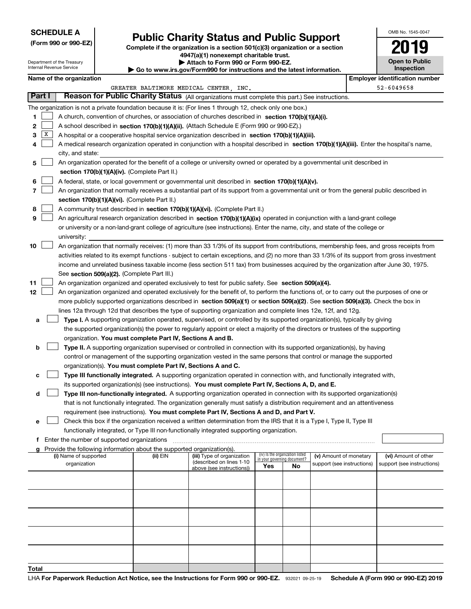### **SCHEDULE A**

Department of the Treasury Internal Revenue Service

**(Form 990 or 990-EZ)**

# **Public Charity Status and Public Support**

**Complete if the organization is a section 501(c)(3) organization or a section 4947(a)(1) nonexempt charitable trust. | Attach to Form 990 or Form 990-EZ.** 

| ▶ Go to www.irs.gov/Form990 for instructions and the latest information. |
|--------------------------------------------------------------------------|

| OMB No. 1545-0047 |  |
|-------------------|--|
| ۰.                |  |

**Open to Public Inspection**

|        | Name of the organization<br><b>Employer identification number</b> |                                                                                                                                                                                                                                                                                  |          |                                        |     |                                   |                            |  |                            |  |
|--------|-------------------------------------------------------------------|----------------------------------------------------------------------------------------------------------------------------------------------------------------------------------------------------------------------------------------------------------------------------------|----------|----------------------------------------|-----|-----------------------------------|----------------------------|--|----------------------------|--|
|        |                                                                   |                                                                                                                                                                                                                                                                                  |          | GREATER BALTIMORE MEDICAL CENTER, INC. |     |                                   |                            |  | 52-6049658                 |  |
| Part I |                                                                   | Reason for Public Charity Status (All organizations must complete this part.) See instructions.                                                                                                                                                                                  |          |                                        |     |                                   |                            |  |                            |  |
|        |                                                                   | The organization is not a private foundation because it is: (For lines 1 through 12, check only one box.)                                                                                                                                                                        |          |                                        |     |                                   |                            |  |                            |  |
| 1      |                                                                   | A church, convention of churches, or association of churches described in section 170(b)(1)(A)(i).                                                                                                                                                                               |          |                                        |     |                                   |                            |  |                            |  |
| 2      |                                                                   | A school described in section 170(b)(1)(A)(ii). (Attach Schedule E (Form 990 or 990-EZ).)                                                                                                                                                                                        |          |                                        |     |                                   |                            |  |                            |  |
| з      | X                                                                 | A hospital or a cooperative hospital service organization described in section 170(b)(1)(A)(iii).                                                                                                                                                                                |          |                                        |     |                                   |                            |  |                            |  |
| 4      |                                                                   | A medical research organization operated in conjunction with a hospital described in section 170(b)(1)(A)(iii). Enter the hospital's name,                                                                                                                                       |          |                                        |     |                                   |                            |  |                            |  |
|        |                                                                   | city, and state:                                                                                                                                                                                                                                                                 |          |                                        |     |                                   |                            |  |                            |  |
| 5      |                                                                   | An organization operated for the benefit of a college or university owned or operated by a governmental unit described in                                                                                                                                                        |          |                                        |     |                                   |                            |  |                            |  |
|        |                                                                   | section 170(b)(1)(A)(iv). (Complete Part II.)                                                                                                                                                                                                                                    |          |                                        |     |                                   |                            |  |                            |  |
| 6      |                                                                   | A federal, state, or local government or governmental unit described in section 170(b)(1)(A)(v).                                                                                                                                                                                 |          |                                        |     |                                   |                            |  |                            |  |
| 7      |                                                                   | An organization that normally receives a substantial part of its support from a governmental unit or from the general public described in                                                                                                                                        |          |                                        |     |                                   |                            |  |                            |  |
|        |                                                                   | section 170(b)(1)(A)(vi). (Complete Part II.)                                                                                                                                                                                                                                    |          |                                        |     |                                   |                            |  |                            |  |
| 8      |                                                                   | A community trust described in section 170(b)(1)(A)(vi). (Complete Part II.)                                                                                                                                                                                                     |          |                                        |     |                                   |                            |  |                            |  |
| 9      |                                                                   | An agricultural research organization described in section 170(b)(1)(A)(ix) operated in conjunction with a land-grant college                                                                                                                                                    |          |                                        |     |                                   |                            |  |                            |  |
|        |                                                                   | or university or a non-land-grant college of agriculture (see instructions). Enter the name, city, and state of the college or                                                                                                                                                   |          |                                        |     |                                   |                            |  |                            |  |
|        |                                                                   | university:                                                                                                                                                                                                                                                                      |          |                                        |     |                                   |                            |  |                            |  |
| 10     |                                                                   | An organization that normally receives: (1) more than 33 1/3% of its support from contributions, membership fees, and gross receipts from                                                                                                                                        |          |                                        |     |                                   |                            |  |                            |  |
|        |                                                                   | activities related to its exempt functions - subject to certain exceptions, and (2) no more than 33 1/3% of its support from gross investment                                                                                                                                    |          |                                        |     |                                   |                            |  |                            |  |
|        |                                                                   | income and unrelated business taxable income (less section 511 tax) from businesses acquired by the organization after June 30, 1975.                                                                                                                                            |          |                                        |     |                                   |                            |  |                            |  |
|        |                                                                   | See section 509(a)(2). (Complete Part III.)                                                                                                                                                                                                                                      |          |                                        |     |                                   |                            |  |                            |  |
| 11     |                                                                   | An organization organized and operated exclusively to test for public safety. See section 509(a)(4).                                                                                                                                                                             |          |                                        |     |                                   |                            |  |                            |  |
| 12     |                                                                   | An organization organized and operated exclusively for the benefit of, to perform the functions of, or to carry out the purposes of one or<br>more publicly supported organizations described in section 509(a)(1) or section 509(a)(2). See section 509(a)(3). Check the box in |          |                                        |     |                                   |                            |  |                            |  |
|        |                                                                   | lines 12a through 12d that describes the type of supporting organization and complete lines 12e, 12f, and 12g.                                                                                                                                                                   |          |                                        |     |                                   |                            |  |                            |  |
| а      |                                                                   |                                                                                                                                                                                                                                                                                  |          |                                        |     |                                   |                            |  |                            |  |
|        |                                                                   | Type I. A supporting organization operated, supervised, or controlled by its supported organization(s), typically by giving<br>the supported organization(s) the power to regularly appoint or elect a majority of the directors or trustees of the supporting                   |          |                                        |     |                                   |                            |  |                            |  |
|        |                                                                   | organization. You must complete Part IV, Sections A and B.                                                                                                                                                                                                                       |          |                                        |     |                                   |                            |  |                            |  |
| b      |                                                                   | Type II. A supporting organization supervised or controlled in connection with its supported organization(s), by having                                                                                                                                                          |          |                                        |     |                                   |                            |  |                            |  |
|        |                                                                   | control or management of the supporting organization vested in the same persons that control or manage the supported                                                                                                                                                             |          |                                        |     |                                   |                            |  |                            |  |
|        |                                                                   | organization(s). You must complete Part IV, Sections A and C.                                                                                                                                                                                                                    |          |                                        |     |                                   |                            |  |                            |  |
| c      |                                                                   | Type III functionally integrated. A supporting organization operated in connection with, and functionally integrated with,                                                                                                                                                       |          |                                        |     |                                   |                            |  |                            |  |
|        |                                                                   | its supported organization(s) (see instructions). You must complete Part IV, Sections A, D, and E.                                                                                                                                                                               |          |                                        |     |                                   |                            |  |                            |  |
| d      |                                                                   | Type III non-functionally integrated. A supporting organization operated in connection with its supported organization(s)                                                                                                                                                        |          |                                        |     |                                   |                            |  |                            |  |
|        |                                                                   | that is not functionally integrated. The organization generally must satisfy a distribution requirement and an attentiveness                                                                                                                                                     |          |                                        |     |                                   |                            |  |                            |  |
|        |                                                                   | requirement (see instructions). You must complete Part IV, Sections A and D, and Part V.                                                                                                                                                                                         |          |                                        |     |                                   |                            |  |                            |  |
| е      |                                                                   | Check this box if the organization received a written determination from the IRS that it is a Type I, Type II, Type III                                                                                                                                                          |          |                                        |     |                                   |                            |  |                            |  |
|        |                                                                   | functionally integrated, or Type III non-functionally integrated supporting organization.                                                                                                                                                                                        |          |                                        |     |                                   |                            |  |                            |  |
|        |                                                                   | f Enter the number of supported organizations                                                                                                                                                                                                                                    |          |                                        |     |                                   |                            |  |                            |  |
|        |                                                                   | Provide the following information about the supported organization(s).<br>(i) Name of supported                                                                                                                                                                                  | (ii) EIN | (iii) Type of organization             |     | (iv) Is the organization listed   | (v) Amount of monetary     |  | (vi) Amount of other       |  |
|        |                                                                   | organization                                                                                                                                                                                                                                                                     |          | (described on lines 1-10               | Yes | in your governing document?<br>No | support (see instructions) |  | support (see instructions) |  |
|        |                                                                   |                                                                                                                                                                                                                                                                                  |          | above (see instructions))              |     |                                   |                            |  |                            |  |
|        |                                                                   |                                                                                                                                                                                                                                                                                  |          |                                        |     |                                   |                            |  |                            |  |
|        |                                                                   |                                                                                                                                                                                                                                                                                  |          |                                        |     |                                   |                            |  |                            |  |
|        |                                                                   |                                                                                                                                                                                                                                                                                  |          |                                        |     |                                   |                            |  |                            |  |
|        |                                                                   |                                                                                                                                                                                                                                                                                  |          |                                        |     |                                   |                            |  |                            |  |
|        |                                                                   |                                                                                                                                                                                                                                                                                  |          |                                        |     |                                   |                            |  |                            |  |
|        |                                                                   |                                                                                                                                                                                                                                                                                  |          |                                        |     |                                   |                            |  |                            |  |
|        |                                                                   |                                                                                                                                                                                                                                                                                  |          |                                        |     |                                   |                            |  |                            |  |
|        |                                                                   |                                                                                                                                                                                                                                                                                  |          |                                        |     |                                   |                            |  |                            |  |
|        |                                                                   |                                                                                                                                                                                                                                                                                  |          |                                        |     |                                   |                            |  |                            |  |
| Total  |                                                                   |                                                                                                                                                                                                                                                                                  |          |                                        |     |                                   |                            |  |                            |  |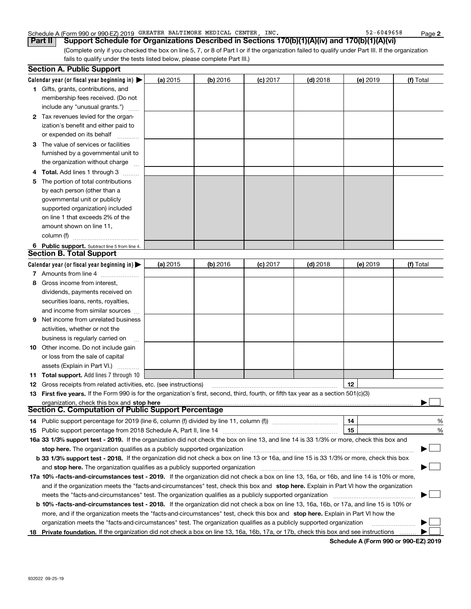### Schedule A (Form 990 or 990-EZ) 2019 GREATER BALTIMORE MEDICAL CENTER,INC. 52-6049658 Page

(Complete only if you checked the box on line 5, 7, or 8 of Part I or if the organization failed to qualify under Part III. If the organization fails to qualify under the tests listed below, please complete Part III.) **Part II Support Schedule for Organizations Described in Sections 170(b)(1)(A)(iv) and 170(b)(1)(A)(vi)**

|    | <b>Section A. Public Support</b>                                                                                                               |          |            |            |            |          |           |  |
|----|------------------------------------------------------------------------------------------------------------------------------------------------|----------|------------|------------|------------|----------|-----------|--|
|    | Calendar year (or fiscal year beginning in) $\blacktriangleright$                                                                              | (a) 2015 | $(b)$ 2016 | $(c)$ 2017 | $(d)$ 2018 | (e) 2019 | (f) Total |  |
|    | 1 Gifts, grants, contributions, and                                                                                                            |          |            |            |            |          |           |  |
|    | membership fees received. (Do not                                                                                                              |          |            |            |            |          |           |  |
|    | include any "unusual grants.")                                                                                                                 |          |            |            |            |          |           |  |
|    | 2 Tax revenues levied for the organ-                                                                                                           |          |            |            |            |          |           |  |
|    | ization's benefit and either paid to                                                                                                           |          |            |            |            |          |           |  |
|    | or expended on its behalf                                                                                                                      |          |            |            |            |          |           |  |
|    | 3 The value of services or facilities                                                                                                          |          |            |            |            |          |           |  |
|    | furnished by a governmental unit to                                                                                                            |          |            |            |            |          |           |  |
|    | the organization without charge                                                                                                                |          |            |            |            |          |           |  |
|    | 4 Total. Add lines 1 through 3                                                                                                                 |          |            |            |            |          |           |  |
| 5. | The portion of total contributions                                                                                                             |          |            |            |            |          |           |  |
|    | by each person (other than a                                                                                                                   |          |            |            |            |          |           |  |
|    | governmental unit or publicly                                                                                                                  |          |            |            |            |          |           |  |
|    | supported organization) included                                                                                                               |          |            |            |            |          |           |  |
|    | on line 1 that exceeds 2% of the                                                                                                               |          |            |            |            |          |           |  |
|    | amount shown on line 11,                                                                                                                       |          |            |            |            |          |           |  |
|    | column (f)                                                                                                                                     |          |            |            |            |          |           |  |
|    | 6 Public support. Subtract line 5 from line 4.                                                                                                 |          |            |            |            |          |           |  |
|    | <b>Section B. Total Support</b>                                                                                                                |          |            |            |            |          |           |  |
|    | Calendar year (or fiscal year beginning in) $\blacktriangleright$                                                                              | (a) 2015 | (b) 2016   | $(c)$ 2017 | $(d)$ 2018 | (e) 2019 | (f) Total |  |
|    | 7 Amounts from line 4                                                                                                                          |          |            |            |            |          |           |  |
| 8  | Gross income from interest,                                                                                                                    |          |            |            |            |          |           |  |
|    | dividends, payments received on                                                                                                                |          |            |            |            |          |           |  |
|    | securities loans, rents, royalties,                                                                                                            |          |            |            |            |          |           |  |
|    | and income from similar sources                                                                                                                |          |            |            |            |          |           |  |
| 9. | Net income from unrelated business                                                                                                             |          |            |            |            |          |           |  |
|    | activities, whether or not the                                                                                                                 |          |            |            |            |          |           |  |
|    | business is regularly carried on                                                                                                               |          |            |            |            |          |           |  |
|    | <b>10</b> Other income. Do not include gain                                                                                                    |          |            |            |            |          |           |  |
|    | or loss from the sale of capital                                                                                                               |          |            |            |            |          |           |  |
|    | assets (Explain in Part VI.)                                                                                                                   |          |            |            |            |          |           |  |
|    | <b>11 Total support.</b> Add lines 7 through 10                                                                                                |          |            |            |            |          |           |  |
|    | <b>12</b> Gross receipts from related activities, etc. (see instructions)                                                                      |          |            |            |            | 12       |           |  |
|    | 13 First five years. If the Form 990 is for the organization's first, second, third, fourth, or fifth tax year as a section 501(c)(3)          |          |            |            |            |          |           |  |
|    | organization, check this box and stop here                                                                                                     |          |            |            |            |          |           |  |
|    | Section C. Computation of Public Support Percentage                                                                                            |          |            |            |            |          |           |  |
|    | 14 Public support percentage for 2019 (line 6, column (f) divided by line 11, column (f) <i>mummumumum</i>                                     |          |            |            |            | 14       | %         |  |
|    |                                                                                                                                                |          |            |            |            | 15       | %         |  |
|    | 16a 33 1/3% support test - 2019. If the organization did not check the box on line 13, and line 14 is 33 1/3% or more, check this box and      |          |            |            |            |          |           |  |
|    | stop here. The organization qualifies as a publicly supported organization                                                                     |          |            |            |            |          | ▔▁」       |  |
|    | b 33 1/3% support test - 2018. If the organization did not check a box on line 13 or 16a, and line 15 is 33 1/3% or more, check this box       |          |            |            |            |          |           |  |
|    | and stop here. The organization qualifies as a publicly supported organization                                                                 |          |            |            |            |          |           |  |
|    | 17a 10% -facts-and-circumstances test - 2019. If the organization did not check a box on line 13, 16a, or 16b, and line 14 is 10% or more,     |          |            |            |            |          |           |  |
|    | and if the organization meets the "facts-and-circumstances" test, check this box and stop here. Explain in Part VI how the organization        |          |            |            |            |          |           |  |
|    | meets the "facts-and-circumstances" test. The organization qualifies as a publicly supported organization                                      |          |            |            |            |          |           |  |
|    | <b>b 10% -facts-and-circumstances test - 2018.</b> If the organization did not check a box on line 13, 16a, 16b, or 17a, and line 15 is 10% or |          |            |            |            |          |           |  |
|    | more, and if the organization meets the "facts-and-circumstances" test, check this box and stop here. Explain in Part VI how the               |          |            |            |            |          |           |  |
|    | organization meets the "facts-and-circumstances" test. The organization qualifies as a publicly supported organization                         |          |            |            |            |          |           |  |
|    | 18 Private foundation. If the organization did not check a box on line 13, 16a, 16b, 17a, or 17b, check this box and see instructions          |          |            |            |            |          |           |  |

**Schedule A (Form 990 or 990-EZ) 2019**

**2**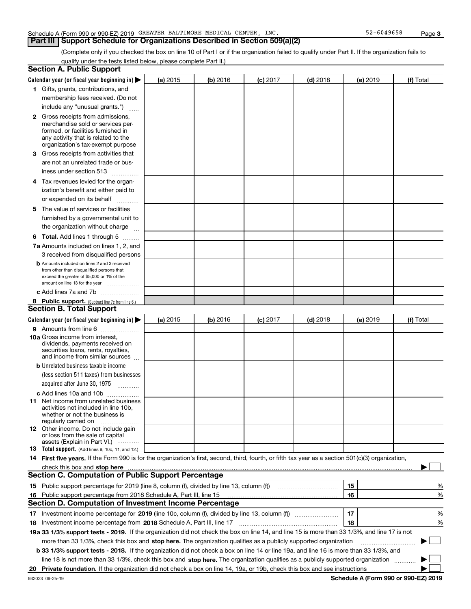### Schedule A (Form 990 or 990-EZ) 2019 GREATER BALTIMORE MEDICAL CENTER,INC. 52-6049658 Page

### **Part III Support Schedule for Organizations Described in Section 509(a)(2)**

(Complete only if you checked the box on line 10 of Part I or if the organization failed to qualify under Part II. If the organization fails to qualify under the tests listed below, please complete Part II.)

|    | <b>Section A. Public Support</b>                                                                                                                    |                                                                                                            |          |            |            |          |           |  |  |
|----|-----------------------------------------------------------------------------------------------------------------------------------------------------|------------------------------------------------------------------------------------------------------------|----------|------------|------------|----------|-----------|--|--|
|    | Calendar year (or fiscal year beginning in) $\blacktriangleright$                                                                                   | (a) 2015                                                                                                   | (b) 2016 | $(c)$ 2017 | $(d)$ 2018 | (e) 2019 | (f) Total |  |  |
|    | 1 Gifts, grants, contributions, and                                                                                                                 |                                                                                                            |          |            |            |          |           |  |  |
|    | membership fees received. (Do not                                                                                                                   |                                                                                                            |          |            |            |          |           |  |  |
|    | include any "unusual grants.")                                                                                                                      |                                                                                                            |          |            |            |          |           |  |  |
|    | <b>2</b> Gross receipts from admissions,                                                                                                            |                                                                                                            |          |            |            |          |           |  |  |
|    | merchandise sold or services per-                                                                                                                   |                                                                                                            |          |            |            |          |           |  |  |
|    | formed, or facilities furnished in                                                                                                                  |                                                                                                            |          |            |            |          |           |  |  |
|    | any activity that is related to the<br>organization's tax-exempt purpose                                                                            |                                                                                                            |          |            |            |          |           |  |  |
|    | 3 Gross receipts from activities that                                                                                                               |                                                                                                            |          |            |            |          |           |  |  |
|    | are not an unrelated trade or bus-                                                                                                                  |                                                                                                            |          |            |            |          |           |  |  |
|    |                                                                                                                                                     |                                                                                                            |          |            |            |          |           |  |  |
|    | iness under section 513                                                                                                                             |                                                                                                            |          |            |            |          |           |  |  |
|    | 4 Tax revenues levied for the organ-                                                                                                                |                                                                                                            |          |            |            |          |           |  |  |
|    | ization's benefit and either paid to                                                                                                                |                                                                                                            |          |            |            |          |           |  |  |
|    | or expended on its behalf<br>.                                                                                                                      |                                                                                                            |          |            |            |          |           |  |  |
|    | 5 The value of services or facilities                                                                                                               |                                                                                                            |          |            |            |          |           |  |  |
|    | furnished by a governmental unit to                                                                                                                 |                                                                                                            |          |            |            |          |           |  |  |
|    | the organization without charge                                                                                                                     |                                                                                                            |          |            |            |          |           |  |  |
|    | <b>6 Total.</b> Add lines 1 through 5                                                                                                               |                                                                                                            |          |            |            |          |           |  |  |
|    | 7a Amounts included on lines 1, 2, and                                                                                                              |                                                                                                            |          |            |            |          |           |  |  |
|    | 3 received from disqualified persons                                                                                                                |                                                                                                            |          |            |            |          |           |  |  |
|    | <b>b</b> Amounts included on lines 2 and 3 received                                                                                                 |                                                                                                            |          |            |            |          |           |  |  |
|    | from other than disqualified persons that<br>exceed the greater of \$5,000 or 1% of the                                                             |                                                                                                            |          |            |            |          |           |  |  |
|    | amount on line 13 for the year                                                                                                                      |                                                                                                            |          |            |            |          |           |  |  |
|    | c Add lines 7a and 7b                                                                                                                               |                                                                                                            |          |            |            |          |           |  |  |
|    | 8 Public support. (Subtract line 7c from line 6.)                                                                                                   |                                                                                                            |          |            |            |          |           |  |  |
|    | <b>Section B. Total Support</b>                                                                                                                     |                                                                                                            |          |            |            |          |           |  |  |
|    | Calendar year (or fiscal year beginning in)                                                                                                         | (a) 2015                                                                                                   | (b) 2016 | $(c)$ 2017 | $(d)$ 2018 | (e) 2019 | (f) Total |  |  |
|    | 9 Amounts from line 6                                                                                                                               |                                                                                                            |          |            |            |          |           |  |  |
|    | <b>10a</b> Gross income from interest,                                                                                                              |                                                                                                            |          |            |            |          |           |  |  |
|    | dividends, payments received on                                                                                                                     |                                                                                                            |          |            |            |          |           |  |  |
|    | securities loans, rents, royalties,<br>and income from similar sources                                                                              |                                                                                                            |          |            |            |          |           |  |  |
|    | <b>b</b> Unrelated business taxable income                                                                                                          |                                                                                                            |          |            |            |          |           |  |  |
|    | (less section 511 taxes) from businesses                                                                                                            |                                                                                                            |          |            |            |          |           |  |  |
|    | acquired after June 30, 1975 [10001]                                                                                                                |                                                                                                            |          |            |            |          |           |  |  |
|    |                                                                                                                                                     |                                                                                                            |          |            |            |          |           |  |  |
|    | c Add lines 10a and 10b<br>11 Net income from unrelated business                                                                                    |                                                                                                            |          |            |            |          |           |  |  |
|    | activities not included in line 10b,                                                                                                                |                                                                                                            |          |            |            |          |           |  |  |
|    | whether or not the business is                                                                                                                      |                                                                                                            |          |            |            |          |           |  |  |
|    | regularly carried on                                                                                                                                |                                                                                                            |          |            |            |          |           |  |  |
|    | <b>12</b> Other income. Do not include gain<br>or loss from the sale of capital                                                                     |                                                                                                            |          |            |            |          |           |  |  |
|    | assets (Explain in Part VI.)                                                                                                                        |                                                                                                            |          |            |            |          |           |  |  |
|    | <b>13</b> Total support. (Add lines 9, 10c, 11, and 12.)                                                                                            |                                                                                                            |          |            |            |          |           |  |  |
|    | 14 First five years. If the Form 990 is for the organization's first, second, third, fourth, or fifth tax year as a section 501(c)(3) organization, |                                                                                                            |          |            |            |          |           |  |  |
|    | check this box and stop here measurements are constructed as the state of the state of the state of the state o                                     |                                                                                                            |          |            |            |          |           |  |  |
|    | <b>Section C. Computation of Public Support Percentage</b>                                                                                          |                                                                                                            |          |            |            |          |           |  |  |
|    | 15 Public support percentage for 2019 (line 8, column (f), divided by line 13, column (f))                                                          |                                                                                                            |          |            |            | 15       | %         |  |  |
|    | 16 Public support percentage from 2018 Schedule A, Part III, line 15                                                                                |                                                                                                            |          |            |            | 16       | %         |  |  |
|    | <b>Section D. Computation of Investment Income Percentage</b>                                                                                       |                                                                                                            |          |            |            |          |           |  |  |
|    |                                                                                                                                                     | 17<br>17 Investment income percentage for 2019 (line 10c, column (f), divided by line 13, column (f))<br>% |          |            |            |          |           |  |  |
|    | <b>18</b> Investment income percentage from <b>2018</b> Schedule A, Part III, line 17                                                               |                                                                                                            |          |            |            | 18       | %         |  |  |
|    | 19a 33 1/3% support tests - 2019. If the organization did not check the box on line 14, and line 15 is more than 33 1/3%, and line 17 is not        |                                                                                                            |          |            |            |          |           |  |  |
|    | more than 33 1/3%, check this box and stop here. The organization qualifies as a publicly supported organization                                    |                                                                                                            |          |            |            |          | ▶         |  |  |
|    | b 33 1/3% support tests - 2018. If the organization did not check a box on line 14 or line 19a, and line 16 is more than 33 1/3%, and               |                                                                                                            |          |            |            |          |           |  |  |
|    | line 18 is not more than 33 1/3%, check this box and stop here. The organization qualifies as a publicly supported organization                     |                                                                                                            |          |            |            |          |           |  |  |
| 20 |                                                                                                                                                     |                                                                                                            |          |            |            |          |           |  |  |
|    |                                                                                                                                                     |                                                                                                            |          |            |            |          |           |  |  |

**Schedule A (Form 990 or 990-EZ) 2019**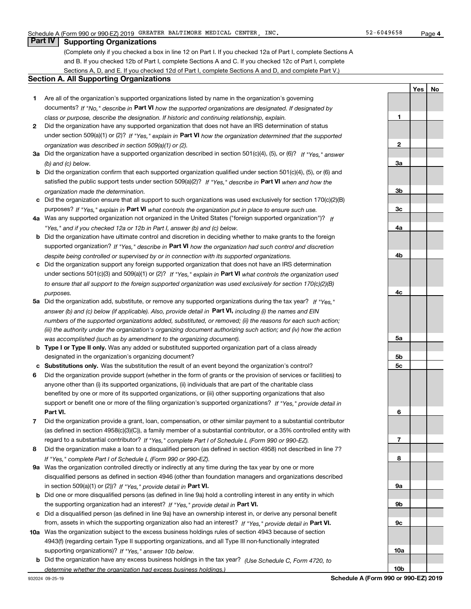**1**

**2**

**3a**

**YesNo**

# **Part IV Supporting Organizations**

(Complete only if you checked a box in line 12 on Part I. If you checked 12a of Part I, complete Sections A and B. If you checked 12b of Part I, complete Sections A and C. If you checked 12c of Part I, complete Sections A, D, and E. If you checked 12d of Part I, complete Sections A and D, and complete Part V.)

### **Section A. All Supporting Organizations**

- **1** Are all of the organization's supported organizations listed by name in the organization's governing documents? If "No," describe in **Part VI** how the supported organizations are designated. If designated by *class or purpose, describe the designation. If historic and continuing relationship, explain.*
- **2** Did the organization have any supported organization that does not have an IRS determination of status under section 509(a)(1) or (2)? If "Yes," explain in Part VI how the organization determined that the supported *organization was described in section 509(a)(1) or (2).*
- **3a** Did the organization have a supported organization described in section 501(c)(4), (5), or (6)? If "Yes," answer *(b) and (c) below.*
- **b** Did the organization confirm that each supported organization qualified under section 501(c)(4), (5), or (6) and satisfied the public support tests under section 509(a)(2)? If "Yes," describe in **Part VI** when and how the *organization made the determination.*
- **c**Did the organization ensure that all support to such organizations was used exclusively for section 170(c)(2)(B) purposes? If "Yes," explain in **Part VI** what controls the organization put in place to ensure such use.
- **4a***If* Was any supported organization not organized in the United States ("foreign supported organization")? *"Yes," and if you checked 12a or 12b in Part I, answer (b) and (c) below.*
- **b** Did the organization have ultimate control and discretion in deciding whether to make grants to the foreign supported organization? If "Yes," describe in **Part VI** how the organization had such control and discretion *despite being controlled or supervised by or in connection with its supported organizations.*
- **c** Did the organization support any foreign supported organization that does not have an IRS determination under sections 501(c)(3) and 509(a)(1) or (2)? If "Yes," explain in **Part VI** what controls the organization used *to ensure that all support to the foreign supported organization was used exclusively for section 170(c)(2)(B) purposes.*
- **5a***If "Yes,"* Did the organization add, substitute, or remove any supported organizations during the tax year? answer (b) and (c) below (if applicable). Also, provide detail in **Part VI,** including (i) the names and EIN *numbers of the supported organizations added, substituted, or removed; (ii) the reasons for each such action; (iii) the authority under the organization's organizing document authorizing such action; and (iv) how the action was accomplished (such as by amendment to the organizing document).*
- **b** Type I or Type II only. Was any added or substituted supported organization part of a class already designated in the organization's organizing document?
- **cSubstitutions only.**  Was the substitution the result of an event beyond the organization's control?
- **6** Did the organization provide support (whether in the form of grants or the provision of services or facilities) to **Part VI.** *If "Yes," provide detail in* support or benefit one or more of the filing organization's supported organizations? anyone other than (i) its supported organizations, (ii) individuals that are part of the charitable class benefited by one or more of its supported organizations, or (iii) other supporting organizations that also
- **7**Did the organization provide a grant, loan, compensation, or other similar payment to a substantial contributor *If "Yes," complete Part I of Schedule L (Form 990 or 990-EZ).* regard to a substantial contributor? (as defined in section 4958(c)(3)(C)), a family member of a substantial contributor, or a 35% controlled entity with
- **8** Did the organization make a loan to a disqualified person (as defined in section 4958) not described in line 7? *If "Yes," complete Part I of Schedule L (Form 990 or 990-EZ).*
- **9a** Was the organization controlled directly or indirectly at any time during the tax year by one or more in section 509(a)(1) or (2))? If "Yes," *provide detail in* <code>Part VI.</code> disqualified persons as defined in section 4946 (other than foundation managers and organizations described
- **b** Did one or more disqualified persons (as defined in line 9a) hold a controlling interest in any entity in which the supporting organization had an interest? If "Yes," provide detail in P**art VI**.
- **c**Did a disqualified person (as defined in line 9a) have an ownership interest in, or derive any personal benefit from, assets in which the supporting organization also had an interest? If "Yes," provide detail in P**art VI.**
- **10a** Was the organization subject to the excess business holdings rules of section 4943 because of section supporting organizations)? If "Yes," answer 10b below. 4943(f) (regarding certain Type II supporting organizations, and all Type III non-functionally integrated
- **b** Did the organization have any excess business holdings in the tax year? (Use Schedule C, Form 4720, to *determine whether the organization had excess business holdings.)*

**10b**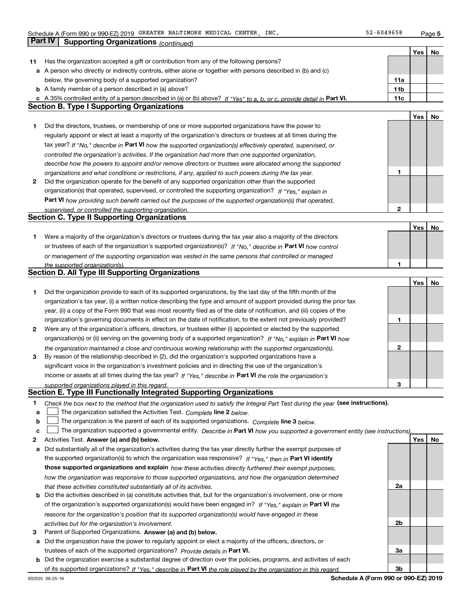|    |                                                                                                                                   |                 | Yes | No |
|----|-----------------------------------------------------------------------------------------------------------------------------------|-----------------|-----|----|
| 11 | Has the organization accepted a gift or contribution from any of the following persons?                                           |                 |     |    |
|    | a A person who directly or indirectly controls, either alone or together with persons described in (b) and (c)                    |                 |     |    |
|    | below, the governing body of a supported organization?                                                                            | 11a             |     |    |
|    | <b>b</b> A family member of a person described in (a) above?                                                                      | 11 <sub>b</sub> |     |    |
|    | c A 35% controlled entity of a person described in (a) or (b) above? If "Yes" to a, b, or c, provide detail in Part VI.           | 11c             |     |    |
|    | <b>Section B. Type I Supporting Organizations</b>                                                                                 |                 |     |    |
|    |                                                                                                                                   |                 | Yes | No |
| 1  | Did the directors, trustees, or membership of one or more supported organizations have the power to                               |                 |     |    |
|    | regularly appoint or elect at least a majority of the organization's directors or trustees at all times during the                |                 |     |    |
|    | tax year? If "No," describe in Part VI how the supported organization(s) effectively operated, supervised, or                     |                 |     |    |
|    | controlled the organization's activities. If the organization had more than one supported organization,                           |                 |     |    |
|    | describe how the powers to appoint and/or remove directors or trustees were allocated among the supported                         |                 |     |    |
|    | organizations and what conditions or restrictions, if any, applied to such powers during the tax year.                            | 1               |     |    |
| 2  | Did the organization operate for the benefit of any supported organization other than the supported                               |                 |     |    |
|    | organization(s) that operated, supervised, or controlled the supporting organization? If "Yes," explain in                        |                 |     |    |
|    | Part VI how providing such benefit carried out the purposes of the supported organization(s) that operated,                       |                 |     |    |
|    | supervised, or controlled the supporting organization.                                                                            | 2               |     |    |
|    | <b>Section C. Type II Supporting Organizations</b>                                                                                |                 |     |    |
|    |                                                                                                                                   |                 | Yes | No |
| 1. | Were a majority of the organization's directors or trustees during the tax year also a majority of the directors                  |                 |     |    |
|    | or trustees of each of the organization's supported organization(s)? If "No," describe in Part VI how control                     |                 |     |    |
|    |                                                                                                                                   |                 |     |    |
|    | or management of the supporting organization was vested in the same persons that controlled or managed                            | 1               |     |    |
|    | the supported organization(s).<br>Section D. All Type III Supporting Organizations                                                |                 |     |    |
|    |                                                                                                                                   |                 | Yes | No |
| 1  | Did the organization provide to each of its supported organizations, by the last day of the fifth month of the                    |                 |     |    |
|    |                                                                                                                                   |                 |     |    |
|    | organization's tax year, (i) a written notice describing the type and amount of support provided during the prior tax             |                 |     |    |
|    | year, (ii) a copy of the Form 990 that was most recently filed as of the date of notification, and (iii) copies of the            |                 |     |    |
|    | organization's governing documents in effect on the date of notification, to the extent not previously provided?                  | 1               |     |    |
| 2  | Were any of the organization's officers, directors, or trustees either (i) appointed or elected by the supported                  |                 |     |    |
|    | organization(s) or (ii) serving on the governing body of a supported organization? If "No," explain in Part VI how                |                 |     |    |
|    | the organization maintained a close and continuous working relationship with the supported organization(s).                       | 2               |     |    |
| 3  | By reason of the relationship described in (2), did the organization's supported organizations have a                             |                 |     |    |
|    | significant voice in the organization's investment policies and in directing the use of the organization's                        |                 |     |    |
|    | income or assets at all times during the tax year? If "Yes," describe in Part VI the role the organization's                      |                 |     |    |
|    | supported organizations played in this regard.                                                                                    | З               |     |    |
|    | Section E. Type III Functionally Integrated Supporting Organizations                                                              |                 |     |    |
| 1  | Check the box next to the method that the organization used to satisfy the Integral Part Test during the year (see instructions). |                 |     |    |
| a  | The organization satisfied the Activities Test. Complete line 2 below.                                                            |                 |     |    |
| b  | The organization is the parent of each of its supported organizations. Complete line 3 below.                                     |                 |     |    |
| с  | The organization supported a governmental entity. Describe in Part VI how you supported a government entity (see instructions),   |                 |     |    |
| 2  | Activities Test. Answer (a) and (b) below.                                                                                        |                 | Yes | No |
| а  | Did substantially all of the organization's activities during the tax year directly further the exempt purposes of                |                 |     |    |
|    | the supported organization(s) to which the organization was responsive? If "Yes," then in Part VI identify                        |                 |     |    |
|    | those supported organizations and explain how these activities directly furthered their exempt purposes,                          |                 |     |    |
|    | how the organization was responsive to those supported organizations, and how the organization determined                         |                 |     |    |
|    | that these activities constituted substantially all of its activities.                                                            | 2a              |     |    |
|    | <b>b</b> Did the activities described in (a) constitute activities that, but for the organization's involvement, one or more      |                 |     |    |
|    | of the organization's supported organization(s) would have been engaged in? If "Yes," explain in Part VI the                      |                 |     |    |
|    | reasons for the organization's position that its supported organization(s) would have engaged in these                            |                 |     |    |
|    | activities but for the organization's involvement.                                                                                | 2b              |     |    |
| З  | Parent of Supported Organizations. Answer (a) and (b) below.                                                                      |                 |     |    |
| а  | Did the organization have the power to regularly appoint or elect a majority of the officers, directors, or                       |                 |     |    |
|    | trustees of each of the supported organizations? Provide details in Part VI.                                                      | За              |     |    |
|    | <b>b</b> Did the organization exercise a substantial degree of direction over the policies, programs, and activities of each      |                 |     |    |
|    | of its supported organizations? If "Yes." describe in Part VI the role played by the organization in this regard.                 | 3b              |     |    |
|    |                                                                                                                                   |                 |     |    |

**Schedule A (Form 990 or 990-EZ) 2019**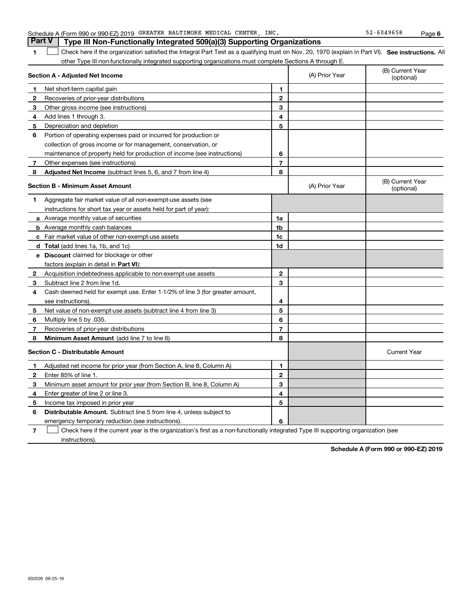instructions).

932026 09-25-19

**7**

 $\mathcal{L}^{\text{max}}$ 

emergency temporary reduction (see instructions).

|              | Aggregate fair market value of all non-exempt-use assets (see                |    |                     |
|--------------|------------------------------------------------------------------------------|----|---------------------|
|              | instructions for short tax year or assets held for part of year).            |    |                     |
|              | a Average monthly value of securities                                        | 1a |                     |
|              | <b>b</b> Average monthly cash balances                                       | 1b |                     |
|              | Fair market value of other non-exempt-use assets                             | 1c |                     |
|              | d Total (add lines 1a, 1b, and 1c)                                           | 1d |                     |
| е            | <b>Discount</b> claimed for blockage or other                                |    |                     |
|              | factors (explain in detail in Part VI):                                      |    |                     |
| $\mathbf{2}$ | Acquisition indebtedness applicable to non-exempt-use assets                 | 2  |                     |
| 3            | Subtract line 2 from line 1d.                                                | 3  |                     |
| 4            | Cash deemed held for exempt use. Enter 1-1/2% of line 3 (for greater amount, |    |                     |
|              | see instructions).                                                           | 4  |                     |
| 5            | Net value of non-exempt-use assets (subtract line 4 from line 3)             | 5  |                     |
| 6            | Multiply line 5 by .035.                                                     | 6  |                     |
|              | Recoveries of prior-year distributions                                       |    |                     |
| 8            | Minimum Asset Amount (add line 7 to line 6)                                  | 8  |                     |
|              | Section C - Distributable Amount                                             |    | <b>Current Year</b> |
|              | Adjusted net income for prior year (from Section A, line 8, Column A)        | 1  |                     |
| $\mathbf{2}$ | Enter 85% of line 1.                                                         | 2  |                     |
| 3            | Minimum asset amount for prior year (from Section B, line 8, Column A)       | 3  |                     |
| 4            | Enter greater of line 2 or line 3.                                           | 4  |                     |
| 5            | Income tax imposed in prior year                                             | 5  |                     |
| 6            | <b>Distributable Amount.</b> Subtract line 5 from line 4, unless subject to  |    |                     |
|              |                                                                              |    |                     |

Check here if the current year is the organization's first as a non-functionally integrated Type III supporting organization (see

# **7**Other expenses (see instructions) **8 Adjusted Net Income** (subtract lines 5, 6, and 7 from line 4) **8 8**

**3** Other gross income (see instructions)

Recoveries of prior-year distributions

**6** Portion of operating expenses paid or incurred for production or

collection of gross income or for management, conservation, or

maintenance of property held for production of income (see instructions)

### **Section B - Minimum Asset Amount**

**Section A - Adjusted Net Income**

Net short-term capital gain

Depreciation and depletion

**4**Add lines 1 through 3.

**1**

**12**

**5**

### Schedule A (Form 990 or 990-EZ) 2019 GREATER BALTIMORE MEDICAL CENTER,INC. 52-6049658 Page **Part V Type III Non-Functionally Integrated 509(a)(3) Supporting Organizations**

**SEP 10. See instructions.** All antegral Part Test as a qualifying trust on Nov. 20, 1970 (explain in Part VI). See instructions. All other Type III non-functionally integrated supporting organizations must complete Sections A through E.  $\mathcal{L}^{\text{max}}$ 

(A) Prior Year

(A) Prior Year

**67**

**6**

(B) Current Year (optional)

(B) Current Year (optional)

### **Schedule A (Form 990 or 990-EZ) 2019**

**6**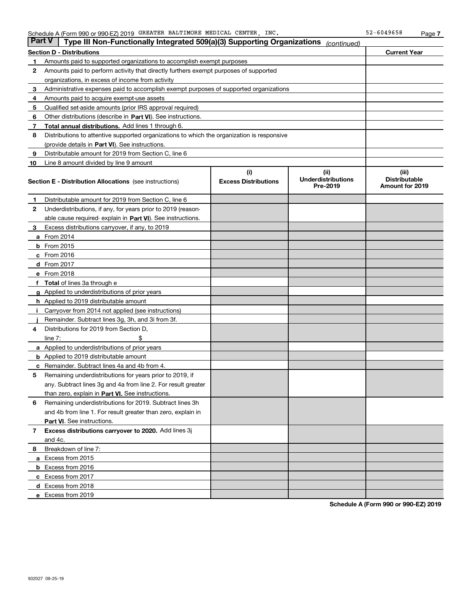| <b>Part V</b> | Type III Non-Functionally Integrated 509(a)(3) Supporting Organizations                    |                             | (continued)                           |                                                |
|---------------|--------------------------------------------------------------------------------------------|-----------------------------|---------------------------------------|------------------------------------------------|
|               | <b>Section D - Distributions</b>                                                           |                             |                                       | <b>Current Year</b>                            |
| 1             | Amounts paid to supported organizations to accomplish exempt purposes                      |                             |                                       |                                                |
| 2             | Amounts paid to perform activity that directly furthers exempt purposes of supported       |                             |                                       |                                                |
|               | organizations, in excess of income from activity                                           |                             |                                       |                                                |
| 3             | Administrative expenses paid to accomplish exempt purposes of supported organizations      |                             |                                       |                                                |
| 4             | Amounts paid to acquire exempt-use assets                                                  |                             |                                       |                                                |
| 5             | Qualified set-aside amounts (prior IRS approval required)                                  |                             |                                       |                                                |
| 6             | Other distributions (describe in Part VI). See instructions.                               |                             |                                       |                                                |
| 7             | Total annual distributions. Add lines 1 through 6.                                         |                             |                                       |                                                |
| 8             | Distributions to attentive supported organizations to which the organization is responsive |                             |                                       |                                                |
|               | (provide details in Part VI). See instructions.                                            |                             |                                       |                                                |
| 9             | Distributable amount for 2019 from Section C, line 6                                       |                             |                                       |                                                |
| 10            | Line 8 amount divided by line 9 amount                                                     |                             |                                       |                                                |
|               |                                                                                            | (i)                         | (iii)                                 | (iii)                                          |
|               | <b>Section E - Distribution Allocations</b> (see instructions)                             | <b>Excess Distributions</b> | <b>Underdistributions</b><br>Pre-2019 | <b>Distributable</b><br><b>Amount for 2019</b> |
| 1             | Distributable amount for 2019 from Section C, line 6                                       |                             |                                       |                                                |
| 2             | Underdistributions, if any, for years prior to 2019 (reason-                               |                             |                                       |                                                |
|               | able cause required- explain in Part VI). See instructions.                                |                             |                                       |                                                |
| 3             | Excess distributions carryover, if any, to 2019                                            |                             |                                       |                                                |
|               | <b>a</b> From 2014                                                                         |                             |                                       |                                                |
|               | <b>b</b> From 2015                                                                         |                             |                                       |                                                |
|               | $c$ From 2016                                                                              |                             |                                       |                                                |
|               | <b>d</b> From 2017                                                                         |                             |                                       |                                                |
|               | e From 2018                                                                                |                             |                                       |                                                |
| f             | <b>Total</b> of lines 3a through e                                                         |                             |                                       |                                                |
|               | <b>g</b> Applied to underdistributions of prior years                                      |                             |                                       |                                                |
|               | <b>h</b> Applied to 2019 distributable amount                                              |                             |                                       |                                                |
|               | Carryover from 2014 not applied (see instructions)                                         |                             |                                       |                                                |
|               | Remainder. Subtract lines 3g, 3h, and 3i from 3f.                                          |                             |                                       |                                                |
| 4             | Distributions for 2019 from Section D,                                                     |                             |                                       |                                                |
|               | line $7:$                                                                                  |                             |                                       |                                                |
|               | a Applied to underdistributions of prior years                                             |                             |                                       |                                                |
|               | <b>b</b> Applied to 2019 distributable amount                                              |                             |                                       |                                                |
| c             | Remainder. Subtract lines 4a and 4b from 4.                                                |                             |                                       |                                                |
| 5             | Remaining underdistributions for years prior to 2019, if                                   |                             |                                       |                                                |
|               | any. Subtract lines 3g and 4a from line 2. For result greater                              |                             |                                       |                                                |
|               | than zero, explain in Part VI. See instructions.                                           |                             |                                       |                                                |
| 6             | Remaining underdistributions for 2019. Subtract lines 3h                                   |                             |                                       |                                                |
|               | and 4b from line 1. For result greater than zero, explain in                               |                             |                                       |                                                |
|               | Part VI. See instructions.                                                                 |                             |                                       |                                                |
| 7             | Excess distributions carryover to 2020. Add lines 3j                                       |                             |                                       |                                                |
|               | and 4c.                                                                                    |                             |                                       |                                                |
| 8             | Breakdown of line 7:                                                                       |                             |                                       |                                                |
|               | a Excess from 2015                                                                         |                             |                                       |                                                |
|               | <b>b</b> Excess from 2016                                                                  |                             |                                       |                                                |
|               | c Excess from 2017                                                                         |                             |                                       |                                                |
|               | d Excess from 2018                                                                         |                             |                                       |                                                |
|               | e Excess from 2019                                                                         |                             |                                       |                                                |

**Schedule A (Form 990 or 990-EZ) 2019**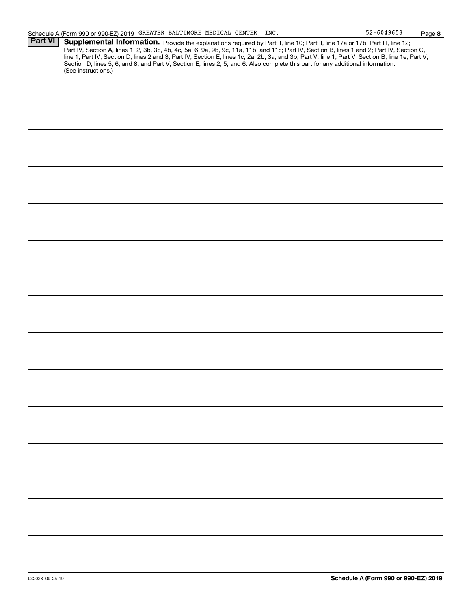**8**

| ---<br><b>Part VI</b> | י טטט וט טטט ווויט<br>. ago o                                                                                                                    |
|-----------------------|--------------------------------------------------------------------------------------------------------------------------------------------------|
|                       | Supplemental Information. Provide the explanations required by Part II, line 10; Part II, line 17a or 17b; Part III, line 12;                    |
|                       | Part IV, Section A, lines 1, 2, 3b, 3c, 4b, 4c, 5a, 6, 9a, 9b, 9c, 11a, 11b, and 11c; Part IV, Section B, lines 1 and 2; Part IV, Section C,     |
|                       | line 1; Part IV, Section D, lines 2 and 3; Part IV, Section E, lines 1c, 2a, 2b, 3a, and 3b; Part V, line 1; Part V, Section B, line 1e; Part V, |
|                       | Section D, lines 5, 6, and 8; and Part V, Section E, lines 2, 5, and 6. Also complete this part for any additional information.                  |
|                       | (See instructions.)                                                                                                                              |
|                       |                                                                                                                                                  |
|                       |                                                                                                                                                  |
|                       |                                                                                                                                                  |
|                       |                                                                                                                                                  |
|                       |                                                                                                                                                  |
|                       |                                                                                                                                                  |
|                       |                                                                                                                                                  |
|                       |                                                                                                                                                  |
|                       |                                                                                                                                                  |
|                       |                                                                                                                                                  |
|                       |                                                                                                                                                  |
|                       |                                                                                                                                                  |
|                       |                                                                                                                                                  |
|                       |                                                                                                                                                  |
|                       |                                                                                                                                                  |
|                       |                                                                                                                                                  |
|                       |                                                                                                                                                  |
|                       |                                                                                                                                                  |
|                       |                                                                                                                                                  |
|                       |                                                                                                                                                  |
|                       |                                                                                                                                                  |
|                       |                                                                                                                                                  |
|                       |                                                                                                                                                  |
|                       |                                                                                                                                                  |
|                       |                                                                                                                                                  |
|                       |                                                                                                                                                  |
|                       |                                                                                                                                                  |
|                       |                                                                                                                                                  |
|                       |                                                                                                                                                  |
|                       |                                                                                                                                                  |
|                       |                                                                                                                                                  |
|                       |                                                                                                                                                  |
|                       |                                                                                                                                                  |
|                       |                                                                                                                                                  |
|                       |                                                                                                                                                  |
|                       |                                                                                                                                                  |
|                       |                                                                                                                                                  |
|                       |                                                                                                                                                  |
|                       |                                                                                                                                                  |
|                       |                                                                                                                                                  |
|                       |                                                                                                                                                  |
|                       |                                                                                                                                                  |
|                       |                                                                                                                                                  |
|                       |                                                                                                                                                  |
|                       |                                                                                                                                                  |
|                       |                                                                                                                                                  |
|                       |                                                                                                                                                  |
|                       |                                                                                                                                                  |
|                       |                                                                                                                                                  |
|                       |                                                                                                                                                  |
|                       |                                                                                                                                                  |
|                       |                                                                                                                                                  |
|                       |                                                                                                                                                  |
|                       |                                                                                                                                                  |
|                       |                                                                                                                                                  |
|                       |                                                                                                                                                  |
|                       |                                                                                                                                                  |
|                       |                                                                                                                                                  |
|                       |                                                                                                                                                  |
|                       |                                                                                                                                                  |
|                       |                                                                                                                                                  |
|                       |                                                                                                                                                  |
|                       |                                                                                                                                                  |
|                       |                                                                                                                                                  |
|                       |                                                                                                                                                  |
|                       |                                                                                                                                                  |
|                       |                                                                                                                                                  |
|                       |                                                                                                                                                  |
|                       |                                                                                                                                                  |
|                       |                                                                                                                                                  |
|                       |                                                                                                                                                  |
|                       |                                                                                                                                                  |
|                       |                                                                                                                                                  |
|                       |                                                                                                                                                  |
|                       |                                                                                                                                                  |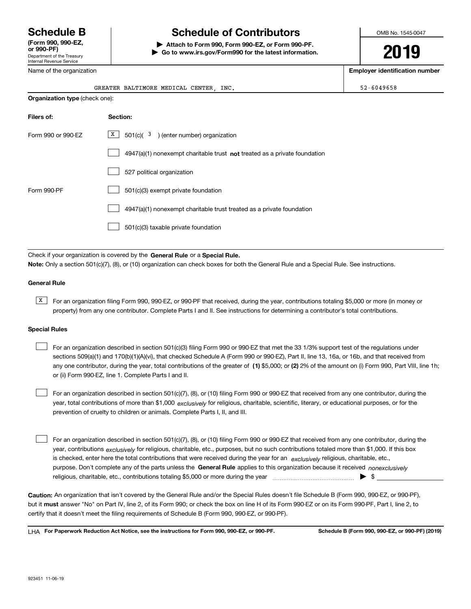Department of the Treasury Internal Revenue Service **(Form 990, 990-EZ, or 990-PF)**

Name of the organization

# **Schedule B Schedule of Contributors**

**| Attach to Form 990, Form 990-EZ, or Form 990-PF. | Go to www.irs.gov/Form990 for the latest information.** OMB No. 1545-0047

**2019**

**Employer identification number**

|                                | GREATER BALTIMORE MEDICAL CENTER, INC.                                      | $52 - 6049658$ |
|--------------------------------|-----------------------------------------------------------------------------|----------------|
| Organization type (check one): |                                                                             |                |
| Filers of:                     | Section:                                                                    |                |
| Form 990 or 990-EZ             |                                                                             |                |
|                                | $4947(a)(1)$ nonexempt charitable trust not treated as a private foundation |                |
|                                | 527 political organization                                                  |                |
| Form 990-PF                    | 501(c)(3) exempt private foundation                                         |                |
|                                | 4947(a)(1) nonexempt charitable trust treated as a private foundation       |                |
|                                | 501(c)(3) taxable private foundation                                        |                |

Check if your organization is covered by the **General Rule** or a **Special Rule. Note:**  Only a section 501(c)(7), (8), or (10) organization can check boxes for both the General Rule and a Special Rule. See instructions.

### **General Rule**

 $\overline{X}$  For an organization filing Form 990, 990-EZ, or 990-PF that received, during the year, contributions totaling \$5,000 or more (in money or property) from any one contributor. Complete Parts I and II. See instructions for determining a contributor's total contributions.

### **Special Rules**

any one contributor, during the year, total contributions of the greater of  $\,$  (1) \$5,000; or **(2)** 2% of the amount on (i) Form 990, Part VIII, line 1h; For an organization described in section 501(c)(3) filing Form 990 or 990-EZ that met the 33 1/3% support test of the regulations under sections 509(a)(1) and 170(b)(1)(A)(vi), that checked Schedule A (Form 990 or 990-EZ), Part II, line 13, 16a, or 16b, and that received from or (ii) Form 990-EZ, line 1. Complete Parts I and II.  $\mathcal{L}^{\text{max}}$ 

year, total contributions of more than \$1,000 *exclusively* for religious, charitable, scientific, literary, or educational purposes, or for the For an organization described in section 501(c)(7), (8), or (10) filing Form 990 or 990-EZ that received from any one contributor, during the prevention of cruelty to children or animals. Complete Parts I, II, and III.  $\mathcal{L}^{\text{max}}$ 

purpose. Don't complete any of the parts unless the **General Rule** applies to this organization because it received *nonexclusively* year, contributions <sub>exclusively</sub> for religious, charitable, etc., purposes, but no such contributions totaled more than \$1,000. If this box is checked, enter here the total contributions that were received during the year for an  $\;$ exclusively religious, charitable, etc., For an organization described in section 501(c)(7), (8), or (10) filing Form 990 or 990-EZ that received from any one contributor, during the religious, charitable, etc., contributions totaling \$5,000 or more during the year  $\Box$ — $\Box$  =  $\Box$  $\mathcal{L}^{\text{max}}$ 

**Caution:**  An organization that isn't covered by the General Rule and/or the Special Rules doesn't file Schedule B (Form 990, 990-EZ, or 990-PF),  **must** but it answer "No" on Part IV, line 2, of its Form 990; or check the box on line H of its Form 990-EZ or on its Form 990-PF, Part I, line 2, to certify that it doesn't meet the filing requirements of Schedule B (Form 990, 990-EZ, or 990-PF).

**For Paperwork Reduction Act Notice, see the instructions for Form 990, 990-EZ, or 990-PF. Schedule B (Form 990, 990-EZ, or 990-PF) (2019)** LHA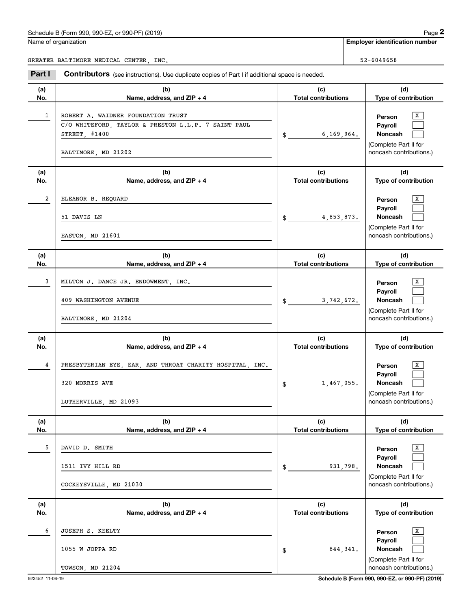|            | Schedule B (Form 990, 990-EZ, or 990-PF) (2019)                                                                                   |                                   |           | Page 2                                                                                           |
|------------|-----------------------------------------------------------------------------------------------------------------------------------|-----------------------------------|-----------|--------------------------------------------------------------------------------------------------|
|            | Name of organization                                                                                                              |                                   |           | <b>Employer identification number</b>                                                            |
|            | GREATER BALTIMORE MEDICAL CENTER, INC.                                                                                            |                                   |           | 52-6049658                                                                                       |
| Part I     | Contributors (see instructions). Use duplicate copies of Part I if additional space is needed.                                    |                                   |           |                                                                                                  |
| (a)<br>No. | (b)<br>Name, address, and ZIP + 4                                                                                                 | (c)<br><b>Total contributions</b> |           | (d)<br>Type of contribution                                                                      |
| 1          | ROBERT A. WAIDNER FOUNDATION TRUST<br>C/O WHITEFORD, TAYLOR & PRESTON L.L.P. 7 SAINT PAUL<br>STREET, #1400<br>BALTIMORE, MD 21202 | 6,169,964.<br>$\frac{1}{2}$       |           | X<br>Person<br>Payroll<br>Noncash<br>(Complete Part II for<br>noncash contributions.)            |
| (a)<br>No. | (b)<br>Name, address, and ZIP + 4                                                                                                 | (c)<br><b>Total contributions</b> |           | (d)<br>Type of contribution                                                                      |
| 2          | ELEANOR B. REQUARD<br>51 DAVIS LN<br>EASTON, MD 21601                                                                             | 4,853,873.<br>$\mathsf{\$}$       |           | X<br>Person<br>Payroll<br>Noncash<br>(Complete Part II for<br>noncash contributions.)            |
| (a)<br>No. | (b)<br>Name, address, and ZIP + 4                                                                                                 | (c)<br><b>Total contributions</b> |           | (d)<br>Type of contribution                                                                      |
| 3          | MILTON J. DANCE JR. ENDOWMENT, INC.<br>409 WASHINGTON AVENUE<br>BALTIMORE, MD 21204                                               | 3,742,672.<br>$\mathfrak s$       |           | X<br>Person<br>Payroll<br>Noncash<br>(Complete Part II for<br>noncash contributions.)            |
| (a)<br>No. | (b)<br>Name, address, and ZIP + 4                                                                                                 | (c)<br><b>Total contributions</b> |           | (d)<br>Type of contribution                                                                      |
| 4          | PRESBYTERIAN EYE, EAR, AND THROAT CHARITY HOSPITAL, INC.<br>320 MORRIS AVE<br>LUTHERVILLE, MD 21093                               | 1,467,055.<br>$\frac{1}{2}$       |           | X<br>Person<br>Payroll<br>Noncash<br>(Complete Part II for<br>noncash contributions.)            |
| (a)<br>No. | (b)<br>Name, address, and ZIP + 4                                                                                                 | (c)<br><b>Total contributions</b> |           | (d)<br>Type of contribution                                                                      |
| 5          | DAVID D. SMITH<br>1511 IVY HILL RD<br>COCKEYSVILLE, MD 21030                                                                      | \$                                | 931,798.  | $\mathbf{x}$<br>Person<br>Payroll<br>Noncash<br>(Complete Part II for<br>noncash contributions.) |
| (a)<br>No. | (b)<br>Name, address, and ZIP + 4                                                                                                 | (c)<br><b>Total contributions</b> |           | (d)<br>Type of contribution                                                                      |
| 6          | JOSEPH S. KEELTY<br>1055 W JOPPA RD<br>TOWSON, MD 21204                                                                           | \$                                | 844, 341. | $\,$ X $\,$<br>Person<br>Payroll<br>Noncash<br>(Complete Part II for<br>noncash contributions.)  |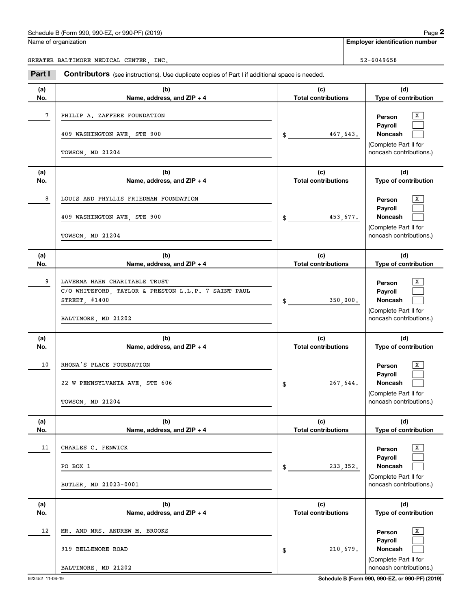Name of organization

**Employer identification number**

GREATER BALTIMORE MEDICAL CENTER, INC. SERVICE SERVICE SERVICE SERVICE SERVICE SERVICE SERVICE SERVICE SERVICE

Chedule B (Form 990, 990-EZ, or 990-PF) (2019)<br> **2990 Page 2**<br> **2991 Employer identification number**<br>
REATER BALTIMORE MEDICAL CENTER, INC.<br> **299658**<br> **299658**<br> **299658**<br> **299658**<br> **299658**<br> **299658** 

| (a)<br>No. | (b)<br>Name, address, and $ZIP + 4$                                                                                          | (c)<br><b>Total contributions</b> | (d)<br>Type of contribution                                                                  |
|------------|------------------------------------------------------------------------------------------------------------------------------|-----------------------------------|----------------------------------------------------------------------------------------------|
| 7          | PHILIP A. ZAFFERE FOUNDATION<br>409 WASHINGTON AVE, STE 900<br>TOWSON, MD 21204                                              | 467,643.<br>$\frac{1}{2}$         | X<br>Person<br>Payroll<br>Noncash<br>(Complete Part II for<br>noncash contributions.)        |
| (a)<br>No. | (b)<br>Name, address, and $ZIP + 4$                                                                                          | (c)<br><b>Total contributions</b> | (d)<br>Type of contribution                                                                  |
| 8          | LOUIS AND PHYLLIS FRIEDMAN FOUNDATION<br>409 WASHINGTON AVE, STE 900<br>TOWSON, MD 21204                                     | 453,677.<br>$\frac{1}{2}$         | x<br>Person<br>Payroll<br>Noncash<br>(Complete Part II for<br>noncash contributions.)        |
| (a)<br>No. | (b)<br>Name, address, and $ZIP + 4$                                                                                          | (c)<br><b>Total contributions</b> | (d)<br>Type of contribution                                                                  |
| 9          | LAVERNA HAHN CHARITABLE TRUST<br>C/O WHITEFORD, TAYLOR & PRESTON L.L.P. 7 SAINT PAUL<br>STREET, #1400<br>BALTIMORE, MD 21202 | 350,000.<br>$\frac{1}{2}$         | x<br>Person<br>Payroll<br><b>Noncash</b><br>(Complete Part II for<br>noncash contributions.) |
| (a)<br>No. | (b)<br>Name, address, and $ZIP + 4$                                                                                          | (c)<br><b>Total contributions</b> | (d)<br>Type of contribution                                                                  |
| 10         | RHONA'S PLACE FOUNDATION<br>22 W PENNSYLVANIA AVE, STE 606<br>TOWSON, MD 21204                                               | 267,644.<br>$\frac{1}{2}$         | x<br>Person<br>Payroll<br>Noncash<br>(Complete Part II for<br>noncash contributions.)        |
| (a)<br>No. | (b)<br>Name, address, and $ZIP + 4$                                                                                          | (c)<br><b>Total contributions</b> | (d)<br>Type of contribution                                                                  |
| 11         | CHARLES C. FENWICK<br>PO BOX 1<br>BUTLER, MD 21023-0001                                                                      | 233, 352.<br>\$                   | x<br>Person<br>Payroll<br>Noncash<br>(Complete Part II for<br>noncash contributions.)        |
| (a)<br>No. | (b)<br>Name, address, and $ZIP + 4$                                                                                          | (c)<br><b>Total contributions</b> | (d)<br>Type of contribution                                                                  |
| 12         | MR. AND MRS. ANDREW M. BROOKS<br>919 BELLEMORE ROAD<br>BALTIMORE, MD 21202                                                   | 210,679.<br>\$                    | x<br>Person<br>Payroll<br>Noncash<br>(Complete Part II for<br>noncash contributions.)        |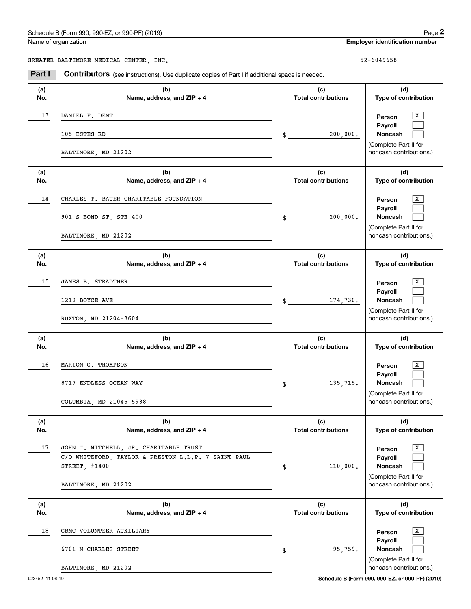# Schedule B (Form 990, 990-EZ, or 990-PF) (2019)  $P_{\text{age}} 2$ Employer identification Page 2<br>
Iame of organization<br>
REATER BALTIMORE MEDICAL CENTER, INC.<br> **2Part I Contributors** (see instructions). Use duplicate copies of Part I if additional space is needed.

Name of organization

**(a)No.**

13

**(a)No.**

14

**(a)No.**

15

**(a) No.**

16

**(a) No.**

17

**(a)No.**

18

**Employer identification number**

GREATER BALTIMORE MEDICAL CENTER, INC. SERVICE SERVICE SERVICE SERVICE SERVICE SERVICE SERVICE SERVICE SERVICE

**Contributors** (see instructions). Use duplicate copies of Part I if additional space is needed.

**(b)Name, address, and ZIP + 4 (c)Total contributions (d)Type of contribution PersonPayrollNoncash (b)Name, address, and ZIP + 4 (c)Total contributions (d)Type of contribution PersonPayrollNoncash (b)Name, address, and ZIP + 4 (c)Total contributions (d)Type of contribution PersonPayrollNoncash (b)Name, address, and ZIP + 4 (c) Total contributions (d) Type of contribution PersonPayrollNoncash(b)Name, address, and ZIP + 4 (c) Total contributions (d)Type of contribution PersonPayrollNoncash (b)Name, address, and ZIP + 4 (c)Total contributions (d)Type of contribution PersonPayrollNoncash** \$(Complete Part II for noncash contributions.) \$(Complete Part II for noncash contributions.) \$(Complete Part II for noncash contributions.) \$(Complete Part II for noncash contributions.) \$(Complete Part II for noncash contributions.) \$ $\overline{\mathbf{x}}$  $\mathcal{L}^{\text{max}}$  $\mathcal{L}^{\text{max}}$  $\overline{X}$  $\mathcal{L}^{\text{max}}$  $\mathcal{L}^{\text{max}}$  $\boxed{\text{X}}$  $\mathcal{L}^{\text{max}}$  $\mathcal{L}^{\text{max}}$  $\boxed{\text{X}}$  $\mathcal{L}^{\text{max}}$  $\mathcal{L}^{\text{max}}$  $\overline{\mathbf{x}}$  $\mathcal{L}^{\text{max}}$  $\mathcal{L}^{\text{max}}$  $\boxed{\text{X}}$  $\mathcal{L}^{\text{max}}$  $\mathcal{L}^{\text{max}}$  X DANIEL F. DENT 200,000. 105 ESTES RD BALTIMORE, MD 21202 X CHARLES T. BAUER CHARITABLE FOUNDATION 200,000. 901 S BOND ST, STE 400 BALTIMORE, MD 21202 X JAMES B. STRADTNER 174,730. 1219 BOYCE AVE RUXTON, MD 21204-3604 X MARION G. THOMPSON 135,715. 8717 ENDLESS OCEAN WAY COLUMBIA, MD 21045-5938 17 | JOHN J. MITCHELL, JR. CHARITABLE TRUST | | | | 110,000. STREET, #1400 C/O WHITEFORD, TAYLOR & PRESTON L.L.P. 7 SAINT PAUL BALTIMORE, MD 21202 X GBMC VOLUNTEER AUXILIARY 95,759. 6701 N CHARLES STREET

BALTIMORE, MD 21202

923452 11-06-19 **Schedule B (Form 990, 990-EZ, or 990-PF) (2019)**

(Complete Part II for noncash contributions.)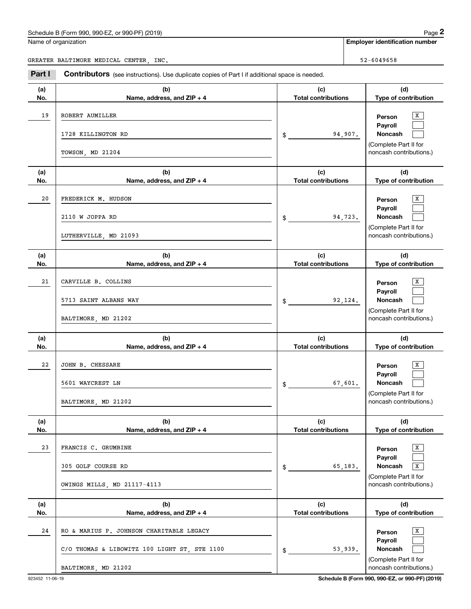|  | Name of organization |
|--|----------------------|
|  |                      |

|            | Schedule B (Form 990, 990-EZ, or 990-PF) (2019)                                                                 |                                   |         | Page 2                                                                                               |
|------------|-----------------------------------------------------------------------------------------------------------------|-----------------------------------|---------|------------------------------------------------------------------------------------------------------|
|            | Name of organization                                                                                            |                                   |         | <b>Employer identification number</b>                                                                |
|            | GREATER BALTIMORE MEDICAL CENTER, INC.                                                                          |                                   |         | 52-6049658                                                                                           |
| Part I     | Contributors (see instructions). Use duplicate copies of Part I if additional space is needed.                  |                                   |         |                                                                                                      |
| (a)<br>No. | (b)<br>Name, address, and ZIP + 4                                                                               | (c)<br><b>Total contributions</b> |         | (d)<br>Type of contribution                                                                          |
| 19         | ROBERT AUMILLER<br>1728 KILLINGTON RD                                                                           | $$^{\circ}$                       | 94,907. | х<br>Person<br>Payroll<br>Noncash<br>(Complete Part II for                                           |
|            | TOWSON, MD 21204                                                                                                |                                   |         | noncash contributions.)                                                                              |
| (a)<br>No. | (b)<br>Name, address, and ZIP + 4                                                                               | (c)<br><b>Total contributions</b> |         | (d)<br>Type of contribution                                                                          |
| 20         | FREDERICK M. HUDSON<br>2110 W JOPPA RD<br>LUTHERVILLE, MD 21093                                                 | \$                                | 94,723. | x<br>Person<br>Payroll<br>Noncash<br>(Complete Part II for<br>noncash contributions.)                |
| (a)<br>No. | (b)<br>Name, address, and ZIP + 4                                                                               | (c)<br><b>Total contributions</b> |         | (d)<br>Type of contribution                                                                          |
| 21         | CARVILLE B. COLLINS<br>5713 SAINT ALBANS WAY<br>BALTIMORE, MD 21202                                             | \$                                | 92,124. | x<br>Person<br>Payroll<br>Noncash<br>(Complete Part II for<br>noncash contributions.)                |
| (a)<br>No. | (b)<br>Name, address, and ZIP + 4                                                                               | (c)<br><b>Total contributions</b> |         | (d)<br>Type of contribution                                                                          |
| 22         | JOHN B. CHESSARE<br>5601 WAYCREST LN<br>BALTIMORE, MD 21202                                                     | \$                                | 67,601. | X<br>Person<br>Payroll<br>Noncash<br>(Complete Part II for<br>noncash contributions.)                |
| (a)<br>No. | (b)<br>Name, address, and ZIP + 4                                                                               | (c)<br><b>Total contributions</b> |         | (d)<br>Type of contribution                                                                          |
| 23         | FRANCIS C. GRUMBINE<br>305 GOLF COURSE RD<br>OWINGS MILLS, MD 21117-4113                                        | \$                                | 65,183. | X<br>Person<br>Payroll<br>Noncash<br>$\mathbf X$<br>(Complete Part II for<br>noncash contributions.) |
| (a)<br>No. | (b)<br>Name, address, and ZIP + 4                                                                               | (c)<br><b>Total contributions</b> |         | (d)<br>Type of contribution                                                                          |
| 24         | RO & MARIUS P. JOHNSON CHARITABLE LEGACY<br>C/O THOMAS & LIBOWITZ 100 LIGHT ST, STE 1100<br>BALTIMORE, MD 21202 | \$                                | 53,939. | X<br>Person<br>Payroll<br>Noncash<br>(Complete Part II for<br>noncash contributions.)                |
|            |                                                                                                                 |                                   |         |                                                                                                      |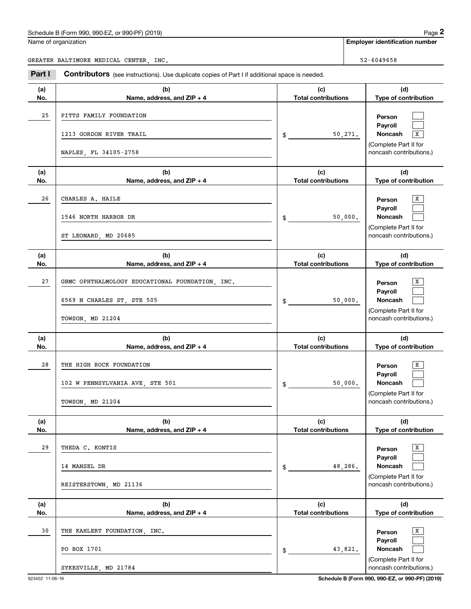Name of organization

|--|--|

**Employer identification number**

GREATER BALTIMORE MEDICAL CENTER, INC. SERVICE SERVICE SERVICE SERVICE SERVICE SERVICE SERVICE SERVICE SERVICE

**(a)No.(b)Name, address, and ZIP + 4 (c)Total contributions (d)Type of contribution PersonPayrollNoncash** 50,271. <sup>X</sup> **(a)No.(b)Name, address, and ZIP + 4 (c)Total contributions (d)Type of contribution PersonPayrollNoncash (a)No.(b)Name, address, and ZIP + 4 (c)Total contributions (d)Type of contribution PersonPayrollNoncash (a) No.(b)Name, address, and ZIP + 4 (c) Total contributions (d) Type of contribution PersonPayrollNoncash(a) No.(b)Name, address, and ZIP + 4 (c) Total contributions (d)Type of contribution PersonPayrollNoncash (a)No.(b)Name, address, and ZIP + 4 (c)Total contributions (d)Type of contribution PersonPayrollNoncash Contributors** (see instructions). Use duplicate copies of Part I if additional space is needed. \$(Complete Part II for noncash contributions.) \$(Complete Part II for noncash contributions.) \$(Complete Part II for noncash contributions.) \$(Complete Part II for noncash contributions.) \$(Complete Part II for noncash contributions.) \$(Complete Part II for noncash contributions.) Employer identification Page 2<br>
Iame of organization<br>
REATER BALTIMORE MEDICAL CENTER, INC.<br> **2Part I Contributors** (see instructions). Use duplicate copies of Part I if additional space is needed.  $\mathcal{L}^{\text{max}}$  $\mathcal{L}^{\text{max}}$  $\overline{\mathbf{x}}$  $\overline{X}$  $\mathcal{L}^{\text{max}}$  $\mathcal{L}^{\text{max}}$  $\boxed{\text{X}}$  $\mathcal{L}^{\text{max}}$  $\mathcal{L}^{\text{max}}$  $\boxed{\text{X}}$  $\mathcal{L}^{\text{max}}$  $\mathcal{L}^{\text{max}}$  $\overline{\mathbf{x}}$  $\mathcal{L}^{\text{max}}$  $\mathcal{L}^{\text{max}}$  $\boxed{\text{X}}$  $\mathcal{L}^{\text{max}}$  $\mathcal{L}^{\text{max}}$ 25PITTS FAMILY FOUNDATION 1213 GORDON RIVER TRAIL NAPLES, FL 34105-2758 26 X CHARLES A. HAILE 50,000. 1546 NORTH HARBOR DR ST LEONARD, MD 20685 27 X GBMC OPHTHALMOLOGY EDUCATIONAL FOUNDATION, INC. 50,000. 6569 N CHARLES ST, STE 505 TOWSON, MD 21204 28 X THE HIGH ROCK FOUNDATION 50,000. 102 W PENNSYLVANIA AVE, STE 501 TOWSON, MD 21204 29 X THEDA C. KONTIS 48,286. 14 MANSEL DR REISTERSTOWN, MD 21136 30 X THE KAHLERT FOUNDATION, INC. 43,821. PO BOX 1701 SYKESVILLE, MD 21784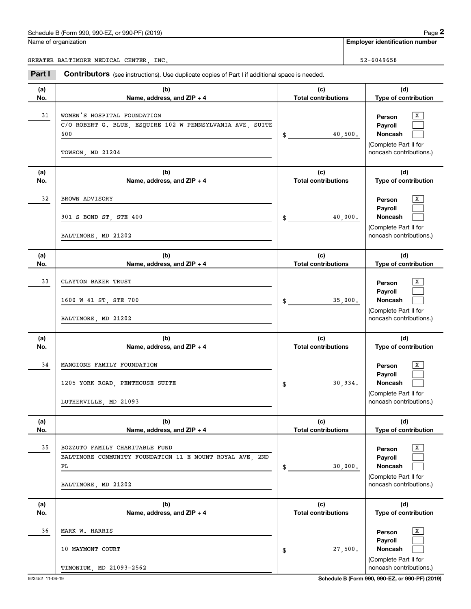Name of organization

**Employer identification number**

GREATER BALTIMORE MEDICAL CENTER, INC. SERVICE SERVICE SERVICE SERVICE SERVICE SERVICE SERVICE SERVICE SERVICE

Chedule B (Form 990, 990-EZ, or 990-PF) (2019)<br> **2990 Page 2**<br> **2991 Employer identification number**<br>
REATER BALTIMORE MEDICAL CENTER, INC.<br> **299658**<br> **299658**<br> **299658**<br> **299658**<br> **299658**<br> **299658** 

| (a)<br>No. | (b)<br>Name, address, and ZIP + 4                                                                                       | (c)<br><b>Total contributions</b> | (d)<br>Type of contribution                                                                  |
|------------|-------------------------------------------------------------------------------------------------------------------------|-----------------------------------|----------------------------------------------------------------------------------------------|
| 31         | WOMEN'S HOSPITAL FOUNDATION<br>C/O ROBERT G. BLUE, ESQUIRE 102 W PENNSYLVANIA AVE, SUITE<br>600<br>TOWSON, MD 21204     | 40,500.                           | X<br>Person<br>Payroll<br><b>Noncash</b><br>(Complete Part II for<br>noncash contributions.) |
| (a)<br>No. | (b)<br>Name, address, and ZIP + 4                                                                                       | (c)<br><b>Total contributions</b> | (d)<br>Type of contribution                                                                  |
| 32         | BROWN ADVISORY<br>901 S BOND ST, STE 400<br>BALTIMORE, MD 21202                                                         | 40,000.<br>$\frac{1}{2}$          | X<br>Person<br>Payroll<br><b>Noncash</b><br>(Complete Part II for<br>noncash contributions.) |
| (a)<br>No. | (b)<br>Name, address, and ZIP + 4                                                                                       | (c)<br><b>Total contributions</b> | (d)<br>Type of contribution                                                                  |
| 33         | CLAYTON BAKER TRUST<br>1600 W 41 ST, STE 700<br>BALTIMORE, MD 21202                                                     | 35,000.<br>$\frac{1}{2}$          | X<br>Person<br>Payroll<br><b>Noncash</b><br>(Complete Part II for<br>noncash contributions.) |
| (a)<br>No. | (b)<br>Name, address, and ZIP + 4                                                                                       | (c)<br><b>Total contributions</b> | (d)<br>Type of contribution                                                                  |
| 34         | MANGIONE FAMILY FOUNDATION<br>1205 YORK ROAD, PENTHOUSE SUITE<br>LUTHERVILLE, MD 21093                                  | 30,934.<br>$\frac{1}{2}$          | X<br>Person<br>Payroll<br>Noncash<br>(Complete Part II for<br>noncash contributions.)        |
| (a)<br>No. | (b)<br>Name, address, and ZIP + 4                                                                                       | (c)<br><b>Total contributions</b> | (d)<br>Type of contribution                                                                  |
| 35         | BOZZUTO FAMILY CHARITABLE FUND<br>BALTIMORE COMMUNITY FOUNDATION 11 E MOUNT ROYAL AVE, 2ND<br>FL<br>BALTIMORE, MD 21202 | 30,000.<br>$\frac{1}{2}$          | X<br>Person<br>Payroll<br>Noncash<br>(Complete Part II for<br>noncash contributions.)        |
| (a)<br>No. | (b)<br>Name, address, and ZIP + 4                                                                                       | (c)<br><b>Total contributions</b> | (d)<br>Type of contribution                                                                  |
| 36         | MARK W. HARRIS<br>10 MAYMONT COURT<br>TIMONIUM, MD 21093-2562                                                           | 27,500.<br>$\mathsf{\$}$          | x<br>Person<br>Payroll<br>Noncash<br>(Complete Part II for<br>noncash contributions.)        |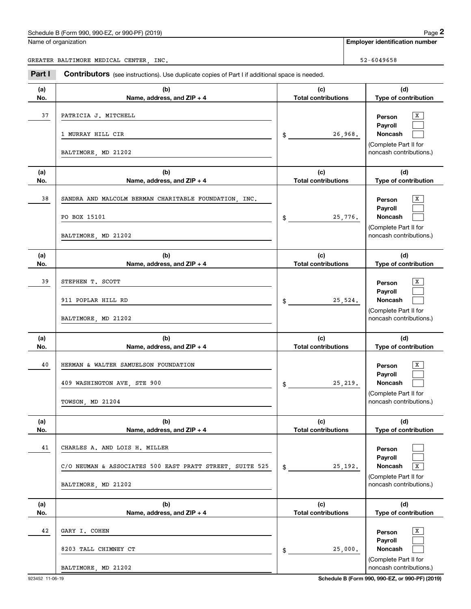|  |  |  | Name of organization |
|--|--|--|----------------------|
|--|--|--|----------------------|

|                                        | Schedule B (Form 990, 990-EZ, or 990-PF) (2019)                                                                  |                                   |                                       | Page 2                                                                                                      |  |
|----------------------------------------|------------------------------------------------------------------------------------------------------------------|-----------------------------------|---------------------------------------|-------------------------------------------------------------------------------------------------------------|--|
| Name of organization                   |                                                                                                                  |                                   | <b>Employer identification number</b> |                                                                                                             |  |
| GREATER BALTIMORE MEDICAL CENTER, INC. |                                                                                                                  |                                   | 52-6049658                            |                                                                                                             |  |
| Part I                                 | Contributors (see instructions). Use duplicate copies of Part I if additional space is needed.                   |                                   |                                       |                                                                                                             |  |
| (a)<br>No.                             | (b)<br>Name, address, and ZIP + 4                                                                                | (c)<br><b>Total contributions</b> |                                       | (d)<br>Type of contribution                                                                                 |  |
| 37                                     | PATRICIA J. MITCHELL<br>1 MURRAY HILL CIR<br>BALTIMORE, MD 21202                                                 | \$                                | 26,968.                               | x<br>Person<br>Payroll<br>Noncash<br>(Complete Part II for<br>noncash contributions.)                       |  |
| (a)<br>No.                             | (b)<br>Name, address, and ZIP + 4                                                                                | (c)<br><b>Total contributions</b> |                                       | (d)<br>Type of contribution                                                                                 |  |
| 38                                     | SANDRA AND MALCOLM BERMAN CHARITABLE FOUNDATION, INC.<br>PO BOX 15101<br>BALTIMORE, MD 21202                     | \$                                | 25,776.                               | x<br>Person<br>Payroll<br><b>Noncash</b><br>(Complete Part II for<br>noncash contributions.)                |  |
| (a)<br>No.                             | (b)<br>Name, address, and ZIP + 4                                                                                | (c)<br><b>Total contributions</b> |                                       | (d)<br>Type of contribution                                                                                 |  |
| 39                                     | STEPHEN T. SCOTT<br>911 POPLAR HILL RD<br>BALTIMORE, MD 21202                                                    | \$                                | 25,524.                               | x<br>Person<br>Payroll<br>Noncash<br>(Complete Part II for<br>noncash contributions.)                       |  |
| (a)<br>No.                             | (b)<br>Name, address, and ZIP + 4                                                                                | (c)<br><b>Total contributions</b> |                                       | (d)<br>Type of contribution                                                                                 |  |
| 40                                     | HERMAN & WALTER SAMUELSON FOUNDATION<br>409 WASHINGTON AVE, STE 900<br>TOWSON, MD 21204                          | \$                                | 25, 219.                              | x<br>Person<br>Payroll<br>Noncash<br>(Complete Part II for<br>noncash contributions.)                       |  |
| (a)<br>No.                             | (b)<br>Name, address, and ZIP + 4                                                                                | (c)<br><b>Total contributions</b> |                                       | (d)<br>Type of contribution                                                                                 |  |
| 41                                     | CHARLES A. AND LOIS H. MILLER<br>C/O NEUMAN & ASSOCIATES 500 EAST PRATT STREET, SUITE 525<br>BALTIMORE, MD 21202 | \$                                | 25, 192.                              | Person<br>Payroll<br>Noncash<br>$\overline{\mathbf{X}}$<br>(Complete Part II for<br>noncash contributions.) |  |
| (a)<br>No.                             | (b)<br>Name, address, and ZIP + 4                                                                                | (c)<br><b>Total contributions</b> |                                       | (d)<br>Type of contribution                                                                                 |  |
| 42                                     | GARY I. COHEN<br>8203 TALL CHIMNEY CT<br>BALTIMORE, MD 21202                                                     | \$                                | 25,000.                               | X<br>Person<br>Payroll<br><b>Noncash</b><br>(Complete Part II for<br>noncash contributions.)                |  |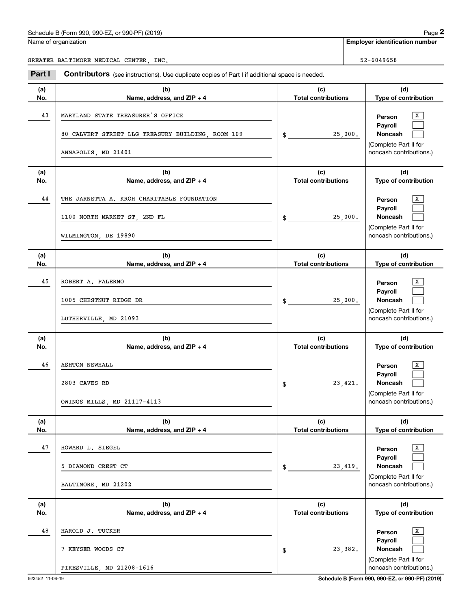Name of organization

**Employer identification number**

GREATER BALTIMORE MEDICAL CENTER, INC. SERVICE SERVICE SERVICE SERVICE SERVICE SERVICE SERVICE SERVICE SERVICE

**(a)No.(b) Name, address, and ZIP + 4 (c)Total contributions (d)Type of contribution PersonPayrollNoncash (a)No.(b)Name, address, and ZIP + 4 (c)Total contributions (d)Type of contribution PersonPayrollNoncash (a)No.(b)Name, address, and ZIP + 4 (c)Total contributions (d)Type of contribution PersonPayrollNoncash (a) No.(b)Name, address, and ZIP + 4 (c) Total contributions (d) Type of contribution PersonPayrollNoncash (a) No.(b)Name, address, and ZIP + 4 (c) Total contributions (d)Type of contribution PersonPayrollNoncash(a)No.(b)Name, address, and ZIP + 4 (c)Total contributions (d)Type of contribution PersonPayrollNoncash Contributors** (see instructions). Use duplicate copies of Part I if additional space is needed. \$(Complete Part II for noncash contributions.) \$(Complete Part II for noncash contributions.) \$(Complete Part II for noncash contributions.) \$(Complete Part II for noncash contributions.) \$(Complete Part II for noncash contributions.) \$(Complete Part II for noncash contributions.) Employer identification Page 2<br>
Iame of organization<br>
REATER BALTIMORE MEDICAL CENTER, INC.<br> **2Part I Contributors** (see instructions). Use duplicate copies of Part I if additional space is needed.  $\overline{\mathbf{x}}$  $\mathcal{L}^{\text{max}}$  $\mathcal{L}^{\text{max}}$  $\overline{X}$  $\mathcal{L}^{\text{max}}$  $\mathcal{L}^{\text{max}}$  $\boxed{\text{X}}$  $\mathcal{L}^{\text{max}}$  $\mathcal{L}^{\text{max}}$  $\boxed{\text{X}}$  $\mathcal{L}^{\text{max}}$  $\mathcal{L}^{\text{max}}$  $\overline{\mathbf{x}}$  $\mathcal{L}^{\text{max}}$  $\mathcal{L}^{\text{max}}$  $\boxed{\text{X}}$  $\mathcal{L}^{\text{max}}$  $\mathcal{L}^{\text{max}}$ 43 X MARYLAND STATE TREASURER'S OFFICE 25,000. 80 CALVERT STREET LLG TREASURY BUILDING, ROOM 109 ANNAPOLIS, MD 21401 44 X THE JARNETTA A. KROH CHARITABLE FOUNDATION 25,000. 1100 NORTH MARKET ST, 2ND FL WILMINGTON, DE 19890 45 X ROBERT A. PALERMO 25,000. 1005 CHESTNUT RIDGE DR LUTHERVILLE, MD 21093 46 X ASHTON NEWHALL 23,421. 2803 CAVES RD OWINGS MILLS, MD 21117-4113 47 X HOWARD L. SIEGEL 23,419. 5 DIAMOND CREST CT BALTIMORE, MD 21202 48 X HAROLD J. TUCKER 23,382. 7 KEYSER WOODS CT PIKESVILLE, MD 21208-1616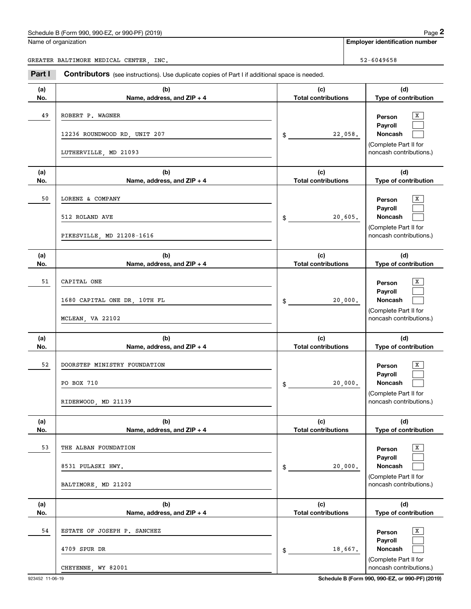|--|

|            | Schedule B (Form 990, 990-EZ, or 990-PF) (2019)                                                |                                   | Page 2                                                                                |
|------------|------------------------------------------------------------------------------------------------|-----------------------------------|---------------------------------------------------------------------------------------|
|            | Name of organization                                                                           |                                   | <b>Employer identification number</b>                                                 |
|            | GREATER BALTIMORE MEDICAL CENTER, INC.                                                         |                                   | 52-6049658                                                                            |
| Part I     | Contributors (see instructions). Use duplicate copies of Part I if additional space is needed. |                                   |                                                                                       |
| (a)<br>No. | (b)<br>Name, address, and ZIP + 4                                                              | (c)<br><b>Total contributions</b> | (d)<br>Type of contribution                                                           |
| 49         | ROBERT P. WAGNER<br>12236 ROUNDWOOD RD, UNIT 207<br>LUTHERVILLE, MD 21093                      | 22,058.<br>\$                     | х<br>Person<br>Payroll<br>Noncash<br>(Complete Part II for<br>noncash contributions.) |
| (a)<br>No. | (b)<br>Name, address, and ZIP + 4                                                              | (c)<br><b>Total contributions</b> | (d)<br>Type of contribution                                                           |
| 50         | LORENZ & COMPANY<br>512 ROLAND AVE<br>PIKESVILLE, MD 21208-1616                                | 20,605.<br>\$                     | x<br>Person<br>Payroll<br>Noncash<br>(Complete Part II for<br>noncash contributions.) |
| (a)<br>No. | (b)<br>Name, address, and ZIP + 4                                                              | (c)<br><b>Total contributions</b> | (d)<br>Type of contribution                                                           |
| 51         | CAPITAL ONE<br>1680 CAPITAL ONE DR, 10TH FL<br>MCLEAN, VA 22102                                | 20,000.<br>\$                     | x<br>Person<br>Payroll<br>Noncash<br>(Complete Part II for<br>noncash contributions.) |
| (a)<br>No. | (b)<br>Name, address, and ZIP + 4                                                              | (c)<br><b>Total contributions</b> | (d)<br>Type of contribution                                                           |
| 52         | DOORSTEP MINISTRY FOUNDATION<br>PO BOX 710<br>RIDERWOOD, MD 21139                              | 20,000.<br>\$                     | х<br>Person<br>Payroll<br>Noncash<br>(Complete Part II for<br>noncash contributions.) |
| (a)<br>No. | (b)<br>Name, address, and ZIP + 4                                                              | (c)<br><b>Total contributions</b> | (d)<br>Type of contribution                                                           |
| 53         | THE ALBAN FOUNDATION<br>8531 PULASKI HWY.<br>BALTIMORE, MD 21202                               | 20,000.<br>\$                     | x<br>Person<br>Payroll<br>Noncash<br>(Complete Part II for<br>noncash contributions.) |
| (a)<br>No. | (b)<br>Name, address, and ZIP + 4                                                              | (c)<br><b>Total contributions</b> | (d)<br>Type of contribution                                                           |
| 54         | ESTATE OF JOSEPH P. SANCHEZ<br>4709 SPUR DR<br>CHEYENNE, WY 82001                              | 18,667.<br>\$                     | x<br>Person<br>Payroll<br>Noncash<br>(Complete Part II for<br>noncash contributions.) |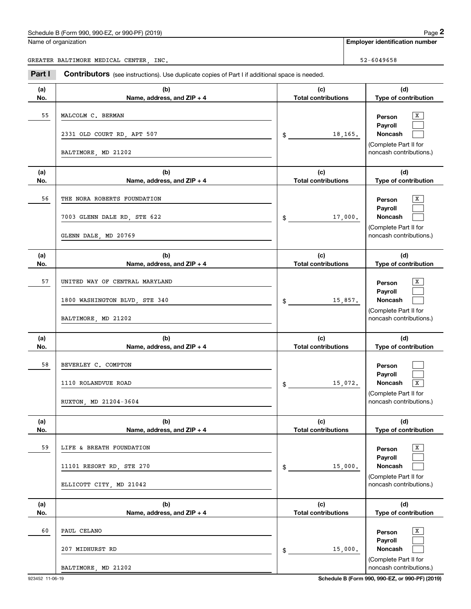|            | Schedule B (Form 990, 990-EZ, or 990-PF) (2019)                                                |                                   | Page 2                                                                                                                 |
|------------|------------------------------------------------------------------------------------------------|-----------------------------------|------------------------------------------------------------------------------------------------------------------------|
|            | Name of organization                                                                           |                                   | <b>Employer identification number</b>                                                                                  |
|            | GREATER BALTIMORE MEDICAL CENTER, INC.                                                         |                                   | 52-6049658                                                                                                             |
| Part I     | Contributors (see instructions). Use duplicate copies of Part I if additional space is needed. |                                   |                                                                                                                        |
| (a)<br>No. | (b)<br>Name, address, and ZIP + 4                                                              | (c)<br><b>Total contributions</b> | (d)<br>Type of contribution                                                                                            |
| 55         | MALCOLM C. BERMAN<br>2331 OLD COURT RD, APT 507                                                | $\frac{1}{2}$                     | х<br>Person<br>Payroll<br>Noncash<br>18,165.                                                                           |
|            | BALTIMORE, MD 21202                                                                            |                                   | (Complete Part II for<br>noncash contributions.)                                                                       |
| (a)<br>No. | (b)<br>Name, address, and ZIP + 4                                                              | (c)<br><b>Total contributions</b> | (d)<br>Type of contribution                                                                                            |
| 56         | THE NORA ROBERTS FOUNDATION<br>7003 GLENN DALE RD, STE 622<br>GLENN DALE, MD 20769             | $\mathfrak s$                     | х<br>Person<br>Payroll<br>Noncash<br>17,000.<br>(Complete Part II for<br>noncash contributions.)                       |
| (a)<br>No. | (b)<br>Name, address, and ZIP + 4                                                              | (c)<br><b>Total contributions</b> | (d)<br>Type of contribution                                                                                            |
| 57         | UNITED WAY OF CENTRAL MARYLAND<br>1800 WASHINGTON BLVD, STE 340<br>BALTIMORE, MD 21202         | $\mathfrak s$                     | х<br>Person<br>Payroll<br>Noncash<br>15,857.<br>(Complete Part II for<br>noncash contributions.)                       |
| (a)<br>No. | (b)<br>Name, address, and ZIP + 4                                                              | (c)<br><b>Total contributions</b> | (d)<br>Type of contribution                                                                                            |
| 58         | BEVERLEY C. COMPTON<br>1110 ROLANDVUE ROAD<br>RUXTON, MD 21204-3604                            | \$                                | Person<br>Payroll<br>15,072.<br>Noncash<br>$\overline{\mathbf{x}}$<br>(Complete Part II for<br>noncash contributions.) |
| (a)<br>No. | (b)<br>Name, address, and ZIP + 4                                                              | (c)<br><b>Total contributions</b> | (d)<br>Type of contribution                                                                                            |
| 59         | LIFE & BREATH FOUNDATION<br>11101 RESORT RD, STE 270<br>ELLICOTT CITY, MD 21042                | \$                                | X<br>Person<br>Payroll<br>Noncash<br>15,000.<br>(Complete Part II for<br>noncash contributions.)                       |
| (a)<br>No. | (b)<br>Name, address, and ZIP + 4                                                              | (c)<br><b>Total contributions</b> | (d)<br>Type of contribution                                                                                            |
| 60         | PAUL CELANO<br>207 MIDHURST RD                                                                 | $\frac{1}{2}$                     | X<br>Person<br>Payroll<br>Noncash<br>15,000.<br>(Complete Part II for                                                  |

BALTIMORE, MD 21202

923452 11-06-19 **Schedule B (Form 990, 990-EZ, or 990-PF) (2019)**

noncash contributions.)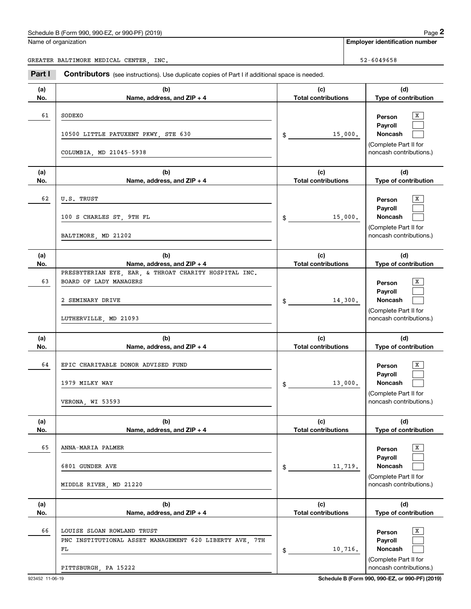|            | Schedule B (Form 990, 990-EZ, or 990-PF) (2019)                                                                              |                                   |         | Page 2                                                                                |
|------------|------------------------------------------------------------------------------------------------------------------------------|-----------------------------------|---------|---------------------------------------------------------------------------------------|
|            | Name of organization                                                                                                         |                                   |         | <b>Employer identification number</b>                                                 |
|            | GREATER BALTIMORE MEDICAL CENTER, INC.                                                                                       |                                   |         | 52-6049658                                                                            |
| Part I     | Contributors (see instructions). Use duplicate copies of Part I if additional space is needed.                               |                                   |         |                                                                                       |
| (a)<br>No. | (b)<br>Name, address, and ZIP + 4                                                                                            | (c)<br><b>Total contributions</b> |         | (d)<br>Type of contribution                                                           |
| 61         | SODEXO<br>10500 LITTLE PATUXENT PKWY, STE 630<br>COLUMBIA, MD 21045-5938                                                     | \$                                | 15,000. | х<br>Person<br>Payroll<br>Noncash<br>(Complete Part II for<br>noncash contributions.) |
| (a)<br>No. | (b)<br>Name, address, and ZIP + 4                                                                                            | (c)<br><b>Total contributions</b> |         | (d)<br>Type of contribution                                                           |
| 62         | U.S. TRUST<br>100 S CHARLES ST, 9TH FL<br>BALTIMORE, MD 21202                                                                | \$                                | 15,000. | х<br>Person<br>Payroll<br>Noncash<br>(Complete Part II for<br>noncash contributions.) |
| (a)<br>No. | (b)<br>Name, address, and ZIP + 4                                                                                            | (c)<br><b>Total contributions</b> |         | (d)<br>Type of contribution                                                           |
| 63         | PRESBYTERIAN EYE, EAR, & THROAT CHARITY HOSPITAL INC.<br>BOARD OF LADY MANAGERS<br>2 SEMINARY DRIVE<br>LUTHERVILLE, MD 21093 | \$                                | 14,300. | х<br>Person<br>Payroll<br>Noncash<br>(Complete Part II for<br>noncash contributions.) |
| (a)<br>No. | (b)<br>Name, address, and ZIP + 4                                                                                            | (c)<br><b>Total contributions</b> |         | (d)<br>Type of contribution                                                           |
| 64         | EPIC CHARITABLE DONOR ADVISED FUND<br>1979 MILKY WAY<br>VERONA, WI 53593                                                     | \$                                | 13,000. | х<br>Person<br>Payroll<br>Noncash<br>(Complete Part II for<br>noncash contributions.) |
| (a)<br>No. | (b)<br>Name, address, and ZIP + 4                                                                                            | (c)<br><b>Total contributions</b> |         | (d)<br>Type of contribution                                                           |
| 65         | ANNA-MARIA PALMER<br>6801 GUNDER AVE<br>MIDDLE RIVER, MD 21220                                                               | \$                                | 11,719. | x<br>Person<br>Payroll<br>Noncash<br>(Complete Part II for<br>noncash contributions.) |
| (a)<br>No. | (b)<br>Name, address, and ZIP + 4                                                                                            | (c)<br><b>Total contributions</b> |         | (d)<br>Type of contribution                                                           |
| 66         | LOUISE SLOAN ROWLAND TRUST<br>PNC INSTITUTIONAL ASSET MANAGEMENT 620 LIBERTY AVE, 7TH<br>FL<br>PITTSBURGH, PA 15222          | \$                                | 10,716. | x<br>Person<br>Payroll<br>Noncash<br>(Complete Part II for<br>noncash contributions.) |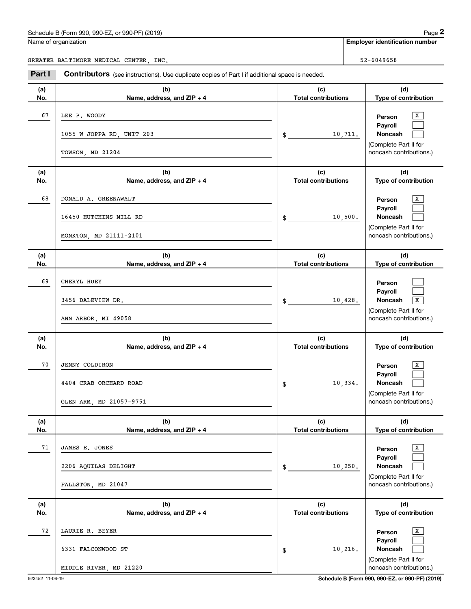|            | Schedule B (Form 990, 990-EZ, or 990-PF) (2019)                                                |                                   |            | Page 2                                                             |
|------------|------------------------------------------------------------------------------------------------|-----------------------------------|------------|--------------------------------------------------------------------|
|            | Name of organization                                                                           |                                   |            | <b>Employer identification number</b>                              |
|            | GREATER BALTIMORE MEDICAL CENTER, INC.                                                         |                                   | 52-6049658 |                                                                    |
| Part I     | Contributors (see instructions). Use duplicate copies of Part I if additional space is needed. |                                   |            |                                                                    |
| (a)<br>No. | (b)<br>Name, address, and ZIP + 4                                                              | (c)<br><b>Total contributions</b> |            | (d)<br>Type of contribution                                        |
| 67         | LEE P. WOODY                                                                                   |                                   |            | х<br>Person<br>Payroll                                             |
|            | 1055 W JOPPA RD, UNIT 203<br>TOWSON, MD 21204                                                  | \$                                | 10,711.    | Noncash<br>(Complete Part II for<br>noncash contributions.)        |
| (a)<br>No. | (b)<br>Name, address, and ZIP + 4                                                              | (c)<br><b>Total contributions</b> |            | (d)<br>Type of contribution                                        |
| 68         | DONALD A. GREENAWALT                                                                           |                                   |            | х<br>Person                                                        |
|            | 16450 HUTCHINS MILL RD                                                                         | \$                                | 10,500.    | Payroll<br>Noncash<br>(Complete Part II for                        |
|            | MONKTON, MD 21111-2101                                                                         |                                   |            | noncash contributions.)                                            |
| (a)<br>No. | (b)<br>Name, address, and ZIP + 4                                                              | (c)<br><b>Total contributions</b> |            | (d)<br>Type of contribution                                        |
| 69         | CHERYL HUEY                                                                                    |                                   |            | Person<br>Payroll                                                  |
|            | 3456 DALEVIEW DR.<br>ANN ARBOR, MI 49058                                                       | \$                                | 10,428.    | Noncash<br>X<br>(Complete Part II for<br>noncash contributions.)   |
| (a)<br>No. | (b)<br>Name, address, and ZIP + 4                                                              | (c)<br><b>Total contributions</b> |            | (d)<br>Type of contribution                                        |
| 70         | <b>JENNY COLDIRON</b>                                                                          |                                   |            | х<br>Person                                                        |
|            | 4404 CRAB ORCHARD ROAD                                                                         | \$                                | 10,334.    | Payroll<br>Noncash<br>(Complete Part II for                        |
|            | GLEN ARM, MD 21057-9751                                                                        |                                   |            | noncash contributions.)                                            |
| (a)<br>No. | (b)<br>Name, address, and ZIP + 4                                                              | (c)<br><b>Total contributions</b> |            | (d)<br>Type of contribution                                        |
| 71         | JAMES E. JONES                                                                                 |                                   |            | Х<br>Person<br>Payroll                                             |
|            | 2206 AQUILAS DELIGHT                                                                           | \$                                | 10, 250.   | <b>Noncash</b><br>(Complete Part II for<br>noncash contributions.) |
| (a)        | FALLSTON, MD 21047<br>(b)                                                                      | (c)                               |            | (d)                                                                |
| No.        | Name, address, and ZIP + 4                                                                     | <b>Total contributions</b>        |            | Type of contribution                                               |
| 72         | LAURIE R. BEYER                                                                                |                                   |            | Х<br>Person<br>Payroll                                             |
|            | 6331 FALCONWOOD ST<br>MIDDLE RIVER, MD 21220                                                   | \$                                | 10,216.    | Noncash<br>(Complete Part II for<br>noncash contributions.)        |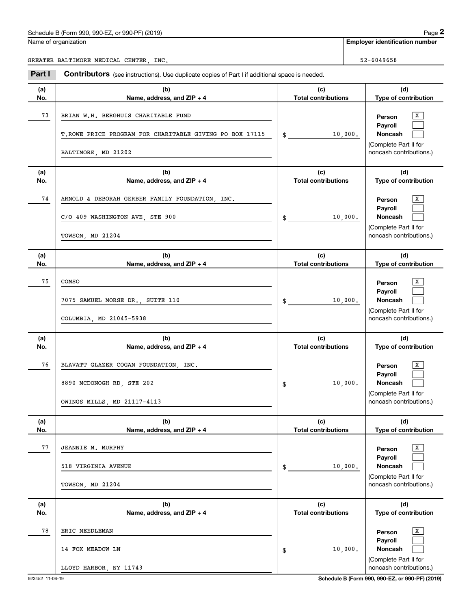Name of organization

**Employer identification number**

GREATER BALTIMORE MEDICAL CENTER, INC. SERVICE SERVICE SERVICE SERVICE SERVICE SERVICE SERVICE SERVICE SERVICE

**(a)No.(b) Name, address, and ZIP + 4 (c)Total contributions (d)Type of contribution PersonPayrollNoncash (a)No.(b)Name, address, and ZIP + 4 (c)Total contributions (d)Type of contribution PersonPayrollNoncash (a)No.(b)Name, address, and ZIP + 4 (c)Total contributions (d)Type of contribution PersonPayrollNoncash (a) No.(b)Name, address, and ZIP + 4 (c) Total contributions (d) Type of contribution PersonPayrollNoncash (a) No.(b)Name, address, and ZIP + 4 (c) Total contributions (d)Type of contribution PersonPayrollNoncash(a)No.(b)Name, address, and ZIP + 4 (c)Total contributions (d)Type of contribution PersonPayrollNoncash Contributors** (see instructions). Use duplicate copies of Part I if additional space is needed. \$(Complete Part II for noncash contributions.) \$(Complete Part II for noncash contributions.) \$(Complete Part II for noncash contributions.) \$(Complete Part II for noncash contributions.) \$(Complete Part II for noncash contributions.) \$(Complete Part II for noncash contributions.) Employer identification Page 2<br>
Iame of organization<br>
REATER BALTIMORE MEDICAL CENTER, INC.<br> **2Part I Contributors** (see instructions). Use duplicate copies of Part I if additional space is needed.  $\overline{\mathbf{x}}$  $\mathcal{L}^{\text{max}}$  $\mathcal{L}^{\text{max}}$  $\overline{X}$  $\mathcal{L}^{\text{max}}$  $\mathcal{L}^{\text{max}}$  $\boxed{\text{X}}$  $\mathcal{L}^{\text{max}}$  $\mathcal{L}^{\text{max}}$  $\boxed{\text{X}}$  $\mathcal{L}^{\text{max}}$  $\mathcal{L}^{\text{max}}$  $\overline{\mathbf{x}}$  $\mathcal{L}^{\text{max}}$  $\mathcal{L}^{\text{max}}$  $\boxed{\text{X}}$  $\mathcal{L}^{\text{max}}$  $\mathcal{L}^{\text{max}}$ 73 X BRIAN W.H. BERGHUIS CHARITABLE FUND 10,000. T.ROWE PRICE PROGRAM FOR CHARITABLE GIVING PO BOX 17115 BALTIMORE, MD 21202 74 X ARNOLD & DEBORAH GERBER FAMILY FOUNDATION, INC. 10,000. C/O 409 WASHINGTON AVE, STE 900 TOWSON, MD 21204 75 X 10,000. COMSO7075 SAMUEL MORSE DR., SUITE 110 COLUMBIA, MD 21045-5938 76 X BLAVATT GLAZER COGAN FOUNDATION, INC. 10,000. 8890 MCDONOGH RD, STE 202 OWINGS MILLS, MD 21117-4113 77 X JEANNIE M. MURPHY 10,000. 518 VIRGINIA AVENUE TOWSON, MD 21204 78 X ERIC NEEDLEMAN 10,000. 14 FOX MEADOW LN LLOYD HARBOR, NY 11743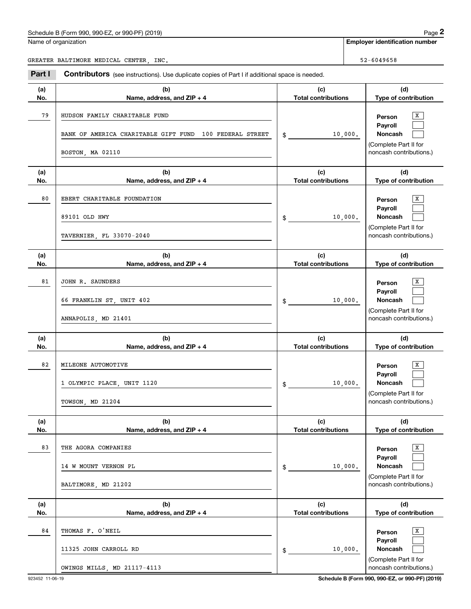|            | Schedule B (Form 990, 990-EZ, or 990-PF) (2019)                                                              |                                   |         | Page 2                                                                                |
|------------|--------------------------------------------------------------------------------------------------------------|-----------------------------------|---------|---------------------------------------------------------------------------------------|
|            | Name of organization                                                                                         |                                   |         | <b>Employer identification number</b>                                                 |
|            | GREATER BALTIMORE MEDICAL CENTER, INC.                                                                       |                                   |         | 52-6049658                                                                            |
| Part I     | Contributors (see instructions). Use duplicate copies of Part I if additional space is needed.               |                                   |         |                                                                                       |
| (a)<br>No. | (b)<br>Name, address, and ZIP + 4                                                                            | (c)<br><b>Total contributions</b> |         | (d)<br>Type of contribution                                                           |
| 79         | HUDSON FAMILY CHARITABLE FUND<br>BANK OF AMERICA CHARITABLE GIFT FUND 100 FEDERAL STREET<br>BOSTON, MA 02110 | $\frac{1}{2}$                     | 10,000. | x<br>Person<br>Payroll<br>Noncash<br>(Complete Part II for<br>noncash contributions.) |
| (a)<br>No. | (b)<br>Name, address, and ZIP + 4                                                                            | (c)<br><b>Total contributions</b> |         | (d)<br>Type of contribution                                                           |
| 80         | EBERT CHARITABLE FOUNDATION<br>89101 OLD HWY<br>TAVERNIER, FL 33070-2040                                     | \$                                | 10,000. | x<br>Person<br>Payroll<br>Noncash<br>(Complete Part II for<br>noncash contributions.) |
| (a)<br>No. | (b)<br>Name, address, and ZIP + 4                                                                            | (c)<br><b>Total contributions</b> |         | (d)<br>Type of contribution                                                           |
| 81         | JOHN R. SAUNDERS<br>66 FRANKLIN ST, UNIT 402<br>ANNAPOLIS, MD 21401                                          | \$                                | 10,000. | x<br>Person<br>Payroll<br>Noncash<br>(Complete Part II for<br>noncash contributions.) |
| (a)<br>No. | (b)<br>Name, address, and ZIP + 4                                                                            | (c)<br><b>Total contributions</b> |         | (d)<br>Type of contribution                                                           |
| 82         | MILEONE AUTOMOTIVE<br>1 OLYMPIC PLACE, UNIT 1120<br>TOWSON, MD 21204                                         | \$                                | 10,000. | x<br>Person<br>Payroll<br>Noncash<br>(Complete Part II for<br>noncash contributions.) |
| (a)<br>No. | (b)<br>Name, address, and ZIP + 4                                                                            | (c)<br><b>Total contributions</b> |         | (d)<br>Type of contribution                                                           |
| 83         | THE AGORA COMPANIES<br>14 W MOUNT VERNON PL<br>BALTIMORE, MD 21202                                           | \$                                | 10,000. | x<br>Person<br>Payroll<br>Noncash<br>(Complete Part II for<br>noncash contributions.) |
| (a)<br>No. | (b)<br>Name, address, and ZIP + 4                                                                            | (c)<br><b>Total contributions</b> |         | (d)<br>Type of contribution                                                           |
| 84         | THOMAS F. O'NEIL<br>11325 JOHN CARROLL RD<br>OWINGS MILLS, MD 21117-4113                                     | \$                                | 10,000. | x<br>Person<br>Payroll<br>Noncash<br>(Complete Part II for<br>noncash contributions.) |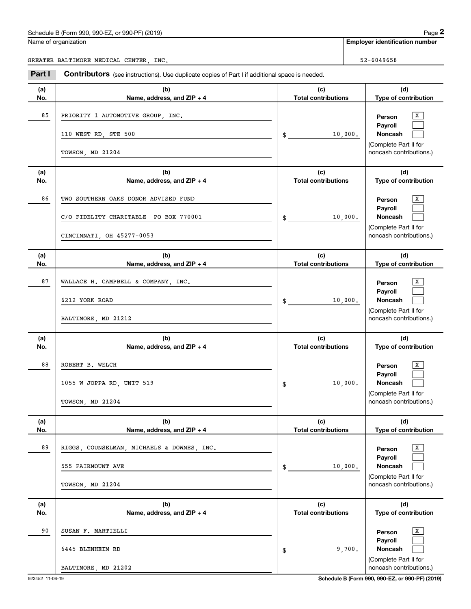Name of organization

**Employer identification number**

GREATER BALTIMORE MEDICAL CENTER, INC. SERVICE SERVICE SERVICE SERVICE SERVICE SERVICE SERVICE SERVICE SERVICE

**(a)No.(b)Name, address, and ZIP + 4 (c)Total contributions (d)Type of contribution PersonPayrollNoncash (a)No.(b)Name, address, and ZIP + 4 (c)Total contributions (d)Type of contribution PersonPayrollNoncash (a)No.(b)Name, address, and ZIP + 4 (c)Total contributions (d)Type of contribution PersonPayrollNoncash (a) No.(b)Name, address, and ZIP + 4 (c) Total contributions (d) Type of contribution PersonPayrollNoncash(a) No.(b)Name, address, and ZIP + 4 (c) Total contributions (d)Type of contribution PersonPayrollNoncash(a)No.(b)Name, address, and ZIP + 4 (c)Total contributions (d)Type of contribution PersonPayrollNoncash Contributors** (see instructions). Use duplicate copies of Part I if additional space is needed. \$(Complete Part II for noncash contributions.) \$(Complete Part II for noncash contributions.) \$(Complete Part II for noncash contributions.) \$(Complete Part II for noncash contributions.) \$(Complete Part II for noncash contributions.) \$(Complete Part II for noncash contributions.) Employer identification Page 2<br>
Iame of organization<br>
REATER BALTIMORE MEDICAL CENTER, INC.<br> **2Part I Contributors** (see instructions). Use duplicate copies of Part I if additional space is needed.  $\overline{\mathbf{x}}$  $\mathcal{L}^{\text{max}}$  $\mathcal{L}^{\text{max}}$  $\overline{X}$  $\mathcal{L}^{\text{max}}$  $\mathcal{L}^{\text{max}}$  $\boxed{\text{X}}$  $\mathcal{L}^{\text{max}}$  $\mathcal{L}^{\text{max}}$  $\boxed{\text{X}}$  $\mathcal{L}^{\text{max}}$  $\mathcal{L}^{\text{max}}$  $\overline{\mathbf{x}}$  $\mathcal{L}^{\text{max}}$  $\mathcal{L}^{\text{max}}$  $\boxed{\text{X}}$  $\mathcal{L}^{\text{max}}$  $\mathcal{L}^{\text{max}}$ 85 X PRIORITY 1 AUTOMOTIVE GROUP, INC. 10,000. 110 WEST RD, STE 500 TOWSON, MD 21204 86 X TWO SOUTHERN OAKS DONOR ADVISED FUND 10,000. C/O FIDELITY CHARITABLE PO BOX 770001 CINCINNATI, OH 45277-0053 87 X WALLACE H. CAMPBELL & COMPANY, INC. 10,000. 6212 YORK ROAD BALTIMORE, MD 21212 88 X ROBERT B. WELCH 10,000. 1055 W JOPPA RD, UNIT 519 TOWSON, MD 21204 89 X RIGGS, COUNSELMAN, MICHAELS & DOWNES, INC. 10,000. 555 FAIRMOUNT AVE TOWSON, MD 21204 90 X SUSAN F. MARTIELLI 9,700. 6445 BLENHEIM RD BALTIMORE, MD 21202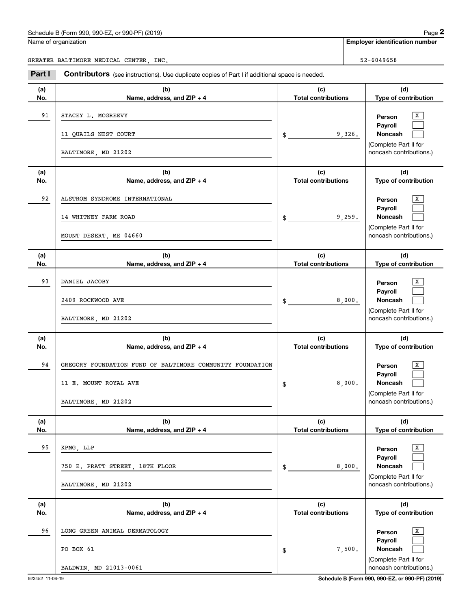|  | Name of organization |
|--|----------------------|
|  |                      |

Employer identification Page 2<br>
Iame of organization<br>
REATER BALTIMORE MEDICAL CENTER, INC.<br> **2Part I Contributors** (see instructions). Use duplicate copies of Part I if additional space is needed. GREATER BALTIMORE MEDICAL CENTER, INC. SERVICE SERVICE SERVICE SERVICE SERVICE SERVICE SERVICE SERVICE SERVICE

**Employer identification number**

| Part I     | <b>Contributors</b> (see instructions). Use duplicate copies of Part I if additional space is needed.     |                                            |                                                                                                               |
|------------|-----------------------------------------------------------------------------------------------------------|--------------------------------------------|---------------------------------------------------------------------------------------------------------------|
| (a)<br>No. | (b)<br>Name, address, and ZIP + 4                                                                         | (c)<br><b>Total contributions</b>          | (d)<br>Type of contribution                                                                                   |
| 91         | STACEY L. MCGREEVY<br>11 QUAILS NEST COURT<br>BALTIMORE, MD 21202                                         | 9,326.<br>$\frac{1}{2}$                    | X<br>Person<br>Payroll<br>Noncash<br>(Complete Part II for<br>noncash contributions.)                         |
| (a)<br>No. | (b)<br>Name, address, and ZIP + 4                                                                         | (c)<br><b>Total contributions</b>          | (d)<br>Type of contribution                                                                                   |
| 92         | ALSTROM SYNDROME INTERNATIONAL<br>14 WHITNEY FARM ROAD<br>MOUNT DESERT, ME 04660                          | 9,259.<br>$\frac{1}{2}$                    | X<br>Person<br>Payroll<br>Noncash<br>(Complete Part II for<br>noncash contributions.)                         |
| (a)<br>No. | (b)<br>Name, address, and ZIP + 4                                                                         | (c)<br><b>Total contributions</b>          | (d)<br>Type of contribution                                                                                   |
| 93         | DANIEL JACOBY<br>2409 ROCKWOOD AVE<br>BALTIMORE, MD 21202                                                 | 8,000.<br>$\frac{1}{2}$                    | х<br>Person<br>Payroll<br>Noncash<br>(Complete Part II for<br>noncash contributions.)                         |
| (a)<br>No. | (b)<br>Name, address, and ZIP + 4                                                                         | (c)<br><b>Total contributions</b>          | (d)<br>Type of contribution                                                                                   |
| 94         | GREGORY FOUNDATION FUND OF BALTIMORE COMMUNITY FOUNDATION<br>11 E. MOUNT ROYAL AVE<br>BALTIMORE, MD 21202 | 8,000.<br>$\frac{1}{2}$                    | x<br>Person<br>Payroll<br>Noncash<br>(Complete Part II for<br>noncash contributions.)                         |
| (a)        | (b)                                                                                                       | (c)                                        | (d)                                                                                                           |
| No.<br>95  | Name, address, and ZIP + 4<br>KPMG, LLP<br>750 E. PRATT STREET, 18TH FLOOR<br>BALTIMORE, MD 21202         | <b>Total contributions</b><br>8,000.<br>\$ | Type of contribution<br>х<br>Person<br>Payroll<br>Noncash<br>(Complete Part II for<br>noncash contributions.) |
| (a)<br>No. | (b)<br>Name, address, and ZIP + 4                                                                         | (c)<br><b>Total contributions</b>          | (d)<br>Type of contribution                                                                                   |
| 96         | LONG GREEN ANIMAL DERMATOLOGY<br>PO BOX 61<br>BALDWIN, MD 21013-0061                                      | 7,500.<br>\$                               | х<br>Person<br>Payroll<br>Noncash<br>(Complete Part II for<br>noncash contributions.)                         |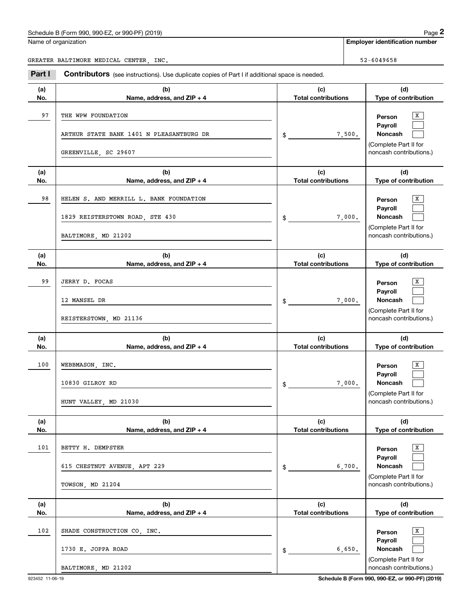Name of organization

**Employer identification number**

Employer identification Page 2<br>
Iame of organization<br>
REATER BALTIMORE MEDICAL CENTER, INC.<br> **2Part I Contributors** (see instructions). Use duplicate copies of Part I if additional space is needed. GREATER BALTIMORE MEDICAL CENTER, INC. SERVICE SERVICE SERVICE SERVICE SERVICE SERVICE SERVICE SERVICE SERVICE

**(a)No.(b)Name, address, and ZIP + 4 (c)Total contributions (d)Type of contribution PersonPayrollNoncash (a)No.(b)Name, address, and ZIP + 4 (c)Total contributions (d)Type of contribution PersonPayrollNoncash (a)No.(b)Name, address, and ZIP + 4 (c)Total contributions (d)Type of contribution PersonPayrollNoncash (a) No.(b)Name, address, and ZIP + 4 (c) Total contributions (d) Type of contribution PersonPayrollNoncash(a) No.(b)Name, address, and ZIP + 4 (c) Total contributions (d)Type of contribution PersonPayrollNoncash(a)No.(b)Name, address, and ZIP + 4 (c)Total contributions (d)Type of contribution PersonPayrollNoncash** \$(Complete Part II for noncash contributions.) \$(Complete Part II for noncash contributions.) \$(Complete Part II for noncash contributions.) \$(Complete Part II for noncash contributions.) \$(Complete Part II for noncash contributions.) \$(Complete Part II for noncash contributions.)  $\overline{\mathbf{x}}$  $\mathcal{L}^{\text{max}}$  $\mathcal{L}^{\text{max}}$  $\overline{X}$  $\mathcal{L}^{\text{max}}$  $\mathcal{L}^{\text{max}}$  $\boxed{\text{X}}$  $\mathcal{L}^{\text{max}}$  $\mathcal{L}^{\text{max}}$  $\boxed{\text{X}}$  $\mathcal{L}^{\text{max}}$  $\mathcal{L}^{\text{max}}$  $\overline{\mathbf{x}}$  $\mathcal{L}^{\text{max}}$  $\mathcal{L}^{\text{max}}$  $\boxed{\text{X}}$  $\mathcal{L}^{\text{max}}$  $\mathcal{L}^{\text{max}}$ 97 X THE WPW FOUNDATION 7,500. ARTHUR STATE BANK 1401 N PLEASANTBURG DR GREENVILLE, SC 29607 98 X HELEN S. AND MERRILL L. BANK FOUNDATION 7,000. 1829 REISTERSTOWN ROAD, STE 430 BALTIMORE, MD 21202 99 X JERRY D. FOCAS 7,000. 12 MANSEL DR REISTERSTOWN, MD 21136 100 X WEBBMASON, INC. 7,000. 10830 GILROY RD HUNT VALLEY, MD 21030 101 X BETTY H. DEMPSTER 6,700. 615 CHESTNUT AVENUE, APT 229 TOWSON, MD 21204 102 X SHADE CONSTRUCTION CO, INC. 6,650. 1730 E. JOPPA ROAD BALTIMORE, MD 21202

**Contributors** (see instructions). Use duplicate copies of Part I if additional space is needed.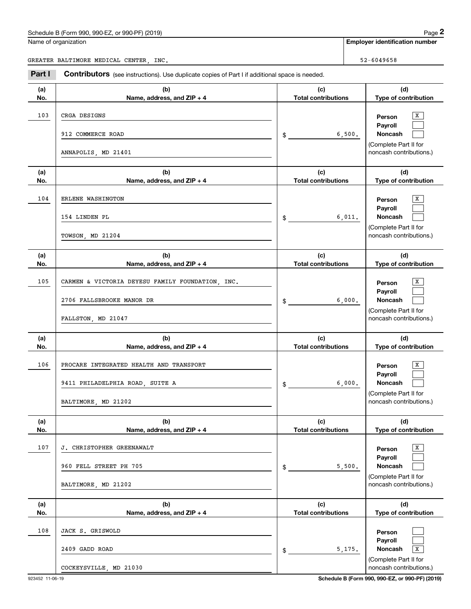|  | Name of organization |
|--|----------------------|
|  |                      |

|            | Schedule B (Form 990, 990-EZ, or 990-PF) (2019)                                                     |                                   |        | Page 2                                                                                |
|------------|-----------------------------------------------------------------------------------------------------|-----------------------------------|--------|---------------------------------------------------------------------------------------|
|            | Name of organization                                                                                |                                   |        | <b>Employer identification number</b>                                                 |
|            | GREATER BALTIMORE MEDICAL CENTER, INC.                                                              |                                   |        | 52-6049658                                                                            |
| Part I     | Contributors (see instructions). Use duplicate copies of Part I if additional space is needed.      |                                   |        |                                                                                       |
| (a)<br>No. | (b)<br>Name, address, and ZIP + 4                                                                   | (c)<br><b>Total contributions</b> |        | (d)<br>Type of contribution                                                           |
| 103        | CRGA DESIGNS                                                                                        |                                   |        | x<br>Person                                                                           |
|            | 912 COMMERCE ROAD                                                                                   | \$                                | 6,500. | Payroll<br>Noncash                                                                    |
|            | ANNAPOLIS, MD 21401                                                                                 |                                   |        | (Complete Part II for<br>noncash contributions.)                                      |
| (a)<br>No. | (b)<br>Name, address, and ZIP + 4                                                                   | (c)<br><b>Total contributions</b> |        | (d)<br>Type of contribution                                                           |
| 104        | ERLENE WASHINGTON<br>154 LINDEN PL<br>TOWSON, MD 21204                                              | \$                                | 6,011. | x<br>Person<br>Payroll<br>Noncash<br>(Complete Part II for<br>noncash contributions.) |
| (a)<br>No. | (b)<br>Name, address, and ZIP + 4                                                                   | (c)<br><b>Total contributions</b> |        | (d)<br>Type of contribution                                                           |
| 105        | CARMEN & VICTORIA DEYESU FAMILY FOUNDATION, INC.<br>2706 FALLSBROOKE MANOR DR<br>FALLSTON, MD 21047 | \$                                | 6,000. | x<br>Person<br>Payroll<br>Noncash<br>(Complete Part II for<br>noncash contributions.) |
| (a)<br>No. | (b)<br>Name, address, and ZIP + 4                                                                   | (c)<br><b>Total contributions</b> |        | (d)<br>Type of contribution                                                           |
| 106        | PROCARE INTEGRATED HEALTH AND TRANSPORT<br>9411 PHILADELPHIA ROAD, SUITE A<br>BALTIMORE, MD 21202   | \$                                | 6,000. | x<br>Person<br>Payroll<br>Noncash<br>(Complete Part II for<br>noncash contributions.) |
| (a)<br>No. | (b)<br>Name, address, and ZIP + 4                                                                   | (c)<br><b>Total contributions</b> |        | (d)<br>Type of contribution                                                           |
| 107        | J. CHRISTOPHER GREENAWALT<br>960 FELL STREET PH 705<br>BALTIMORE, MD 21202                          | \$                                | 5,500. | X<br>Person<br>Payroll<br>Noncash<br>(Complete Part II for<br>noncash contributions.) |
| (a)<br>No. | (b)<br>Name, address, and ZIP + 4                                                                   | (c)<br><b>Total contributions</b> |        | (d)<br>Type of contribution                                                           |
| 108        | JACK S. GRISWOLD<br>2409 GADD ROAD                                                                  | \$                                | 5,175. | Person<br>Payroll<br>Noncash<br>$\overline{\mathbf{x}}$<br>(Complete Part II for      |
|            | COCKEYSVILLE, MD 21030                                                                              |                                   |        | noncash contributions.)                                                               |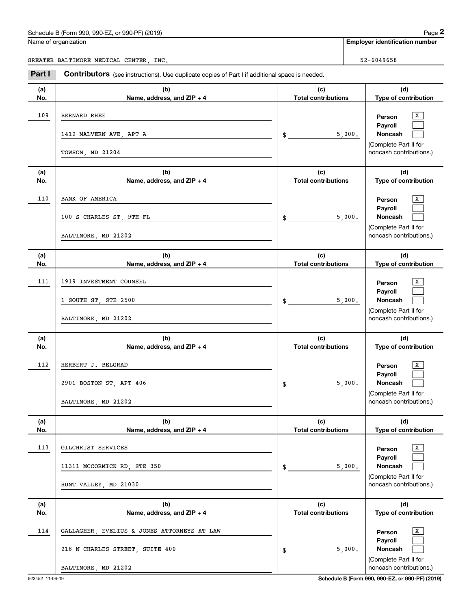|            | Schedule B (Form 990, 990-EZ, or 990-PF) (2019)                                                |                                   |        | Page 2                                           |
|------------|------------------------------------------------------------------------------------------------|-----------------------------------|--------|--------------------------------------------------|
|            | Name of organization                                                                           |                                   |        | <b>Employer identification number</b>            |
|            | GREATER BALTIMORE MEDICAL CENTER, INC.                                                         |                                   |        | 52-6049658                                       |
| Part I     | Contributors (see instructions). Use duplicate copies of Part I if additional space is needed. |                                   |        |                                                  |
| (a)<br>No. | (b)<br>Name, address, and ZIP + 4                                                              | (c)<br><b>Total contributions</b> |        | (d)<br>Type of contribution                      |
| 109        | <b>BERNARD RHEE</b>                                                                            |                                   |        | х<br>Person                                      |
|            | 1412 MALVERN AVE, APT A                                                                        | \$                                | 5,000. | Payroll<br>Noncash<br>(Complete Part II for      |
|            | TOWSON, MD 21204                                                                               |                                   |        | noncash contributions.)                          |
| (a)<br>No. | (b)<br>Name, address, and ZIP + 4                                                              | (c)<br><b>Total contributions</b> |        | (d)<br>Type of contribution                      |
| 110        | BANK OF AMERICA                                                                                |                                   |        | х<br>Person                                      |
|            | 100 S CHARLES ST, 9TH FL                                                                       | \$                                | 5,000. | Payroll<br>Noncash                               |
|            | BALTIMORE, MD 21202                                                                            |                                   |        | (Complete Part II for<br>noncash contributions.) |
| (a)<br>No. | (b)<br>Name, address, and ZIP + 4                                                              | (c)<br><b>Total contributions</b> |        | (d)<br>Type of contribution                      |
| 111        | 1919 INVESTMENT COUNSEL                                                                        |                                   |        | x<br>Person                                      |
|            | 1 SOUTH ST, STE 2500                                                                           | \$                                | 5,000. | Payroll<br>Noncash                               |
|            | BALTIMORE, MD 21202                                                                            |                                   |        | (Complete Part II for<br>noncash contributions.) |
| (a)<br>No. | (b)<br>Name, address, and ZIP + 4                                                              | (c)<br><b>Total contributions</b> |        | (d)<br>Type of contribution                      |
| 112        | HERBERT J. BELGRAD                                                                             |                                   |        | X<br>Person                                      |
|            | 2901 BOSTON ST, APT 406                                                                        | \$                                | 5,000. | Payroll<br>Noncash                               |
|            | BALTIMORE, MD 21202                                                                            |                                   |        | (Complete Part II for<br>noncash contributions.) |
| (a)<br>No. | (b)<br>Name, address, and ZIP + 4                                                              | (c)<br><b>Total contributions</b> |        | (d)<br>Type of contribution                      |
| 113        | GILCHRIST SERVICES                                                                             |                                   |        | X<br>Person                                      |
|            | 11311 MCCORMICK RD, STE 350                                                                    | \$                                | 5,000. | Payroll<br>Noncash                               |
|            | HUNT VALLEY, MD 21030                                                                          |                                   |        | (Complete Part II for<br>noncash contributions.) |
| (a)<br>No. | (b)<br>Name, address, and ZIP + 4                                                              | (c)<br><b>Total contributions</b> |        | (d)<br>Type of contribution                      |
| 114        | GALLAGHER, EVELIUS & JONES ATTORNEYS AT LAW                                                    |                                   |        | X<br>Person                                      |
|            | 218 N CHARLES STREET, SUITE 400                                                                | \$                                | 5,000. | Payroll<br>Noncash                               |
|            | BALTIMORE, MD 21202                                                                            |                                   |        | (Complete Part II for<br>noncash contributions.) |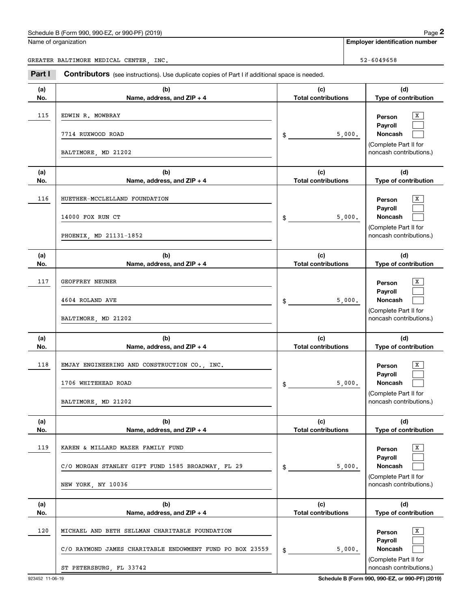Name of organization

|--|

**Employer identification number**

Chedule B (Form 990, 990-EZ, or 990-PF) (2019)<br> **2019 Employer identification number**<br> **2Part I Contributors** (see instructions). Use duplicate copies of Part I if additional space is needed.<br> **2Part I Contributors** (s GREATER BALTIMORE MEDICAL CENTER, INC. SERVICE SERVICE SERVICE SERVICE SERVICE SERVICE SERVICE SERVICE SERVICE

| (a)<br>No. | (b)<br>Name, address, and ZIP + 4                                                                                                     | (c)<br><b>Total contributions</b> | (d)<br>Type of contribution                                                           |
|------------|---------------------------------------------------------------------------------------------------------------------------------------|-----------------------------------|---------------------------------------------------------------------------------------|
| 115        | EDWIN R. MOWBRAY<br>7714 RUXWOOD ROAD<br>BALTIMORE, MD 21202                                                                          | 5,000.<br>$\frac{1}{2}$           | x<br>Person<br>Payroll<br>Noncash<br>(Complete Part II for<br>noncash contributions.) |
| (a)<br>No. | (b)<br>Name, address, and ZIP + 4                                                                                                     | (c)<br><b>Total contributions</b> | (d)<br>Type of contribution                                                           |
| 116        | HUETHER-MCCLELLAND FOUNDATION<br>14000 FOX RUN CT<br>PHOENIX, MD 21131-1852                                                           | 5,000.<br>$\frac{1}{2}$           | x<br>Person<br>Payroll<br>Noncash<br>(Complete Part II for<br>noncash contributions.) |
| (a)<br>No. | (b)<br>Name, address, and ZIP + 4                                                                                                     | (c)<br><b>Total contributions</b> | (d)<br>Type of contribution                                                           |
| 117        | GEOFFREY NEUNER<br>4604 ROLAND AVE<br>BALTIMORE, MD 21202                                                                             | 5,000.<br>$\frac{1}{2}$           | x<br>Person<br>Payroll<br>Noncash<br>(Complete Part II for<br>noncash contributions.) |
| (a)<br>No. | (b)<br>Name, address, and ZIP + 4                                                                                                     | (c)<br><b>Total contributions</b> | (d)<br>Type of contribution                                                           |
| 118        | EMJAY ENGINEERING AND CONSTRUCTION CO., INC.<br>1706 WHITEHEAD ROAD<br>BALTIMORE, MD 21202                                            | 5,000.<br>\$                      | x<br>Person<br>Payroll<br>Noncash<br>(Complete Part II for<br>noncash contributions.) |
| (a)<br>No. | (b)<br>Name, address, and ZIP + 4                                                                                                     | (c)<br><b>Total contributions</b> | (d)<br>Type of contribution                                                           |
| 119        | KAREN & MILLARD MAZER FAMILY FUND<br>C/O MORGAN STANLEY GIFT FUND 1585 BROADWAY, FL 29<br>NEW YORK, NY 10036                          | 5,000.<br>$$^{\circ}$             | X<br>Person<br>Payroll<br>Noncash<br>(Complete Part II for<br>noncash contributions.) |
| (a)<br>No. | (b)<br>Name, address, and ZIP + 4                                                                                                     | (c)<br><b>Total contributions</b> | (d)<br>Type of contribution                                                           |
| 120        | MICHAEL AND BETH SELLMAN CHARITABLE FOUNDATION<br>C/O RAYMOND JAMES CHARITABLE ENDOWMENT FUND PO BOX 23559<br>ST PETERSBURG, FL 33742 | 5,000.<br>\$                      | X<br>Person<br>Payroll<br>Noncash<br>(Complete Part II for<br>noncash contributions.) |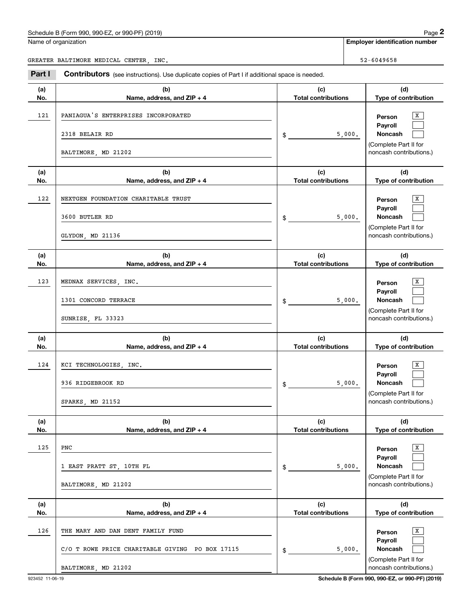Name of organization

|--|

**Employer identification number**

Employer identification Page 2<br>
Iame of organization<br>
REATER BALTIMORE MEDICAL CENTER, INC.<br> **2Part I Contributors** (see instructions). Use duplicate copies of Part I if additional space is needed. GREATER BALTIMORE MEDICAL CENTER, INC. SERVICE SERVICE SERVICE SERVICE SERVICE SERVICE SERVICE SERVICE SERVICE

| Part I     | <b>Contributors</b> (see instructions). Use duplicate copies of Part I if additional space is needed.                                        |                                            |                                                                                                               |
|------------|----------------------------------------------------------------------------------------------------------------------------------------------|--------------------------------------------|---------------------------------------------------------------------------------------------------------------|
| (a)<br>No. | (b)<br>Name, address, and ZIP + 4                                                                                                            | (c)<br><b>Total contributions</b>          | (d)<br>Type of contribution                                                                                   |
| 121        | PANIAGUA'S ENTERPRISES INCORPORATED<br>2318 BELAIR RD<br>BALTIMORE, MD 21202                                                                 | 5,000.<br>\$                               | Х<br>Person<br>Payroll<br>Noncash<br>(Complete Part II for<br>noncash contributions.)                         |
| (a)<br>No. | (b)<br>Name, address, and ZIP + 4                                                                                                            | (c)<br><b>Total contributions</b>          | (d)<br>Type of contribution                                                                                   |
| 122        | NEXTGEN FOUNDATION CHARITABLE TRUST<br>3600 BUTLER RD<br>GLYDON, MD 21136                                                                    | 5,000.<br>\$                               | Х<br>Person<br>Payroll<br>Noncash<br>(Complete Part II for<br>noncash contributions.)                         |
| (a)<br>No. | (b)<br>Name, address, and ZIP + 4                                                                                                            | (c)<br><b>Total contributions</b>          | (d)<br>Type of contribution                                                                                   |
| 123        | MEDNAX SERVICES, INC.<br>1301 CONCORD TERRACE<br>SUNRISE, FL 33323                                                                           | 5,000.<br>\$                               | X<br>Person<br>Payroll<br>Noncash<br>(Complete Part II for<br>noncash contributions.)                         |
| (a)<br>No. | (b)<br>Name, address, and ZIP + 4                                                                                                            | (c)<br><b>Total contributions</b>          | (d)<br>Type of contribution                                                                                   |
| 124        | KCI TECHNOLOGIES, INC.<br>936 RIDGEBROOK RD<br>SPARKS, MD 21152                                                                              | 5,000.<br>$\frac{1}{2}$                    | x<br>Person<br>Payroll<br>Noncash<br>(Complete Part II for<br>noncash contributions.)                         |
| (a)        | (b)                                                                                                                                          | (c)                                        | (d)                                                                                                           |
| No.<br>125 | Name, address, and ZIP + 4<br>PNC<br>1 EAST PRATT ST, 10TH FL<br>BALTIMORE, MD 21202                                                         | <b>Total contributions</b><br>5,000.<br>\$ | Type of contribution<br>X<br>Person<br>Payroll<br>Noncash<br>(Complete Part II for<br>noncash contributions.) |
| (a)<br>No. | (b)                                                                                                                                          | (c)<br><b>Total contributions</b>          | (d)<br>Type of contribution                                                                                   |
| 126        | Name, address, and ZIP + 4<br>THE MARY AND DAN DENT FAMILY FUND<br>C/O T ROWE PRICE CHARITABLE GIVING<br>PO BOX 17115<br>BALTIMORE, MD 21202 | 5,000.<br>\$                               | х<br>Person<br>Payroll<br>Noncash<br>(Complete Part II for<br>noncash contributions.)                         |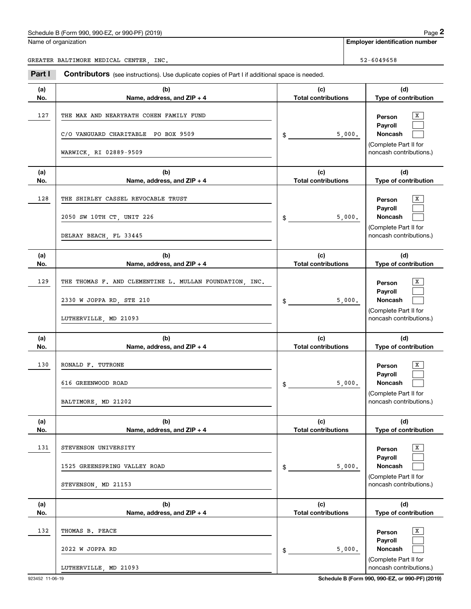|            | Schedule B (Form 990, 990-EZ, or 990-PF) (2019)                                                                         |                                   |        | Page 2                                                                                                        |
|------------|-------------------------------------------------------------------------------------------------------------------------|-----------------------------------|--------|---------------------------------------------------------------------------------------------------------------|
|            | Name of organization                                                                                                    |                                   |        | <b>Employer identification number</b>                                                                         |
|            | GREATER BALTIMORE MEDICAL CENTER, INC.                                                                                  |                                   |        | 52-6049658                                                                                                    |
| Part I     | Contributors (see instructions). Use duplicate copies of Part I if additional space is needed.                          |                                   |        |                                                                                                               |
| (a)<br>No. | (b)<br>Name, address, and ZIP + 4                                                                                       | (c)<br><b>Total contributions</b> |        | (d)<br>Type of contribution                                                                                   |
| 127        | THE MAX AND NEARYRATH COHEN FAMILY FUND<br>C/O VANGUARD CHARITABLE PO BOX 9509<br>WARWICK, RI 02889-9509                | \$                                | 5,000. | х<br>Person<br>Payroll<br>Noncash<br>(Complete Part II for<br>noncash contributions.)                         |
| (a)        | (b)                                                                                                                     | (c)                               |        | (d)                                                                                                           |
| No.<br>128 | Name, address, and ZIP + 4<br>THE SHIRLEY CASSEL REVOCABLE TRUST<br>2050 SW 10TH CT, UNIT 226<br>DELRAY BEACH, FL 33445 | <b>Total contributions</b><br>\$  | 5,000. | Type of contribution<br>х<br>Person<br>Payroll<br>Noncash<br>(Complete Part II for<br>noncash contributions.) |
| (a)<br>No. | (b)<br>Name, address, and ZIP + 4                                                                                       | (c)<br><b>Total contributions</b> |        | (d)<br>Type of contribution                                                                                   |
| 129        | THE THOMAS F. AND CLEMENTINE L. MULLAN FOUNDATION, INC.<br>2330 W JOPPA RD, STE 210<br>LUTHERVILLE, MD 21093            | \$                                | 5,000. | х<br>Person<br>Payroll<br>Noncash<br>(Complete Part II for<br>noncash contributions.)                         |
| (a)<br>No. | (b)<br>Name, address, and ZIP + 4                                                                                       | (c)<br><b>Total contributions</b> |        | (d)<br>Type of contribution                                                                                   |
| 130        | RONALD F. TUTRONE<br>616 GREENWOOD ROAD<br>BALTIMORE, MD 21202                                                          | \$                                | 5,000. | х<br>Person<br>Payroll<br>Noncash<br>(Complete Part II for<br>noncash contributions.)                         |
| (a)<br>No. | (b)<br>Name, address, and ZIP + 4                                                                                       | (c)<br><b>Total contributions</b> |        | (d)<br>Type of contribution                                                                                   |
| 131        | STEVENSON UNIVERSITY<br>1525 GREENSPRING VALLEY ROAD<br>STEVENSON, MD 21153                                             | \$                                | 5,000. | x<br>Person<br>Payroll<br>Noncash<br>(Complete Part II for<br>noncash contributions.)                         |
| (a)<br>No. | (b)<br>Name, address, and ZIP + 4                                                                                       | (c)<br><b>Total contributions</b> |        | (d)<br>Type of contribution                                                                                   |
| 132        | THOMAS B. PEACE<br>2022 W JOPPA RD<br>LUTHERVILLE, MD 21093                                                             | \$                                | 5,000. | x<br>Person<br>Payroll<br>Noncash<br>(Complete Part II for<br>noncash contributions.)                         |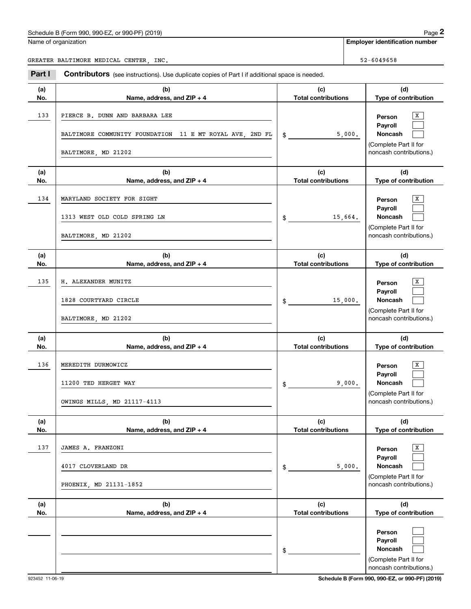Name of organization

**Employer identification number**

GREATER BALTIMORE MEDICAL CENTER, INC. SERVICE SERVICE SERVICE SERVICE SERVICE SERVICE SERVICE SERVICE SERVICE

**(a)No.(b)Name, address, and ZIP + 4 (c)Total contributions (d)Type of contribution PersonPayrollNoncash (a)No.(b)Name, address, and ZIP + 4 (c)Total contributions (d)Type of contribution PersonPayrollNoncash (a)No.(b)Name, address, and ZIP + 4 (c)Total contributions (d)Type of contribution PersonPayrollNoncash (a) No.(b)Name, address, and ZIP + 4 (c) Total contributions (d) Type of contribution PersonPayrollNoncash(a) No.(b)Name, address, and ZIP + 4 (c) Total contributions (d)Type of contribution PersonPayrollNoncash (a)No.(b)Name, address, and ZIP + 4 (c)Total contributions (d)Type of contribution PersonPayrollNoncash Contributors** (see instructions). Use duplicate copies of Part I if additional space is needed. \$(Complete Part II for noncash contributions.) \$(Complete Part II for noncash contributions.) \$(Complete Part II for noncash contributions.) \$(Complete Part II for noncash contributions.) \$(Complete Part II for noncash contributions.) \$(Complete Part II for noncash contributions.) Employer identification Page 2<br>
Iame of organization<br>
REATER BALTIMORE MEDICAL CENTER, INC.<br> **2Part I Contributors** (see instructions). Use duplicate copies of Part I if additional space is needed.  $\overline{\mathbf{x}}$  $\mathcal{L}^{\text{max}}$  $\mathcal{L}^{\text{max}}$  $X$  $\mathcal{L}^{\text{max}}$  $\mathcal{L}^{\text{max}}$  $\boxed{\text{X}}$  $\mathcal{L}^{\text{max}}$  $\mathcal{L}^{\text{max}}$  $\boxed{\text{X}}$  $\mathcal{L}^{\text{max}}$  $\mathcal{L}^{\text{max}}$  $\overline{\mathbf{x}}$  $\mathcal{L}^{\text{max}}$  $\mathcal{L}^{\text{max}}$  $\mathcal{L}^{\text{max}}$  $\mathcal{L}^{\text{max}}$  $\mathcal{L}^{\text{max}}$ 13333 PIERCE B. DUNN AND BARBARA LEE ARDENIS AND HIS SERVICE SERVICE SERVICE SERVICE SERVICE SERVICE SERVICE SERVICE 5,000. BALTIMORE COMMUNITY FOUNDATION 11 E MT ROYAL AVE, 2ND FL BALTIMORE, MD 21202 134 X MARYLAND SOCIETY FOR SIGHT 15,664. 1313 WEST OLD COLD SPRING LN BALTIMORE, MD 21202 135 X H. ALEXANDER MUNITZ 15,000. 1828 COURTYARD CIRCLE BALTIMORE, MD 21202 136 X MEREDITH DURMOWICZ 9,000. 11200 TED HERGET WAY OWINGS MILLS, MD 21117-4113 137 X JAMES A. FRANZONI 5,000. 4017 CLOVERLAND DR PHOENIX, MD 21131-1852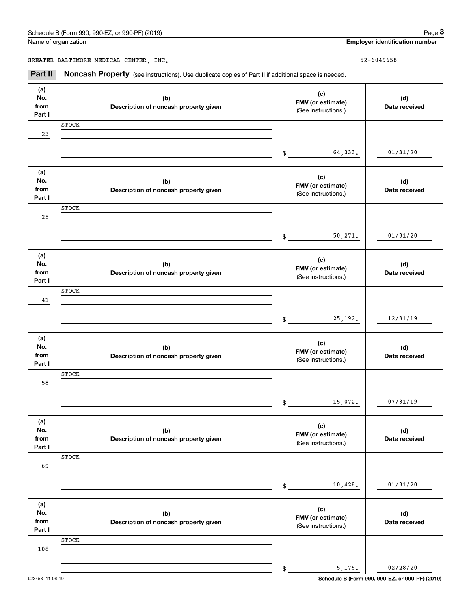| Schedule B (Form 990, 990-EZ, or 990-PF) (2019) | Page |
|-------------------------------------------------|------|
|-------------------------------------------------|------|

|                              | Schedule B (Form 990, 990-EZ, or 990-PF) (2019)                                                     |                                                 |          | Page 3                                |
|------------------------------|-----------------------------------------------------------------------------------------------------|-------------------------------------------------|----------|---------------------------------------|
|                              | Name of organization                                                                                |                                                 |          | <b>Employer identification number</b> |
|                              | GREATER BALTIMORE MEDICAL CENTER, INC.                                                              |                                                 |          | 52-6049658                            |
| Part II                      | Noncash Property (see instructions). Use duplicate copies of Part II if additional space is needed. |                                                 |          |                                       |
| (a)<br>No.<br>from<br>Part I | (b)<br>Description of noncash property given                                                        | (c)<br>FMV (or estimate)<br>(See instructions.) |          | (d)<br>Date received                  |
| 23                           | <b>STOCK</b>                                                                                        |                                                 |          |                                       |
| (a)                          |                                                                                                     | \$                                              | 64,333.  | 01/31/20                              |
| No.<br>from<br>Part I        | (b)<br>Description of noncash property given                                                        | (c)<br>FMV (or estimate)<br>(See instructions.) |          | (d)<br>Date received                  |
| 25                           | <b>STOCK</b>                                                                                        |                                                 |          |                                       |
|                              |                                                                                                     | \$                                              | 50, 271. | 01/31/20                              |
| (a)<br>No.<br>from<br>Part I | (b)<br>Description of noncash property given                                                        | (c)<br>FMV (or estimate)<br>(See instructions.) |          | (d)<br>Date received                  |
| 41                           | <b>STOCK</b>                                                                                        |                                                 |          |                                       |
|                              |                                                                                                     | \$                                              | 25, 192. | 12/31/19                              |
| (a)<br>No.<br>from<br>Part I | (b)<br>Description of noncash property given                                                        | (c)<br>FMV (or estimate)<br>(See instructions.) |          | (d)<br>Date received                  |
| 58                           | <b>STOCK</b>                                                                                        |                                                 |          |                                       |
|                              |                                                                                                     | \$                                              | 15,072.  | 07/31/19                              |
| (a)<br>No.<br>from<br>Part I | (b)<br>Description of noncash property given                                                        | (c)<br>FMV (or estimate)<br>(See instructions.) |          | (d)<br>Date received                  |
| 69                           | <b>STOCK</b>                                                                                        |                                                 |          |                                       |
|                              |                                                                                                     | \$                                              | 10,428.  | 01/31/20                              |
| (a)<br>No.<br>from<br>Part I | (b)<br>Description of noncash property given                                                        | (c)<br>FMV (or estimate)<br>(See instructions.) |          | (d)<br>Date received                  |
| 108                          | <b>STOCK</b>                                                                                        |                                                 |          |                                       |
|                              |                                                                                                     | \$                                              | 5,175.   | 02/28/20                              |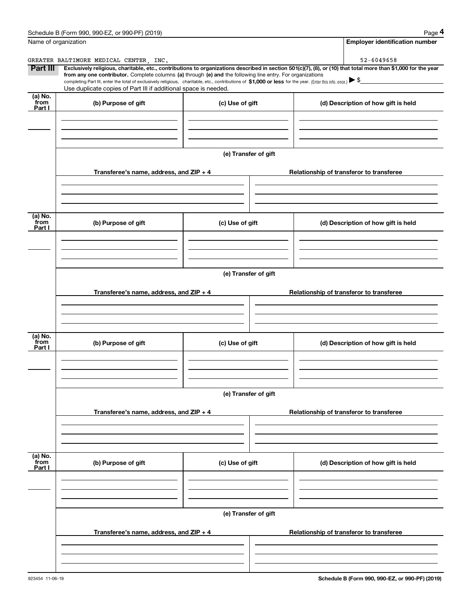|                      | Schedule B (Form 990, 990-EZ, or 990-PF) (2019)                                                                                                                                                                                                                            |                      | Page 4                                                                                                                                                         |  |  |  |  |
|----------------------|----------------------------------------------------------------------------------------------------------------------------------------------------------------------------------------------------------------------------------------------------------------------------|----------------------|----------------------------------------------------------------------------------------------------------------------------------------------------------------|--|--|--|--|
| Name of organization |                                                                                                                                                                                                                                                                            |                      | <b>Employer identification number</b>                                                                                                                          |  |  |  |  |
|                      | GREATER BALTIMORE MEDICAL CENTER, INC.                                                                                                                                                                                                                                     |                      | 52-6049658                                                                                                                                                     |  |  |  |  |
| Part III             |                                                                                                                                                                                                                                                                            |                      | Exclusively religious, charitable, etc., contributions to organizations described in section 501(c)(7), (8), or (10) that total more than \$1,000 for the year |  |  |  |  |
|                      | from any one contributor. Complete columns (a) through (e) and the following line entry. For organizations<br>completing Part III, enter the total of exclusively religious, charitable, etc., contributions of \$1,000 or less for the year. (Enter this info. once.) \\$ |                      |                                                                                                                                                                |  |  |  |  |
|                      | Use duplicate copies of Part III if additional space is needed.                                                                                                                                                                                                            |                      |                                                                                                                                                                |  |  |  |  |
| (a) No.<br>from      | (b) Purpose of gift                                                                                                                                                                                                                                                        | (c) Use of gift      | (d) Description of how gift is held                                                                                                                            |  |  |  |  |
| Part I               |                                                                                                                                                                                                                                                                            |                      |                                                                                                                                                                |  |  |  |  |
|                      |                                                                                                                                                                                                                                                                            |                      |                                                                                                                                                                |  |  |  |  |
|                      |                                                                                                                                                                                                                                                                            |                      |                                                                                                                                                                |  |  |  |  |
|                      |                                                                                                                                                                                                                                                                            | (e) Transfer of gift |                                                                                                                                                                |  |  |  |  |
|                      |                                                                                                                                                                                                                                                                            |                      |                                                                                                                                                                |  |  |  |  |
|                      | Transferee's name, address, and ZIP + 4                                                                                                                                                                                                                                    |                      | Relationship of transferor to transferee                                                                                                                       |  |  |  |  |
|                      |                                                                                                                                                                                                                                                                            |                      |                                                                                                                                                                |  |  |  |  |
|                      |                                                                                                                                                                                                                                                                            |                      |                                                                                                                                                                |  |  |  |  |
|                      |                                                                                                                                                                                                                                                                            |                      |                                                                                                                                                                |  |  |  |  |
| (a) No.<br>from      | (b) Purpose of gift                                                                                                                                                                                                                                                        | (c) Use of gift      | (d) Description of how gift is held                                                                                                                            |  |  |  |  |
| Part I               |                                                                                                                                                                                                                                                                            |                      |                                                                                                                                                                |  |  |  |  |
|                      |                                                                                                                                                                                                                                                                            |                      |                                                                                                                                                                |  |  |  |  |
|                      |                                                                                                                                                                                                                                                                            |                      |                                                                                                                                                                |  |  |  |  |
|                      |                                                                                                                                                                                                                                                                            |                      |                                                                                                                                                                |  |  |  |  |
|                      | (e) Transfer of gift                                                                                                                                                                                                                                                       |                      |                                                                                                                                                                |  |  |  |  |
|                      | Transferee's name, address, and ZIP + 4<br>Relationship of transferor to transferee                                                                                                                                                                                        |                      |                                                                                                                                                                |  |  |  |  |
|                      |                                                                                                                                                                                                                                                                            |                      |                                                                                                                                                                |  |  |  |  |
|                      |                                                                                                                                                                                                                                                                            |                      |                                                                                                                                                                |  |  |  |  |
|                      |                                                                                                                                                                                                                                                                            |                      |                                                                                                                                                                |  |  |  |  |
| (a) No.<br>from      | (b) Purpose of gift                                                                                                                                                                                                                                                        | (c) Use of gift      | (d) Description of how gift is held                                                                                                                            |  |  |  |  |
| Part I               |                                                                                                                                                                                                                                                                            |                      |                                                                                                                                                                |  |  |  |  |
|                      |                                                                                                                                                                                                                                                                            |                      |                                                                                                                                                                |  |  |  |  |
|                      |                                                                                                                                                                                                                                                                            |                      |                                                                                                                                                                |  |  |  |  |
|                      |                                                                                                                                                                                                                                                                            |                      |                                                                                                                                                                |  |  |  |  |
|                      | (e) Transfer of gift                                                                                                                                                                                                                                                       |                      |                                                                                                                                                                |  |  |  |  |
|                      | Transferee's name, address, and $ZIP + 4$                                                                                                                                                                                                                                  |                      | Relationship of transferor to transferee                                                                                                                       |  |  |  |  |
|                      |                                                                                                                                                                                                                                                                            |                      |                                                                                                                                                                |  |  |  |  |
|                      |                                                                                                                                                                                                                                                                            |                      |                                                                                                                                                                |  |  |  |  |
|                      |                                                                                                                                                                                                                                                                            |                      |                                                                                                                                                                |  |  |  |  |
| (a) No.<br>from      |                                                                                                                                                                                                                                                                            |                      |                                                                                                                                                                |  |  |  |  |
| Part I               | (b) Purpose of gift                                                                                                                                                                                                                                                        | (c) Use of gift      | (d) Description of how gift is held                                                                                                                            |  |  |  |  |
|                      |                                                                                                                                                                                                                                                                            |                      |                                                                                                                                                                |  |  |  |  |
|                      |                                                                                                                                                                                                                                                                            |                      |                                                                                                                                                                |  |  |  |  |
|                      |                                                                                                                                                                                                                                                                            |                      |                                                                                                                                                                |  |  |  |  |
|                      |                                                                                                                                                                                                                                                                            | (e) Transfer of gift |                                                                                                                                                                |  |  |  |  |
|                      |                                                                                                                                                                                                                                                                            |                      |                                                                                                                                                                |  |  |  |  |
|                      | Transferee's name, address, and $ZIP + 4$                                                                                                                                                                                                                                  |                      | Relationship of transferor to transferee                                                                                                                       |  |  |  |  |
|                      |                                                                                                                                                                                                                                                                            |                      |                                                                                                                                                                |  |  |  |  |
|                      |                                                                                                                                                                                                                                                                            |                      |                                                                                                                                                                |  |  |  |  |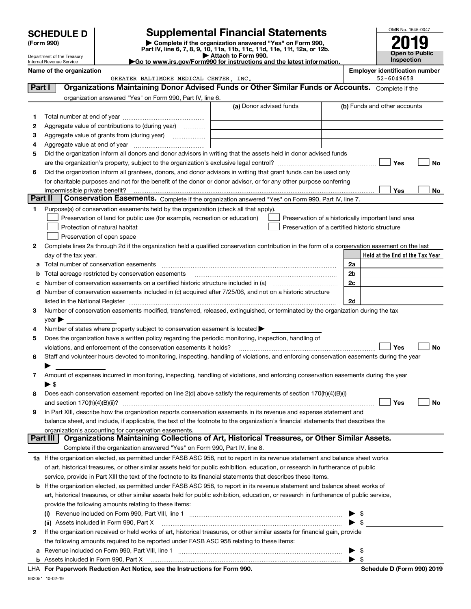|         | OMB No. 1545-0047<br><b>Supplemental Financial Statements</b><br><b>SCHEDULE D</b><br>Complete if the organization answered "Yes" on Form 990,<br>(Form 990) |                                                                                                        |                                                                                                                                                |                |                                 |  |  |
|---------|--------------------------------------------------------------------------------------------------------------------------------------------------------------|--------------------------------------------------------------------------------------------------------|------------------------------------------------------------------------------------------------------------------------------------------------|----------------|---------------------------------|--|--|
|         | Department of the Treasury                                                                                                                                   |                                                                                                        | Part IV, line 6, 7, 8, 9, 10, 11a, 11b, 11c, 11d, 11e, 11f, 12a, or 12b.<br>Attach to Form 990.                                                |                | Open to Public                  |  |  |
|         | Internal Revenue Service                                                                                                                                     | Go to www.irs.gov/Form990 for instructions and the latest information.                                 | Inspection                                                                                                                                     |                |                                 |  |  |
|         | Name of the organization                                                                                                                                     |                                                                                                        | <b>Employer identification number</b><br>52-6049658                                                                                            |                |                                 |  |  |
| Part I  |                                                                                                                                                              | GREATER BALTIMORE MEDICAL CENTER, INC.                                                                 | Organizations Maintaining Donor Advised Funds or Other Similar Funds or Accounts. Complete if the                                              |                |                                 |  |  |
|         |                                                                                                                                                              | organization answered "Yes" on Form 990, Part IV, line 6.                                              |                                                                                                                                                |                |                                 |  |  |
|         |                                                                                                                                                              |                                                                                                        | (a) Donor advised funds                                                                                                                        |                | (b) Funds and other accounts    |  |  |
| 1       |                                                                                                                                                              |                                                                                                        |                                                                                                                                                |                |                                 |  |  |
| 2       |                                                                                                                                                              | Aggregate value of contributions to (during year)                                                      |                                                                                                                                                |                |                                 |  |  |
| 3       |                                                                                                                                                              |                                                                                                        |                                                                                                                                                |                |                                 |  |  |
| 4       |                                                                                                                                                              |                                                                                                        |                                                                                                                                                |                |                                 |  |  |
| 5       |                                                                                                                                                              |                                                                                                        | Did the organization inform all donors and donor advisors in writing that the assets held in donor advised funds                               |                |                                 |  |  |
|         |                                                                                                                                                              |                                                                                                        |                                                                                                                                                |                | Yes<br>No                       |  |  |
| 6       |                                                                                                                                                              |                                                                                                        | Did the organization inform all grantees, donors, and donor advisors in writing that grant funds can be used only                              |                |                                 |  |  |
|         |                                                                                                                                                              |                                                                                                        | for charitable purposes and not for the benefit of the donor or donor advisor, or for any other purpose conferring                             |                |                                 |  |  |
| Part II | impermissible private benefit?                                                                                                                               |                                                                                                        | Conservation Easements. Complete if the organization answered "Yes" on Form 990, Part IV, line 7.                                              |                | Yes<br>No                       |  |  |
| 1       |                                                                                                                                                              | Purpose(s) of conservation easements held by the organization (check all that apply).                  |                                                                                                                                                |                |                                 |  |  |
|         |                                                                                                                                                              | Preservation of land for public use (for example, recreation or education)                             | Preservation of a historically important land area                                                                                             |                |                                 |  |  |
|         |                                                                                                                                                              | Protection of natural habitat                                                                          | Preservation of a certified historic structure                                                                                                 |                |                                 |  |  |
|         |                                                                                                                                                              | Preservation of open space                                                                             |                                                                                                                                                |                |                                 |  |  |
| 2       |                                                                                                                                                              |                                                                                                        | Complete lines 2a through 2d if the organization held a qualified conservation contribution in the form of a conservation easement on the last |                |                                 |  |  |
|         | day of the tax year.                                                                                                                                         |                                                                                                        |                                                                                                                                                |                | Held at the End of the Tax Year |  |  |
| a       |                                                                                                                                                              |                                                                                                        |                                                                                                                                                | 2a             |                                 |  |  |
| b       |                                                                                                                                                              | Total acreage restricted by conservation easements                                                     |                                                                                                                                                | 2 <sub>b</sub> |                                 |  |  |
| с       | 2c                                                                                                                                                           |                                                                                                        |                                                                                                                                                |                |                                 |  |  |
| d       |                                                                                                                                                              |                                                                                                        | Number of conservation easements included in (c) acquired after 7/25/06, and not on a historic structure                                       |                |                                 |  |  |
|         |                                                                                                                                                              |                                                                                                        |                                                                                                                                                | 2d             |                                 |  |  |
| 3       | $year \blacktriangleright$                                                                                                                                   |                                                                                                        | Number of conservation easements modified, transferred, released, extinguished, or terminated by the organization during the tax               |                |                                 |  |  |
| 4       |                                                                                                                                                              | Number of states where property subject to conservation easement is located $\blacktriangleright$      |                                                                                                                                                |                |                                 |  |  |
| 5       |                                                                                                                                                              | Does the organization have a written policy regarding the periodic monitoring, inspection, handling of |                                                                                                                                                |                |                                 |  |  |
|         |                                                                                                                                                              | violations, and enforcement of the conservation easements it holds?                                    |                                                                                                                                                |                | Yes<br>No                       |  |  |
|         |                                                                                                                                                              |                                                                                                        | Staff and volunteer hours devoted to monitoring, inspecting, handling of violations, and enforcing conservation easements during the year      |                |                                 |  |  |
|         |                                                                                                                                                              |                                                                                                        |                                                                                                                                                |                |                                 |  |  |
| 7       |                                                                                                                                                              |                                                                                                        | Amount of expenses incurred in monitoring, inspecting, handling of violations, and enforcing conservation easements during the year            |                |                                 |  |  |
|         | ▶ \$                                                                                                                                                         |                                                                                                        |                                                                                                                                                |                |                                 |  |  |
| 8       |                                                                                                                                                              |                                                                                                        | Does each conservation easement reported on line 2(d) above satisfy the requirements of section 170(h)(4)(B)(i)                                |                |                                 |  |  |
|         | and section 170(h)(4)(B)(ii)?                                                                                                                                |                                                                                                        |                                                                                                                                                |                | Yes<br>No                       |  |  |
| 9       |                                                                                                                                                              |                                                                                                        | In Part XIII, describe how the organization reports conservation easements in its revenue and expense statement and                            |                |                                 |  |  |
|         |                                                                                                                                                              | organization's accounting for conservation easements.                                                  | balance sheet, and include, if applicable, the text of the footnote to the organization's financial statements that describes the              |                |                                 |  |  |
|         | Part III                                                                                                                                                     |                                                                                                        | Organizations Maintaining Collections of Art, Historical Treasures, or Other Similar Assets.                                                   |                |                                 |  |  |
|         |                                                                                                                                                              | Complete if the organization answered "Yes" on Form 990, Part IV, line 8.                              |                                                                                                                                                |                |                                 |  |  |
|         |                                                                                                                                                              |                                                                                                        | 1a If the organization elected, as permitted under FASB ASC 958, not to report in its revenue statement and balance sheet works                |                |                                 |  |  |
|         |                                                                                                                                                              |                                                                                                        | of art, historical treasures, or other similar assets held for public exhibition, education, or research in furtherance of public              |                |                                 |  |  |
|         |                                                                                                                                                              |                                                                                                        | service, provide in Part XIII the text of the footnote to its financial statements that describes these items.                                 |                |                                 |  |  |
|         |                                                                                                                                                              |                                                                                                        | <b>b</b> If the organization elected, as permitted under FASB ASC 958, to report in its revenue statement and balance sheet works of           |                |                                 |  |  |
|         |                                                                                                                                                              |                                                                                                        | art, historical treasures, or other similar assets held for public exhibition, education, or research in furtherance of public service,        |                |                                 |  |  |
|         |                                                                                                                                                              |                                                                                                        |                                                                                                                                                |                |                                 |  |  |
|         |                                                                                                                                                              | provide the following amounts relating to these items:                                                 |                                                                                                                                                |                |                                 |  |  |
|         | (i)                                                                                                                                                          |                                                                                                        |                                                                                                                                                |                |                                 |  |  |
| 2       |                                                                                                                                                              | (ii) Assets included in Form 990, Part X                                                               | If the organization received or held works of art, historical treasures, or other similar assets for financial gain, provide                   | \$             |                                 |  |  |

**For Paperwork Reduction Act Notice, see the Instructions for Form 990. Schedule D (Form 990) 2019** LHA

Revenue included on Form 990, Part VIII, line 1 <sub>………………………………………………………………………………</sub>

932051 10-02-19

**b** Assets included in Form 990, Part X

**a**

 $\blacktriangleright$  \$

 $\blacktriangleright$  \$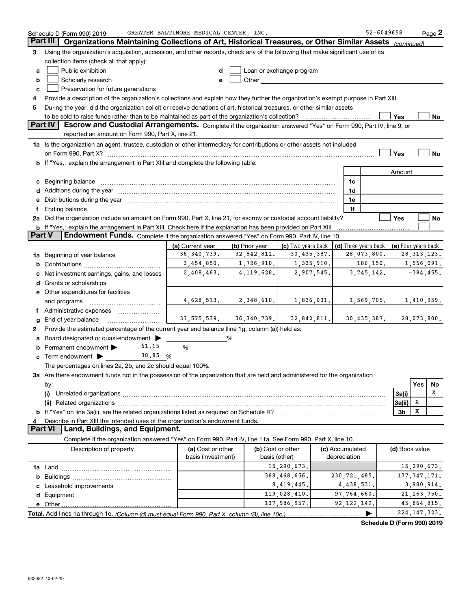|               | Schedule D (Form 990) 2019                                                                                                                                                                                                                                      | GREATER BALTIMORE MEDICAL CENTER . INC.                                |                                                         |                   |  |                 | 52-6049658 |                |     | Page 2                      |
|---------------|-----------------------------------------------------------------------------------------------------------------------------------------------------------------------------------------------------------------------------------------------------------------|------------------------------------------------------------------------|---------------------------------------------------------|-------------------|--|-----------------|------------|----------------|-----|-----------------------------|
|               | Part III<br>Organizations Maintaining Collections of Art, Historical Treasures, or Other Similar Assets (continued)                                                                                                                                             |                                                                        |                                                         |                   |  |                 |            |                |     |                             |
| 3             | Using the organization's acquisition, accession, and other records, check any of the following that make significant use of its                                                                                                                                 |                                                                        |                                                         |                   |  |                 |            |                |     |                             |
|               | collection items (check all that apply):                                                                                                                                                                                                                        |                                                                        |                                                         |                   |  |                 |            |                |     |                             |
| a             | Public exhibition<br>Loan or exchange program                                                                                                                                                                                                                   |                                                                        |                                                         |                   |  |                 |            |                |     |                             |
| b             | Other <b>Communist Communist Communist Communist Communist Communist Communist Communist Communist Communist Communist Communist Communist Communist Communist Communist Communist Communist Communist Communist Communist Commu</b><br>Scholarly research<br>e |                                                                        |                                                         |                   |  |                 |            |                |     |                             |
| c             | Preservation for future generations                                                                                                                                                                                                                             |                                                                        |                                                         |                   |  |                 |            |                |     |                             |
| 4             | Provide a description of the organization's collections and explain how they further the organization's exempt purpose in Part XIII.                                                                                                                            |                                                                        |                                                         |                   |  |                 |            |                |     |                             |
| 5             | During the year, did the organization solicit or receive donations of art, historical treasures, or other similar assets                                                                                                                                        |                                                                        |                                                         |                   |  |                 |            |                |     |                             |
|               | to be sold to raise funds rather than to be maintained as part of the organization's collection?<br>Yes<br>No                                                                                                                                                   |                                                                        |                                                         |                   |  |                 |            |                |     |                             |
|               | Part IV<br>Escrow and Custodial Arrangements. Complete if the organization answered "Yes" on Form 990, Part IV, line 9, or                                                                                                                                      |                                                                        |                                                         |                   |  |                 |            |                |     |                             |
|               | reported an amount on Form 990, Part X, line 21.                                                                                                                                                                                                                |                                                                        |                                                         |                   |  |                 |            |                |     |                             |
|               | 1a Is the organization an agent, trustee, custodian or other intermediary for contributions or other assets not included                                                                                                                                        |                                                                        |                                                         |                   |  |                 |            |                |     |                             |
|               |                                                                                                                                                                                                                                                                 |                                                                        |                                                         |                   |  |                 |            | Yes            |     | No                          |
|               | b If "Yes," explain the arrangement in Part XIII and complete the following table:                                                                                                                                                                              |                                                                        |                                                         |                   |  |                 |            |                |     |                             |
|               |                                                                                                                                                                                                                                                                 |                                                                        |                                                         |                   |  |                 |            |                |     |                             |
|               |                                                                                                                                                                                                                                                                 |                                                                        |                                                         |                   |  |                 |            | Amount         |     |                             |
|               | c Beginning balance                                                                                                                                                                                                                                             |                                                                        |                                                         |                   |  | 1c              |            |                |     |                             |
|               |                                                                                                                                                                                                                                                                 |                                                                        |                                                         |                   |  | 1d              |            |                |     |                             |
|               | e Distributions during the year manufactured and continuum and contract the year manufactured and contract the                                                                                                                                                  |                                                                        |                                                         |                   |  | 1e              |            |                |     |                             |
| f             | Ending balance manufactured and contract the contract of the contract of the contract of the contract of the contract of the contract of the contract of the contract of the contract of the contract of the contract of the c                                  |                                                                        |                                                         |                   |  | 1f              |            |                |     |                             |
|               | 2a Did the organization include an amount on Form 990, Part X, line 21, for escrow or custodial account liability?                                                                                                                                              |                                                                        |                                                         |                   |  |                 |            | Yes            |     | No                          |
| <b>Part V</b> | b If "Yes," explain the arrangement in Part XIII. Check here if the explanation has been provided on Part XIII                                                                                                                                                  |                                                                        |                                                         |                   |  |                 |            |                |     |                             |
|               | Endowment Funds. Complete if the organization answered "Yes" on Form 990, Part IV, line 10.                                                                                                                                                                     |                                                                        |                                                         |                   |  |                 |            |                |     |                             |
|               | (c) Two years back<br>(a) Current year<br>(b) Prior year<br>(d) Three years back   (e) Four years back                                                                                                                                                          |                                                                        |                                                         |                   |  |                 |            |                |     |                             |
|               | 36, 340, 739.<br>30, 435, 387.<br>28, 313, 123.<br>32,842,811.<br>28,073,800.<br>1a Beginning of year balance                                                                                                                                                   |                                                                        |                                                         |                   |  |                 |            |                |     |                             |
| b             | 3,454,850.<br>1,726,910.<br>1,335,910.<br>186,150.<br>1,556,091.                                                                                                                                                                                                |                                                                        |                                                         |                   |  |                 |            |                |     |                             |
| c             | Net investment earnings, gains, and losses                                                                                                                                                                                                                      | 4, 119, 628.<br>$-384, 455.$<br>2,408,463.<br>2,907,545.<br>3,745,142. |                                                         |                   |  |                 |            |                |     |                             |
|               |                                                                                                                                                                                                                                                                 |                                                                        |                                                         |                   |  |                 |            |                |     |                             |
|               | <b>e</b> Other expenditures for facilities                                                                                                                                                                                                                      |                                                                        |                                                         |                   |  |                 |            |                |     |                             |
|               | $4,628,513$ , $2,348,610$ , $1,836,031$ , $1,569,705$<br>and programs                                                                                                                                                                                           |                                                                        |                                                         |                   |  |                 |            |                |     | 1,410,959.                  |
|               | f Administrative expenses                                                                                                                                                                                                                                       |                                                                        |                                                         |                   |  |                 |            |                |     |                             |
| g             | End of year balance                                                                                                                                                                                                                                             |                                                                        | $37,575,539.$ $36,340,739.$ $32,842,811.$ $30,435,387.$ |                   |  |                 |            |                |     | 28,073,800.                 |
| 2             | Provide the estimated percentage of the current year end balance (line 1g, column (a)) held as:                                                                                                                                                                 |                                                                        |                                                         |                   |  |                 |            |                |     |                             |
|               | a Board designated or quasi-endowment >                                                                                                                                                                                                                         |                                                                        | %                                                       |                   |  |                 |            |                |     |                             |
| b             | 61.15<br>Permanent endowment >                                                                                                                                                                                                                                  | %                                                                      |                                                         |                   |  |                 |            |                |     |                             |
|               | c Term endowment $\blacktriangleright$<br>38.85 %                                                                                                                                                                                                               |                                                                        |                                                         |                   |  |                 |            |                |     |                             |
|               | The percentages on lines 2a, 2b, and 2c should equal 100%.                                                                                                                                                                                                      |                                                                        |                                                         |                   |  |                 |            |                |     |                             |
|               | 3a Are there endowment funds not in the possession of the organization that are held and administered for the organization                                                                                                                                      |                                                                        |                                                         |                   |  |                 |            |                |     |                             |
|               | by:                                                                                                                                                                                                                                                             |                                                                        |                                                         |                   |  |                 |            |                | Yes | No                          |
|               | (i)                                                                                                                                                                                                                                                             |                                                                        |                                                         |                   |  |                 | 3a(i)      |                | x   |                             |
|               |                                                                                                                                                                                                                                                                 |                                                                        |                                                         |                   |  |                 |            | 3a(ii)         | х   |                             |
|               |                                                                                                                                                                                                                                                                 |                                                                        |                                                         |                   |  |                 |            | 3b             | X   |                             |
| 4             | Describe in Part XIII the intended uses of the organization's endowment funds.                                                                                                                                                                                  |                                                                        |                                                         |                   |  |                 |            |                |     |                             |
|               | Land, Buildings, and Equipment.<br><b>Part VI</b>                                                                                                                                                                                                               |                                                                        |                                                         |                   |  |                 |            |                |     |                             |
|               | Complete if the organization answered "Yes" on Form 990, Part IV, line 11a. See Form 990, Part X, line 10.                                                                                                                                                      |                                                                        |                                                         |                   |  |                 |            |                |     |                             |
|               | Description of property                                                                                                                                                                                                                                         | (a) Cost or other                                                      |                                                         | (b) Cost or other |  | (c) Accumulated |            | (d) Book value |     |                             |
|               |                                                                                                                                                                                                                                                                 | basis (investment)                                                     |                                                         | basis (other)     |  | depreciation    |            |                |     |                             |
|               |                                                                                                                                                                                                                                                                 |                                                                        |                                                         | 15,290,673.       |  |                 |            |                |     | 15,290,673.                 |
|               |                                                                                                                                                                                                                                                                 |                                                                        |                                                         | 368,468,656.      |  | 230, 721, 485.  |            |                |     | 137, 747, 171.              |
|               |                                                                                                                                                                                                                                                                 |                                                                        |                                                         | 8, 419, 445.      |  | 4,438,531.      |            |                |     | 3,980,914.                  |
|               |                                                                                                                                                                                                                                                                 |                                                                        |                                                         | 119,028,410.      |  | 97,764,660.     |            |                |     | 21, 263, 750.               |
|               |                                                                                                                                                                                                                                                                 |                                                                        |                                                         | 137,986,957.      |  | 92, 122, 142.   |            |                |     | 45,864,815.                 |
|               |                                                                                                                                                                                                                                                                 |                                                                        |                                                         |                   |  |                 |            |                |     | 224, 147, 323.              |
|               |                                                                                                                                                                                                                                                                 |                                                                        |                                                         |                   |  |                 |            |                |     | $(T_{\text{max}}$ 000) 0040 |

**Schedule D (Form 990) 2019**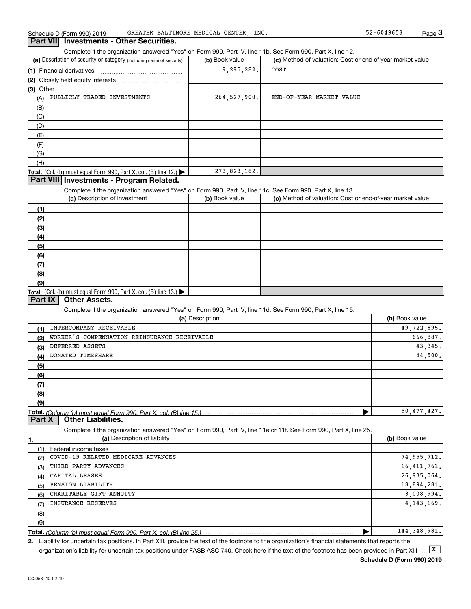Complete if the organization answered "Yes" on Form 990, Part IV, line 11b. See Form 990, Part X, line 12.

| (a) Description of security or category (including name of security)                   | (b) Book value | (c) Method of valuation: Cost or end-of-year market value |
|----------------------------------------------------------------------------------------|----------------|-----------------------------------------------------------|
| (1) Financial derivatives                                                              | 9, 295, 282.   | COST                                                      |
| (2) Closely held equity interests                                                      |                |                                                           |
| (3) Other                                                                              |                |                                                           |
| PUBLICLY TRADED INVESTMENTS<br>(A)                                                     | 264.527.900.   | END-OF-YEAR MARKET VALUE                                  |
| (B)                                                                                    |                |                                                           |
| (C)                                                                                    |                |                                                           |
| (D)                                                                                    |                |                                                           |
| (E)                                                                                    |                |                                                           |
| (F)                                                                                    |                |                                                           |
| (G)                                                                                    |                |                                                           |
| (H)                                                                                    |                |                                                           |
| Total. (Col. (b) must equal Form 990, Part X, col. (B) line 12.) $\blacktriangleright$ | 273, 823, 182. |                                                           |

#### **Part VIII Investments - Program Related.**

Complete if the organization answered "Yes" on Form 990, Part IV, line 11c. See Form 990, Part X, line 13.

| (a) Description of investment                                       | (b) Book value | (c) Method of valuation: Cost or end-of-year market value |
|---------------------------------------------------------------------|----------------|-----------------------------------------------------------|
| (1)                                                                 |                |                                                           |
| (2)                                                                 |                |                                                           |
| $\frac{1}{2}$                                                       |                |                                                           |
| (4)                                                                 |                |                                                           |
| (5)                                                                 |                |                                                           |
| (6)                                                                 |                |                                                           |
| (7)                                                                 |                |                                                           |
| (8)                                                                 |                |                                                           |
| (9)                                                                 |                |                                                           |
| Total. (Col. (b) must equal Form 990, Part X, col. (B) line $13.$ ) |                |                                                           |

## **Part IX Other Assets.**

Complete if the organization answered "Yes" on Form 990, Part IV, line 11d. See Form 990, Part X, line 15.

| (a) Description                                                    | (b) Book value |
|--------------------------------------------------------------------|----------------|
| INTERCOMPANY RECEIVABLE<br>(1)                                     | 49,722,695.    |
| WORKER'S COMPENSATION REINSURANCE RECEIVABLE<br>(2)                | 666,887.       |
| DEFERRED ASSETS<br>(3)                                             | 43, 345.       |
| DONATED TIMESHARE<br>(4)                                           | 44,500.        |
| (5)                                                                |                |
| (6)                                                                |                |
| (7)                                                                |                |
| (8)                                                                |                |
| (9)                                                                |                |
| Total. (Column (b) must equal Form 990, Part X, col. (B) line 15.) | 50,477,427.    |
| <b>Other Liabilities.</b><br>Part X                                |                |

Complete if the organization answered "Yes" on Form 990, Part IV, line 11e or 11f. See Form 990, Part X, line 25.

|     | (a) Description of liability       | (b) Book value |
|-----|------------------------------------|----------------|
|     | Federal income taxes               |                |
| (2) | COVID-19 RELATED MEDICARE ADVANCES | 74, 955, 712.  |
| (3) | THIRD PARTY ADVANCES               | 16, 411, 761.  |
| (4) | CAPITAL LEASES                     | 26,935,064.    |
| (5) | PENSION LIABILITY                  | 18,894,281.    |
| (6) | CHARITABLE GIFT ANNUITY            | 3.008.994.     |
| (7) | <b>INSURANCE RESERVES</b>          | 4, 143, 169.   |
| (8) |                                    |                |
| (9) |                                    |                |
|     |                                    | 144, 348, 981. |

**Total.**  *(Column (b) must equal Form 990, Part X, col. (B) line 25.)* 

**2.**Liability for uncertain tax positions. In Part XIII, provide the text of the footnote to the organization's financial statements that reports the organization's liability for uncertain tax positions under FASB ASC 740. Check here if the text of the footnote has been provided in Part XIII  $\boxed{\mathbf{X}}$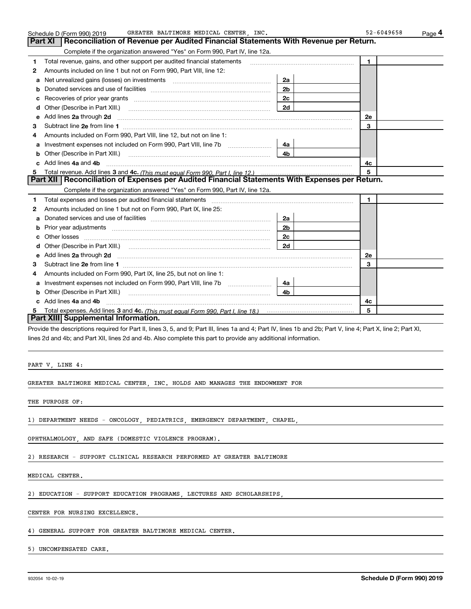| Reconciliation of Revenue per Audited Financial Statements With Revenue per Return.<br>$\blacksquare$<br>2e<br>3<br>4c                                                                                                                     |  |
|--------------------------------------------------------------------------------------------------------------------------------------------------------------------------------------------------------------------------------------------|--|
|                                                                                                                                                                                                                                            |  |
|                                                                                                                                                                                                                                            |  |
|                                                                                                                                                                                                                                            |  |
|                                                                                                                                                                                                                                            |  |
|                                                                                                                                                                                                                                            |  |
|                                                                                                                                                                                                                                            |  |
|                                                                                                                                                                                                                                            |  |
|                                                                                                                                                                                                                                            |  |
|                                                                                                                                                                                                                                            |  |
|                                                                                                                                                                                                                                            |  |
|                                                                                                                                                                                                                                            |  |
|                                                                                                                                                                                                                                            |  |
|                                                                                                                                                                                                                                            |  |
|                                                                                                                                                                                                                                            |  |
| 5                                                                                                                                                                                                                                          |  |
| Part XII   Reconciliation of Expenses per Audited Financial Statements With Expenses per Return.                                                                                                                                           |  |
|                                                                                                                                                                                                                                            |  |
| 1.                                                                                                                                                                                                                                         |  |
|                                                                                                                                                                                                                                            |  |
|                                                                                                                                                                                                                                            |  |
|                                                                                                                                                                                                                                            |  |
|                                                                                                                                                                                                                                            |  |
|                                                                                                                                                                                                                                            |  |
| Add lines 2a through 2d <b>contained a contained a contained a contained a contained a contained a contained a contained a contact a contact a contact a contact a contact a contact a contact a contact a contact a contact a c</b><br>2e |  |
| 3                                                                                                                                                                                                                                          |  |
|                                                                                                                                                                                                                                            |  |
|                                                                                                                                                                                                                                            |  |
|                                                                                                                                                                                                                                            |  |
|                                                                                                                                                                                                                                            |  |
| 4c                                                                                                                                                                                                                                         |  |
| 5                                                                                                                                                                                                                                          |  |
|                                                                                                                                                                                                                                            |  |
|                                                                                                                                                                                                                                            |  |

PART V, LINE 4:

GREATER BALTIMORE MEDICAL CENTER, INC. HOLDS AND MANAGES THE ENDOWMENT FOR

THE PURPOSE OF:

1) DEPARTMENT NEEDS - ONCOLOGY, PEDIATRICS, EMERGENCY DEPARTMENT, CHAPEL,

OPHTHALMOLOGY, AND SAFE (DOMESTIC VIOLENCE PROGRAM).

2) RESEARCH - SUPPORT CLINICAL RESEARCH PERFORMED AT GREATER BALTIMORE

MEDICAL CENTER.

2) EDUCATION - SUPPORT EDUCATION PROGRAMS, LECTURES AND SCHOLARSHIPS,

CENTER FOR NURSING EXCELLENCE.

4) GENERAL SUPPORT FOR GREATER BALTIMORE MEDICAL CENTER.

5) UNCOMPENSATED CARE.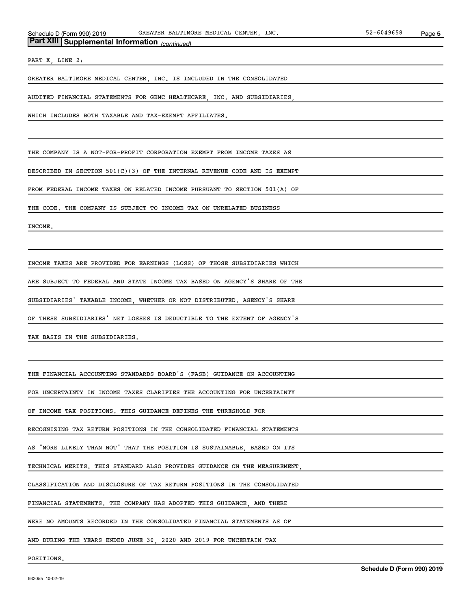## *(continued)* **Part XIII Supplemental Information**

PART X, LINE 2:

GREATER BALTIMORE MEDICAL CENTER, INC. IS INCLUDED IN THE CONSOLIDATED

AUDITED FINANCIAL STATEMENTS FOR GBMC HEALTHCARE, INC. AND SUBSIDIARIES,

WHICH INCLUDES BOTH TAXABLE AND TAX-EXEMPT AFFILIATES.

THE COMPANY IS A NOT-FOR-PROFIT CORPORATION EXEMPT FROM INCOME TAXES AS

DESCRIBED IN SECTION 501(C)(3) OF THE INTERNAL REVENUE CODE AND IS EXEMPT

FROM FEDERAL INCOME TAXES ON RELATED INCOME PURSUANT TO SECTION 501(A) OF

THE CODE. THE COMPANY IS SUBJECT TO INCOME TAX ON UNRELATED BUSINESS

INCOME.

INCOME TAXES ARE PROVIDED FOR EARNINGS (LOSS) OF THOSE SUBSIDIARIES WHICH

ARE SUBJECT TO FEDERAL AND STATE INCOME TAX BASED ON AGENCY'S SHARE OF THE

SUBSIDIARIES' TAXABLE INCOME, WHETHER OR NOT DISTRIBUTED. AGENCY'S SHARE

OF THESE SUBSIDIARIES' NET LOSSES IS DEDUCTIBLE TO THE EXTENT OF AGENCY'S

TAX BASIS IN THE SUBSIDIARIES.

THE FINANCIAL ACCOUNTING STANDARDS BOARD'S (FASB) GUIDANCE ON ACCOUNTING

FOR UNCERTAINTY IN INCOME TAXES CLARIFIES THE ACCOUNTING FOR UNCERTAINTY

OF INCOME TAX POSITIONS. THIS GUIDANCE DEFINES THE THRESHOLD FOR

RECOGNIZING TAX RETURN POSITIONS IN THE CONSOLIDATED FINANCIAL STATEMENTS

AS "MORE LIKELY THAN NOT" THAT THE POSITION IS SUSTAINABLE, BASED ON ITS

TECHNICAL MERITS. THIS STANDARD ALSO PROVIDES GUIDANCE ON THE MEASUREMENT,

CLASSIFICATION AND DISCLOSURE OF TAX RETURN POSITIONS IN THE CONSOLIDATED

FINANCIAL STATEMENTS. THE COMPANY HAS ADOPTED THIS GUIDANCE, AND THERE

WERE NO AMOUNTS RECORDED IN THE CONSOLIDATED FINANCIAL STATEMENTS AS OF

AND DURING THE YEARS ENDED JUNE 30, 2020 AND 2019 FOR UNCERTAIN TAX

POSITIONS.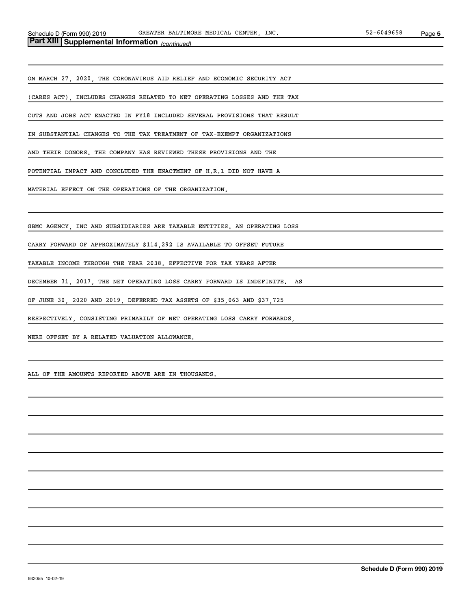## *(continued)* **Part XIII Supplemental Information**

ON MARCH 27, 2020, THE CORONAVIRUS AID RELIEF AND ECONOMIC SECURITY ACT

(CARES ACT), INCLUDES CHANGES RELATED TO NET OPERATING LOSSES AND THE TAX

CUTS AND JOBS ACT ENACTED IN FY18 INCLUDED SEVERAL PROVISIONS THAT RESULT

IN SUBSTANTIAL CHANGES TO THE TAX TREATMENT OF TAX-EXEMPT ORGANIZATIONS

AND THEIR DONORS. THE COMPANY HAS REVIEWED THESE PROVISIONS AND THE

POTENTIAL IMPACT AND CONCLUDED THE ENACTMENT OF H.R.1 DID NOT HAVE A

MATERIAL EFFECT ON THE OPERATIONS OF THE ORGANIZATION.

GBMC AGENCY, INC AND SUBSIDIARIES ARE TAXABLE ENTITIES. AN OPERATING LOSS

CARRY FORWARD OF APPROXIMATELY \$114,292 IS AVAILABLE TO OFFSET FUTURE

TAXABLE INCOME THROUGH THE YEAR 2038. EFFECTIVE FOR TAX YEARS AFTER

DECEMBER 31, 2017, THE NET OPERATING LOSS CARRY FORWARD IS INDEFINITE. AS

OF JUNE 30, 2020 AND 2019, DEFERRED TAX ASSETS OF \$35,063 AND \$37,725

RESPECTIVELY, CONSISTING PRIMARILY OF NET OPERATING LOSS CARRY FORWARDS,

WERE OFFSET BY A RELATED VALUATION ALLOWANCE.

ALL OF THE AMOUNTS REPORTED ABOVE ARE IN THOUSANDS.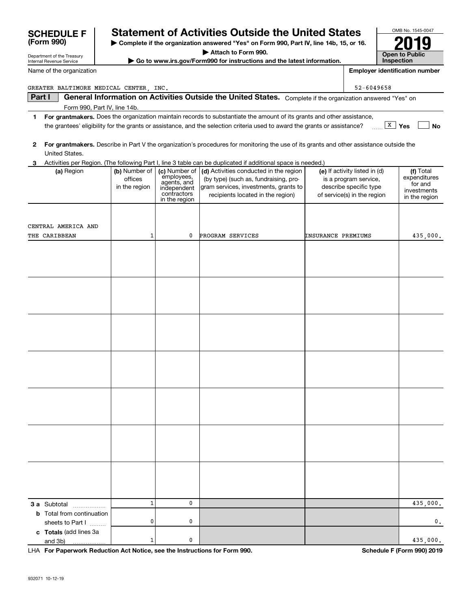|              | GREATER BALTIMORE MEDICAL CENTER, INC. |               |                              |                                                                                                                                         |                    | 52-6049658                    |                        |
|--------------|----------------------------------------|---------------|------------------------------|-----------------------------------------------------------------------------------------------------------------------------------------|--------------------|-------------------------------|------------------------|
|              | Part I                                 |               |                              | General Information on Activities Outside the United States. Complete if the organization answered "Yes" on                             |                    |                               |                        |
|              | Form 990, Part IV, line 14b.           |               |                              |                                                                                                                                         |                    |                               |                        |
| 1.           |                                        |               |                              | For grantmakers. Does the organization maintain records to substantiate the amount of its grants and other assistance,                  |                    |                               |                        |
|              |                                        |               |                              | the grantees' eligibility for the grants or assistance, and the selection criteria used to award the grants or assistance?              |                    | $\boxed{\text{X}}$ Yes        | <b>No</b>              |
|              |                                        |               |                              |                                                                                                                                         |                    |                               |                        |
| $\mathbf{2}$ |                                        |               |                              | For grantmakers. Describe in Part V the organization's procedures for monitoring the use of its grants and other assistance outside the |                    |                               |                        |
|              | United States.                         |               |                              |                                                                                                                                         |                    |                               |                        |
| 3            |                                        |               |                              | Activities per Region. (The following Part I, line 3 table can be duplicated if additional space is needed.)                            |                    |                               |                        |
|              | (a) Region                             | (b) Number of |                              | (c) Number of $\vert$ (d) Activities conducted in the region                                                                            |                    | (e) If activity listed in (d) | (f) Total              |
|              |                                        | offices       | employees,<br>agents, and    | (by type) (such as, fundraising, pro-                                                                                                   |                    | is a program service,         | expenditures           |
|              |                                        | in the region | independent                  | gram services, investments, grants to                                                                                                   |                    | describe specific type        | for and<br>investments |
|              |                                        |               | contractors<br>in the region | recipients located in the region)                                                                                                       |                    | of service(s) in the region   | in the region          |
|              |                                        |               |                              |                                                                                                                                         |                    |                               |                        |
|              |                                        |               |                              |                                                                                                                                         |                    |                               |                        |
|              | CENTRAL AMERICA AND                    |               |                              |                                                                                                                                         |                    |                               |                        |
|              |                                        |               |                              |                                                                                                                                         |                    |                               |                        |
|              | THE CARIBBEAN                          | 1             | 0                            | PROGRAM SERVICES                                                                                                                        | INSURANCE PREMIUMS |                               | 435,000.               |
|              |                                        |               |                              |                                                                                                                                         |                    |                               |                        |
|              |                                        |               |                              |                                                                                                                                         |                    |                               |                        |
|              |                                        |               |                              |                                                                                                                                         |                    |                               |                        |
|              |                                        |               |                              |                                                                                                                                         |                    |                               |                        |
|              |                                        |               |                              |                                                                                                                                         |                    |                               |                        |
|              |                                        |               |                              |                                                                                                                                         |                    |                               |                        |
|              |                                        |               |                              |                                                                                                                                         |                    |                               |                        |
|              |                                        |               |                              |                                                                                                                                         |                    |                               |                        |
|              |                                        |               |                              |                                                                                                                                         |                    |                               |                        |
|              |                                        |               |                              |                                                                                                                                         |                    |                               |                        |
|              |                                        |               |                              |                                                                                                                                         |                    |                               |                        |
|              |                                        |               |                              |                                                                                                                                         |                    |                               |                        |
|              |                                        |               |                              |                                                                                                                                         |                    |                               |                        |
|              |                                        |               |                              |                                                                                                                                         |                    |                               |                        |
|              |                                        |               |                              |                                                                                                                                         |                    |                               |                        |
|              |                                        |               |                              |                                                                                                                                         |                    |                               |                        |
|              |                                        |               |                              |                                                                                                                                         |                    |                               |                        |
|              |                                        |               |                              |                                                                                                                                         |                    |                               |                        |
|              |                                        |               |                              |                                                                                                                                         |                    |                               |                        |
|              |                                        |               |                              |                                                                                                                                         |                    |                               |                        |
|              |                                        |               |                              |                                                                                                                                         |                    |                               |                        |
|              |                                        |               |                              |                                                                                                                                         |                    |                               |                        |
|              |                                        |               |                              |                                                                                                                                         |                    |                               |                        |
|              |                                        |               |                              |                                                                                                                                         |                    |                               |                        |
|              |                                        |               |                              |                                                                                                                                         |                    |                               |                        |
|              |                                        |               |                              |                                                                                                                                         |                    |                               |                        |
|              |                                        |               |                              |                                                                                                                                         |                    |                               |                        |
|              |                                        |               |                              |                                                                                                                                         |                    |                               |                        |
|              |                                        |               |                              |                                                                                                                                         |                    |                               |                        |
|              | 3 a Subtotal                           | $\mathbf{1}$  | $\mathbf 0$                  |                                                                                                                                         |                    |                               | 435,000.               |
|              | <b>b</b> Total from continuation       |               |                              |                                                                                                                                         |                    |                               |                        |
|              | sheets to Part I                       | 0             | 0                            |                                                                                                                                         |                    |                               | 0,                     |

and 3b) 10

**For Paperwork Reduction Act Notice, see the Instructions for Form 990. Schedule F (Form 990) 2019** LHA

435,000.

**c Totals**  (add lines 3a

# **SCHEDULE F Statement of Activities Outside the United States**

**| Complete if the organization answered "Yes" on Form 990, Part IV, line 14b, 15, or 16.**

**| Attach to Form 990. | Go to www.irs.gov/Form990 for instructions and the latest information.**

| , 15, or 16. |                                       |
|--------------|---------------------------------------|
|              | <b>Open to Public</b><br>Inspection   |
|              | <b>Employer identification number</b> |

OMB No. 1545-0047

**2019**

| Department of the Treasury |                          |
|----------------------------|--------------------------|
| Internal Revenue Service   | $\blacktriangleright$ Go |

Name of the organization

| JUIILDULL I<br>(Form 990) |  |
|---------------------------|--|
|                           |  |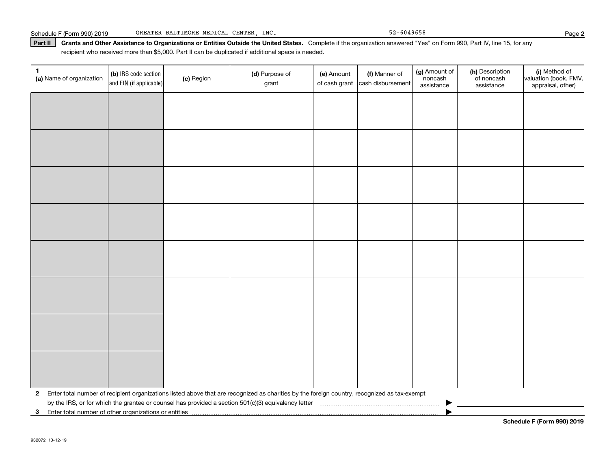#### Part II | Grants and Other Assistance to Organizations or Entities Outside the United States. Complete if the organization answered "Yes" on Form 990, Part IV, line 15, for any recipient who received more than \$5,000. Part II can be duplicated if additional space is needed.

| 1.<br>(a) Name of organization                          | (b) IRS code section<br>and EIN (if applicable) | (c) Region | (d) Purpose of<br>grant                                                                                                                      | (e) Amount | (f) Manner of<br>of cash grant cash disbursement | (g) Amount of<br>noncash<br>assistance | (h) Description<br>of noncash<br>assistance | (i) Method of<br>valuation (book, FMV,<br>appraisal, other) |
|---------------------------------------------------------|-------------------------------------------------|------------|----------------------------------------------------------------------------------------------------------------------------------------------|------------|--------------------------------------------------|----------------------------------------|---------------------------------------------|-------------------------------------------------------------|
|                                                         |                                                 |            |                                                                                                                                              |            |                                                  |                                        |                                             |                                                             |
|                                                         |                                                 |            |                                                                                                                                              |            |                                                  |                                        |                                             |                                                             |
|                                                         |                                                 |            |                                                                                                                                              |            |                                                  |                                        |                                             |                                                             |
|                                                         |                                                 |            |                                                                                                                                              |            |                                                  |                                        |                                             |                                                             |
|                                                         |                                                 |            |                                                                                                                                              |            |                                                  |                                        |                                             |                                                             |
|                                                         |                                                 |            |                                                                                                                                              |            |                                                  |                                        |                                             |                                                             |
|                                                         |                                                 |            |                                                                                                                                              |            |                                                  |                                        |                                             |                                                             |
|                                                         |                                                 |            |                                                                                                                                              |            |                                                  |                                        |                                             |                                                             |
|                                                         |                                                 |            |                                                                                                                                              |            |                                                  |                                        |                                             |                                                             |
|                                                         |                                                 |            |                                                                                                                                              |            |                                                  |                                        |                                             |                                                             |
|                                                         |                                                 |            |                                                                                                                                              |            |                                                  |                                        |                                             |                                                             |
|                                                         |                                                 |            |                                                                                                                                              |            |                                                  |                                        |                                             |                                                             |
|                                                         |                                                 |            |                                                                                                                                              |            |                                                  |                                        |                                             |                                                             |
|                                                         |                                                 |            |                                                                                                                                              |            |                                                  |                                        |                                             |                                                             |
|                                                         |                                                 |            |                                                                                                                                              |            |                                                  |                                        |                                             |                                                             |
|                                                         |                                                 |            |                                                                                                                                              |            |                                                  |                                        |                                             |                                                             |
| $\mathbf{2}$                                            |                                                 |            | Enter total number of recipient organizations listed above that are recognized as charities by the foreign country, recognized as tax-exempt |            |                                                  |                                        |                                             |                                                             |
| 3 Enter total number of other organizations or entities |                                                 |            |                                                                                                                                              |            |                                                  |                                        |                                             |                                                             |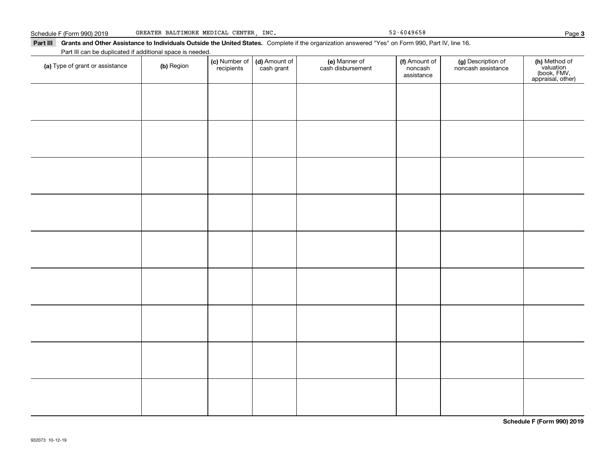#### Part III Grants and Other Assistance to Individuals Outside the United States. Complete if the organization answered "Yes" on Form 990, Part IV, line 16. Part III can be duplicated if additional space is needed.

| Fait in carrier duplicated in additional space is needed.<br>(a) Type of grant or assistance | (b) Region | (c) Number of<br>recipients | (d) Amount of | (e) Manner of<br>cash disbursement | (f) Amount of<br>noncash<br>assistance | (g) Description of<br>noncash assistance | (h) Method of<br>valuation<br>(book, FMV,<br>appraisal, other) |
|----------------------------------------------------------------------------------------------|------------|-----------------------------|---------------|------------------------------------|----------------------------------------|------------------------------------------|----------------------------------------------------------------|
|                                                                                              |            |                             |               |                                    |                                        |                                          |                                                                |
|                                                                                              |            |                             |               |                                    |                                        |                                          |                                                                |
|                                                                                              |            |                             |               |                                    |                                        |                                          |                                                                |
|                                                                                              |            |                             |               |                                    |                                        |                                          |                                                                |
|                                                                                              |            |                             |               |                                    |                                        |                                          |                                                                |
|                                                                                              |            |                             |               |                                    |                                        |                                          |                                                                |
|                                                                                              |            |                             |               |                                    |                                        |                                          |                                                                |
|                                                                                              |            |                             |               |                                    |                                        |                                          |                                                                |
|                                                                                              |            |                             |               |                                    |                                        |                                          |                                                                |
|                                                                                              |            |                             |               |                                    |                                        |                                          |                                                                |
|                                                                                              |            |                             |               |                                    |                                        |                                          |                                                                |

**Schedule F (Form 990) 2019**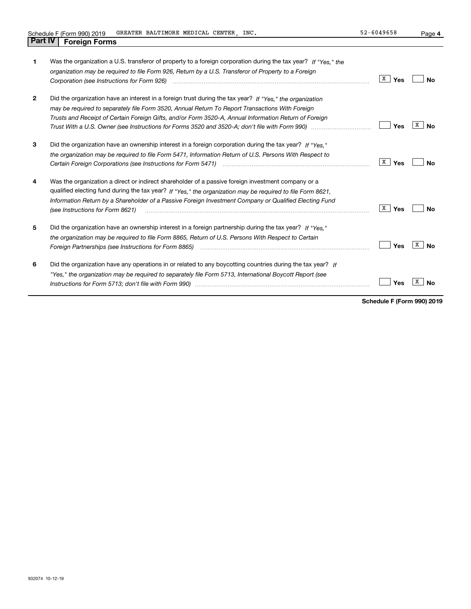**4**

| 1              | Was the organization a U.S. transferor of property to a foreign corporation during the tax year? If "Yes." the<br>organization may be required to file Form 926, Return by a U.S. Transferor of Property to a Foreign<br>Corporation (see Instructions for Form 926) <i>manual content content corporation</i> (see Instructions for Form 926)                 | X  <br>Yes          | Nο             |
|----------------|----------------------------------------------------------------------------------------------------------------------------------------------------------------------------------------------------------------------------------------------------------------------------------------------------------------------------------------------------------------|---------------------|----------------|
| $\overline{2}$ | Did the organization have an interest in a foreign trust during the tax year? If "Yes." the organization<br>may be required to separately file Form 3520, Annual Return To Report Transactions With Foreign<br>Trusts and Receipt of Certain Foreign Gifts, and/or Form 3520-A, Annual Information Return of Foreign                                           | Yes                 | x<br>N٥        |
| 3              | Did the organization have an ownership interest in a foreign corporation during the tax year? If "Yes."<br>the organization may be required to file Form 5471, Information Return of U.S. Persons With Respect to                                                                                                                                              | $\mathbf{X}$<br>Yes | Nο             |
| 4              | Was the organization a direct or indirect shareholder of a passive foreign investment company or a<br>qualified electing fund during the tax year? If "Yes," the organization may be required to file Form 8621.<br>Information Return by a Shareholder of a Passive Foreign Investment Company or Qualified Electing Fund<br>(see Instructions for Form 8621) | X<br>Yes            | Nο             |
| 5              | Did the organization have an ownership interest in a foreign partnership during the tax year? If "Yes."<br>the organization may be required to file Form 8865, Return of U.S. Persons With Respect to Certain                                                                                                                                                  | Yes                 | x<br><b>No</b> |
| 6              | Did the organization have any operations in or related to any boycotting countries during the tax year? If<br>"Yes," the organization may be required to separately file Form 5713, International Boycott Report (see                                                                                                                                          | Yes                 |                |

**Schedule F (Form 990) 2019**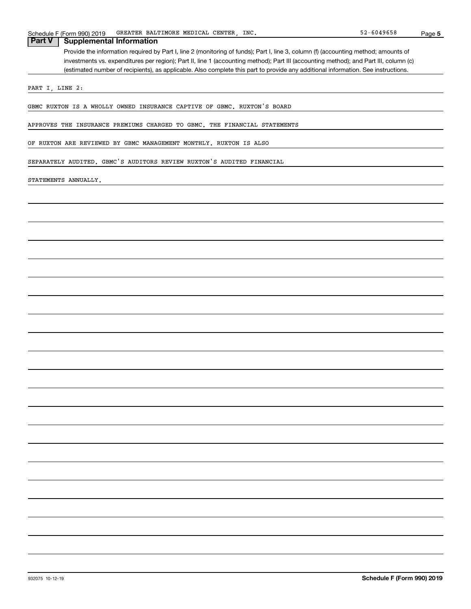**5**

## Provide the information required by Part I, line 2 (monitoring of funds); Part I, line 3, column (f) (accounting method; amounts of investments vs. expenditures per region); Part II, line 1 (accounting method); Part III (accounting method); and Part III, column (c) (estimated number of recipients), as applicable. Also complete this part to provide any additional information. See instructions. **Part V Supplemental Information**

PART I, LINE 2:

GBMC RUXTON IS A WHOLLY OWNED INSURANCE CAPTIVE OF GBMC. RUXTON'S BOARD

APPROVES THE INSURANCE PREMIUMS CHARGED TO GBMC. THE FINANCIAL STATEMENTS

OF RUXTON ARE REVIEWED BY GBMC MANAGEMENT MONTHLY. RUXTON IS ALSO

SEPARATELY AUDITED. GBMC'S AUDITORS REVIEW RUXTON'S AUDITED FINANCIAL

#### STATEMENTS ANNUALLY.

932075 10-12-19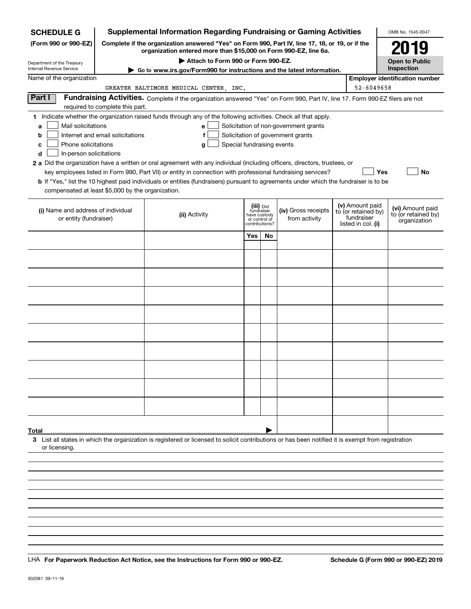| <b>SCHEDULE G</b>                                 |                                  | <b>Supplemental Information Regarding Fundraising or Gaming Activities</b>                                                                                          |     |                                         |                                       |  |                                  | OMB No. 1545-0047                       |  |
|---------------------------------------------------|----------------------------------|---------------------------------------------------------------------------------------------------------------------------------------------------------------------|-----|-----------------------------------------|---------------------------------------|--|----------------------------------|-----------------------------------------|--|
| (Form 990 or 990-EZ)                              |                                  | Complete if the organization answered "Yes" on Form 990, Part IV, line 17, 18, or 19, or if the<br>organization entered more than \$15,000 on Form 990-EZ, line 6a. |     |                                         |                                       |  |                                  | 2019                                    |  |
| Department of the Treasury                        |                                  | Attach to Form 990 or Form 990-EZ.                                                                                                                                  |     |                                         |                                       |  |                                  | <b>Open to Public</b>                   |  |
| Internal Revenue Service                          |                                  | Go to www.irs.gov/Form990 for instructions and the latest information.                                                                                              |     |                                         |                                       |  |                                  | Inspection                              |  |
| Name of the organization                          |                                  |                                                                                                                                                                     |     |                                         |                                       |  |                                  | <b>Employer identification number</b>   |  |
|                                                   |                                  | GREATER BALTIMORE MEDICAL CENTER, INC.                                                                                                                              |     |                                         |                                       |  | 52-6049658                       |                                         |  |
| Part I                                            | required to complete this part.  | Fundraising Activities. Complete if the organization answered "Yes" on Form 990, Part IV, line 17. Form 990-EZ filers are not                                       |     |                                         |                                       |  |                                  |                                         |  |
|                                                   |                                  | 1 Indicate whether the organization raised funds through any of the following activities. Check all that apply.                                                     |     |                                         |                                       |  |                                  |                                         |  |
| Mail solicitations<br>a                           |                                  | е                                                                                                                                                                   |     |                                         | Solicitation of non-government grants |  |                                  |                                         |  |
| b                                                 | Internet and email solicitations | f                                                                                                                                                                   |     |                                         | Solicitation of government grants     |  |                                  |                                         |  |
| Phone solicitations<br>c                          |                                  | Special fundraising events<br>g                                                                                                                                     |     |                                         |                                       |  |                                  |                                         |  |
| In-person solicitations<br>d                      |                                  |                                                                                                                                                                     |     |                                         |                                       |  |                                  |                                         |  |
|                                                   |                                  | 2 a Did the organization have a written or oral agreement with any individual (including officers, directors, trustees, or                                          |     |                                         |                                       |  |                                  |                                         |  |
|                                                   |                                  | key employees listed in Form 990, Part VII) or entity in connection with professional fundraising services?                                                         |     |                                         |                                       |  | <b>Yes</b>                       | No                                      |  |
|                                                   |                                  | b If "Yes," list the 10 highest paid individuals or entities (fundraisers) pursuant to agreements under which the fundraiser is to be                               |     |                                         |                                       |  |                                  |                                         |  |
| compensated at least \$5,000 by the organization. |                                  |                                                                                                                                                                     |     |                                         |                                       |  |                                  |                                         |  |
|                                                   |                                  |                                                                                                                                                                     |     |                                         |                                       |  | (v) Amount paid                  |                                         |  |
| (i) Name and address of individual                |                                  | (ii) Activity                                                                                                                                                       |     | (iii) Did<br>fundraiser<br>have custody | (iv) Gross receipts                   |  | to (or retained by)              | (vi) Amount paid<br>to (or retained by) |  |
| or entity (fundraiser)                            |                                  |                                                                                                                                                                     |     | or control of<br>contributions?         | from activity                         |  | fundraiser<br>listed in col. (i) | organization                            |  |
|                                                   |                                  |                                                                                                                                                                     |     |                                         |                                       |  |                                  |                                         |  |
|                                                   |                                  |                                                                                                                                                                     | Yes | <b>No</b>                               |                                       |  |                                  |                                         |  |
|                                                   |                                  |                                                                                                                                                                     |     |                                         |                                       |  |                                  |                                         |  |
|                                                   |                                  |                                                                                                                                                                     |     |                                         |                                       |  |                                  |                                         |  |
|                                                   |                                  |                                                                                                                                                                     |     |                                         |                                       |  |                                  |                                         |  |
|                                                   |                                  |                                                                                                                                                                     |     |                                         |                                       |  |                                  |                                         |  |
|                                                   |                                  |                                                                                                                                                                     |     |                                         |                                       |  |                                  |                                         |  |
|                                                   |                                  |                                                                                                                                                                     |     |                                         |                                       |  |                                  |                                         |  |
|                                                   |                                  |                                                                                                                                                                     |     |                                         |                                       |  |                                  |                                         |  |
|                                                   |                                  |                                                                                                                                                                     |     |                                         |                                       |  |                                  |                                         |  |
|                                                   |                                  |                                                                                                                                                                     |     |                                         |                                       |  |                                  |                                         |  |
|                                                   |                                  |                                                                                                                                                                     |     |                                         |                                       |  |                                  |                                         |  |
|                                                   |                                  |                                                                                                                                                                     |     |                                         |                                       |  |                                  |                                         |  |
|                                                   |                                  |                                                                                                                                                                     |     |                                         |                                       |  |                                  |                                         |  |
|                                                   |                                  |                                                                                                                                                                     |     |                                         |                                       |  |                                  |                                         |  |
|                                                   |                                  |                                                                                                                                                                     |     |                                         |                                       |  |                                  |                                         |  |
|                                                   |                                  |                                                                                                                                                                     |     |                                         |                                       |  |                                  |                                         |  |
|                                                   |                                  |                                                                                                                                                                     |     |                                         |                                       |  |                                  |                                         |  |
|                                                   |                                  |                                                                                                                                                                     |     |                                         |                                       |  |                                  |                                         |  |
|                                                   |                                  |                                                                                                                                                                     |     |                                         |                                       |  |                                  |                                         |  |
|                                                   |                                  |                                                                                                                                                                     |     |                                         |                                       |  |                                  |                                         |  |
| Total                                             |                                  |                                                                                                                                                                     |     |                                         |                                       |  |                                  |                                         |  |
| or licensing.                                     |                                  | 3 List all states in which the organization is registered or licensed to solicit contributions or has been notified it is exempt from registration                  |     |                                         |                                       |  |                                  |                                         |  |
|                                                   |                                  |                                                                                                                                                                     |     |                                         |                                       |  |                                  |                                         |  |
|                                                   |                                  |                                                                                                                                                                     |     |                                         |                                       |  |                                  |                                         |  |
|                                                   |                                  |                                                                                                                                                                     |     |                                         |                                       |  |                                  |                                         |  |
|                                                   |                                  |                                                                                                                                                                     |     |                                         |                                       |  |                                  |                                         |  |
|                                                   |                                  |                                                                                                                                                                     |     |                                         |                                       |  |                                  |                                         |  |
|                                                   |                                  |                                                                                                                                                                     |     |                                         |                                       |  |                                  |                                         |  |

LHA For Paperwork Reduction Act Notice, see the Instructions for Form 990 or 990-EZ. Schedule G (Form 990 or 990-EZ) 2019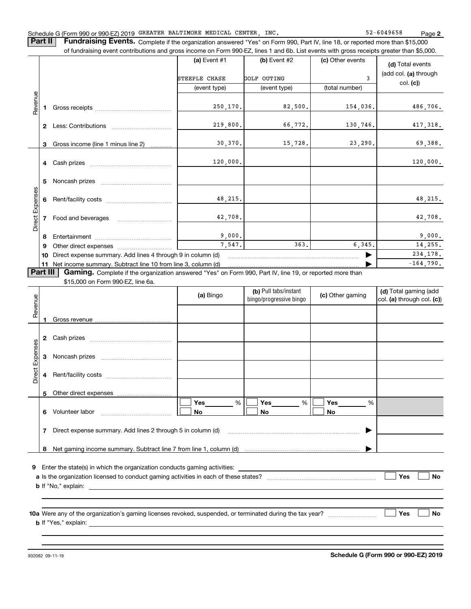**2**

**Part II** | Fundraising Events. Complete if the organization answered "Yes" on Form 990, Part IV, line 18, or reported more than \$15,000 of fundraising event contributions and gross income on Form 990-EZ, lines 1 and 6b. List events with gross receipts greater than \$5,000.

|                       |                                                                   |                                                                                                                                                                                                                                | (a) Event $#1$ | $(b)$ Event #2 | (c) Other events | (d) Total events      |  |  |  |  |
|-----------------------|-------------------------------------------------------------------|--------------------------------------------------------------------------------------------------------------------------------------------------------------------------------------------------------------------------------|----------------|----------------|------------------|-----------------------|--|--|--|--|
|                       |                                                                   |                                                                                                                                                                                                                                | STEEPLE CHASE  | GOLF OUTING    | 3                | (add col. (a) through |  |  |  |  |
|                       |                                                                   |                                                                                                                                                                                                                                | (event type)   | (event type)   | (total number)   | col. (c)              |  |  |  |  |
|                       |                                                                   |                                                                                                                                                                                                                                |                |                |                  |                       |  |  |  |  |
| Revenue               |                                                                   | Gross receipts and the control of the control of the control of the control of the control of the control of the control of the control of the control of the control of the control of the control of the control of the cont | 250, 170.      | 82,500.        | 154,036.         | 486,706.              |  |  |  |  |
|                       | $\mathbf{2}$                                                      | Less: Contributions                                                                                                                                                                                                            | 219,800.       | 66,772.        | 130,746.         | 417,318.              |  |  |  |  |
|                       |                                                                   | 3 Gross income (line 1 minus line 2)                                                                                                                                                                                           | 30, 370.       | 15,728.        | 23,290.          | 69,388.               |  |  |  |  |
|                       |                                                                   |                                                                                                                                                                                                                                | 120,000.       |                |                  | 120,000.              |  |  |  |  |
|                       | 5.                                                                |                                                                                                                                                                                                                                |                |                |                  |                       |  |  |  |  |
|                       |                                                                   |                                                                                                                                                                                                                                | 48,215.        |                |                  | 48,215.               |  |  |  |  |
| <b>Direct Expense</b> |                                                                   | 7 Food and beverages                                                                                                                                                                                                           | 42,708.        |                |                  | 42,708.               |  |  |  |  |
|                       | 8                                                                 |                                                                                                                                                                                                                                | 9,000.         |                |                  | 9,000.                |  |  |  |  |
|                       | 9                                                                 |                                                                                                                                                                                                                                | 7,547.         | 363.           | 6,345.           | 14,255.               |  |  |  |  |
|                       | Direct expense summary. Add lines 4 through 9 in column (d)<br>10 |                                                                                                                                                                                                                                |                |                |                  |                       |  |  |  |  |
|                       |                                                                   | 11 Net income summary. Subtract line 10 from line 3, column (d)                                                                                                                                                                |                |                |                  |                       |  |  |  |  |
|                       | <b>Part III</b>                                                   | Gaming. Complete if the organization answered "Yes" on Form 990, Part IV, line 19, or reported more than                                                                                                                       |                |                |                  |                       |  |  |  |  |
|                       |                                                                   | \$15,000 on Form 990-EZ, line 6a.                                                                                                                                                                                              |                |                |                  |                       |  |  |  |  |

| Revenue         |   |                                                                                                               | (a) Bingo                    | (b) Pull tabs/instant<br>bingo/progressive bingo | (c) Other gaming                             | (d) Total gaming (add<br>$ col. (a)$ through col. $(c)$ |
|-----------------|---|---------------------------------------------------------------------------------------------------------------|------------------------------|--------------------------------------------------|----------------------------------------------|---------------------------------------------------------|
|                 |   |                                                                                                               |                              |                                                  |                                              |                                                         |
|                 | 2 |                                                                                                               |                              |                                                  |                                              |                                                         |
| Direct Expenses | 3 |                                                                                                               |                              |                                                  |                                              |                                                         |
|                 | 4 |                                                                                                               |                              |                                                  |                                              |                                                         |
|                 | 5 |                                                                                                               |                              |                                                  |                                              |                                                         |
|                 | 6 |                                                                                                               | Yes $\_\_$<br>%<br><b>No</b> | Yes %<br><b>No</b>                               | Yes $\qquad \qquad \qquad$<br>%<br><b>No</b> |                                                         |
|                 | 7 | Direct expense summary. Add lines 2 through 5 in column (d) [11] manuscription and continuum manuscription of |                              |                                                  | ▶                                            |                                                         |
|                 |   |                                                                                                               |                              |                                                  |                                              |                                                         |
| 9               |   | Enter the state(s) in which the organization conducts gaming activities:                                      |                              |                                                  |                                              | Yes<br><b>No</b>                                        |
|                 |   |                                                                                                               |                              |                                                  |                                              |                                                         |
|                 |   |                                                                                                               |                              |                                                  |                                              | Yes<br><b>No</b>                                        |
|                 |   |                                                                                                               |                              |                                                  |                                              |                                                         |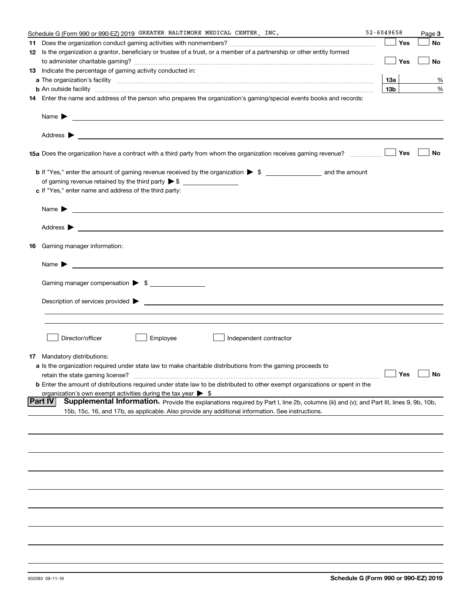| 52-6049658<br>Schedule G (Form 990 or 990-EZ) 2019 GREATER BALTIMORE MEDICAL CENTER, INC.                                                                                                                                                                          |                 | Page 3               |
|--------------------------------------------------------------------------------------------------------------------------------------------------------------------------------------------------------------------------------------------------------------------|-----------------|----------------------|
|                                                                                                                                                                                                                                                                    | Yes             | No                   |
| 12 Is the organization a grantor, beneficiary or trustee of a trust, or a member of a partnership or other entity formed                                                                                                                                           |                 |                      |
|                                                                                                                                                                                                                                                                    | Yes             | No                   |
| <b>13</b> Indicate the percentage of gaming activity conducted in:                                                                                                                                                                                                 |                 |                      |
|                                                                                                                                                                                                                                                                    | 13а             | %                    |
|                                                                                                                                                                                                                                                                    | 13 <sub>b</sub> | %                    |
| <b>b</b> An outside facility <b>contained and the contract of the contract of the contract of the contract of the contract of the contract of the contract of the contract of the contract of the contract of the contract of the con</b>                          |                 |                      |
| 14 Enter the name and address of the person who prepares the organization's gaming/special events books and records:                                                                                                                                               |                 |                      |
| Name $\blacktriangleright$<br><u> 1990 - John Harry Harry Harry Harry Harry Harry Harry Harry Harry Harry Harry Harry Harry Harry Harry Harry H</u>                                                                                                                |                 |                      |
|                                                                                                                                                                                                                                                                    |                 |                      |
|                                                                                                                                                                                                                                                                    | Yes             | No                   |
| b If "Yes," enter the amount of gaming revenue received by the organization > \$ ___________________ and the amount                                                                                                                                                |                 |                      |
| of gaming revenue retained by the third party $\triangleright$ \$ $\_\_\_\_\_\_\_\_\_\_\_\_\_\_\_\_\_\_\_\_\_\_\_\_\_\_$                                                                                                                                           |                 |                      |
| c If "Yes," enter name and address of the third party:                                                                                                                                                                                                             |                 |                      |
|                                                                                                                                                                                                                                                                    |                 |                      |
| Name $\blacktriangleright$<br><u>some started and the started and the started and the started and the started and the started and the started and</u>                                                                                                              |                 |                      |
|                                                                                                                                                                                                                                                                    |                 |                      |
| <b>16</b> Gaming manager information:                                                                                                                                                                                                                              |                 |                      |
| Name $\blacktriangleright$<br><u>state and the state of the state of the state of the state of the state of the state of the state of the state of the state of the state of the state of the state of the state of the state of the state of the state of the</u> |                 |                      |
|                                                                                                                                                                                                                                                                    |                 |                      |
| Gaming manager compensation > \$                                                                                                                                                                                                                                   |                 |                      |
|                                                                                                                                                                                                                                                                    |                 |                      |
|                                                                                                                                                                                                                                                                    |                 |                      |
|                                                                                                                                                                                                                                                                    |                 |                      |
|                                                                                                                                                                                                                                                                    |                 |                      |
| Director/officer<br>Employee<br>Independent contractor                                                                                                                                                                                                             |                 |                      |
|                                                                                                                                                                                                                                                                    |                 |                      |
| <b>17</b> Mandatory distributions:                                                                                                                                                                                                                                 |                 |                      |
| <b>a</b> Is the organization required under state law to make charitable distributions from the gaming proceeds to                                                                                                                                                 |                 |                      |
| retain the state gaming license?                                                                                                                                                                                                                                   |                 | $\Box$ Yes $\Box$ No |
| <b>b</b> Enter the amount of distributions required under state law to be distributed to other exempt organizations or spent in the                                                                                                                                |                 |                      |
| organization's own exempt activities during the tax year $\triangleright$ \$                                                                                                                                                                                       |                 |                      |
| <b>Part IV</b><br>Supplemental Information. Provide the explanations required by Part I, line 2b, columns (iii) and (v); and Part III, lines 9, 9b, 10b,                                                                                                           |                 |                      |
| 15b, 15c, 16, and 17b, as applicable. Also provide any additional information. See instructions.                                                                                                                                                                   |                 |                      |
|                                                                                                                                                                                                                                                                    |                 |                      |
|                                                                                                                                                                                                                                                                    |                 |                      |
|                                                                                                                                                                                                                                                                    |                 |                      |
|                                                                                                                                                                                                                                                                    |                 |                      |
|                                                                                                                                                                                                                                                                    |                 |                      |
|                                                                                                                                                                                                                                                                    |                 |                      |
|                                                                                                                                                                                                                                                                    |                 |                      |
|                                                                                                                                                                                                                                                                    |                 |                      |
|                                                                                                                                                                                                                                                                    |                 |                      |
|                                                                                                                                                                                                                                                                    |                 |                      |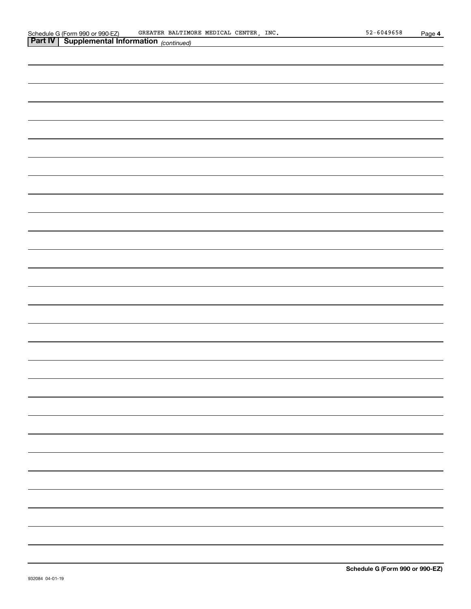| <b>Part IV   Supplemental Information</b> (continued) |  |
|-------------------------------------------------------|--|
|                                                       |  |
|                                                       |  |
|                                                       |  |
|                                                       |  |
|                                                       |  |
|                                                       |  |
|                                                       |  |
|                                                       |  |
|                                                       |  |
|                                                       |  |
|                                                       |  |
|                                                       |  |
|                                                       |  |
|                                                       |  |
|                                                       |  |
|                                                       |  |
|                                                       |  |
|                                                       |  |
|                                                       |  |
|                                                       |  |
|                                                       |  |
|                                                       |  |
|                                                       |  |
|                                                       |  |
|                                                       |  |
|                                                       |  |
|                                                       |  |
|                                                       |  |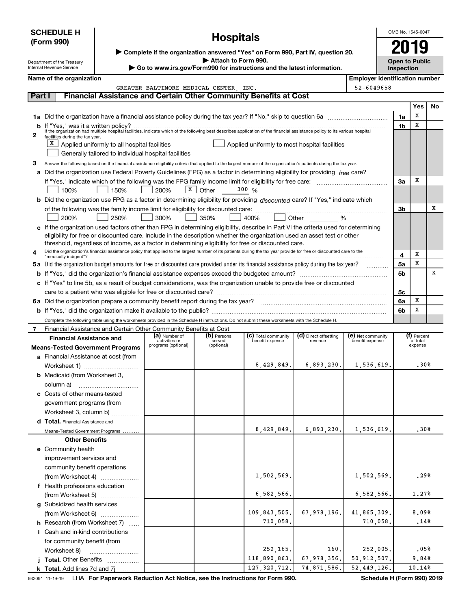|                                                                                                                                      | <b>SCHEDULE H</b>                                                               |                                                                                                                                                                      |                                        |                       | OMB No. 1545-0047                                                                                                                                                  |                                  |                                       |                |                                     |           |  |
|--------------------------------------------------------------------------------------------------------------------------------------|---------------------------------------------------------------------------------|----------------------------------------------------------------------------------------------------------------------------------------------------------------------|----------------------------------------|-----------------------|--------------------------------------------------------------------------------------------------------------------------------------------------------------------|----------------------------------|---------------------------------------|----------------|-------------------------------------|-----------|--|
|                                                                                                                                      | (Form 990)                                                                      |                                                                                                                                                                      |                                        | <b>Hospitals</b>      |                                                                                                                                                                    |                                  |                                       |                |                                     |           |  |
|                                                                                                                                      |                                                                                 |                                                                                                                                                                      |                                        |                       | ▶ Complete if the organization answered "Yes" on Form 990, Part IV, question 20.                                                                                   |                                  |                                       |                |                                     |           |  |
|                                                                                                                                      | Department of the Treasury<br><b>Internal Revenue Service</b>                   |                                                                                                                                                                      |                                        | Attach to Form 990.   | Go to www.irs.gov/Form990 for instructions and the latest information.                                                                                             |                                  |                                       |                | <b>Open to Public</b><br>Inspection |           |  |
|                                                                                                                                      | Name of the organization                                                        |                                                                                                                                                                      |                                        |                       |                                                                                                                                                                    |                                  | <b>Employer identification number</b> |                |                                     |           |  |
|                                                                                                                                      |                                                                                 |                                                                                                                                                                      | GREATER BALTIMORE MEDICAL CENTER. INC. |                       |                                                                                                                                                                    |                                  | 52-6049658                            |                |                                     |           |  |
| Part I                                                                                                                               |                                                                                 |                                                                                                                                                                      |                                        |                       | <b>Financial Assistance and Certain Other Community Benefits at Cost</b>                                                                                           |                                  |                                       |                |                                     |           |  |
|                                                                                                                                      |                                                                                 |                                                                                                                                                                      |                                        |                       |                                                                                                                                                                    |                                  |                                       |                | Yes                                 | <b>No</b> |  |
|                                                                                                                                      |                                                                                 |                                                                                                                                                                      |                                        |                       |                                                                                                                                                                    |                                  |                                       | 1a             | х                                   |           |  |
|                                                                                                                                      |                                                                                 |                                                                                                                                                                      |                                        |                       |                                                                                                                                                                    |                                  |                                       | 1 <sub>b</sub> | x                                   |           |  |
| 2                                                                                                                                    | facilities during the tax year.                                                 |                                                                                                                                                                      |                                        |                       |                                                                                                                                                                    |                                  |                                       |                |                                     |           |  |
|                                                                                                                                      |                                                                                 | $X$ Applied uniformly to all hospital facilities                                                                                                                     |                                        |                       | Applied uniformly to most hospital facilities                                                                                                                      |                                  |                                       |                |                                     |           |  |
|                                                                                                                                      |                                                                                 | Generally tailored to individual hospital facilities                                                                                                                 |                                        |                       |                                                                                                                                                                    |                                  |                                       |                |                                     |           |  |
| з                                                                                                                                    |                                                                                 |                                                                                                                                                                      |                                        |                       | Answer the following based on the financial assistance eligibility criteria that applied to the largest number of the organization's patients during the tax year. |                                  |                                       |                |                                     |           |  |
| a                                                                                                                                    |                                                                                 |                                                                                                                                                                      |                                        |                       | Did the organization use Federal Poverty Guidelines (FPG) as a factor in determining eligibility for providing free care?                                          |                                  |                                       | За             | х                                   |           |  |
|                                                                                                                                      | 100%                                                                            | 150%                                                                                                                                                                 | 200%                                   | $X \vert$ Other       | 300 %                                                                                                                                                              |                                  |                                       |                |                                     |           |  |
| <b>b</b> Did the organization use FPG as a factor in determining eligibility for providing discounted care? If "Yes," indicate which |                                                                                 |                                                                                                                                                                      |                                        |                       |                                                                                                                                                                    |                                  |                                       |                |                                     |           |  |
|                                                                                                                                      |                                                                                 |                                                                                                                                                                      |                                        |                       |                                                                                                                                                                    |                                  |                                       | 3b             |                                     | х         |  |
|                                                                                                                                      | 200%                                                                            | 250%                                                                                                                                                                 | 300%                                   | 350%                  | 400%                                                                                                                                                               | Other<br>%                       |                                       |                |                                     |           |  |
|                                                                                                                                      |                                                                                 |                                                                                                                                                                      |                                        |                       | c If the organization used factors other than FPG in determining eligibility, describe in Part VI the criteria used for determining                                |                                  |                                       |                |                                     |           |  |
|                                                                                                                                      |                                                                                 |                                                                                                                                                                      |                                        |                       | eligibility for free or discounted care. Include in the description whether the organization used an asset test or other                                           |                                  |                                       |                |                                     |           |  |
|                                                                                                                                      |                                                                                 |                                                                                                                                                                      |                                        |                       | threshold, regardless of income, as a factor in determining eligibility for free or discounted care.                                                               |                                  |                                       |                |                                     |           |  |
| 4                                                                                                                                    | "medically indigent"?                                                           | Did the organization's financial assistance policy that applied to the largest number of its patients during the tax year provide for free or discounted care to the |                                        |                       |                                                                                                                                                                    |                                  |                                       |                |                                     |           |  |
|                                                                                                                                      |                                                                                 |                                                                                                                                                                      |                                        |                       | 5a Did the organization budget amounts for free or discounted care provided under its financial assistance policy during the tax year?                             |                                  | .                                     | 5a             | x                                   |           |  |
|                                                                                                                                      |                                                                                 |                                                                                                                                                                      |                                        |                       |                                                                                                                                                                    |                                  |                                       | 5b             |                                     | х         |  |
|                                                                                                                                      |                                                                                 |                                                                                                                                                                      |                                        |                       | c If "Yes" to line 5b, as a result of budget considerations, was the organization unable to provide free or discounted                                             |                                  |                                       |                |                                     |           |  |
|                                                                                                                                      |                                                                                 |                                                                                                                                                                      |                                        |                       |                                                                                                                                                                    |                                  |                                       | 5с             | X                                   |           |  |
|                                                                                                                                      | 6a Did the organization prepare a community benefit report during the tax year? |                                                                                                                                                                      |                                        |                       |                                                                                                                                                                    |                                  |                                       | 6a<br>6b       | X                                   |           |  |
|                                                                                                                                      |                                                                                 |                                                                                                                                                                      |                                        |                       | Complete the following table using the worksheets provided in the Schedule H instructions. Do not submit these worksheets with the Schedule H.                     |                                  |                                       |                |                                     |           |  |
| $\mathbf{7}$                                                                                                                         | Financial Assistance and Certain Other Community Benefits at Cost               |                                                                                                                                                                      |                                        |                       |                                                                                                                                                                    |                                  |                                       |                |                                     |           |  |
|                                                                                                                                      | <b>Financial Assistance and</b>                                                 |                                                                                                                                                                      | (a) Number of<br>activities or         | (b) Persons<br>served | (c) Total community<br>benefit expense                                                                                                                             | (d) Direct offsetting<br>revenue | (e) Net community<br>benefit expense  |                | (f) Percent<br>of total             |           |  |
|                                                                                                                                      | <b>Means-Tested Government Programs</b>                                         |                                                                                                                                                                      | programs (optional)                    | (optional)            |                                                                                                                                                                    |                                  |                                       |                | expense                             |           |  |
|                                                                                                                                      | <b>a</b> Financial Assistance at cost (from                                     |                                                                                                                                                                      |                                        |                       |                                                                                                                                                                    |                                  |                                       |                |                                     |           |  |
|                                                                                                                                      |                                                                                 |                                                                                                                                                                      |                                        |                       | 8,429,849.                                                                                                                                                         | 6,893,230.                       | 1,536,619.                            |                | .30%                                |           |  |
|                                                                                                                                      | <b>b</b> Medicaid (from Worksheet 3,                                            |                                                                                                                                                                      |                                        |                       |                                                                                                                                                                    |                                  |                                       |                |                                     |           |  |
|                                                                                                                                      | column a)                                                                       |                                                                                                                                                                      |                                        |                       |                                                                                                                                                                    |                                  |                                       |                |                                     |           |  |
|                                                                                                                                      | c Costs of other means-tested                                                   |                                                                                                                                                                      |                                        |                       |                                                                                                                                                                    |                                  |                                       |                |                                     |           |  |
|                                                                                                                                      | government programs (from                                                       |                                                                                                                                                                      |                                        |                       |                                                                                                                                                                    |                                  |                                       |                |                                     |           |  |
|                                                                                                                                      | Worksheet 3, column b)                                                          |                                                                                                                                                                      |                                        |                       |                                                                                                                                                                    |                                  |                                       |                |                                     |           |  |
|                                                                                                                                      | d Total. Financial Assistance and<br>Means-Tested Government Programs           |                                                                                                                                                                      |                                        |                       | 8,429,849.                                                                                                                                                         | 6,893,230.                       | 1,536,619.                            |                | .30%                                |           |  |
|                                                                                                                                      | <b>Other Benefits</b>                                                           |                                                                                                                                                                      |                                        |                       |                                                                                                                                                                    |                                  |                                       |                |                                     |           |  |
|                                                                                                                                      | e Community health                                                              |                                                                                                                                                                      |                                        |                       |                                                                                                                                                                    |                                  |                                       |                |                                     |           |  |
|                                                                                                                                      | improvement services and                                                        |                                                                                                                                                                      |                                        |                       |                                                                                                                                                                    |                                  |                                       |                |                                     |           |  |
|                                                                                                                                      | community benefit operations                                                    |                                                                                                                                                                      |                                        |                       |                                                                                                                                                                    |                                  |                                       |                |                                     |           |  |
|                                                                                                                                      | (from Worksheet 4)                                                              |                                                                                                                                                                      |                                        |                       | 1,502,569.                                                                                                                                                         |                                  | 1,502,569.                            |                | .29%                                |           |  |
|                                                                                                                                      | f Health professions education                                                  |                                                                                                                                                                      |                                        |                       |                                                                                                                                                                    |                                  |                                       |                |                                     |           |  |
|                                                                                                                                      | (from Worksheet 5)                                                              |                                                                                                                                                                      |                                        |                       | 6,582,566.                                                                                                                                                         |                                  | 6,582,566.                            |                | 1,27%                               |           |  |
|                                                                                                                                      | g Subsidized health services                                                    |                                                                                                                                                                      |                                        |                       |                                                                                                                                                                    |                                  |                                       |                |                                     |           |  |
|                                                                                                                                      | (from Worksheet 6)                                                              |                                                                                                                                                                      |                                        |                       | 109,843,505.                                                                                                                                                       | 67,978,196.                      | 41,865,309.                           |                | 8,09%<br>.14%                       |           |  |
|                                                                                                                                      | <b>h</b> Research (from Worksheet 7)                                            |                                                                                                                                                                      |                                        |                       | 710,058.                                                                                                                                                           |                                  | 710,058.                              |                |                                     |           |  |
|                                                                                                                                      | <i>i</i> Cash and in-kind contributions<br>for community benefit (from          |                                                                                                                                                                      |                                        |                       |                                                                                                                                                                    |                                  |                                       |                |                                     |           |  |
|                                                                                                                                      | Worksheet 8)                                                                    |                                                                                                                                                                      |                                        |                       | 252,165.                                                                                                                                                           | 160.                             | 252,005.                              |                | .05%                                |           |  |
|                                                                                                                                      | j Total. Other Benefits                                                         |                                                                                                                                                                      |                                        |                       | 118,890,863.                                                                                                                                                       | 67,978,356.                      | 50,912,507.                           |                | 9.84%                               |           |  |
|                                                                                                                                      | <b>k</b> Total. Add lines 7d and $7j$                                           |                                                                                                                                                                      |                                        |                       | 127, 320, 712.                                                                                                                                                     | 74,871,586.                      | 52,449,126.                           |                | 10.14%                              |           |  |

932091 11-19-19 **For Paperwork Reduction Act Notice, see the Instructions for Form 990. Schedule H (Form 990) 2019** LHA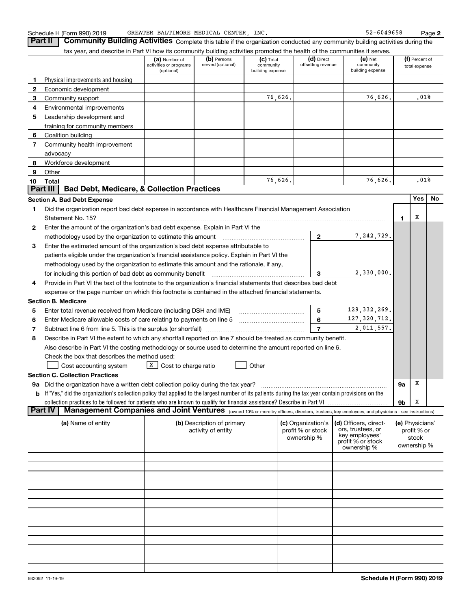**2**

**Part II** | Community Building Activities Complete this table if the organization conducted any community building activities during the tax year, and describe in Part VI how its community building activities promoted the health of the communities it serves.

|    | tax year, and describe in Fart VI How its community building activities promoted the nealth of the communities it serves.                                        |                                                       |                                  |                                              |                   |                                  |                                            |    |                                 |    |
|----|------------------------------------------------------------------------------------------------------------------------------------------------------------------|-------------------------------------------------------|----------------------------------|----------------------------------------------|-------------------|----------------------------------|--------------------------------------------|----|---------------------------------|----|
|    |                                                                                                                                                                  | (a) Number of<br>activities or programs<br>(optional) | (b) Persons<br>served (optional) | $(c)$ Total<br>community<br>building expense |                   | (d) Direct<br>offsetting revenue | $(e)$ Net<br>community<br>building expense |    | (f) Percent of<br>total expense |    |
|    | Physical improvements and housing                                                                                                                                |                                                       |                                  |                                              |                   |                                  |                                            |    |                                 |    |
| 2  | Economic development                                                                                                                                             |                                                       |                                  |                                              |                   |                                  |                                            |    |                                 |    |
| 3  | Community support                                                                                                                                                |                                                       |                                  | 76,626.                                      |                   |                                  | 76,626.                                    |    | .01%                            |    |
| 4  | Environmental improvements                                                                                                                                       |                                                       |                                  |                                              |                   |                                  |                                            |    |                                 |    |
| 5  | Leadership development and                                                                                                                                       |                                                       |                                  |                                              |                   |                                  |                                            |    |                                 |    |
|    | training for community members                                                                                                                                   |                                                       |                                  |                                              |                   |                                  |                                            |    |                                 |    |
| 6  | Coalition building                                                                                                                                               |                                                       |                                  |                                              |                   |                                  |                                            |    |                                 |    |
| 7  | Community health improvement                                                                                                                                     |                                                       |                                  |                                              |                   |                                  |                                            |    |                                 |    |
|    |                                                                                                                                                                  |                                                       |                                  |                                              |                   |                                  |                                            |    |                                 |    |
|    | advocacy                                                                                                                                                         |                                                       |                                  |                                              |                   |                                  |                                            |    |                                 |    |
| 8  | Workforce development                                                                                                                                            |                                                       |                                  |                                              |                   |                                  |                                            |    |                                 |    |
| 9  | Other                                                                                                                                                            |                                                       |                                  | 76,626.                                      |                   |                                  | 76,626.                                    |    | .01%                            |    |
| 10 | Total<br><b>Bad Debt, Medicare, &amp; Collection Practices</b><br>Part III                                                                                       |                                                       |                                  |                                              |                   |                                  |                                            |    |                                 |    |
|    |                                                                                                                                                                  |                                                       |                                  |                                              |                   |                                  |                                            |    |                                 |    |
|    | <b>Section A. Bad Debt Expense</b>                                                                                                                               |                                                       |                                  |                                              |                   |                                  |                                            |    | Yes                             | No |
| 1  | Did the organization report bad debt expense in accordance with Healthcare Financial Management Association                                                      |                                                       |                                  |                                              |                   |                                  |                                            |    |                                 |    |
|    |                                                                                                                                                                  |                                                       |                                  |                                              |                   |                                  |                                            | 1  | х                               |    |
| 2  | Enter the amount of the organization's bad debt expense. Explain in Part VI the                                                                                  |                                                       |                                  |                                              |                   |                                  |                                            |    |                                 |    |
|    | methodology used by the organization to estimate this amount mathodology used by the organization to estimate this amount                                        |                                                       |                                  |                                              |                   | $\overline{2}$                   | 7, 242, 729.                               |    |                                 |    |
| 3  | Enter the estimated amount of the organization's bad debt expense attributable to                                                                                |                                                       |                                  |                                              |                   |                                  |                                            |    |                                 |    |
|    | patients eligible under the organization's financial assistance policy. Explain in Part VI the                                                                   |                                                       |                                  |                                              |                   |                                  |                                            |    |                                 |    |
|    | methodology used by the organization to estimate this amount and the rationale, if any,                                                                          |                                                       |                                  |                                              |                   |                                  |                                            |    |                                 |    |
|    | for including this portion of bad debt as community benefit                                                                                                      |                                                       |                                  |                                              |                   | 3                                | 2,330,000.                                 |    |                                 |    |
| 4  | Provide in Part VI the text of the footnote to the organization's financial statements that describes bad debt                                                   |                                                       |                                  |                                              |                   |                                  |                                            |    |                                 |    |
|    | expense or the page number on which this footnote is contained in the attached financial statements.                                                             |                                                       |                                  |                                              |                   |                                  |                                            |    |                                 |    |
|    | <b>Section B. Medicare</b>                                                                                                                                       |                                                       |                                  |                                              |                   |                                  |                                            |    |                                 |    |
|    |                                                                                                                                                                  |                                                       |                                  |                                              |                   |                                  | 129, 332, 269.                             |    |                                 |    |
| 5  | Enter total revenue received from Medicare (including DSH and IME)                                                                                               |                                                       |                                  |                                              |                   | 5                                |                                            |    |                                 |    |
| 6  | Enter Medicare allowable costs of care relating to payments on line 5 [11] [11] The Medicare allowable costs of care relating to payments on line 5              |                                                       |                                  |                                              |                   | 6                                | 127, 320, 712.                             |    |                                 |    |
| 7  | Subtract line 6 from line 5. This is the surplus (or shortfall)                                                                                                  |                                                       |                                  |                                              |                   | $\overline{7}$                   | 2,011,557.                                 |    |                                 |    |
| 8  | Describe in Part VI the extent to which any shortfall reported on line 7 should be treated as community benefit.                                                 |                                                       |                                  |                                              |                   |                                  |                                            |    |                                 |    |
|    | Also describe in Part VI the costing methodology or source used to determine the amount reported on line 6.                                                      |                                                       |                                  |                                              |                   |                                  |                                            |    |                                 |    |
|    | Check the box that describes the method used:                                                                                                                    |                                                       |                                  |                                              |                   |                                  |                                            |    |                                 |    |
|    | Cost accounting system                                                                                                                                           | $X$ Cost to charge ratio                              |                                  | Other                                        |                   |                                  |                                            |    |                                 |    |
|    | <b>Section C. Collection Practices</b>                                                                                                                           |                                                       |                                  |                                              |                   |                                  |                                            |    |                                 |    |
|    | 9a Did the organization have a written debt collection policy during the tax year?                                                                               |                                                       |                                  |                                              |                   |                                  |                                            | 9а | х                               |    |
|    | <b>b</b> If "Yes," did the organization's collection policy that applied to the largest number of its patients during the tax year contain provisions on the     |                                                       |                                  |                                              |                   |                                  |                                            |    |                                 |    |
|    | collection practices to be followed for patients who are known to qualify for financial assistance? Describe in Part VI                                          |                                                       |                                  |                                              |                   |                                  |                                            | 9b | x                               |    |
|    | Management Companies and Joint Ventures (owned 10% or more by officers, directors, trustees, key employees, and physicians - see instructions)<br><b>Part IV</b> |                                                       |                                  |                                              |                   |                                  |                                            |    |                                 |    |
|    | (a) Name of entity                                                                                                                                               |                                                       | (b) Description of primary       |                                              |                   | (c) Organization's               | (d) Officers, direct-                      |    | (e) Physicians'                 |    |
|    |                                                                                                                                                                  |                                                       | activity of entity               |                                              | profit % or stock |                                  | ors, trustees, or                          |    | profit % or                     |    |
|    |                                                                                                                                                                  |                                                       |                                  |                                              | ownership %       |                                  | key employees'                             |    | stock                           |    |
|    |                                                                                                                                                                  |                                                       |                                  |                                              |                   |                                  | profit % or stock<br>ownership %           |    | ownership %                     |    |
|    |                                                                                                                                                                  |                                                       |                                  |                                              |                   |                                  |                                            |    |                                 |    |
|    |                                                                                                                                                                  |                                                       |                                  |                                              |                   |                                  |                                            |    |                                 |    |
|    |                                                                                                                                                                  |                                                       |                                  |                                              |                   |                                  |                                            |    |                                 |    |
|    |                                                                                                                                                                  |                                                       |                                  |                                              |                   |                                  |                                            |    |                                 |    |
|    |                                                                                                                                                                  |                                                       |                                  |                                              |                   |                                  |                                            |    |                                 |    |
|    |                                                                                                                                                                  |                                                       |                                  |                                              |                   |                                  |                                            |    |                                 |    |
|    |                                                                                                                                                                  |                                                       |                                  |                                              |                   |                                  |                                            |    |                                 |    |
|    |                                                                                                                                                                  |                                                       |                                  |                                              |                   |                                  |                                            |    |                                 |    |
|    |                                                                                                                                                                  |                                                       |                                  |                                              |                   |                                  |                                            |    |                                 |    |
|    |                                                                                                                                                                  |                                                       |                                  |                                              |                   |                                  |                                            |    |                                 |    |
|    |                                                                                                                                                                  |                                                       |                                  |                                              |                   |                                  |                                            |    |                                 |    |
|    |                                                                                                                                                                  |                                                       |                                  |                                              |                   |                                  |                                            |    |                                 |    |
|    |                                                                                                                                                                  |                                                       |                                  |                                              |                   |                                  |                                            |    |                                 |    |
|    |                                                                                                                                                                  |                                                       |                                  |                                              |                   |                                  |                                            |    |                                 |    |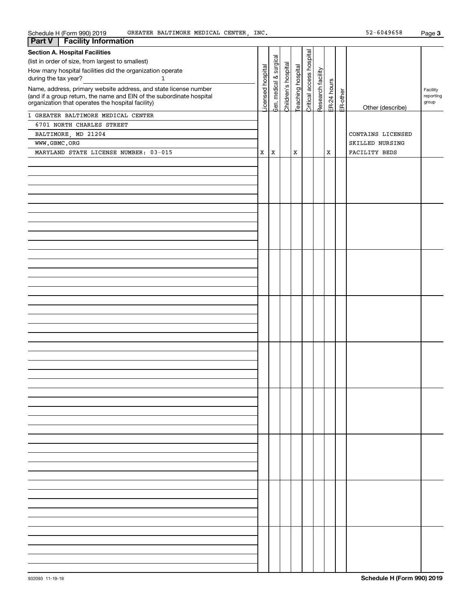| Schedule H (Form 990) 2019<br>GREATER BALTIMORE MEDICAL CENTER, INC.                                                      |                  |             |                     |                  |                 |                   |             |          | 52-6049658        | Page 3             |
|---------------------------------------------------------------------------------------------------------------------------|------------------|-------------|---------------------|------------------|-----------------|-------------------|-------------|----------|-------------------|--------------------|
| <b>Facility Information</b><br>Part V                                                                                     |                  |             |                     |                  |                 |                   |             |          |                   |                    |
| <b>Section A. Hospital Facilities</b>                                                                                     |                  |             |                     |                  | access hospital |                   |             |          |                   |                    |
| (list in order of size, from largest to smallest)                                                                         |                  | surgical    |                     |                  |                 |                   |             |          |                   |                    |
| How many hospital facilities did the organization operate                                                                 |                  |             |                     |                  |                 |                   |             |          |                   |                    |
| during the tax year?<br>$\mathbf{1}$                                                                                      | icensed hospital | $\infty$    | Children's hospital | eaching hospital |                 | Research facility |             |          |                   |                    |
|                                                                                                                           |                  | medical     |                     |                  |                 |                   | ER-24 hours |          |                   |                    |
| Name, address, primary website address, and state license number                                                          |                  |             |                     |                  |                 |                   |             | ER-other |                   | Facility           |
| (and if a group return, the name and EIN of the subordinate hospital<br>organization that operates the hospital facility) |                  |             |                     |                  |                 |                   |             |          |                   | reporting<br>group |
|                                                                                                                           |                  | her.        |                     |                  | <b>Critical</b> |                   |             |          | Other (describe)  |                    |
| 1 GREATER BALTIMORE MEDICAL CENTER                                                                                        |                  |             |                     |                  |                 |                   |             |          |                   |                    |
| 6701 NORTH CHARLES STREET                                                                                                 |                  |             |                     |                  |                 |                   |             |          |                   |                    |
| BALTIMORE, MD 21204                                                                                                       |                  |             |                     |                  |                 |                   |             |          | CONTAINS LICENSED |                    |
|                                                                                                                           |                  |             |                     |                  |                 |                   |             |          |                   |                    |
| WWW.GBMC.ORG                                                                                                              |                  |             |                     |                  |                 |                   |             |          | SKILLED NURSING   |                    |
| MARYLAND STATE LICENSE NUMBER: 03-015                                                                                     | X                | $\mathbf X$ |                     | $\mathbf x$      |                 |                   | $\mathbf x$ |          | FACILITY BEDS     |                    |
|                                                                                                                           |                  |             |                     |                  |                 |                   |             |          |                   |                    |
|                                                                                                                           |                  |             |                     |                  |                 |                   |             |          |                   |                    |
|                                                                                                                           |                  |             |                     |                  |                 |                   |             |          |                   |                    |
|                                                                                                                           |                  |             |                     |                  |                 |                   |             |          |                   |                    |
|                                                                                                                           |                  |             |                     |                  |                 |                   |             |          |                   |                    |
|                                                                                                                           |                  |             |                     |                  |                 |                   |             |          |                   |                    |
|                                                                                                                           |                  |             |                     |                  |                 |                   |             |          |                   |                    |
|                                                                                                                           |                  |             |                     |                  |                 |                   |             |          |                   |                    |
|                                                                                                                           |                  |             |                     |                  |                 |                   |             |          |                   |                    |
|                                                                                                                           |                  |             |                     |                  |                 |                   |             |          |                   |                    |
|                                                                                                                           |                  |             |                     |                  |                 |                   |             |          |                   |                    |
|                                                                                                                           |                  |             |                     |                  |                 |                   |             |          |                   |                    |
|                                                                                                                           |                  |             |                     |                  |                 |                   |             |          |                   |                    |
|                                                                                                                           |                  |             |                     |                  |                 |                   |             |          |                   |                    |
|                                                                                                                           |                  |             |                     |                  |                 |                   |             |          |                   |                    |
|                                                                                                                           |                  |             |                     |                  |                 |                   |             |          |                   |                    |
|                                                                                                                           |                  |             |                     |                  |                 |                   |             |          |                   |                    |
|                                                                                                                           |                  |             |                     |                  |                 |                   |             |          |                   |                    |
|                                                                                                                           |                  |             |                     |                  |                 |                   |             |          |                   |                    |
|                                                                                                                           |                  |             |                     |                  |                 |                   |             |          |                   |                    |
|                                                                                                                           |                  |             |                     |                  |                 |                   |             |          |                   |                    |
|                                                                                                                           |                  |             |                     |                  |                 |                   |             |          |                   |                    |
|                                                                                                                           |                  |             |                     |                  |                 |                   |             |          |                   |                    |
|                                                                                                                           |                  |             |                     |                  |                 |                   |             |          |                   |                    |
|                                                                                                                           |                  |             |                     |                  |                 |                   |             |          |                   |                    |
|                                                                                                                           |                  |             |                     |                  |                 |                   |             |          |                   |                    |
|                                                                                                                           |                  |             |                     |                  |                 |                   |             |          |                   |                    |
|                                                                                                                           |                  |             |                     |                  |                 |                   |             |          |                   |                    |
|                                                                                                                           |                  |             |                     |                  |                 |                   |             |          |                   |                    |
|                                                                                                                           |                  |             |                     |                  |                 |                   |             |          |                   |                    |
|                                                                                                                           |                  |             |                     |                  |                 |                   |             |          |                   |                    |
|                                                                                                                           |                  |             |                     |                  |                 |                   |             |          |                   |                    |
|                                                                                                                           |                  |             |                     |                  |                 |                   |             |          |                   |                    |
|                                                                                                                           |                  |             |                     |                  |                 |                   |             |          |                   |                    |
|                                                                                                                           |                  |             |                     |                  |                 |                   |             |          |                   |                    |
|                                                                                                                           |                  |             |                     |                  |                 |                   |             |          |                   |                    |
|                                                                                                                           |                  |             |                     |                  |                 |                   |             |          |                   |                    |
|                                                                                                                           |                  |             |                     |                  |                 |                   |             |          |                   |                    |
|                                                                                                                           |                  |             |                     |                  |                 |                   |             |          |                   |                    |
|                                                                                                                           |                  |             |                     |                  |                 |                   |             |          |                   |                    |
|                                                                                                                           |                  |             |                     |                  |                 |                   |             |          |                   |                    |
|                                                                                                                           |                  |             |                     |                  |                 |                   |             |          |                   |                    |
|                                                                                                                           |                  |             |                     |                  |                 |                   |             |          |                   |                    |
|                                                                                                                           |                  |             |                     |                  |                 |                   |             |          |                   |                    |
|                                                                                                                           |                  |             |                     |                  |                 |                   |             |          |                   |                    |
|                                                                                                                           |                  |             |                     |                  |                 |                   |             |          |                   |                    |
|                                                                                                                           |                  |             |                     |                  |                 |                   |             |          |                   |                    |
|                                                                                                                           |                  |             |                     |                  |                 |                   |             |          |                   |                    |
|                                                                                                                           |                  |             |                     |                  |                 |                   |             |          |                   |                    |
|                                                                                                                           |                  |             |                     |                  |                 |                   |             |          |                   |                    |
|                                                                                                                           |                  |             |                     |                  |                 |                   |             |          |                   |                    |
|                                                                                                                           |                  |             |                     |                  |                 |                   |             |          |                   |                    |
|                                                                                                                           |                  |             |                     |                  |                 |                   |             |          |                   |                    |
|                                                                                                                           |                  |             |                     |                  |                 |                   |             |          |                   |                    |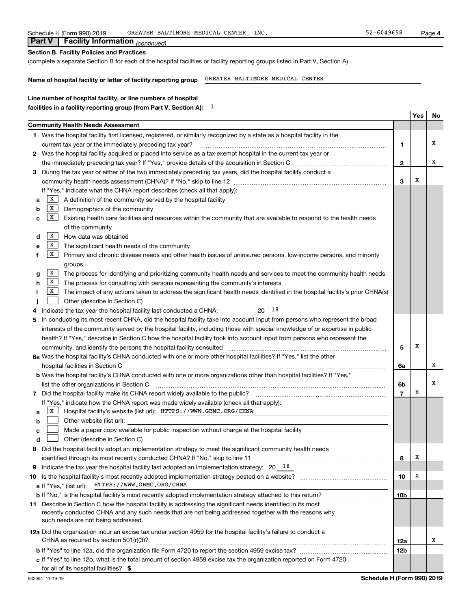| Schedule H (Form 990) 2019 | GREATER BALTIMORE MEDICAL CENTER<br>INC | $-6049658$<br>Page |
|----------------------------|-----------------------------------------|--------------------|
|                            |                                         |                    |

 *(continued)* **Part V Facility Information**

| (complete a separate Section B for each of the hospital facilities or facility reporting groups listed in Part V, Section A)                                                                                                                                                                                                                               |              |     |    |
|------------------------------------------------------------------------------------------------------------------------------------------------------------------------------------------------------------------------------------------------------------------------------------------------------------------------------------------------------------|--------------|-----|----|
| GREATER BALTIMORE MEDICAL CENTER<br>Name of hospital facility or letter of facility reporting group                                                                                                                                                                                                                                                        |              |     |    |
| Line number of hospital facility, or line numbers of hospital                                                                                                                                                                                                                                                                                              |              |     |    |
|                                                                                                                                                                                                                                                                                                                                                            |              |     |    |
| <b>Community Health Needs Assessment</b>                                                                                                                                                                                                                                                                                                                   |              | Yes | No |
| 1 Was the hospital facility first licensed, registered, or similarly recognized by a state as a hospital facility in the                                                                                                                                                                                                                                   |              |     |    |
| current tax year or the immediately preceding tax year?                                                                                                                                                                                                                                                                                                    | 1            |     | x  |
| 2 Was the hospital facility acquired or placed into service as a tax-exempt hospital in the current tax year or                                                                                                                                                                                                                                            |              |     |    |
|                                                                                                                                                                                                                                                                                                                                                            | $\mathbf{2}$ |     | х  |
| During the tax year or either of the two immediately preceding tax years, did the hospital facility conduct a<br>З                                                                                                                                                                                                                                         |              |     |    |
|                                                                                                                                                                                                                                                                                                                                                            | 3            | Х   |    |
| If "Yes," indicate what the CHNA report describes (check all that apply):                                                                                                                                                                                                                                                                                  |              |     |    |
| X  <br>A definition of the community served by the hospital facility<br>a                                                                                                                                                                                                                                                                                  |              |     |    |
| $\mathbf{X}$<br>Demographics of the community<br>b                                                                                                                                                                                                                                                                                                         |              |     |    |
| X  <br>Existing health care facilities and resources within the community that are available to respond to the health needs<br>c                                                                                                                                                                                                                           |              |     |    |
| of the community                                                                                                                                                                                                                                                                                                                                           |              |     |    |
| $\mathbf{X}$<br>How data was obtained<br>d                                                                                                                                                                                                                                                                                                                 |              |     |    |
| X  <br>The significant health needs of the community<br>е                                                                                                                                                                                                                                                                                                  |              |     |    |
| $\mathbf{X}$<br>Primary and chronic disease needs and other health issues of uninsured persons, low-income persons, and minority<br>f                                                                                                                                                                                                                      |              |     |    |
| groups                                                                                                                                                                                                                                                                                                                                                     |              |     |    |
| $\mathbf{X}$<br>The process for identifying and prioritizing community health needs and services to meet the community health needs                                                                                                                                                                                                                        |              |     |    |
| g<br>  X<br>The process for consulting with persons representing the community's interests<br>h                                                                                                                                                                                                                                                            |              |     |    |
| $\mathbf{X}$<br>The impact of any actions taken to address the significant health needs identified in the hospital facility's prior CHNA(s)<br>Ť                                                                                                                                                                                                           |              |     |    |
| Other (describe in Section C)                                                                                                                                                                                                                                                                                                                              |              |     |    |
| 20 18<br>Indicate the tax year the hospital facility last conducted a CHNA:                                                                                                                                                                                                                                                                                |              |     |    |
| In conducting its most recent CHNA, did the hospital facility take into account input from persons who represent the broad                                                                                                                                                                                                                                 |              |     |    |
| 5<br>interests of the community served by the hospital facility, including those with special knowledge of or expertise in public                                                                                                                                                                                                                          |              |     |    |
|                                                                                                                                                                                                                                                                                                                                                            |              |     |    |
| health? If "Yes," describe in Section C how the hospital facility took into account input from persons who represent the<br>community, and identify the persons the hospital facility consulted [11] community and identify the persons the hospital facility consulted [11] community and identify the persons the hospital facility consulted [11] commu | 5            | Х   |    |
| 6a Was the hospital facility's CHNA conducted with one or more other hospital facilities? If "Yes," list the other                                                                                                                                                                                                                                         |              |     |    |
|                                                                                                                                                                                                                                                                                                                                                            |              |     | x  |
|                                                                                                                                                                                                                                                                                                                                                            | 6a           |     |    |
| b Was the hospital facility's CHNA conducted with one or more organizations other than hospital facilities? If "Yes,"                                                                                                                                                                                                                                      |              |     | х  |
| list the other organizations in Section C [11] [12] International contract the other organizations in Section C                                                                                                                                                                                                                                            | 6b           | X   |    |
|                                                                                                                                                                                                                                                                                                                                                            |              |     |    |
| If "Yes," indicate how the CHNA report was made widely available (check all that apply):                                                                                                                                                                                                                                                                   |              |     |    |
| X<br>Hospital facility's website (list url): HTTPS: / / WWW.GBMC.ORG/CHNA<br>a                                                                                                                                                                                                                                                                             |              |     |    |
| Other website (list url):<br>b                                                                                                                                                                                                                                                                                                                             |              |     |    |
| Made a paper copy available for public inspection without charge at the hospital facility<br>c                                                                                                                                                                                                                                                             |              |     |    |
| Other (describe in Section C)<br>d                                                                                                                                                                                                                                                                                                                         |              |     |    |
| Did the hospital facility adopt an implementation strategy to meet the significant community health needs<br>8                                                                                                                                                                                                                                             |              |     |    |
|                                                                                                                                                                                                                                                                                                                                                            | 8            | х   |    |
| Indicate the tax year the hospital facility last adopted an implementation strategy: $20 \quad 18$<br>9                                                                                                                                                                                                                                                    |              |     |    |
| 10                                                                                                                                                                                                                                                                                                                                                         | 10           | х   |    |
| a If "Yes," (list url): HTTPS://WWW.GBMC.ORG/CHNA                                                                                                                                                                                                                                                                                                          |              |     |    |
| b If "No," is the hospital facility's most recently adopted implementation strategy attached to this return?                                                                                                                                                                                                                                               | 10b          |     |    |
| 11 Describe in Section C how the hospital facility is addressing the significant needs identified in its most<br>recently conducted CHNA and any such needs that are not being addressed together with the reasons why                                                                                                                                     |              |     |    |
| such needs are not being addressed.                                                                                                                                                                                                                                                                                                                        |              |     |    |
| 12a Did the organization incur an excise tax under section 4959 for the hospital facility's failure to conduct a                                                                                                                                                                                                                                           |              |     |    |
| CHNA as required by section $501(r)(3)?$                                                                                                                                                                                                                                                                                                                   | 12a          |     | x  |
|                                                                                                                                                                                                                                                                                                                                                            | <b>12b</b>   |     |    |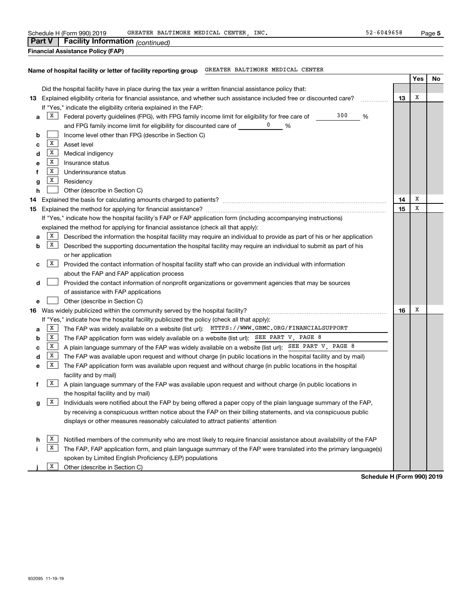| Schedule H (Form 990) 2019 | GREATER BALTIMORE MEDICAL CENTER<br>INC | $-6049658$<br>Page |
|----------------------------|-----------------------------------------|--------------------|
|----------------------------|-----------------------------------------|--------------------|

|  | <b>Part V</b>   Facility Information $_{(continued)}$ |  |
|--|-------------------------------------------------------|--|
|  |                                                       |  |

**Financial Assistance Policy (FAP)**

#### **Name of hospital facility or letter of facility reporting group** GREATER BALTIMORE MEDICAL CENTER

|    |              |                                                                                                                           |    | Yes | No |
|----|--------------|---------------------------------------------------------------------------------------------------------------------------|----|-----|----|
|    |              | Did the hospital facility have in place during the tax year a written financial assistance policy that:                   |    |     |    |
|    |              | 13 Explained eligibility criteria for financial assistance, and whether such assistance included free or discounted care? | 13 | X   |    |
|    |              | If "Yes," indicate the eligibility criteria explained in the FAP:                                                         |    |     |    |
| a  | X            | 300<br>Federal poverty guidelines (FPG), with FPG family income limit for eligibility for free care of<br>%               |    |     |    |
|    |              | and FPG family income limit for eligibility for discounted care of<br>%                                                   |    |     |    |
| b  |              | Income level other than FPG (describe in Section C)                                                                       |    |     |    |
| с  | $\mathbf{X}$ | Asset level                                                                                                               |    |     |    |
| d  | $\mathbf{X}$ | Medical indigency                                                                                                         |    |     |    |
| е  | X            | Insurance status                                                                                                          |    |     |    |
| f  | X            | Underinsurance status                                                                                                     |    |     |    |
| g  | X            | Residency                                                                                                                 |    |     |    |
| h  |              | Other (describe in Section C)                                                                                             |    |     |    |
| 14 |              |                                                                                                                           | 14 | х   |    |
|    |              |                                                                                                                           | 15 | X   |    |
|    |              | If "Yes," indicate how the hospital facility's FAP or FAP application form (including accompanying instructions)          |    |     |    |
|    |              | explained the method for applying for financial assistance (check all that apply):                                        |    |     |    |
| а  | X            | Described the information the hospital facility may require an individual to provide as part of his or her application    |    |     |    |
| b  | X            | Described the supporting documentation the hospital facility may require an individual to submit as part of his           |    |     |    |
|    |              | or her application                                                                                                        |    |     |    |
| с  | X            | Provided the contact information of hospital facility staff who can provide an individual with information                |    |     |    |
|    |              | about the FAP and FAP application process                                                                                 |    |     |    |
| d  |              | Provided the contact information of nonprofit organizations or government agencies that may be sources                    |    |     |    |
|    |              | of assistance with FAP applications                                                                                       |    |     |    |
| e  |              | Other (describe in Section C)                                                                                             |    |     |    |
|    |              | 16 Was widely publicized within the community served by the hospital facility?                                            | 16 | X   |    |
|    |              | If "Yes," indicate how the hospital facility publicized the policy (check all that apply):                                |    |     |    |
| a  | X            | The FAP was widely available on a website (list url): HTTPS: //WWW.GBMC.ORG/FINANCIALSUPPORT                              |    |     |    |
| b  | X            | The FAP application form was widely available on a website (list url): $SEE$ PART V, PAGE 8                               |    |     |    |
| с  | $\mathbf{X}$ | A plain language summary of the FAP was widely available on a website (list url): SEE PART V, PAGE 8                      |    |     |    |
| d  | X            | The FAP was available upon request and without charge (in public locations in the hospital facility and by mail)          |    |     |    |
| e  | X            | The FAP application form was available upon request and without charge (in public locations in the hospital               |    |     |    |
|    |              | facility and by mail)                                                                                                     |    |     |    |
| f  | X            | A plain language summary of the FAP was available upon request and without charge (in public locations in                 |    |     |    |
|    |              | the hospital facility and by mail)                                                                                        |    |     |    |
| g  | X            | Individuals were notified about the FAP by being offered a paper copy of the plain language summary of the FAP,           |    |     |    |
|    |              | by receiving a conspicuous written notice about the FAP on their billing statements, and via conspicuous public           |    |     |    |
|    |              | displays or other measures reasonably calculated to attract patients' attention                                           |    |     |    |
|    |              |                                                                                                                           |    |     |    |
| h  | X            | Notified members of the community who are most likely to require financial assistance about availability of the FAP       |    |     |    |
|    | X            | The FAP, FAP application form, and plain language summary of the FAP were translated into the primary language(s)         |    |     |    |
|    |              | spoken by Limited English Proficiency (LEP) populations                                                                   |    |     |    |
|    | X            | Other (describe in Section C)                                                                                             |    |     |    |

**Schedule H (Form 990) 2019**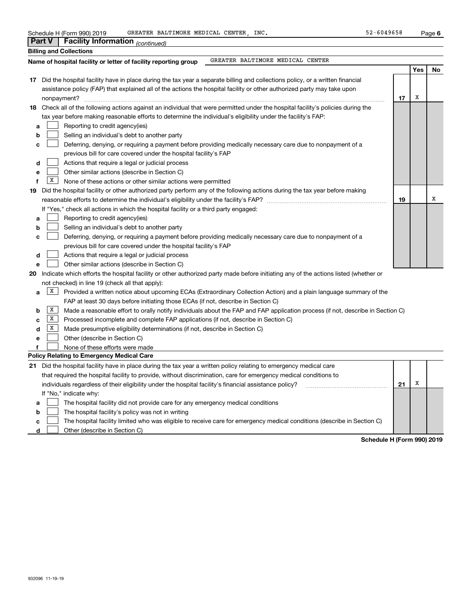|                  | Part V       | Facility Information (continued)                                                                                                                                                                                                                                                                                                                                                                                                         |    |     |    |
|------------------|--------------|------------------------------------------------------------------------------------------------------------------------------------------------------------------------------------------------------------------------------------------------------------------------------------------------------------------------------------------------------------------------------------------------------------------------------------------|----|-----|----|
|                  |              | <b>Billing and Collections</b>                                                                                                                                                                                                                                                                                                                                                                                                           |    |     |    |
|                  |              | GREATER BALTIMORE MEDICAL CENTER<br>Name of hospital facility or letter of facility reporting group                                                                                                                                                                                                                                                                                                                                      |    |     |    |
|                  |              |                                                                                                                                                                                                                                                                                                                                                                                                                                          |    | Yes | No |
|                  |              | 17 Did the hospital facility have in place during the tax year a separate billing and collections policy, or a written financial<br>assistance policy (FAP) that explained all of the actions the hospital facility or other authorized party may take upon<br>nonpayment?                                                                                                                                                               | 17 | Х   |    |
|                  |              | 18 Check all of the following actions against an individual that were permitted under the hospital facility's policies during the                                                                                                                                                                                                                                                                                                        |    |     |    |
| а<br>b<br>c<br>d |              | tax year before making reasonable efforts to determine the individual's eligibility under the facility's FAP:<br>Reporting to credit agency(ies)<br>Selling an individual's debt to another party<br>Deferring, denying, or requiring a payment before providing medically necessary care due to nonpayment of a<br>previous bill for care covered under the hospital facility's FAP<br>Actions that require a legal or judicial process |    |     |    |
| е                |              | Other similar actions (describe in Section C)                                                                                                                                                                                                                                                                                                                                                                                            |    |     |    |
| f                | X            | None of these actions or other similar actions were permitted                                                                                                                                                                                                                                                                                                                                                                            |    |     |    |
| 19               |              | Did the hospital facility or other authorized party perform any of the following actions during the tax year before making                                                                                                                                                                                                                                                                                                               | 19 |     | х  |
|                  |              | If "Yes," check all actions in which the hospital facility or a third party engaged:                                                                                                                                                                                                                                                                                                                                                     |    |     |    |
| а                |              | Reporting to credit agency(ies)                                                                                                                                                                                                                                                                                                                                                                                                          |    |     |    |
| b                |              | Selling an individual's debt to another party                                                                                                                                                                                                                                                                                                                                                                                            |    |     |    |
| c                |              | Deferring, denying, or requiring a payment before providing medically necessary care due to nonpayment of a<br>previous bill for care covered under the hospital facility's FAP                                                                                                                                                                                                                                                          |    |     |    |
| d                |              | Actions that require a legal or judicial process                                                                                                                                                                                                                                                                                                                                                                                         |    |     |    |
| е                |              | Other similar actions (describe in Section C)                                                                                                                                                                                                                                                                                                                                                                                            |    |     |    |
| 20               |              | Indicate which efforts the hospital facility or other authorized party made before initiating any of the actions listed (whether or                                                                                                                                                                                                                                                                                                      |    |     |    |
|                  |              | not checked) in line 19 (check all that apply):                                                                                                                                                                                                                                                                                                                                                                                          |    |     |    |
| a                | X            | Provided a written notice about upcoming ECAs (Extraordinary Collection Action) and a plain language summary of the                                                                                                                                                                                                                                                                                                                      |    |     |    |
|                  | X            | FAP at least 30 days before initiating those ECAs (if not, describe in Section C)                                                                                                                                                                                                                                                                                                                                                        |    |     |    |
| b                | $\mathbf{X}$ | Made a reasonable effort to orally notify individuals about the FAP and FAP application process (if not, describe in Section C)                                                                                                                                                                                                                                                                                                          |    |     |    |
| c<br>d           | X            | Processed incomplete and complete FAP applications (if not, describe in Section C)<br>Made presumptive eligibility determinations (if not, describe in Section C)                                                                                                                                                                                                                                                                        |    |     |    |
|                  |              | Other (describe in Section C)                                                                                                                                                                                                                                                                                                                                                                                                            |    |     |    |
| е<br>f           |              | None of these efforts were made                                                                                                                                                                                                                                                                                                                                                                                                          |    |     |    |
|                  |              | Policy Relating to Emergency Medical Care                                                                                                                                                                                                                                                                                                                                                                                                |    |     |    |
|                  |              | 21 Did the hospital facility have in place during the tax year a written policy relating to emergency medical care                                                                                                                                                                                                                                                                                                                       |    |     |    |
|                  |              |                                                                                                                                                                                                                                                                                                                                                                                                                                          |    |     |    |
|                  |              | that required the hospital facility to provide, without discrimination, care for emergency medical conditions to                                                                                                                                                                                                                                                                                                                         | 21 | x   |    |
|                  |              | individuals regardless of their eligibility under the hospital facility's financial assistance policy?<br>If "No," indicate why:                                                                                                                                                                                                                                                                                                         |    |     |    |
|                  |              |                                                                                                                                                                                                                                                                                                                                                                                                                                          |    |     |    |
| а<br>b           |              | The hospital facility did not provide care for any emergency medical conditions<br>The hospital facility's policy was not in writing                                                                                                                                                                                                                                                                                                     |    |     |    |
| C                |              | The hospital facility limited who was eligible to receive care for emergency medical conditions (describe in Section C)                                                                                                                                                                                                                                                                                                                  |    |     |    |
|                  |              |                                                                                                                                                                                                                                                                                                                                                                                                                                          |    |     |    |

**d** Other (describe in Section C)

**Schedule H (Form 990) 2019**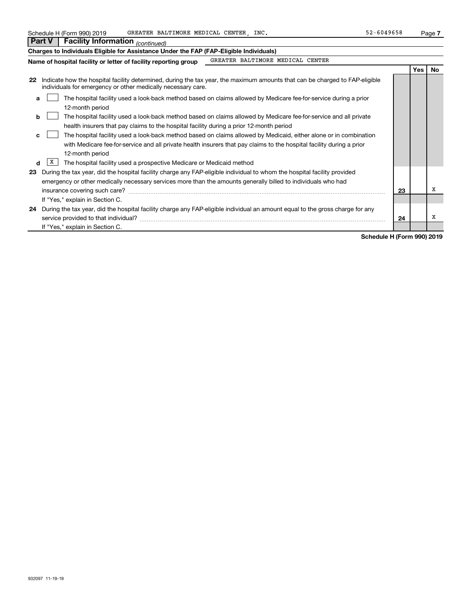| Schedule H (Form 990) 2019 | GREATER BALTIMORE MEDICAL CENTER | INC | $-6049658$ | Page |  |
|----------------------------|----------------------------------|-----|------------|------|--|
|                            |                                  |     |            |      |  |

| <u>oonoaano 11 (1 onni ooo) Lo It</u><br><b>Facility Information</b> (continued)<br>Part V                                                                                                                        |    |     | . ugu . |
|-------------------------------------------------------------------------------------------------------------------------------------------------------------------------------------------------------------------|----|-----|---------|
| Charges to Individuals Eligible for Assistance Under the FAP (FAP-Eligible Individuals)                                                                                                                           |    |     |         |
| GREATER BALTIMORE MEDICAL CENTER<br>Name of hospital facility or letter of facility reporting group                                                                                                               |    |     |         |
|                                                                                                                                                                                                                   |    | Yes | No      |
| Indicate how the hospital facility determined, during the tax year, the maximum amounts that can be charged to FAP-eligible<br>22<br>individuals for emergency or other medically necessary care.                 |    |     |         |
| The hospital facility used a look-back method based on claims allowed by Medicare fee-for-service during a prior<br>a<br>12-month period                                                                          |    |     |         |
| The hospital facility used a look-back method based on claims allowed by Medicare fee-for-service and all private<br>b<br>health insurers that pay claims to the hospital facility during a prior 12-month period |    |     |         |
| The hospital facility used a look-back method based on claims allowed by Medicaid, either alone or in combination<br>c                                                                                            |    |     |         |
| with Medicare fee-for-service and all private health insurers that pay claims to the hospital facility during a prior<br>12-month period                                                                          |    |     |         |
| X<br>The hospital facility used a prospective Medicare or Medicaid method<br>d                                                                                                                                    |    |     |         |
| During the tax year, did the hospital facility charge any FAP-eligible individual to whom the hospital facility provided<br>23                                                                                    |    |     |         |
| emergency or other medically necessary services more than the amounts generally billed to individuals who had                                                                                                     |    |     |         |
|                                                                                                                                                                                                                   | 23 |     | х       |
| If "Yes," explain in Section C.                                                                                                                                                                                   |    |     |         |
| During the tax year, did the hospital facility charge any FAP-eligible individual an amount equal to the gross charge for any<br>24                                                                               |    |     |         |
| service provided to that individual?                                                                                                                                                                              | 24 |     | х       |
| If "Yes," explain in Section C.                                                                                                                                                                                   |    |     |         |

**Schedule H (Form 990) 2019**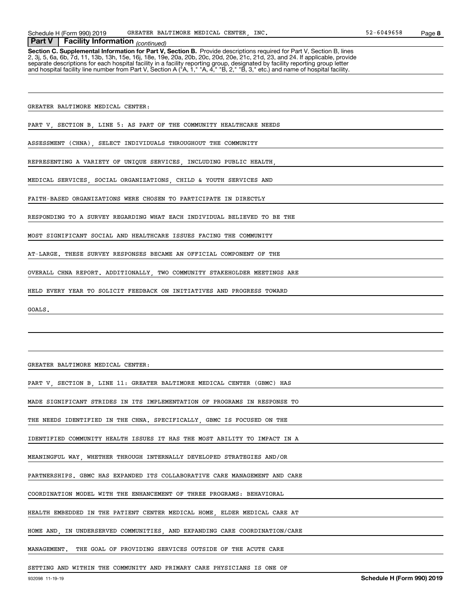Schedule H (Form 990) 2019 GREATER BALTIMORE MEDICAL CENTER, INC. 52-6049658 Page

#### *(continued)* **Part V Facility Information**

**Section C. Supplemental Information for Part V, Section B.** Provide descriptions required for Part V, Section B, lines<br>2, 3j, 5, 6a, 6b, 7d, 11, 13b, 13h, 15e, 16j, 18e, 19e, 20a, 20b, 20c, 20d, 20e, 21c, 21d, 23, and 24. separate descriptions for each hospital facility in a facility reporting group, designated by facility reporting group letter<br>and hospital facility line number from Part V, Section A ("A, 1," "A, 4," "B, 2," "B, 3," etc.)

GREATER BALTIMORE MEDICAL CENTER:

PART V, SECTION B, LINE 5: AS PART OF THE COMMUNITY HEALTHCARE NEEDS

ASSESSMENT (CHNA), SELECT INDIVIDUALS THROUGHOUT THE COMMUNITY

REPRESENTING A VARIETY OF UNIQUE SERVICES, INCLUDING PUBLIC HEALTH,

MEDICAL SERVICES, SOCIAL ORGANIZATIONS, CHILD & YOUTH SERVICES AND

FAITH-BASED ORGANIZATIONS WERE CHOSEN TO PARTICIPATE IN DIRECTLY

RESPONDING TO A SURVEY REGARDING WHAT EACH INDIVIDUAL BELIEVED TO BE THE

MOST SIGNIFICANT SOCIAL AND HEALTHCARE ISSUES FACING THE COMMUNITY

AT-LARGE. THESE SURVEY RESPONSES BECAME AN OFFICIAL COMPONENT OF THE

OVERALL CHNA REPORT. ADDITIONALLY, TWO COMMUNITY STAKEHOLDER MEETINGS ARE

HELD EVERY YEAR TO SOLICIT FEEDBACK ON INITIATIVES AND PROGRESS TOWARD

GOALS.

GREATER BALTIMORE MEDICAL CENTER:

PART V, SECTION B, LINE 11: GREATER BALTIMORE MEDICAL CENTER (GBMC) HAS

MADE SIGNIFICANT STRIDES IN ITS IMPLEMENTATION OF PROGRAMS IN RESPONSE TO

THE NEEDS IDENTIFIED IN THE CHNA. SPECIFICALLY, GBMC IS FOCUSED ON THE

IDENTIFIED COMMUNITY HEALTH ISSUES IT HAS THE MOST ABILITY TO IMPACT IN A

MEANINGFUL WAY, WHETHER THROUGH INTERNALLY DEVELOPED STRATEGIES AND/OR

PARTNERSHIPS. GBMC HAS EXPANDED ITS COLLABORATIVE CARE MANAGEMENT AND CARE

COORDINATION MODEL WITH THE ENHANCEMENT OF THREE PROGRAMS: BEHAVIORAL

HEALTH EMBEDDED IN THE PATIENT CENTER MEDICAL HOME, ELDER MEDICAL CARE AT

HOME AND, IN UNDERSERVED COMMUNITIES, AND EXPANDING CARE COORDINATION/CARE

MANAGEMENT. THE GOAL OF PROVIDING SERVICES OUTSIDE OF THE ACUTE CARE

SETTING AND WITHIN THE COMMUNITY AND PRIMARY CARE PHYSICIANS IS ONE OF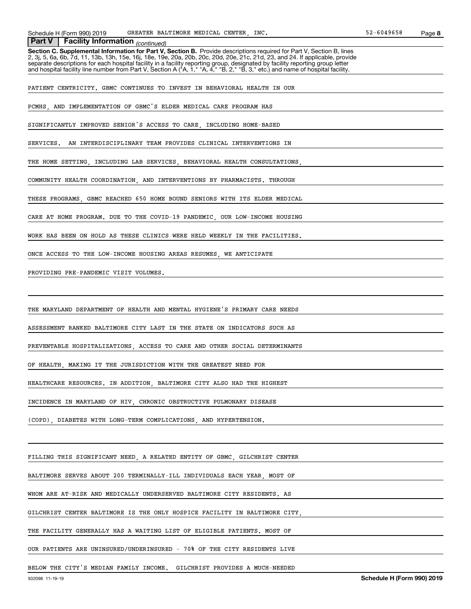Schedule H (Form 990) 2019 GREATER BALTIMORE MEDICAL CENTER, INC. 52-6049658 Page

 *(continued)* **Part V Facility Information**

**Section C. Supplemental Information for Part V, Section B.** Provide descriptions required for Part V, Section B, lines 2, 3j, 5, 6a, 6b, 7d, 11, 13b, 13h, 15e, 16j, 18e, 19e, 20a, 20b, 20c, 20d, 20e, 21c, 21d, 23, and 24. If applicable, provide separate descriptions for each hospital facility in a facility reporting group, designated by facility reporting group letter<br>and hospital facility line number from Part V, Section A ("A, 1," "A, 4," "B, 2," "B, 3," etc.)

PATIENT CENTRICITY. GBMC CONTINUES TO INVEST IN BEHAVIORAL HEALTH IN OUR

PCMHS, AND IMPLEMENTATION OF GBMC'S ELDER MEDICAL CARE PROGRAM HAS

SIGNIFICANTLY IMPROVED SENIOR'S ACCESS TO CARE, INCLUDING HOME-BASED

SERVICES. AN INTERDISCIPLINARY TEAM PROVIDES CLINICAL INTERVENTIONS IN

THE HOME SETTING, INCLUDING LAB SERVICES, BEHAVIORAL HEALTH CONSULTATIONS

COMMUNITY HEALTH COORDINATION, AND INTERVENTIONS BY PHARMACISTS. THROUGH

THESE PROGRAMS, GBMC REACHED 650 HOME BOUND SENIORS WITH ITS ELDER MEDICAL

CARE AT HOME PROGRAM. DUE TO THE COVID-19 PANDEMIC, OUR LOW-INCOME HOUSING

WORK HAS BEEN ON HOLD AS THESE CLINICS WERE HELD WEEKLY IN THE FACILITIES.

ONCE ACCESS TO THE LOW-INCOME HOUSING AREAS RESUMES, WE ANTICIPATE

PROVIDING PRE-PANDEMIC VISIT VOLUMES.

THE MARYLAND DEPARTMENT OF HEALTH AND MENTAL HYGIENE'S PRIMARY CARE NEEDS

ASSESSMENT RANKED BALTIMORE CITY LAST IN THE STATE ON INDICATORS SUCH AS

PREVENTABLE HOSPITALIZATIONS, ACCESS TO CARE AND OTHER SOCIAL DETERMINANTS

OF HEALTH, MAKING IT THE JURISDICTION WITH THE GREATEST NEED FOR

HEALTHCARE RESOURCES. IN ADDITION, BALTIMORE CITY ALSO HAD THE HIGHEST

INCIDENCE IN MARYLAND OF HIV, CHRONIC OBSTRUCTIVE PULMONARY DISEASE

(COPD), DIABETES WITH LONG-TERM COMPLICATIONS, AND HYPERTENSION.

FILLING THIS SIGNIFICANT NEED, A RELATED ENTITY OF GBMC, GILCHRIST CENTER

BALTIMORE SERVES ABOUT 200 TERMINALLY-ILL INDIVIDUALS EACH YEAR, MOST OF

WHOM ARE AT-RISK AND MEDICALLY UNDERSERVED BALTIMORE CITY RESIDENTS. AS

GILCHRIST CENTER BALTIMORE IS THE ONLY HOSPICE FACILITY IN BALTIMORE CITY,

THE FACILITY GENERALLY HAS A WAITING LIST OF ELIGIBLE PATIENTS. MOST OF

OUR PATIENTS ARE UNINSURED/UNDERINSURED - 70% OF THE CITY RESIDENTS LIVE

BELOW THE CITY'S MEDIAN FAMILY INCOME. GILCHRIST PROVIDES A MUCH-NEEDED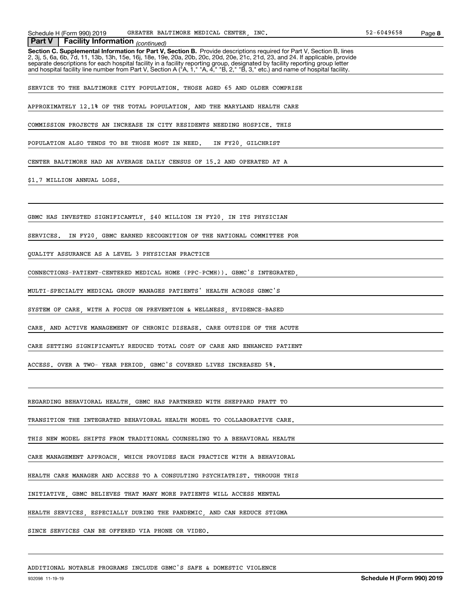# **Section C. Supplemental Information for Part V, Section B.** Provide descriptions required for Part V, Section B, lines<br>2, 3j, 5, 6a, 6b, 7d, 11, 13b, 13h, 15e, 16j, 18e, 19e, 20a, 20b, 20c, 20d, 20e, 21c, 21d, 23, and 24.  *(continued)* **Part V Facility Information** separate descriptions for each hospital facility in a facility reporting group, designated by facility reporting group letter<br>and hospital facility line number from Part V, Section A ("A, 1," "A, 4," "B, 2," "B, 3," etc.) SERVICE TO THE BALTIMORE CITY POPULATION. THOSE AGED 65 AND OLDER COMPRISE APPROXIMATELY 12.1% OF THE TOTAL POPULATION, AND THE MARYLAND HEALTH CARE COMMISSION PROJECTS AN INCREASE IN CITY RESIDENTS NEEDING HOSPICE. THIS POPULATION ALSO TENDS TO BE THOSE MOST IN NEED. IN FY20, GILCHRIST CENTER BALTIMORE HAD AN AVERAGE DAILY CENSUS OF 15.2 AND OPERATED AT A \$1.7 MILLION ANNUAL LOSS. GBMC HAS INVESTED SIGNIFICANTLY, \$40 MILLION IN FY20, IN ITS PHYSICIAN SERVICES. IN FY20, GBMC EARNED RECOGNITION OF THE NATIONAL COMMITTEE FOR QUALITY ASSURANCE AS A LEVEL 3 PHYSICIAN PRACTICE CONNECTIONS-PATIENT-CENTERED MEDICAL HOME (PPC-PCMH)). GBMC'S INTEGRATED, MULTI-SPECIALTY MEDICAL GROUP MANAGES PATIENTS' HEALTH ACROSS GBMC'S SYSTEM OF CARE, WITH A FOCUS ON PREVENTION & WELLNESS, EVIDENCE-BASED CARE, AND ACTIVE MANAGEMENT OF CHRONIC DISEASE. CARE OUTSIDE OF THE ACUTE CARE SETTING SIGNIFICANTLY REDUCED TOTAL COST OF CARE AND ENHANCED PATIENT ACCESS. OVER A TWO- YEAR PERIOD, GBMC'S COVERED LIVES INCREASED 5%. REGARDING BEHAVIORAL HEALTH, GBMC HAS PARTNERED WITH SHEPPARD PRATT TO TRANSITION THE INTEGRATED BEHAVIORAL HEALTH MODEL TO COLLABORATIVE CARE. THIS NEW MODEL SHIFTS FROM TRADITIONAL COUNSELING TO A BEHAVIORAL HEALTH CARE MANAGEMENT APPROACH, WHICH PROVIDES EACH PRACTICE WITH A BEHAVIORAL HEALTH CARE MANAGER AND ACCESS TO A CONSULTING PSYCHIATRIST. THROUGH THIS INITIATIVE, GBMC BELIEVES THAT MANY MORE PATIENTS WILL ACCESS MENTAL

HEALTH SERVICES, ESPECIALLY DURING THE PANDEMIC, AND CAN REDUCE STIGMA

SINCE SERVICES CAN BE OFFERED VIA PHONE OR VIDEO.

ADDITIONAL NOTABLE PROGRAMS INCLUDE GBMC'S SAFE & DOMESTIC VIOLENCE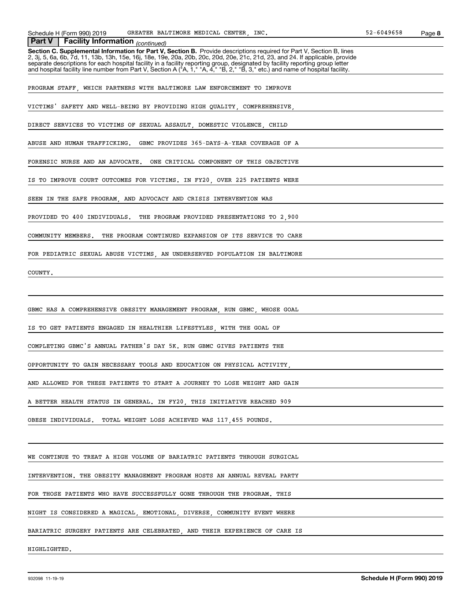#### *(continued)* **Part V Facility Information**

**Section C. Supplemental Information for Part V, Section B.** Provide descriptions required for Part V, Section B, lines<br>2, 3j, 5, 6a, 6b, 7d, 11, 13b, 13h, 15e, 16j, 18e, 19e, 20a, 20b, 20c, 20d, 20e, 21c, 21d, 23, and 24. separate descriptions for each hospital facility in a facility reporting group, designated by facility reporting group letter<br>and hospital facility line number from Part V, Section A ("A, 1," "A, 4," "B, 2," "B, 3," etc.)

PROGRAM STAFF, WHICH PARTNERS WITH BALTIMORE LAW ENFORCEMENT TO IMPROVE

VICTIMS' SAFETY AND WELL-BEING BY PROVIDING HIGH QUALITY, COMPREHENSIVE,

DIRECT SERVICES TO VICTIMS OF SEXUAL ASSAULT, DOMESTIC VIOLENCE, CHILD

ABUSE AND HUMAN TRAFFICKING. GBMC PROVIDES 365-DAYS-A-YEAR COVERAGE OF A

FORENSIC NURSE AND AN ADVOCATE. ONE CRITICAL COMPONENT OF THIS OBJECTIVE

IS TO IMPROVE COURT OUTCOMES FOR VICTIMS. IN FY20, OVER 225 PATIENTS WERE

SEEN IN THE SAFE PROGRAM, AND ADVOCACY AND CRISIS INTERVENTION WAS

PROVIDED TO 400 INDIVIDUALS. THE PROGRAM PROVIDED PRESENTATIONS TO 2,900

COMMUNITY MEMBERS. THE PROGRAM CONTINUED EXPANSION OF ITS SERVICE TO CARE

FOR PEDIATRIC SEXUAL ABUSE VICTIMS, AN UNDERSERVED POPULATION IN BALTIMORE

COUNTY.

GBMC HAS A COMPREHENSIVE OBESITY MANAGEMENT PROGRAM, RUN GBMC, WHOSE GOAL

IS TO GET PATIENTS ENGAGED IN HEALTHIER LIFESTYLES, WITH THE GOAL OF

COMPLETING GBMC'S ANNUAL FATHER'S DAY 5K. RUN GBMC GIVES PATIENTS THE

OPPORTUNITY TO GAIN NECESSARY TOOLS AND EDUCATION ON PHYSICAL ACTIVITY,

AND ALLOWED FOR THESE PATIENTS TO START A JOURNEY TO LOSE WEIGHT AND GAIN

A BETTER HEALTH STATUS IN GENERAL. IN FY20, THIS INITIATIVE REACHED 909

OBESE INDIVIDUALS. TOTAL WEIGHT LOSS ACHIEVED WAS 117,455 POUNDS.

WE CONTINUE TO TREAT A HIGH VOLUME OF BARIATRIC PATIENTS THROUGH SURGICAL

INTERVENTION. THE OBESITY MANAGEMENT PROGRAM HOSTS AN ANNUAL REVEAL PARTY

FOR THOSE PATIENTS WHO HAVE SUCCESSFULLY GONE THROUGH THE PROGRAM. THIS

NIGHT IS CONSIDERED A MAGICAL, EMOTIONAL, DIVERSE, COMMUNITY EVENT WHERE

BARIATRIC SURGERY PATIENTS ARE CELEBRATED, AND THEIR EXPERIENCE OF CARE IS

HIGHLIGHTED.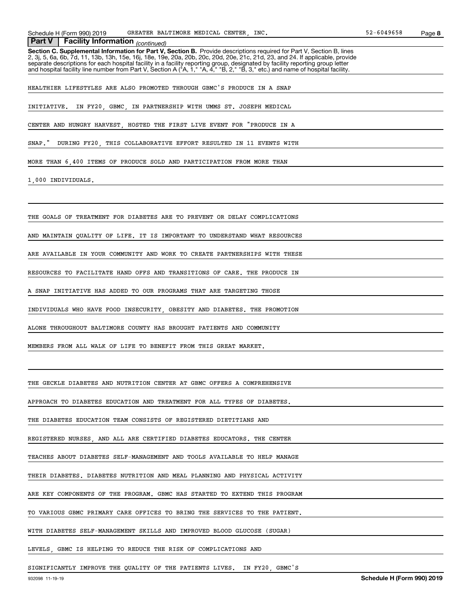*(continued)* **Part V Facility Information**

**Section C. Supplemental Information for Part V, Section B.** Provide descriptions required for Part V, Section B, lines<br>2, 3j, 5, 6a, 6b, 7d, 11, 13b, 13h, 15e, 16j, 18e, 19e, 20a, 20b, 20c, 20d, 20e, 21c, 21d, 23, and 24. separate descriptions for each hospital facility in a facility reporting group, designated by facility reporting group letter<br>and hospital facility line number from Part V, Section A ("A, 1," "A, 4," "B, 2," "B, 3," etc.)

HEALTHIER LIFESTYLES ARE ALSO PROMOTED THROUGH GBMC'S PRODUCE IN A SNAP

INITIATIVE. IN FY20, GBMC, IN PARTNERSHIP WITH UMMS ST. JOSEPH MEDICAL

CENTER AND HUNGRY HARVEST, HOSTED THE FIRST LIVE EVENT FOR "PRODUCE IN A

SNAP." DURING FY20, THIS COLLABORATIVE EFFORT RESULTED IN 11 EVENTS WITH

MORE THAN 6,400 ITEMS OF PRODUCE SOLD AND PARTICIPATION FROM MORE THAN

1,000 INDIVIDUALS.

THE GOALS OF TREATMENT FOR DIABETES ARE TO PREVENT OR DELAY COMPLICATIONS

AND MAINTAIN QUALITY OF LIFE. IT IS IMPORTANT TO UNDERSTAND WHAT RESOURCES

ARE AVAILABLE IN YOUR COMMUNITY AND WORK TO CREATE PARTNERSHIPS WITH THESE

RESOURCES TO FACILITATE HAND OFFS AND TRANSITIONS OF CARE. THE PRODUCE IN

A SNAP INITIATIVE HAS ADDED TO OUR PROGRAMS THAT ARE TARGETING THOSE

INDIVIDUALS WHO HAVE FOOD INSECURITY, OBESITY AND DIABETES. THE PROMOTION

ALONE THROUGHOUT BALTIMORE COUNTY HAS BROUGHT PATIENTS AND COMMUNITY

MEMBERS FROM ALL WALK OF LIFE TO BENEFIT FROM THIS GREAT MARKET.

THE GECKLE DIABETES AND NUTRITION CENTER AT GBMC OFFERS A COMPREHENSIVE

APPROACH TO DIABETES EDUCATION AND TREATMENT FOR ALL TYPES OF DIABETES.

THE DIABETES EDUCATION TEAM CONSISTS OF REGISTERED DIETITIANS AND

REGISTERED NURSES, AND ALL ARE CERTIFIED DIABETES EDUCATORS. THE CENTER

TEACHES ABOUT DIABETES SELF-MANAGEMENT AND TOOLS AVAILABLE TO HELP MANAGE

THEIR DIABETES. DIABETES NUTRITION AND MEAL PLANNING AND PHYSICAL ACTIVITY

ARE KEY COMPONENTS OF THE PROGRAM. GBMC HAS STARTED TO EXTEND THIS PROGRAM

TO VARIOUS GBMC PRIMARY CARE OFFICES TO BRING THE SERVICES TO THE PATIENT.

WITH DIABETES SELF-MANAGEMENT SKILLS AND IMPROVED BLOOD GLUCOSE (SUGAR)

LEVELS, GBMC IS HELPING TO REDUCE THE RISK OF COMPLICATIONS AND

SIGNIFICANTLY IMPROVE THE QUALITY OF THE PATIENTS LIVES. IN FY20, GBMC'S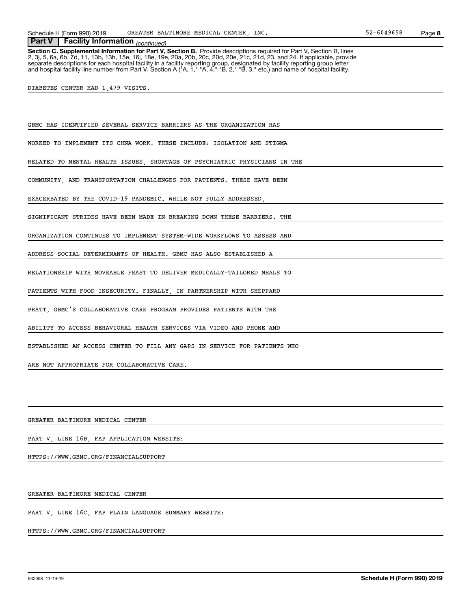*(continued)* **Part V Facility Information**

**Section C. Supplemental Information for Part V, Section B.** Provide descriptions required for Part V, Section B, lines<br>2, 3j, 5, 6a, 6b, 7d, 11, 13b, 13h, 15e, 16j, 18e, 19e, 20a, 20b, 20c, 20d, 20e, 21c, 21d, 23, and 24. separate descriptions for each hospital facility in a facility reporting group, designated by facility reporting group letter<br>and hospital facility line number from Part V, Section A ("A, 1," "A, 4," "B, 2," "B, 3," etc.)

DIABETES CENTER HAD 1,479 VISITS.

GBMC HAS IDENTIFIED SEVERAL SERVICE BARRIERS AS THE ORGANIZATION HAS

WORKED TO IMPLEMENT ITS CHNA WORK. THESE INCLUDE: ISOLATION AND STIGMA

RELATED TO MENTAL HEALTH ISSUES, SHORTAGE OF PSYCHIATRIC PHYSICIANS IN THE

COMMUNITY, AND TRANSPORTATION CHALLENGES FOR PATIENTS. THESE HAVE BEEN

EXACERBATED BY THE COVID-19 PANDEMIC. WHILE NOT FULLY ADDRESSED,

SIGNIFICANT STRIDES HAVE BEEN MADE IN BREAKING DOWN THESE BARRIERS. THE

ORGANIZATION CONTINUES TO IMPLEMENT SYSTEM-WIDE WORKFLOWS TO ASSESS AND

ADDRESS SOCIAL DETERMINANTS OF HEALTH. GBMC HAS ALSO ESTABLISHED A

RELATIONSHIP WITH MOVEABLE FEAST TO DELIVER MEDICALLY-TAILORED MEALS TO

PATIENTS WITH FOOD INSECURITY. FINALLY, IN PARTNERSHIP WITH SHEPPARD

PRATT, GBMC'S COLLABORATIVE CARE PROGRAM PROVIDES PATIENTS WITH THE

ABILITY TO ACCESS BEHAVIORAL HEALTH SERVICES VIA VIDEO AND PHONE AND

ESTABLISHED AN ACCESS CENTER TO FILL ANY GAPS IN SERVICE FOR PATIENTS WHO

ARE NOT APPROPRIATE FOR COLLABORATIVE CARE.

GREATER BALTIMORE MEDICAL CENTER

PART V, LINE 16B, FAP APPLICATION WEBSITE:

HTTPS://WWW.GBMC.ORG/FINANCIALSUPPORT

GREATER BALTIMORE MEDICAL CENTER

PART V, LINE 16C, FAP PLAIN LANGUAGE SUMMARY WEBSITE:

HTTPS://WWW.GBMC.ORG/FINANCIALSUPPORT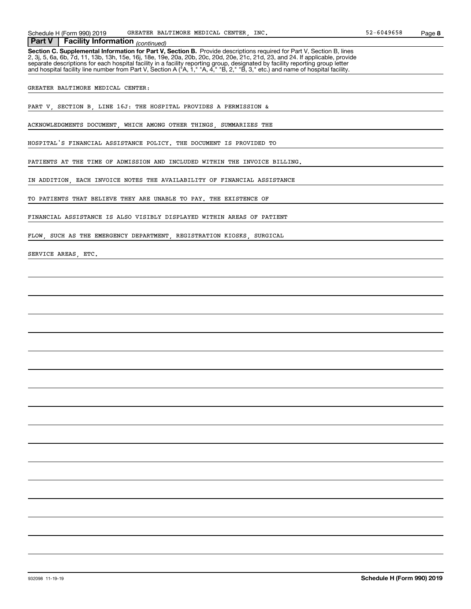*(continued)* **Part V Facility Information**

**Section C. Supplemental Information for Part V, Section B.** Provide descriptions required for Part V, Section B, lines<br>2, 3j, 5, 6a, 6b, 7d, 11, 13b, 13h, 15e, 16j, 18e, 19e, 20a, 20b, 20c, 20d, 20e, 21c, 21d, 23, and 24. separate descriptions for each hospital facility in a facility reporting group, designated by facility reporting group letter<br>and hospital facility line number from Part V, Section A ("A, 1," "A, 4," "B, 2," "B, 3," etc.)

GREATER BALTIMORE MEDICAL CENTER:

PART V, SECTION B, LINE 16J: THE HOSPITAL PROVIDES A PERMISSION &

ACKNOWLEDGMENTS DOCUMENT, WHICH AMONG OTHER THINGS, SUMMARIZES THE

HOSPITAL'S FINANCIAL ASSISTANCE POLICY. THE DOCUMENT IS PROVIDED TO

PATIENTS AT THE TIME OF ADMISSION AND INCLUDED WITHIN THE INVOICE BILLING.

IN ADDITION, EACH INVOICE NOTES THE AVAILABILITY OF FINANCIAL ASSISTANCE

TO PATIENTS THAT BELIEVE THEY ARE UNABLE TO PAY. THE EXISTENCE OF

FINANCIAL ASSISTANCE IS ALSO VISIBLY DISPLAYED WITHIN AREAS OF PATIENT

FLOW, SUCH AS THE EMERGENCY DEPARTMENT, REGISTRATION KIOSKS, SURGICAL

SERVICE AREAS, ETC.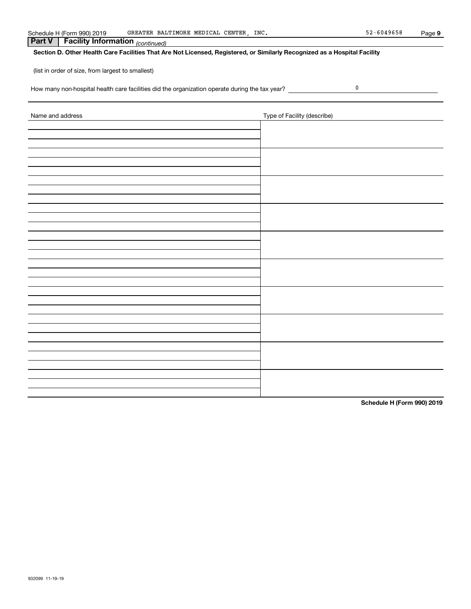| Schedule H | 990) 2019<br>$\cdot$ + $\circ$ rm    | INC.<br><b>CENTER</b><br>MEDICAL<br>.IMORE<br>$T.$ m $T$<br>GREATER<br>BAL<br>____ | -6049658<br>- -<br>ے ب | Paɑe |
|------------|--------------------------------------|------------------------------------------------------------------------------------|------------------------|------|
|            | <b>FREE</b><br>Information<br>cılıtv | (continued)                                                                        |                        |      |

(list in order of size, from largest to smallest)

How many non-hospital health care facilities did the organization operate during the tax year?

| Name and address | Type of Facility (describe) |
|------------------|-----------------------------|
|                  |                             |
|                  |                             |
|                  |                             |
|                  |                             |
|                  |                             |
|                  |                             |
|                  |                             |
|                  |                             |
|                  |                             |
|                  |                             |
|                  |                             |
|                  |                             |
|                  |                             |
|                  |                             |
|                  |                             |
|                  |                             |
|                  |                             |
|                  |                             |
|                  |                             |
|                  |                             |
|                  |                             |
|                  |                             |
|                  |                             |
|                  |                             |
|                  |                             |
|                  |                             |
|                  |                             |
|                  |                             |

**Schedule H (Form 990) 2019**

 $\pmb{0}$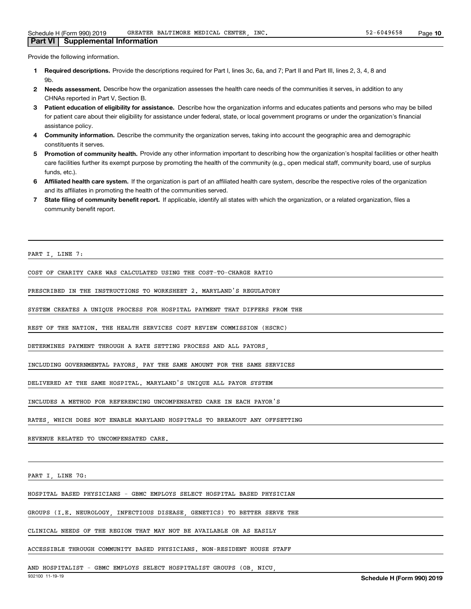#### Provide the following information.

**Part VI Supplemental Information**

- **1 Required descriptions.** Provide the descriptions required for Part I, lines 3c, 6a, and 7; Part II and Part III, lines 2, 3, 4, 8 and **Qh**
- **2Needs assessment.** Describe how the organization assesses the health care needs of the communities it serves, in addition to any CHNAs reported in Part V, Section B.
- **3** Patient education of eligibility for assistance. Describe how the organization informs and educates patients and persons who may be billed for patient care about their eligibility for assistance under federal, state, or local government programs or under the organization's financial assistance policy.
- **4 Community information.** Describe the community the organization serves, taking into account the geographic area and demographic constituents it serves.
- 5 Promotion of community health. Provide any other information important to describing how the organization's hospital facilities or other health care facilities further its exempt purpose by promoting the health of the community (e.g., open medical staff, community board, use of surplus funds, etc.).
- **6Affiliated health care system.** If the organization is part of an affiliated health care system, describe the respective roles of the organization and its affiliates in promoting the health of the communities served.
- **7** State filing of community benefit report. If applicable, identify all states with which the organization, or a related organization, files a community benefit report.

PART I, LINE 7:

COST OF CHARITY CARE WAS CALCULATED USING THE COST-TO-CHARGE RATIO

PRESCRIBED IN THE INSTRUCTIONS TO WORKSHEET 2. MARYLAND'S REGULATORY

SYSTEM CREATES A UNIQUE PROCESS FOR HOSPITAL PAYMENT THAT DIFFERS FROM THE

REST OF THE NATION. THE HEALTH SERVICES COST REVIEW COMMISSION (HSCRC)

DETERMINES PAYMENT THROUGH A RATE SETTING PROCESS AND ALL PAYORS,

INCLUDING GOVERNMENTAL PAYORS, PAY THE SAME AMOUNT FOR THE SAME SERVICES

DELIVERED AT THE SAME HOSPITAL. MARYLAND'S UNIQUE ALL PAYOR SYSTEM

INCLUDES A METHOD FOR REFERENCING UNCOMPENSATED CARE IN EACH PAYOR'S

RATES, WHICH DOES NOT ENABLE MARYLAND HOSPITALS TO BREAKOUT ANY OFFSETTING

REVENUE RELATED TO UNCOMPENSATED CARE.

PART I, LINE 7G:

HOSPITAL BASED PHYSICIANS - GBMC EMPLOYS SELECT HOSPITAL BASED PHYSICIAN

GROUPS (I.E. NEUROLOGY, INFECTIOUS DISEASE, GENETICS) TO BETTER SERVE THE

CLINICAL NEEDS OF THE REGION THAT MAY NOT BE AVAILABLE OR AS EASILY

ACCESSIBLE THROUGH COMMUNITY BASED PHYSICIANS. NON-RESIDENT HOUSE STAFF

AND HOSPITALIST - GBMC EMPLOYS SELECT HOSPITALIST GROUPS (OB, NICU,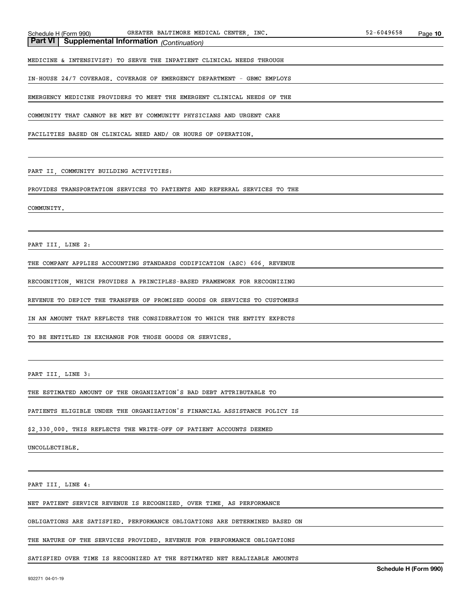MEDICINE & INTENSIVIST) TO SERVE THE INPATIENT CLINICAL NEEDS THROUGH

IN-HOUSE 24/7 COVERAGE. COVERAGE OF EMERGENCY DEPARTMENT - GBMC EMPLOYS

EMERGENCY MEDICINE PROVIDERS TO MEET THE EMERGENT CLINICAL NEEDS OF THE

COMMUNITY THAT CANNOT BE MET BY COMMUNITY PHYSICIANS AND URGENT CARE

FACILITIES BASED ON CLINICAL NEED AND/ OR HOURS OF OPERATION.

PART II, COMMUNITY BUILDING ACTIVITIES:

PROVIDES TRANSPORTATION SERVICES TO PATIENTS AND REFERRAL SERVICES TO THE

#### COMMUNITY.

PART III, LINE 2:

THE COMPANY APPLIES ACCOUNTING STANDARDS CODIFICATION (ASC) 606, REVENUE

RECOGNITION, WHICH PROVIDES A PRINCIPLES-BASED FRAMEWORK FOR RECOGNIZING

REVENUE TO DEPICT THE TRANSFER OF PROMISED GOODS OR SERVICES TO CUSTOMERS

IN AN AMOUNT THAT REFLECTS THE CONSIDERATION TO WHICH THE ENTITY EXPECTS

TO BE ENTITLED IN EXCHANGE FOR THOSE GOODS OR SERVICES.

PART III, LINE 3:

THE ESTIMATED AMOUNT OF THE ORGANIZATION'S BAD DEBT ATTRIBUTABLE TO

PATIENTS ELIGIBLE UNDER THE ORGANIZATION'S FINANCIAL ASSISTANCE POLICY IS

\$2,330,000. THIS REFLECTS THE WRITE-OFF OF PATIENT ACCOUNTS DEEMED

UNCOLLECTIBLE.

PART III, LINE 4:

NET PATIENT SERVICE REVENUE IS RECOGNIZED, OVER TIME, AS PERFORMANCE

OBLIGATIONS ARE SATISFIED. PERFORMANCE OBLIGATIONS ARE DETERMINED BASED ON

THE NATURE OF THE SERVICES PROVIDED. REVENUE FOR PERFORMANCE OBLIGATIONS

SATISFIED OVER TIME IS RECOGNIZED AT THE ESTIMATED NET REALIZABLE AMOUNTS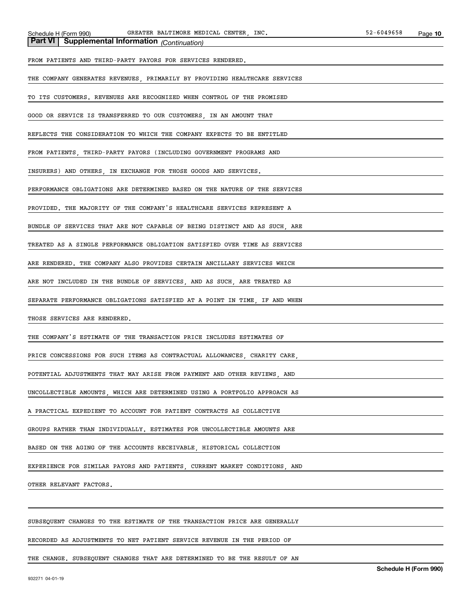FROM PATIENTS AND THIRD-PARTY PAYORS FOR SERVICES RENDERED.

THE COMPANY GENERATES REVENUES, PRIMARILY BY PROVIDING HEALTHCARE SERVICES

TO ITS CUSTOMERS. REVENUES ARE RECOGNIZED WHEN CONTROL OF THE PROMISED

GOOD OR SERVICE IS TRANSFERRED TO OUR CUSTOMERS, IN AN AMOUNT THAT

REFLECTS THE CONSIDERATION TO WHICH THE COMPANY EXPECTS TO BE ENTITLED

FROM PATIENTS, THIRD-PARTY PAYORS (INCLUDING GOVERNMENT PROGRAMS AND

INSURERS) AND OTHERS IN EXCHANGE FOR THOSE GOODS AND SERVICES.

PERFORMANCE OBLIGATIONS ARE DETERMINED BASED ON THE NATURE OF THE SERVICES

PROVIDED. THE MAJORITY OF THE COMPANY'S HEALTHCARE SERVICES REPRESENT A

BUNDLE OF SERVICES THAT ARE NOT CAPABLE OF BEING DISTINCT AND AS SUCH, ARE

TREATED AS A SINGLE PERFORMANCE OBLIGATION SATISFIED OVER TIME AS SERVICES

ARE RENDERED. THE COMPANY ALSO PROVIDES CERTAIN ANCILLARY SERVICES WHICH

ARE NOT INCLUDED IN THE BUNDLE OF SERVICES, AND AS SUCH, ARE TREATED AS

SEPARATE PERFORMANCE OBLIGATIONS SATISFIED AT A POINT IN TIME, IF AND WHEN

THOSE SERVICES ARE RENDERED.

THE COMPANY'S ESTIMATE OF THE TRANSACTION PRICE INCLUDES ESTIMATES OF

PRICE CONCESSIONS FOR SUCH ITEMS AS CONTRACTUAL ALLOWANCES, CHARITY CARE

POTENTIAL ADJUSTMENTS THAT MAY ARISE FROM PAYMENT AND OTHER REVIEWS AND

UNCOLLECTIBLE AMOUNTS, WHICH ARE DETERMINED USING A PORTFOLIO APPROACH AS

A PRACTICAL EXPEDIENT TO ACCOUNT FOR PATIENT CONTRACTS AS COLLECTIVE

GROUPS RATHER THAN INDIVIDUALLY. ESTIMATES FOR UNCOLLECTIBLE AMOUNTS ARE

BASED ON THE AGING OF THE ACCOUNTS RECEIVABLE, HISTORICAL COLLECTION

EXPERIENCE FOR SIMILAR PAYORS AND PATIENTS, CURRENT MARKET CONDITIONS, AND

OTHER RELEVANT FACTORS.

SUBSEQUENT CHANGES TO THE ESTIMATE OF THE TRANSACTION PRICE ARE GENERALLY

RECORDED AS ADJUSTMENTS TO NET PATIENT SERVICE REVENUE IN THE PERIOD OF

THE CHANGE. SUBSEQUENT CHANGES THAT ARE DETERMINED TO BE THE RESULT OF AN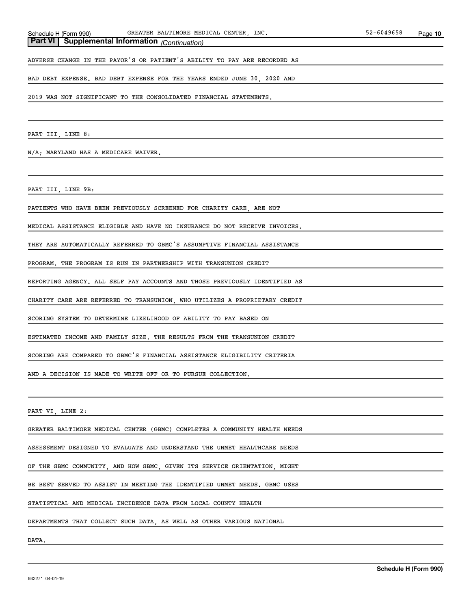ADVERSE CHANGE IN THE PAYOR'S OR PATIENT'S ABILITY TO PAY ARE RECORDED AS

BAD DEBT EXPENSE. BAD DEBT EXPENSE FOR THE YEARS ENDED JUNE 30, 2020 AND

2019 WAS NOT SIGNIFICANT TO THE CONSOLIDATED FINANCIAL STATEMENTS.

PART III, LINE 8:

N/A; MARYLAND HAS A MEDICARE WAIVER.

PART III, LINE 9B:

PATIENTS WHO HAVE BEEN PREVIOUSLY SCREENED FOR CHARITY CARE, ARE NOT

MEDICAL ASSISTANCE ELIGIBLE AND HAVE NO INSURANCE DO NOT RECEIVE INVOICES.

THEY ARE AUTOMATICALLY REFERRED TO GBMC'S ASSUMPTIVE FINANCIAL ASSISTANCE

PROGRAM. THE PROGRAM IS RUN IN PARTNERSHIP WITH TRANSUNION CREDIT

REPORTING AGENCY. ALL SELF PAY ACCOUNTS AND THOSE PREVIOUSLY IDENTIFIED AS

CHARITY CARE ARE REFERRED TO TRANSUNION, WHO UTILIZES A PROPRIETARY CREDIT

SCORING SYSTEM TO DETERMINE LIKELIHOOD OF ABILITY TO PAY BASED ON

ESTIMATED INCOME AND FAMILY SIZE. THE RESULTS FROM THE TRANSUNION CREDIT

SCORING ARE COMPARED TO GBMC'S FINANCIAL ASSISTANCE ELIGIBILITY CRITERIA

AND A DECISION IS MADE TO WRITE OFF OR TO PURSUE COLLECTION.

PART VI, LINE 2:

GREATER BALTIMORE MEDICAL CENTER (GBMC) COMPLETES A COMMUNITY HEALTH NEEDS

ASSESSMENT DESIGNED TO EVALUATE AND UNDERSTAND THE UNMET HEALTHCARE NEEDS

OF THE GBMC COMMUNITY, AND HOW GBMC, GIVEN ITS SERVICE ORIENTATION, MIGHT

BE BEST SERVED TO ASSIST IN MEETING THE IDENTIFIED UNMET NEEDS. GBMC USES

STATISTICAL AND MEDICAL INCIDENCE DATA FROM LOCAL COUNTY HEALTH

DEPARTMENTS THAT COLLECT SUCH DATA, AS WELL AS OTHER VARIOUS NATIONAL

DATA.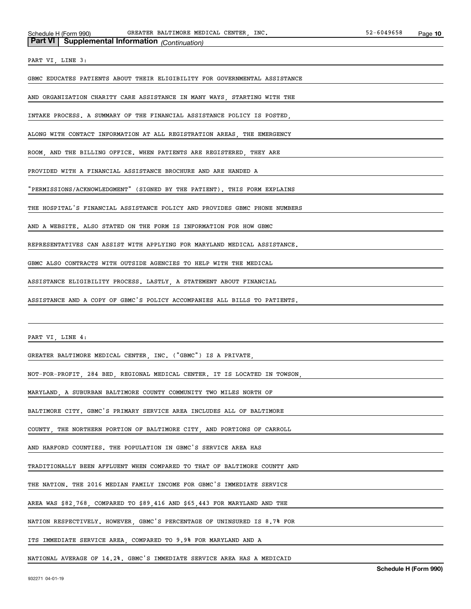| <b>Part VI</b> Supplemental Information (Continuation) |  |
|--------------------------------------------------------|--|
|--------------------------------------------------------|--|

PART VI, LINE 3:

GBMC EDUCATES PATIENTS ABOUT THEIR ELIGIBILITY FOR GOVERNMENTAL ASSISTANCE

AND ORGANIZATION CHARITY CARE ASSISTANCE IN MANY WAYS, STARTING WITH THE

INTAKE PROCESS. A SUMMARY OF THE FINANCIAL ASSISTANCE POLICY IS POSTED,

ALONG WITH CONTACT INFORMATION AT ALL REGISTRATION AREAS, THE EMERGENCY

ROOM, AND THE BILLING OFFICE. WHEN PATIENTS ARE REGISTERED, THEY ARE

PROVIDED WITH A FINANCIAL ASSISTANCE BROCHURE AND ARE HANDED A

"PERMISSIONS/ACKNOWLEDGMENT" (SIGNED BY THE PATIENT). THIS FORM EXPLAINS

THE HOSPITAL'S FINANCIAL ASSISTANCE POLICY AND PROVIDES GBMC PHONE NUMBERS

AND A WEBSITE. ALSO STATED ON THE FORM IS INFORMATION FOR HOW GBMC

REPRESENTATIVES CAN ASSIST WITH APPLYING FOR MARYLAND MEDICAL ASSISTANCE.

GBMC ALSO CONTRACTS WITH OUTSIDE AGENCIES TO HELP WITH THE MEDICAL

ASSISTANCE ELIGIBILITY PROCESS. LASTLY, A STATEMENT ABOUT FINANCIAL

ASSISTANCE AND A COPY OF GBMC'S POLICY ACCOMPANIES ALL BILLS TO PATIENTS.

PART VI, LINE 4:

GREATER BALTIMORE MEDICAL CENTER, INC. ("GBMC") IS A PRIVATE,

NOT-FOR-PROFIT, 284 BED, REGIONAL MEDICAL CENTER. IT IS LOCATED IN TOWSON,

MARYLAND, A SUBURBAN BALTIMORE COUNTY COMMUNITY TWO MILES NORTH OF

BALTIMORE CITY. GBMC'S PRIMARY SERVICE AREA INCLUDES ALL OF BALTIMORE

COUNTY, THE NORTHERN PORTION OF BALTIMORE CITY, AND PORTIONS OF CARROLL

AND HARFORD COUNTIES. THE POPULATION IN GBMC'S SERVICE AREA HAS

TRADITIONALLY BEEN AFFLUENT WHEN COMPARED TO THAT OF BALTIMORE COUNTY AND

THE NATION. THE 2016 MEDIAN FAMILY INCOME FOR GBMC'S IMMEDIATE SERVICE

AREA WAS \$82,768, COMPARED TO \$89,416 AND \$65,443 FOR MARYLAND AND THE

NATION RESPECTIVELY. HOWEVER, GBMC'S PERCENTAGE OF UNINSURED IS 8.7% FOR

ITS IMMEDIATE SERVICE AREA, COMPARED TO 9.9% FOR MARYLAND AND A

NATIONAL AVERAGE OF 14.2%. GBMC'S IMMEDIATE SERVICE AREA HAS A MEDICAID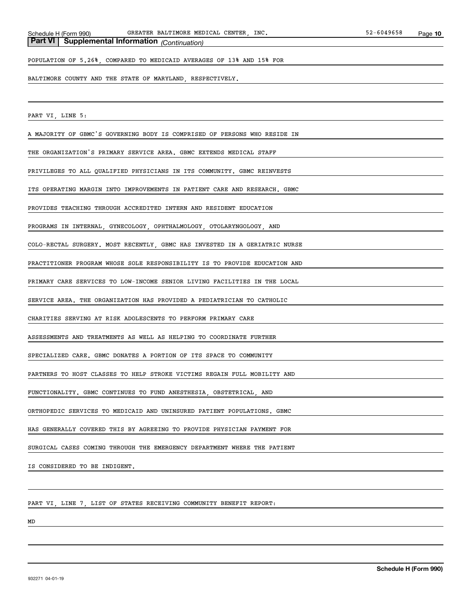POPULATION OF 5.26%, COMPARED TO MEDICAID AVERAGES OF 13% AND 15% FOR

BALTIMORE COUNTY AND THE STATE OF MARYLAND, RESPECTIVELY.

PART VI, LINE 5:

A MAJORITY OF GBMC'S GOVERNING BODY IS COMPRISED OF PERSONS WHO RESIDE IN

THE ORGANIZATION'S PRIMARY SERVICE AREA. GBMC EXTENDS MEDICAL STAFF

PRIVILEGES TO ALL QUALIFIED PHYSICIANS IN ITS COMMUNITY. GBMC REINVESTS

ITS OPERATING MARGIN INTO IMPROVEMENTS IN PATIENT CARE AND RESEARCH. GBMC

PROVIDES TEACHING THROUGH ACCREDITED INTERN AND RESIDENT EDUCATION

PROGRAMS IN INTERNAL, GYNECOLOGY, OPHTHALMOLOGY, OTOLARYNGOLOGY, AND

COLO-RECTAL SURGERY. MOST RECENTLY, GBMC HAS INVESTED IN A GERIATRIC NURSE

PRACTITIONER PROGRAM WHOSE SOLE RESPONSIBILITY IS TO PROVIDE EDUCATION AND

PRIMARY CARE SERVICES TO LOW-INCOME SENIOR LIVING FACILITIES IN THE LOCAL

SERVICE AREA. THE ORGANIZATION HAS PROVIDED A PEDIATRICIAN TO CATHOLIC

CHARITIES SERVING AT RISK ADOLESCENTS TO PERFORM PRIMARY CARE

ASSESSMENTS AND TREATMENTS AS WELL AS HELPING TO COORDINATE FURTHER

SPECIALIZED CARE. GBMC DONATES A PORTION OF ITS SPACE TO COMMUNITY

PARTNERS TO HOST CLASSES TO HELP STROKE VICTIMS REGAIN FULL MOBILITY AND

FUNCTIONALITY. GBMC CONTINUES TO FUND ANESTHESIA, OBSTETRICAL, AND

ORTHOPEDIC SERVICES TO MEDICAID AND UNINSURED PATIENT POPULATIONS. GBMC

HAS GENERALLY COVERED THIS BY AGREEING TO PROVIDE PHYSICIAN PAYMENT FOR

SURGICAL CASES COMING THROUGH THE EMERGENCY DEPARTMENT WHERE THE PATIENT

IS CONSIDERED TO BE INDIGENT.

PART VI, LINE 7, LIST OF STATES RECEIVING COMMUNITY BENEFIT REPORT:

MD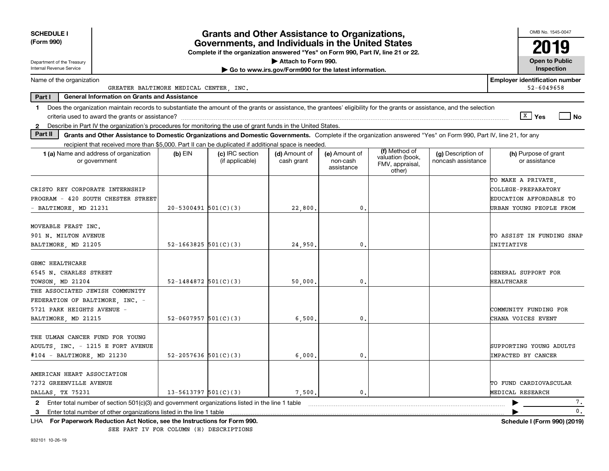| <b>SCHEDULE I</b>                                       |                                                                        |                            | <b>Grants and Other Assistance to Organizations,</b>                                                                                  |                                                       |                                         |                                                                |                                                                                                                                                                          | OMB No. 1545-0047                                   |
|---------------------------------------------------------|------------------------------------------------------------------------|----------------------------|---------------------------------------------------------------------------------------------------------------------------------------|-------------------------------------------------------|-----------------------------------------|----------------------------------------------------------------|--------------------------------------------------------------------------------------------------------------------------------------------------------------------------|-----------------------------------------------------|
| (Form 990)                                              |                                                                        |                            | Governments, and Individuals in the United States<br>Complete if the organization answered "Yes" on Form 990, Part IV, line 21 or 22. |                                                       |                                         |                                                                |                                                                                                                                                                          | 2019                                                |
| Department of the Treasury                              |                                                                        |                            |                                                                                                                                       | Attach to Form 990.                                   |                                         |                                                                |                                                                                                                                                                          | <b>Open to Public</b>                               |
| Internal Revenue Service                                |                                                                        |                            |                                                                                                                                       | Go to www.irs.gov/Form990 for the latest information. |                                         |                                                                |                                                                                                                                                                          | Inspection                                          |
| Name of the organization                                | GREATER BALTIMORE MEDICAL CENTER . INC.                                |                            |                                                                                                                                       |                                                       |                                         |                                                                |                                                                                                                                                                          | <b>Employer identification number</b><br>52-6049658 |
| Part I                                                  | <b>General Information on Grants and Assistance</b>                    |                            |                                                                                                                                       |                                                       |                                         |                                                                |                                                                                                                                                                          |                                                     |
| 1.                                                      |                                                                        |                            |                                                                                                                                       |                                                       |                                         |                                                                | Does the organization maintain records to substantiate the amount of the grants or assistance, the grantees' eligibility for the grants or assistance, and the selection | $\sqrt{X}$ Yes<br><b>No</b>                         |
| $\mathbf{2}$                                            |                                                                        |                            | Describe in Part IV the organization's procedures for monitoring the use of grant funds in the United States.                         |                                                       |                                         |                                                                |                                                                                                                                                                          |                                                     |
| Part II                                                 |                                                                        |                            |                                                                                                                                       |                                                       |                                         |                                                                | Grants and Other Assistance to Domestic Organizations and Domestic Governments. Complete if the organization answered "Yes" on Form 990, Part IV, line 21, for any       |                                                     |
|                                                         |                                                                        |                            | recipient that received more than \$5,000. Part II can be duplicated if additional space is needed.                                   |                                                       |                                         |                                                                |                                                                                                                                                                          |                                                     |
| 1 (a) Name and address of organization<br>or government |                                                                        | $(b)$ EIN                  | (c) IRC section<br>(if applicable)                                                                                                    | (d) Amount of<br>cash grant                           | (e) Amount of<br>non-cash<br>assistance | (f) Method of<br>valuation (book,<br>FMV, appraisal,<br>other) | (g) Description of<br>noncash assistance                                                                                                                                 | (h) Purpose of grant<br>or assistance               |
|                                                         |                                                                        |                            |                                                                                                                                       |                                                       |                                         |                                                                |                                                                                                                                                                          | TO MAKE A PRIVATE,                                  |
| CRISTO REY CORPORATE INTERNSHIP                         |                                                                        |                            |                                                                                                                                       |                                                       |                                         |                                                                |                                                                                                                                                                          | COLLEGE-PREPARATORY                                 |
| PROGRAM - 420 SOUTH CHESTER STREET                      |                                                                        |                            |                                                                                                                                       |                                                       |                                         |                                                                |                                                                                                                                                                          | EDUCATION AFFORDABLE TO                             |
| - BALTIMORE, MD 21231                                   |                                                                        | $20 - 5300491$ 501(C)(3)   |                                                                                                                                       | 22,800,                                               | $\mathbf 0$ .                           |                                                                |                                                                                                                                                                          | URBAN YOUNG PEOPLE FROM                             |
| MOVEABLE FEAST INC.                                     |                                                                        |                            |                                                                                                                                       |                                                       |                                         |                                                                |                                                                                                                                                                          |                                                     |
| 901 N. MILTON AVENUE                                    |                                                                        |                            |                                                                                                                                       |                                                       |                                         |                                                                |                                                                                                                                                                          | TO ASSIST IN FUNDING SNAP                           |
| BALTIMORE, MD 21205                                     |                                                                        | $52 - 1663825$ 501(C)(3)   |                                                                                                                                       | 24,950.                                               | 0.                                      |                                                                |                                                                                                                                                                          | INITIATIVE                                          |
|                                                         |                                                                        |                            |                                                                                                                                       |                                                       |                                         |                                                                |                                                                                                                                                                          |                                                     |
| <b>GBMC HEALTHCARE</b>                                  |                                                                        |                            |                                                                                                                                       |                                                       |                                         |                                                                |                                                                                                                                                                          |                                                     |
| 6545 N. CHARLES STREET                                  |                                                                        |                            |                                                                                                                                       |                                                       |                                         |                                                                |                                                                                                                                                                          | GENERAL SUPPORT FOR                                 |
| TOWSON, MD 21204                                        |                                                                        | 52-1484872 $501(C)(3)$     |                                                                                                                                       | 50,000                                                | $\mathbf 0$ .                           |                                                                |                                                                                                                                                                          | <b>HEALTHCARE</b>                                   |
| THE ASSOCIATED JEWISH COMMUNITY                         |                                                                        |                            |                                                                                                                                       |                                                       |                                         |                                                                |                                                                                                                                                                          |                                                     |
| FEDERATION OF BALTIMORE, INC. -                         |                                                                        |                            |                                                                                                                                       |                                                       |                                         |                                                                |                                                                                                                                                                          |                                                     |
| 5721 PARK HEIGHTS AVENUE -                              |                                                                        |                            |                                                                                                                                       |                                                       |                                         |                                                                |                                                                                                                                                                          | COMMUNITY FUNDING FOR                               |
| BALTIMORE, MD 21215                                     |                                                                        | 52-0607957 $501(C)(3)$     |                                                                                                                                       | 6,500.                                                | $\mathbf{0}$ .                          |                                                                |                                                                                                                                                                          | CHANA VOICES EVENT                                  |
| THE ULMAN CANCER FUND FOR YOUNG                         |                                                                        |                            |                                                                                                                                       |                                                       |                                         |                                                                |                                                                                                                                                                          |                                                     |
| ADULTS, INC. - 1215 E FORT AVENUE                       |                                                                        |                            |                                                                                                                                       |                                                       |                                         |                                                                |                                                                                                                                                                          | SUPPORTING YOUNG ADULTS                             |
| #104 - BALTIMORE, MD 21230                              |                                                                        | 52-2057636 $501(C)(3)$     |                                                                                                                                       | 6,000,                                                | 0.                                      |                                                                |                                                                                                                                                                          | IMPACTED BY CANCER                                  |
|                                                         |                                                                        |                            |                                                                                                                                       |                                                       |                                         |                                                                |                                                                                                                                                                          |                                                     |
| AMERICAN HEART ASSOCIATION                              |                                                                        |                            |                                                                                                                                       |                                                       |                                         |                                                                |                                                                                                                                                                          |                                                     |
| 7272 GREENVILLE AVENUE                                  |                                                                        |                            |                                                                                                                                       |                                                       |                                         |                                                                |                                                                                                                                                                          | TO FUND CARDIOVASCULAR                              |
| DALLAS, TX 75231                                        |                                                                        | $13 - 5613797$ $501(C)(3)$ |                                                                                                                                       | 7,500.                                                | $\mathbf{0}$ .                          |                                                                |                                                                                                                                                                          | MEDICAL RESEARCH                                    |
| 2                                                       |                                                                        |                            | Enter total number of section 501(c)(3) and government organizations listed in the line 1 table                                       |                                                       |                                         |                                                                |                                                                                                                                                                          | 7.                                                  |
| 3                                                       | Enter total number of other organizations listed in the line 1 table   |                            |                                                                                                                                       |                                                       |                                         |                                                                |                                                                                                                                                                          | $\mathbf{0}$ .                                      |
| LHA                                                     | For Paperwork Reduction Act Notice, see the Instructions for Form 990. |                            |                                                                                                                                       |                                                       |                                         |                                                                |                                                                                                                                                                          | Schedule I (Form 990) (2019)                        |

SEE PART IV FOR COLUMN (H) DESCRIPTIONS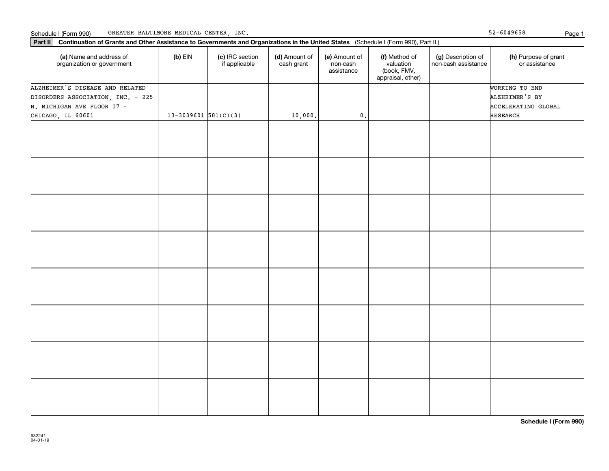**Part II Continuation of Grants and Other Assistance to Governments and Organizations in the United States**  (Schedule I (Form 990), Part II.)

| (a) Name and address of<br>organization or government | $(b)$ EIN                  | (c) IRC section<br>if applicable | (d) Amount of<br>cash grant | (e) Amount of<br>non-cash<br>assistance | (f) Method of<br>valuation<br>(book, FMV,<br>appraisal, other) | (g) Description of<br>non-cash assistance | (h) Purpose of grant<br>or assistance |
|-------------------------------------------------------|----------------------------|----------------------------------|-----------------------------|-----------------------------------------|----------------------------------------------------------------|-------------------------------------------|---------------------------------------|
| ALZHEIMER'S DISEASE AND RELATED                       |                            |                                  |                             |                                         |                                                                |                                           | WORKING TO END                        |
| DISORDERS ASSOCIATION, INC. - 225                     |                            |                                  |                             |                                         |                                                                |                                           | ALZHEIMER'S BY                        |
| N. MICHIGAN AVE FLOOR 17 -                            |                            |                                  |                             |                                         |                                                                |                                           | ACCELERATING GLOBAL                   |
| CHICAGO, IL 60601                                     | $13 - 3039601$ $501(C)(3)$ |                                  | 10,000.                     | $\mathbf 0$ .                           |                                                                |                                           | RESEARCH                              |
|                                                       |                            |                                  |                             |                                         |                                                                |                                           |                                       |
|                                                       |                            |                                  |                             |                                         |                                                                |                                           |                                       |
|                                                       |                            |                                  |                             |                                         |                                                                |                                           |                                       |
|                                                       |                            |                                  |                             |                                         |                                                                |                                           |                                       |
|                                                       |                            |                                  |                             |                                         |                                                                |                                           |                                       |
|                                                       |                            |                                  |                             |                                         |                                                                |                                           |                                       |
|                                                       |                            |                                  |                             |                                         |                                                                |                                           |                                       |
|                                                       |                            |                                  |                             |                                         |                                                                |                                           |                                       |

52-6049658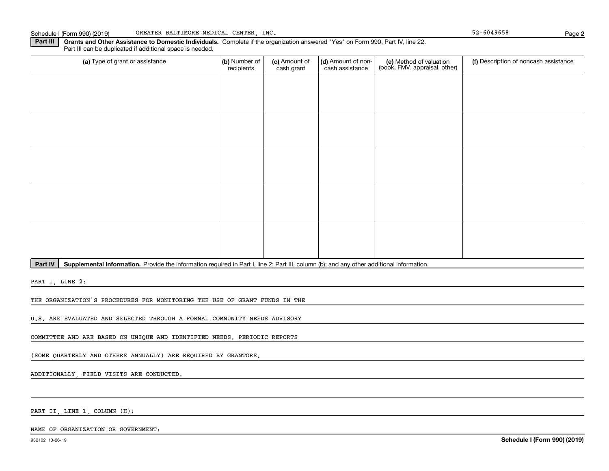**Part III | Grants and Other Assistance to Domestic Individuals. Complete if the organization answered "Yes" on Form 990, Part IV, line 22.** Part III can be duplicated if additional space is needed.

| (a) Type of grant or assistance | (b) Number of<br>recipients | (c) Amount of<br>cash grant | (d) Amount of non-<br>cash assistance | (e) Method of valuation<br>(book, FMV, appraisal, other) | (f) Description of noncash assistance |
|---------------------------------|-----------------------------|-----------------------------|---------------------------------------|----------------------------------------------------------|---------------------------------------|
|                                 |                             |                             |                                       |                                                          |                                       |
|                                 |                             |                             |                                       |                                                          |                                       |
|                                 |                             |                             |                                       |                                                          |                                       |
|                                 |                             |                             |                                       |                                                          |                                       |
|                                 |                             |                             |                                       |                                                          |                                       |
|                                 |                             |                             |                                       |                                                          |                                       |
|                                 |                             |                             |                                       |                                                          |                                       |
|                                 |                             |                             |                                       |                                                          |                                       |
|                                 |                             |                             |                                       |                                                          |                                       |
|                                 |                             |                             |                                       |                                                          |                                       |

Part IV | Supplemental Information. Provide the information required in Part I, line 2; Part III, column (b); and any other additional information.

PART I, LINE 2:

THE ORGANIZATION'S PROCEDURES FOR MONITORING THE USE OF GRANT FUNDS IN THE

U.S. ARE EVALUATED AND SELECTED THROUGH A FORMAL COMMUNITY NEEDS ADVISORY

COMMITTEE AND ARE BASED ON UNIQUE AND IDENTIFIED NEEDS. PERIODIC REPORTS

(SOME QUARTERLY AND OTHERS ANNUALLY) ARE REQUIRED BY GRANTORS.

ADDITIONALLY, FIELD VISITS ARE CONDUCTED.

PART II, LINE 1, COLUMN (H):

**2**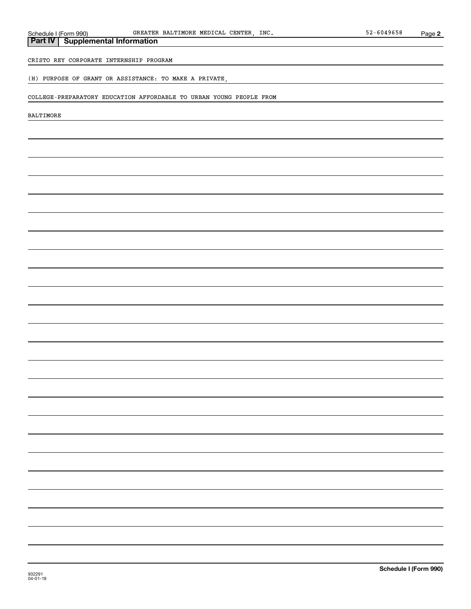# **Part IV Supplemental Information** CRISTO REY CORPORATE INTERNSHIP PROGRAM (H) PURPOSE OF GRANT OR ASSISTANCE: TO MAKE A PRIVATE, COLLEGE-PREPARATORY EDUCATION AFFORDABLE TO URBAN YOUNG PEOPLE FROM BALTIMORE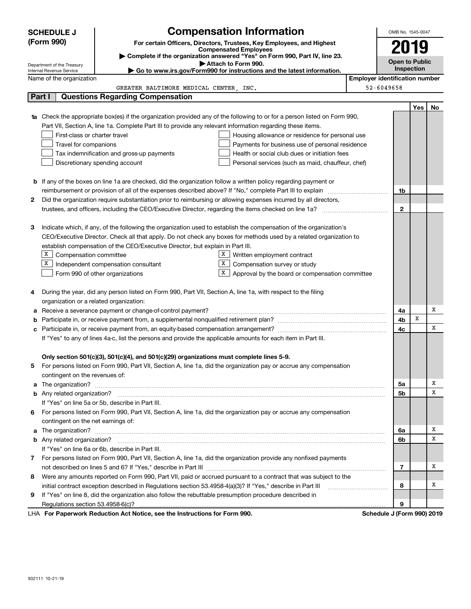|        | <b>Compensation Information</b><br><b>SCHEDULE J</b>   |                                                                                                                                                                                                                                      |                                                     |                                       | OMB No. 1545-0047          |     |    |
|--------|--------------------------------------------------------|--------------------------------------------------------------------------------------------------------------------------------------------------------------------------------------------------------------------------------------|-----------------------------------------------------|---------------------------------------|----------------------------|-----|----|
|        | (Form 990)                                             | For certain Officers, Directors, Trustees, Key Employees, and Highest                                                                                                                                                                |                                                     |                                       |                            |     |    |
|        |                                                        | <b>Compensated Employees</b>                                                                                                                                                                                                         |                                                     |                                       | 2019                       |     |    |
|        |                                                        | Complete if the organization answered "Yes" on Form 990, Part IV, line 23.<br>Attach to Form 990.                                                                                                                                    |                                                     |                                       | <b>Open to Public</b>      |     |    |
|        | Department of the Treasury<br>Internal Revenue Service | Go to www.irs.gov/Form990 for instructions and the latest information.                                                                                                                                                               |                                                     |                                       | Inspection                 |     |    |
|        | Name of the organization                               |                                                                                                                                                                                                                                      |                                                     | <b>Employer identification number</b> |                            |     |    |
|        |                                                        | GREATER BALTIMORE MEDICAL CENTER, INC.                                                                                                                                                                                               |                                                     | 52-6049658                            |                            |     |    |
|        | Part I                                                 | <b>Questions Regarding Compensation</b>                                                                                                                                                                                              |                                                     |                                       |                            |     |    |
|        |                                                        |                                                                                                                                                                                                                                      |                                                     |                                       |                            | Yes | No |
| 1a     |                                                        | Check the appropriate box(es) if the organization provided any of the following to or for a person listed on Form 990,                                                                                                               |                                                     |                                       |                            |     |    |
|        |                                                        | Part VII, Section A, line 1a. Complete Part III to provide any relevant information regarding these items.                                                                                                                           |                                                     |                                       |                            |     |    |
|        | First-class or charter travel                          |                                                                                                                                                                                                                                      | Housing allowance or residence for personal use     |                                       |                            |     |    |
|        | Travel for companions                                  |                                                                                                                                                                                                                                      | Payments for business use of personal residence     |                                       |                            |     |    |
|        |                                                        | Tax indemnification and gross-up payments                                                                                                                                                                                            | Health or social club dues or initiation fees       |                                       |                            |     |    |
|        |                                                        | Discretionary spending account                                                                                                                                                                                                       | Personal services (such as maid, chauffeur, chef)   |                                       |                            |     |    |
|        |                                                        |                                                                                                                                                                                                                                      |                                                     |                                       |                            |     |    |
|        |                                                        | <b>b</b> If any of the boxes on line 1a are checked, did the organization follow a written policy regarding payment or                                                                                                               |                                                     |                                       |                            |     |    |
|        |                                                        |                                                                                                                                                                                                                                      |                                                     |                                       | 1b                         |     |    |
| 2      |                                                        | Did the organization require substantiation prior to reimbursing or allowing expenses incurred by all directors,                                                                                                                     |                                                     |                                       |                            |     |    |
|        |                                                        | trustees, and officers, including the CEO/Executive Director, regarding the items checked on line 1a?                                                                                                                                |                                                     |                                       | $\mathbf{2}$               |     |    |
|        |                                                        |                                                                                                                                                                                                                                      |                                                     |                                       |                            |     |    |
| З      |                                                        | Indicate which, if any, of the following the organization used to establish the compensation of the organization's                                                                                                                   |                                                     |                                       |                            |     |    |
|        |                                                        | CEO/Executive Director. Check all that apply. Do not check any boxes for methods used by a related organization to                                                                                                                   |                                                     |                                       |                            |     |    |
|        |                                                        | establish compensation of the CEO/Executive Director, but explain in Part III.                                                                                                                                                       |                                                     |                                       |                            |     |    |
|        | X Compensation committee                               |                                                                                                                                                                                                                                      | $X$ Written employment contract                     |                                       |                            |     |    |
|        | X                                                      | X  <br>Independent compensation consultant                                                                                                                                                                                           | Compensation survey or study                        |                                       |                            |     |    |
|        |                                                        | Form 990 of other organizations                                                                                                                                                                                                      | $X$ Approval by the board or compensation committee |                                       |                            |     |    |
|        |                                                        | During the year, did any person listed on Form 990, Part VII, Section A, line 1a, with respect to the filing                                                                                                                         |                                                     |                                       |                            |     |    |
| 4      | organization or a related organization:                |                                                                                                                                                                                                                                      |                                                     |                                       |                            |     |    |
|        |                                                        | Receive a severance payment or change-of-control payment?                                                                                                                                                                            |                                                     |                                       | 4a                         |     | х  |
| а<br>b |                                                        |                                                                                                                                                                                                                                      |                                                     |                                       | 4b                         | x   |    |
| с      |                                                        |                                                                                                                                                                                                                                      |                                                     |                                       | 4с                         |     | x  |
|        |                                                        | If "Yes" to any of lines 4a-c, list the persons and provide the applicable amounts for each item in Part III.                                                                                                                        |                                                     |                                       |                            |     |    |
|        |                                                        |                                                                                                                                                                                                                                      |                                                     |                                       |                            |     |    |
|        |                                                        | Only section 501(c)(3), 501(c)(4), and 501(c)(29) organizations must complete lines 5-9.                                                                                                                                             |                                                     |                                       |                            |     |    |
|        |                                                        | For persons listed on Form 990, Part VII, Section A, line 1a, did the organization pay or accrue any compensation                                                                                                                    |                                                     |                                       |                            |     |    |
|        | contingent on the revenues of:                         |                                                                                                                                                                                                                                      |                                                     |                                       |                            |     |    |
|        |                                                        | a The organization? <b>Entitled Strategies and Strategies and Strategies and Strategies and Strategies and Strategies and Strategies and Strategies and Strategies and Strategies and Strategies and Strategies and Strategies a</b> |                                                     |                                       | 5a                         |     | х  |
|        |                                                        |                                                                                                                                                                                                                                      |                                                     |                                       | 5b                         |     | х  |
|        |                                                        | If "Yes" on line 5a or 5b, describe in Part III.                                                                                                                                                                                     |                                                     |                                       |                            |     |    |
|        |                                                        | 6 For persons listed on Form 990, Part VII, Section A, line 1a, did the organization pay or accrue any compensation                                                                                                                  |                                                     |                                       |                            |     |    |
|        | contingent on the net earnings of:                     |                                                                                                                                                                                                                                      |                                                     |                                       |                            |     |    |
|        |                                                        | a The organization? <b>Entitled Strategies and Strategies and Strategies and Strategies and Strategies and Strategies and Strategies and Strategies and Strategies and Strategies and Strategies and Strategies and Strategies a</b> |                                                     |                                       | 6a                         |     | х  |
|        |                                                        |                                                                                                                                                                                                                                      |                                                     |                                       | 6b                         |     | х  |
|        |                                                        | If "Yes" on line 6a or 6b, describe in Part III.                                                                                                                                                                                     |                                                     |                                       |                            |     |    |
|        |                                                        | 7 For persons listed on Form 990, Part VII, Section A, line 1a, did the organization provide any nonfixed payments                                                                                                                   |                                                     |                                       |                            |     |    |
|        |                                                        |                                                                                                                                                                                                                                      |                                                     |                                       | 7                          |     | х  |
| 8      |                                                        | Were any amounts reported on Form 990, Part VII, paid or accrued pursuant to a contract that was subject to the                                                                                                                      |                                                     |                                       |                            |     |    |
|        |                                                        | initial contract exception described in Regulations section 53.4958-4(a)(3)? If "Yes," describe in Part III                                                                                                                          |                                                     |                                       | 8                          |     | x  |
| 9      |                                                        | If "Yes" on line 8, did the organization also follow the rebuttable presumption procedure described in                                                                                                                               |                                                     |                                       |                            |     |    |
|        |                                                        |                                                                                                                                                                                                                                      |                                                     |                                       | 9                          |     |    |
|        |                                                        | LHA For Paperwork Reduction Act Notice, see the Instructions for Form 990.                                                                                                                                                           |                                                     |                                       | Schedule J (Form 990) 2019 |     |    |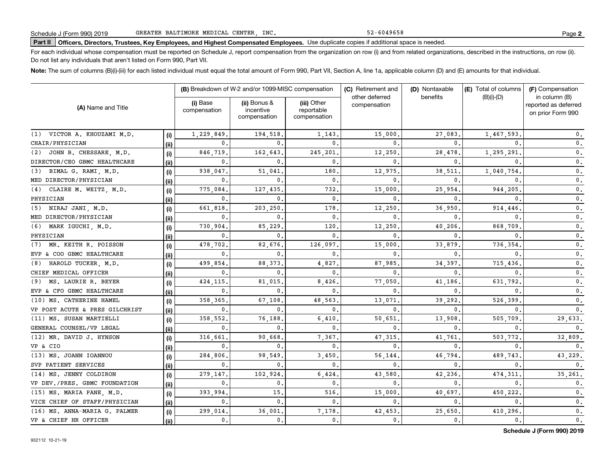52-6049658

# **Part II Officers, Directors, Trustees, Key Employees, and Highest Compensated Employees.**  Schedule J (Form 990) 2019 Page Use duplicate copies if additional space is needed.

For each individual whose compensation must be reported on Schedule J, report compensation from the organization on row (i) and from related organizations, described in the instructions, on row (ii). Do not list any individuals that aren't listed on Form 990, Part VII.

**Note:**  The sum of columns (B)(i)-(iii) for each listed individual must equal the total amount of Form 990, Part VII, Section A, line 1a, applicable column (D) and (E) amounts for that individual.

|                                |      | (B) Breakdown of W-2 and/or 1099-MISC compensation |                                           | (C) Retirement and                        | (D) Nontaxable                 | (E) Total of columns | (F) Compensation |                                                            |
|--------------------------------|------|----------------------------------------------------|-------------------------------------------|-------------------------------------------|--------------------------------|----------------------|------------------|------------------------------------------------------------|
| (A) Name and Title             |      | (i) Base<br>compensation                           | (ii) Bonus &<br>incentive<br>compensation | (iii) Other<br>reportable<br>compensation | other deferred<br>compensation | benefits             | $(B)(i)-(D)$     | in column (B)<br>reported as deferred<br>on prior Form 990 |
| (1) VICTOR A. KHOUZAMI M.D.    | (i)  | 1,229,849                                          | 194,518                                   | 1,143                                     | 15,000                         | 27,083               | 1,467,593        | 0.                                                         |
| CHAIR/PHYSICIAN                | (ii) | $\mathbf{0}$ .                                     | $\Omega$                                  | $\Omega$                                  | 0                              | $\Omega$             |                  | $\mathbf{0}$ .                                             |
| JOHN B. CHESSARE, M.D.<br>(2)  | (i)  | 846,719                                            | 162,643                                   | 245,201                                   | 12,250                         | 28,478               | 1,295,291        | 0.                                                         |
| DIRECTOR/CEO GBMC HEALTHCARE   | (i)  | 0.                                                 | $\Omega$                                  | $\mathbf{0}$                              | 0                              | $\Omega$             | $\Omega$         | 0.                                                         |
| BIMAL G. RAMI, M.D.<br>(3)     | (i)  | 938.047.                                           | 51,041                                    | 180                                       | 12,975                         | 38,511               | 1,040,754        | $\mathbf{0}$ .                                             |
| MED DIRECTOR/PHYSICIAN         | (ii) | $\mathbf{0}$ .                                     | $\Omega$                                  | $\mathbf{0}$ .                            | 0                              | $\Omega$             | $\Omega$         | 0.                                                         |
| CLAIRE M. WEITZ, M.D.<br>(4)   | (i)  | 775,084                                            | 127,435                                   | 732.                                      | 15,000                         | 25,954               | 944,205          | 0.                                                         |
| PHYSICIAN                      | (i)  | 0.                                                 | 0                                         | 0.                                        | 0                              | $\mathbf{0}$         | $\Omega$         | 0.                                                         |
| NIRAJ JANI, M.D.<br>(5)        | (i)  | 661.818                                            | 203,250                                   | 178                                       | 12,250                         | 36,950               | 914,446          | 0.                                                         |
| MED DIRECTOR/PHYSICIAN         | (i)  | $\mathbf{0}$ .                                     | $\Omega$                                  | $\mathbf{0}$ .                            | 0                              | $\mathbf{0}$         | $\Omega$         | 0.                                                         |
| MARK IGUCHI, M.D.<br>(6)       | (i)  | 730,904                                            | 85,229                                    | 120                                       | 12,250                         | 40,206               | 868,709          | 0.                                                         |
| PHYSICIAN                      | (i)  | $\mathbf{0}$ .                                     | 0                                         | $\Omega$                                  | 0                              | $\mathbf{0}$         | $\Omega$         | 0.                                                         |
| MR. KEITH R. POISSON<br>(7)    | (i)  | 478,702                                            | 82,676                                    | 126,097.                                  | 15,000                         | 33,879               | 736,354          | 0.                                                         |
| EVP & COO GBMC HEALTHCARE      | (ii) | $\mathbf{0}$ .                                     | $^{\circ}$                                | $\Omega$                                  | 0                              | 0                    | $\Omega$         | $\mathbf{0}$ .                                             |
| HAROLD TUCKER, M.D.<br>(8)     | (i)  | 499,854                                            | 88,373                                    | 4,827                                     | 87,985                         | 34,397               | 715,436          | 0.                                                         |
| CHIEF MEDICAL OFFICER          | (ii) | 0.                                                 | $^{\circ}$                                | $\mathbf{0}$                              | 0                              | $\mathbf{0}$         | $\Omega$         | 0.                                                         |
| MS. LAURIE R. BEYER<br>(9)     | (i)  | 424, 115,                                          | 81,015                                    | 8,426.                                    | 77,050                         | 41,186               | 631,792          | 0.                                                         |
| EVP & CFO GBMC HEALTHCARE      | (ii) | 0.                                                 | 0                                         | 0.                                        | 0                              | 0                    | $\Omega$         | 0.                                                         |
| (10) MS. CATHERINE HAMEL       | (i)  | 358,365                                            | 67,108                                    | 48,563                                    | 13,071                         | 39,292               | 526,399          | $\mathbf 0$ .                                              |
| VP POST ACUTE & PRES GILCHRIST | (i)  | 0.                                                 | 0                                         | $\Omega$                                  | $\mathbf{0}$                   | 0                    |                  | 0.                                                         |
| (11) MS. SUSAN MARTIELLI       | (i)  | 358,552.                                           | 76,188                                    | 6,410                                     | 50,651                         | 13,908               | 505,709          | 29,633.                                                    |
| GENERAL COUNSEL/VP LEGAL       | (ii) | 0.                                                 | $\mathbf{0}$                              | 0.                                        | $\mathbf{0}$                   | $\mathbf{0}$         | $\mathbf{0}$     | 0.                                                         |
| (12) MR. DAVID J. HYNSON       | (i)  | 316,661                                            | 90,668                                    | 7,367.                                    | 47,315                         | 41,761               | 503.772          | 32,809.                                                    |
| VP & CIO                       | (ii) | $\mathbf{0}$ .                                     | $\mathbf{0}$ .                            | $\mathbf{0}$ .                            | $\mathbf{0}$                   | $\mathbf{0}$         | $\Omega$         | 0.                                                         |
| (13) MS. JOANN IOANNOU         | (i)  | 284,806,                                           | 98,549                                    | 3,450.                                    | 56,144                         | 46,794               | 489.743          | 43,229.                                                    |
| SVP PATIENT SERVICES           | (ii) | 0.                                                 | $\mathbf 0$ .                             | $\mathbf{0}$ .                            | $\mathbf{0}$                   | $\mathbf{0}$         | $\mathbf{0}$ .   | $\mathbf{0}$ .                                             |
| (14) MS. JENNY COLDIRON        | (i)  | 279,147.                                           | 102,924                                   | 6,424                                     | 43,580                         | 42,236               | 474, 311         | 35,261.                                                    |
| VP DEV./PRES. GBMC FOUNDATION  | (ii) | $\mathbf{0}$ .                                     | $\mathbf{0}$ .                            | 0.                                        | 0.                             | $\mathbf{0}$ .       | $\mathbf{0}$ .   | $\mathbf{0}$ .                                             |
| (15) MS. MARIA PANE, M.D.      | (i)  | 393.994                                            | 15                                        | 516.                                      | 15,000                         | 40.697.              | 450.222          | $\mathbf 0$ .                                              |
| VICE CHIEF OF STAFF/PHYSICIAN  | (ii) | $\mathbf{0}$ .                                     | $\mathbf{0}$ .                            | $\mathbf{0}$ .                            | 0.                             | $\mathbf{0}$ .       | $\mathbf{0}$ .   | 0.                                                         |
| (16) MS. ANNA-MARIA G. PALMER  | (i)  | 299,014.                                           | 36,001                                    | 7,178.                                    | 42,453                         | 25,650               | 410,296          | 0.                                                         |
| VP & CHIEF HR OFFICER          | (ii) | $\mathbf{0}$ .                                     | $\mathbf{0}$ .                            | 0.                                        | 0.                             | 0.                   | 0.               | $\mathbf{0}$ .                                             |

**Schedule J (Form 990) 2019**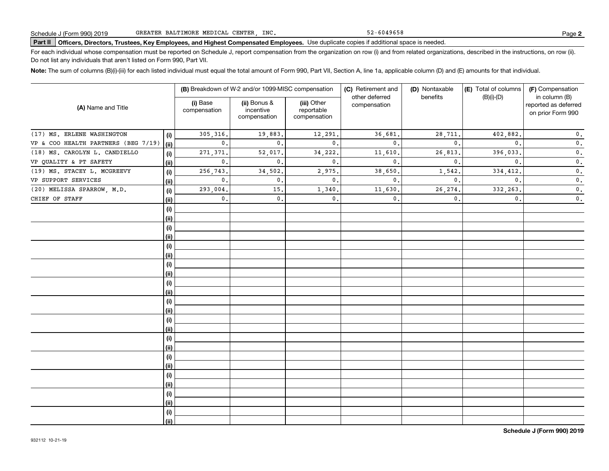52-6049658

# **Part II Officers, Directors, Trustees, Key Employees, and Highest Compensated Employees.**  Schedule J (Form 990) 2019 Page Use duplicate copies if additional space is needed.

For each individual whose compensation must be reported on Schedule J, report compensation from the organization on row (i) and from related organizations, described in the instructions, on row (ii). Do not list any individuals that aren't listed on Form 990, Part VII.

**Note:**  The sum of columns (B)(i)-(iii) for each listed individual must equal the total amount of Form 990, Part VII, Section A, line 1a, applicable column (D) and (E) amounts for that individual.

|                                     |      |                          | (B) Breakdown of W-2 and/or 1099-MISC compensation |                                           | (C) Retirement and<br>other deferred | (D) Nontaxable<br>benefits | (E) Total of columns | (F) Compensation<br>in column (B)         |  |
|-------------------------------------|------|--------------------------|----------------------------------------------------|-------------------------------------------|--------------------------------------|----------------------------|----------------------|-------------------------------------------|--|
| (A) Name and Title                  |      | (i) Base<br>compensation | (ii) Bonus &<br>incentive<br>compensation          | (iii) Other<br>reportable<br>compensation | compensation                         |                            | $(B)(i)-(D)$         | reported as deferred<br>on prior Form 990 |  |
| (17) MS. ERLENE WASHINGTON          | (i)  | 305,316.                 | 19,883.                                            | 12,291.                                   | 36,681.                              | 28,711                     | 402,882.             | $\mathbf 0$ .                             |  |
| VP & COO HEALTH PARTNERS (BEG 7/19) | (ii) | $\mathbf{0}$ .           | $\mathbf{0}$ .                                     | $\mathbf{0}$ .                            | $\mathbf 0$ .                        | $\mathbf{0}$               | $\mathbf{0}$ .       | $\mathbf 0$ .                             |  |
| (18) MS. CAROLYN L. CANDIELLO       | (i)  | 271,371.                 | 52,017.                                            | 34,222.                                   | 11,610.                              | 26,813                     | 396,033.             | $\mathbf 0$ .                             |  |
| VP QUALITY & PT SAFETY              | (ii) | $\mathbf{0}$ .           | $\mathbf{0}$ .                                     | $\mathbf{0}$ .                            | $\mathbf 0$ .                        | $\mathbf{0}$               | $\mathbf{0}$ .       | $\mathbf 0$ .                             |  |
| (19) MS. STACEY L. MCGREEVY         | (i)  | 256,743.                 | 34,502.                                            | 2,975.                                    | 38,650                               | 1,542.                     | 334,412.             | $\mathbf 0$ .                             |  |
| VP SUPPORT SERVICES                 | (ii) | $\mathbf{0}$ .           | $\mathbf{0}$ .                                     | $\mathbf{0}$ .                            | $\mathbf{0}$ .                       | $\mathbf{0}$ .             | $\mathbf{0}$ .       | $\mathfrak o$ .                           |  |
| (20) MELISSA SPARROW, M.D.          | (i)  | 293,004.                 | 15.                                                | 1,340.                                    | 11,630                               | 26, 274.                   | 332,263.             | $\mathfrak o$ .                           |  |
| CHIEF OF STAFF                      | (ii) | $\mathbf{0}$ .           | $\mathbf{0}$ .                                     | $\mathsf{0}\,.$                           | 0.                                   | 0.                         | $\mathbf{0}$ .       | $\mathbf 0$ .                             |  |
|                                     | (i)  |                          |                                                    |                                           |                                      |                            |                      |                                           |  |
|                                     | (ii) |                          |                                                    |                                           |                                      |                            |                      |                                           |  |
|                                     | (i)  |                          |                                                    |                                           |                                      |                            |                      |                                           |  |
|                                     | (ii) |                          |                                                    |                                           |                                      |                            |                      |                                           |  |
|                                     | (i)  |                          |                                                    |                                           |                                      |                            |                      |                                           |  |
|                                     | (ii) |                          |                                                    |                                           |                                      |                            |                      |                                           |  |
|                                     | (i)  |                          |                                                    |                                           |                                      |                            |                      |                                           |  |
|                                     | (ii) |                          |                                                    |                                           |                                      |                            |                      |                                           |  |
|                                     | (i)  |                          |                                                    |                                           |                                      |                            |                      |                                           |  |
|                                     | (ii) |                          |                                                    |                                           |                                      |                            |                      |                                           |  |
|                                     | (i)  |                          |                                                    |                                           |                                      |                            |                      |                                           |  |
|                                     | (ii) |                          |                                                    |                                           |                                      |                            |                      |                                           |  |
|                                     | (i)  |                          |                                                    |                                           |                                      |                            |                      |                                           |  |
|                                     | (ii) |                          |                                                    |                                           |                                      |                            |                      |                                           |  |
|                                     | (i)  |                          |                                                    |                                           |                                      |                            |                      |                                           |  |
|                                     | (ii) |                          |                                                    |                                           |                                      |                            |                      |                                           |  |
|                                     | (i)  |                          |                                                    |                                           |                                      |                            |                      |                                           |  |
|                                     | (ii) |                          |                                                    |                                           |                                      |                            |                      |                                           |  |
|                                     | (i)  |                          |                                                    |                                           |                                      |                            |                      |                                           |  |
|                                     | (ii) |                          |                                                    |                                           |                                      |                            |                      |                                           |  |
|                                     | (i)  |                          |                                                    |                                           |                                      |                            |                      |                                           |  |
|                                     | (ii) |                          |                                                    |                                           |                                      |                            |                      |                                           |  |
|                                     | (i)  |                          |                                                    |                                           |                                      |                            |                      |                                           |  |
|                                     | (ii) |                          |                                                    |                                           |                                      |                            |                      |                                           |  |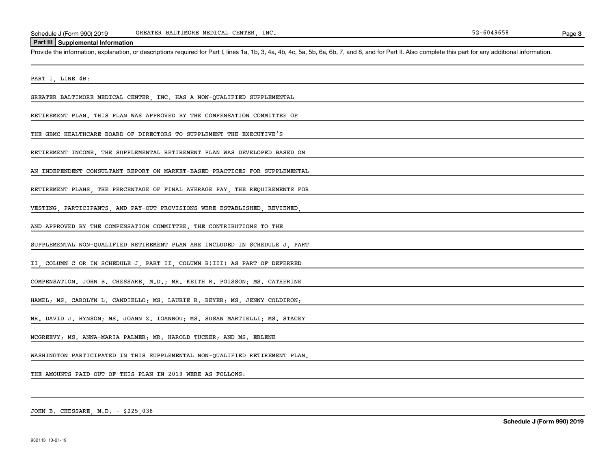#### **Part III Supplemental Information**

Schedule J (Form 990) 2019 GREATER BALTIMORE MEDICAL CENTER, INC.<br>Part III Supplemental Information<br>Provide the information, explanation, or descriptions required for Part I, lines 1a, 1b, 3, 4a, 4b, 4c, 5a, 5b, 6a, 6b, 7,

PART I, LINE 4B:

GREATER BALTIMORE MEDICAL CENTER, INC. HAS A NON-QUALIFIED SUPPLEMENTAL

RETIREMENT PLAN. THIS PLAN WAS APPROVED BY THE COMPENSATION COMMITTEE OF

THE GBMC HEALTHCARE BOARD OF DIRECTORS TO SUPPLEMENT THE EXECUTIVE'S

RETIREMENT INCOME. THE SUPPLEMENTAL RETIREMENT PLAN WAS DEVELOPED BASED ON

AN INDEPENDENT CONSULTANT REPORT ON MARKET-BASED PRACTICES FOR SUPPLEMENTAL

RETIREMENT PLANS, THE PERCENTAGE OF FINAL AVERAGE PAY, THE REQUIREMENTS FOR

VESTING, PARTICIPANTS, AND PAY-OUT PROVISIONS WERE ESTABLISHED, REVIEWED,

AND APPROVED BY THE COMPENSATION COMMITTEE. THE CONTRIBUTIONS TO THE

SUPPLEMENTAL NON-QUALIFIED RETIREMENT PLAN ARE INCLUDED IN SCHEDULE J, PART

II, COLUMN C OR IN SCHEDULE J, PART II, COLUMN B(III) AS PART OF DEFERRED

COMPENSATION. JOHN B. CHESSARE, M.D.; MR. KEITH R. POISSON; MS. CATHERINE

HAMEL; MS. CAROLYN L. CANDIELLO; MS. LAURIE R. BEYER; MS. JENNY COLDIRON;

MR. DAVID J. HYNSON; MS. JOANN Z. IOANNOU; MS. SUSAN MARTIELLI; MS. STACEY

MCGREEVY; MS. ANNA-MARIA PALMER; MR. HAROLD TUCKER; AND MS. ERLENE

WASHINGTON PARTICIPATED IN THIS SUPPLEMENTAL NON-QUALIFIED RETIREMENT PLAN.

THE AMOUNTS PAID OUT OF THIS PLAN IN 2019 WERE AS FOLLOWS:

JOHN B. CHESSARE, M.D. - \$225,038

**Schedule J (Form 990) 2019**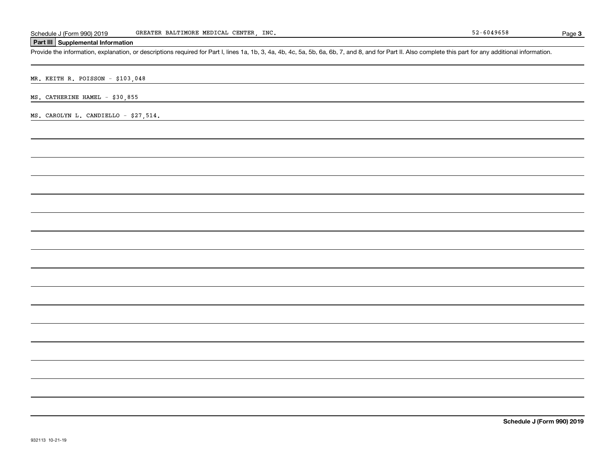### **Part III Supplemental Information**

Schedule J (Form 990) 2019 GREATER BALTIMORE MEDICAL CENTER, INC.<br>Part III Supplemental Information<br>Provide the information, explanation, or descriptions required for Part I, lines 1a, 1b, 3, 4a, 4b, 4c, 5a, 5b, 6a, 6b, 7,

MR. KEITH R. POISSON - \$103,048

MS. CATHERINE HAMEL - \$30,855

MS. CAROLYN L. CANDIELLO - \$27,514.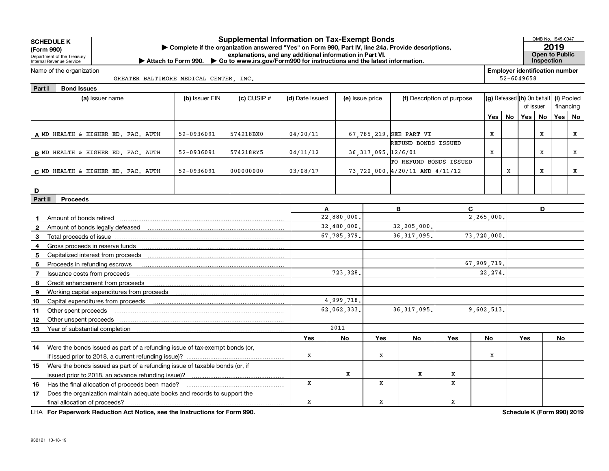| <b>SCHEDULE K</b><br>(Form 990)<br>Department of the Treasury<br>Internal Revenue Service |                                                                                | Complete if the organization answered "Yes" on Form 990, Part IV, line 24a. Provide descriptions,<br>Attach to Form 990. Go to www.irs.gov/Form990 for instructions and the latest information. | <b>Supplemental Information on Tax-Exempt Bonds</b><br>explanations, and any additional information in Part VI. |                 |                 |                       |                                |                            |             |                                       |                            | OMB No. 1545-0047<br><b>Open to Public</b><br>Inspection | 2019       |           |
|-------------------------------------------------------------------------------------------|--------------------------------------------------------------------------------|-------------------------------------------------------------------------------------------------------------------------------------------------------------------------------------------------|-----------------------------------------------------------------------------------------------------------------|-----------------|-----------------|-----------------------|--------------------------------|----------------------------|-------------|---------------------------------------|----------------------------|----------------------------------------------------------|------------|-----------|
| Name of the organization                                                                  |                                                                                |                                                                                                                                                                                                 |                                                                                                                 |                 |                 |                       |                                |                            |             | <b>Employer identification number</b> |                            |                                                          |            |           |
|                                                                                           | GREATER BALTIMORE MEDICAL CENTER, INC.                                         |                                                                                                                                                                                                 |                                                                                                                 |                 |                 |                       |                                |                            |             |                                       | $52 - 6049658$             |                                                          |            |           |
| Part I<br><b>Bond Issues</b>                                                              |                                                                                |                                                                                                                                                                                                 |                                                                                                                 |                 |                 |                       |                                |                            |             |                                       |                            |                                                          |            |           |
|                                                                                           | (a) Issuer name                                                                | (b) Issuer EIN                                                                                                                                                                                  | $(c)$ CUSIP $#$                                                                                                 | (d) Date issued | (e) Issue price |                       |                                | (f) Description of purpose |             |                                       | (g) Defeased (h) On behalf |                                                          | (i) Pooled |           |
|                                                                                           |                                                                                |                                                                                                                                                                                                 |                                                                                                                 |                 |                 |                       |                                |                            |             |                                       | of issuer                  |                                                          |            | financing |
|                                                                                           |                                                                                |                                                                                                                                                                                                 |                                                                                                                 |                 |                 |                       |                                |                            | Yes I       | No                                    | Yes                        | <b>No</b>                                                |            | Yes   No  |
|                                                                                           |                                                                                |                                                                                                                                                                                                 |                                                                                                                 |                 |                 |                       |                                |                            |             |                                       |                            |                                                          |            |           |
|                                                                                           | A MD HEALTH & HIGHER ED. FAC. AUTH                                             | 52-0936091                                                                                                                                                                                      | 574218BX0                                                                                                       | 04/20/11        |                 |                       | 67,785,219. SEE PART VI        |                            | Х           |                                       |                            | х                                                        |            | X         |
|                                                                                           |                                                                                |                                                                                                                                                                                                 |                                                                                                                 |                 |                 |                       | REFUND BONDS ISSUED            |                            |             |                                       |                            |                                                          |            |           |
|                                                                                           | <b>B</b> MD HEALTH & HIGHER ED. FAC. AUTH                                      | 52-0936091                                                                                                                                                                                      | 574218EY5                                                                                                       | 04/11/12        |                 | 36, 317, 095. 12/6/01 |                                |                            | х           |                                       |                            | x                                                        |            | X         |
|                                                                                           |                                                                                |                                                                                                                                                                                                 |                                                                                                                 |                 |                 |                       | TO REFUND BONDS ISSUED         |                            |             |                                       |                            |                                                          |            |           |
|                                                                                           | C MD HEALTH & HIGHER ED. FAC. AUTH                                             | $52 - 0936091$                                                                                                                                                                                  | 000000000                                                                                                       | 03/08/17        |                 |                       | 73,720,000.4/20/11 AND 4/11/12 |                            |             | x                                     |                            | X                                                        |            | X         |
|                                                                                           |                                                                                |                                                                                                                                                                                                 |                                                                                                                 |                 |                 |                       |                                |                            |             |                                       |                            |                                                          |            |           |
| D                                                                                         |                                                                                |                                                                                                                                                                                                 |                                                                                                                 |                 |                 |                       |                                |                            |             |                                       |                            |                                                          |            |           |
| Part II<br><b>Proceeds</b>                                                                |                                                                                |                                                                                                                                                                                                 |                                                                                                                 |                 |                 |                       |                                |                            |             |                                       |                            |                                                          |            |           |
|                                                                                           |                                                                                |                                                                                                                                                                                                 |                                                                                                                 | A               |                 |                       | В                              | C                          |             |                                       |                            | D                                                        |            |           |
| Amount of bonds retired<br>$\mathbf 1$                                                    |                                                                                |                                                                                                                                                                                                 |                                                                                                                 |                 | 22,880,000.     |                       |                                |                            | 2,265,000.  |                                       |                            |                                                          |            |           |
| $\mathbf{2}$                                                                              |                                                                                |                                                                                                                                                                                                 |                                                                                                                 |                 | 32,480,000.     |                       | 32,205,000.                    |                            |             |                                       |                            |                                                          |            |           |
| 3                                                                                         |                                                                                |                                                                                                                                                                                                 |                                                                                                                 |                 | 67.785.379.     |                       | 36, 317, 095.                  |                            | 73,720,000. |                                       |                            |                                                          |            |           |
| 4                                                                                         |                                                                                |                                                                                                                                                                                                 |                                                                                                                 |                 |                 |                       |                                |                            |             |                                       |                            |                                                          |            |           |
| 5                                                                                         |                                                                                |                                                                                                                                                                                                 |                                                                                                                 |                 |                 |                       |                                |                            |             |                                       |                            |                                                          |            |           |
| 6                                                                                         | Proceeds in refunding escrows                                                  |                                                                                                                                                                                                 |                                                                                                                 |                 |                 |                       |                                |                            | 67,909,719. |                                       |                            |                                                          |            |           |
| $\overline{7}$                                                                            | Issuance costs from proceeds                                                   |                                                                                                                                                                                                 |                                                                                                                 |                 | 723, 328.       |                       |                                |                            | 22, 274.    |                                       |                            |                                                          |            |           |
|                                                                                           | 8 Credit enhancement from proceeds                                             |                                                                                                                                                                                                 |                                                                                                                 |                 |                 |                       |                                |                            |             |                                       |                            |                                                          |            |           |
| 9                                                                                         | Working capital expenditures from proceeds                                     |                                                                                                                                                                                                 |                                                                                                                 |                 |                 |                       |                                |                            |             |                                       |                            |                                                          |            |           |
| 10                                                                                        | Capital expenditures from proceeds                                             |                                                                                                                                                                                                 |                                                                                                                 |                 | 4,999,718.      |                       |                                |                            |             |                                       |                            |                                                          |            |           |
| 11 Other spent proceeds                                                                   |                                                                                |                                                                                                                                                                                                 |                                                                                                                 |                 | 62.062.333.     |                       | 36.317.095.                    |                            | 9,602,513.  |                                       |                            |                                                          |            |           |
| 12<br>Other unspent proceeds                                                              |                                                                                |                                                                                                                                                                                                 |                                                                                                                 |                 |                 |                       |                                |                            |             |                                       |                            |                                                          |            |           |
|                                                                                           |                                                                                |                                                                                                                                                                                                 |                                                                                                                 |                 | 2011            |                       |                                |                            |             |                                       |                            |                                                          |            |           |
|                                                                                           |                                                                                |                                                                                                                                                                                                 |                                                                                                                 | Yes             | No              | <b>Yes</b>            | No                             | Yes                        | No          |                                       | <b>Yes</b>                 |                                                          | No         |           |
|                                                                                           | 14 Were the bonds issued as part of a refunding issue of tax-exempt bonds (or, |                                                                                                                                                                                                 |                                                                                                                 |                 |                 |                       |                                |                            |             |                                       |                            |                                                          |            |           |
|                                                                                           |                                                                                |                                                                                                                                                                                                 |                                                                                                                 | X               |                 | X                     |                                |                            | х           |                                       |                            |                                                          |            |           |
|                                                                                           | 15 Were the bonds issued as part of a refunding issue of taxable bonds (or, if |                                                                                                                                                                                                 |                                                                                                                 |                 |                 |                       |                                |                            |             |                                       |                            |                                                          |            |           |
|                                                                                           | issued prior to 2018, an advance refunding issue)?                             |                                                                                                                                                                                                 |                                                                                                                 |                 | X               |                       | х                              | x                          |             |                                       |                            |                                                          |            |           |
|                                                                                           | 16 Has the final allocation of proceeds been made?                             |                                                                                                                                                                                                 |                                                                                                                 | X               |                 | x                     |                                | x                          |             |                                       |                            |                                                          |            |           |

X

X

X

**For Paperwork Reduction Act Notice, see the Instructions for Form 990. Schedule K (Form 990) 2019** LHA

**17** Does the organization maintain adequate books and records to support the

**16** Has the final allocation of proceeds been made?

final allocation of proceeds?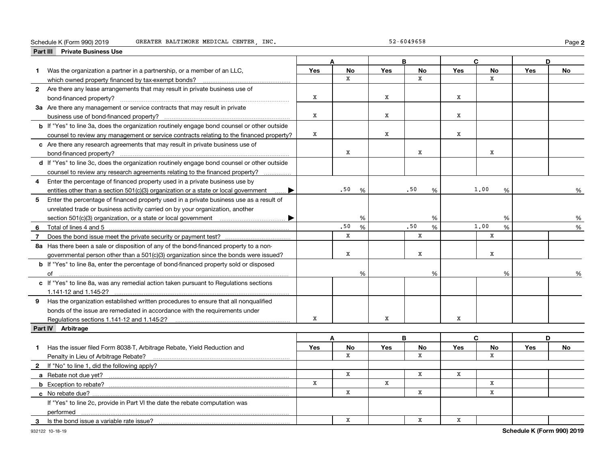#### **Part III Private Business Use**<br>**Part III Private Business Use** Schedule K (Form 990) 2019 GREATER BALTIMORE MEDICAL CENTER, INC. 52-6049658 Page

**2**

|   | Part III Private Business Use                                                                      |              |              |             |              |              |              |            |    |
|---|----------------------------------------------------------------------------------------------------|--------------|--------------|-------------|--------------|--------------|--------------|------------|----|
|   |                                                                                                    |              | A            |             | B            |              | C.           |            | D  |
|   | Was the organization a partner in a partnership, or a member of an LLC,                            | <b>Yes</b>   | <b>No</b>    | <b>Yes</b>  | No           | <b>Yes</b>   | No           | <b>Yes</b> | No |
|   | which owned property financed by tax-exempt bonds?                                                 |              | $\mathbf{x}$ |             | $\mathbf{x}$ |              | $\mathbf{x}$ |            |    |
|   | 2 Are there any lease arrangements that may result in private business use of                      |              |              |             |              |              |              |            |    |
|   |                                                                                                    | X            |              | X           |              | x            |              |            |    |
|   | 3a Are there any management or service contracts that may result in private                        |              |              |             |              |              |              |            |    |
|   | business use of bond-financed property?                                                            | $\, {\rm x}$ |              | X           |              | x            |              |            |    |
|   | <b>b</b> If "Yes" to line 3a, does the organization routinely engage bond counsel or other outside |              |              |             |              |              |              |            |    |
|   | counsel to review any management or service contracts relating to the financed property?           | $\mathbf X$  |              | $\mathbf X$ |              | x            |              |            |    |
|   | c Are there any research agreements that may result in private business use of                     |              |              |             |              |              |              |            |    |
|   |                                                                                                    |              | x            |             | X            |              | X            |            |    |
|   | d If "Yes" to line 3c, does the organization routinely engage bond counsel or other outside        |              |              |             |              |              |              |            |    |
|   | counsel to review any research agreements relating to the financed property?                       |              |              |             |              |              |              |            |    |
|   | 4 Enter the percentage of financed property used in a private business use by                      |              |              |             |              |              |              |            |    |
|   | entities other than a section $501(c)(3)$ organization or a state or local government<br>▶         |              | .50<br>%     |             | .50<br>%     |              | 1,00<br>%    |            | %  |
| 5 | Enter the percentage of financed property used in a private business use as a result of            |              |              |             |              |              |              |            |    |
|   | unrelated trade or business activity carried on by your organization, another                      |              |              |             |              |              |              |            |    |
|   |                                                                                                    |              | %            |             | %            |              | %            |            | %  |
|   |                                                                                                    | .50<br>%     |              |             | .50<br>%     | 1,00<br>$\%$ |              | %          |    |
| 7 |                                                                                                    |              | $\mathbf{x}$ |             | X            |              | $\mathbf{x}$ |            |    |
|   | 8a Has there been a sale or disposition of any of the bond-financed property to a non-             |              |              |             |              |              |              |            |    |
|   | governmental person other than a 501(c)(3) organization since the bonds were issued?               |              | x            |             | X            |              | x            |            |    |
|   | <b>b</b> If "Yes" to line 8a, enter the percentage of bond-financed property sold or disposed      |              |              |             |              |              |              |            |    |
|   |                                                                                                    |              | %            |             | %            |              | %            |            | %  |
|   | c If "Yes" to line 8a, was any remedial action taken pursuant to Regulations sections              |              |              |             |              |              |              |            |    |
|   | 1.141-12 and 1.145-2?                                                                              |              |              |             |              |              |              |            |    |
|   | 9 Has the organization established written procedures to ensure that all nonqualified              |              |              |             |              |              |              |            |    |
|   | bonds of the issue are remediated in accordance with the requirements under                        |              |              |             |              |              |              |            |    |
|   | Regulations sections 1.141-12 and 1.145-2?                                                         | x            |              | x           |              | x            |              |            |    |
|   | Part IV Arbitrage                                                                                  |              |              |             |              |              |              |            |    |
|   |                                                                                                    |              | A            |             | B            |              | C            |            | D  |
| 1 | Has the issuer filed Form 8038-T, Arbitrage Rebate, Yield Reduction and                            | Yes          | No           | Yes         | No           | Yes          | No           | Yes        | No |
|   | Penalty in Lieu of Arbitrage Rebate?                                                               |              | $\mathbf{x}$ |             | $\mathbf x$  |              | $\mathbf x$  |            |    |
|   | <b>2</b> If "No" to line 1, did the following apply?                                               |              |              |             |              |              |              |            |    |
|   |                                                                                                    |              | $\mathbf{x}$ |             | x            | x            |              |            |    |
|   |                                                                                                    | X            |              | $\mathbf X$ |              |              | $\mathbf x$  |            |    |
|   | c No rebate due?                                                                                   |              | X            |             | x            |              | x            |            |    |
|   | If "Yes" to line 2c, provide in Part VI the date the rebate computation was                        |              |              |             |              |              |              |            |    |
|   | performed                                                                                          |              |              |             |              |              |              |            |    |
| 3 | Is the bond issue a variable rate issue?                                                           |              | X            |             | X            | x            |              |            |    |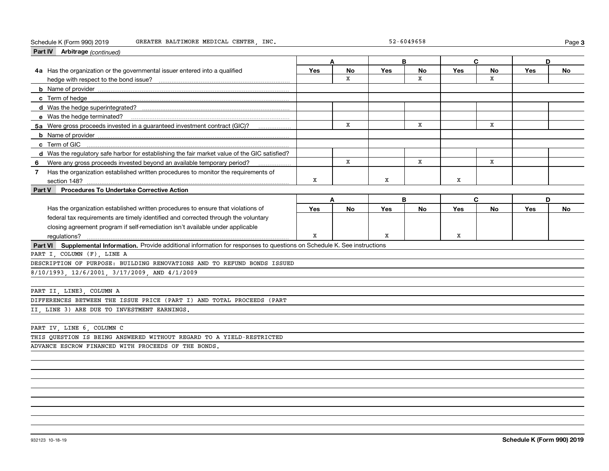| Part IV Arbitrage (continued)                                                                                               |            |           |            |           |     |           |            |           |
|-----------------------------------------------------------------------------------------------------------------------------|------------|-----------|------------|-----------|-----|-----------|------------|-----------|
|                                                                                                                             | Α          |           | B          |           | C   |           | D          |           |
| 4a Has the organization or the governmental issuer entered into a qualified                                                 | <b>Yes</b> | No        | <b>Yes</b> | <b>No</b> | Yes | No        | <b>Yes</b> | No        |
|                                                                                                                             |            | X         |            | X         |     | X         |            |           |
|                                                                                                                             |            |           |            |           |     |           |            |           |
|                                                                                                                             |            |           |            |           |     |           |            |           |
|                                                                                                                             |            |           |            |           |     |           |            |           |
|                                                                                                                             |            |           |            |           |     |           |            |           |
| 5a Were gross proceeds invested in a guaranteed investment contract (GIC)?                                                  |            | x         |            | X         |     | x         |            |           |
|                                                                                                                             |            |           |            |           |     |           |            |           |
| c Term of GIC                                                                                                               |            |           |            |           |     |           |            |           |
| d Was the regulatory safe harbor for establishing the fair market value of the GIC satisfied?                               |            |           |            |           |     |           |            |           |
| 6 Were any gross proceeds invested beyond an available temporary period?                                                    |            | X         |            | X         |     | X         |            |           |
| 7 Has the organization established written procedures to monitor the requirements of                                        |            |           |            |           |     |           |            |           |
| section 148?                                                                                                                | x          |           | x          |           | x   |           |            |           |
| <b>Procedures To Undertake Corrective Action</b><br>Part V                                                                  |            |           |            |           |     |           |            |           |
|                                                                                                                             | A          |           | B          |           | C   |           | D          |           |
| Has the organization established written procedures to ensure that violations of                                            | Yes        | <b>No</b> | Yes        | <b>No</b> | Yes | <b>No</b> | <b>Yes</b> | <b>No</b> |
| federal tax requirements are timely identified and corrected through the voluntary                                          |            |           |            |           |     |           |            |           |
| closing agreement program if self-remediation isn't available under applicable                                              |            |           |            |           |     |           |            |           |
| regulations?                                                                                                                | X          |           | x          |           | x   |           |            |           |
| Part VI Supplemental Information. Provide additional information for responses to questions on Schedule K. See instructions |            |           |            |           |     |           |            |           |
| PART I, COLUMN (F), LINE A                                                                                                  |            |           |            |           |     |           |            |           |
| DESCRIPTION OF PURPOSE: BUILDING RENOVATIONS AND TO REFUND BONDS ISSUED                                                     |            |           |            |           |     |           |            |           |
| 8/10/1993, 12/6/2001, 3/17/2009, AND 4/1/2009                                                                               |            |           |            |           |     |           |            |           |
|                                                                                                                             |            |           |            |           |     |           |            |           |
| PART II, LINE3, COLUMN A                                                                                                    |            |           |            |           |     |           |            |           |
| DIFFERENCES BETWEEN THE ISSUE PRICE (PART I) AND TOTAL PROCEEDS (PART                                                       |            |           |            |           |     |           |            |           |
| II, LINE 3) ARE DUE TO INVESTMENT EARNINGS.                                                                                 |            |           |            |           |     |           |            |           |
|                                                                                                                             |            |           |            |           |     |           |            |           |
| PART IV, LINE 6, COLUMN C                                                                                                   |            |           |            |           |     |           |            |           |
| THIS QUESTION IS BEING ANSWERED WITHOUT REGARD TO A YIELD-RESTRICTED                                                        |            |           |            |           |     |           |            |           |
| ADVANCE ESCROW FINANCED WITH PROCEEDS OF THE BONDS.                                                                         |            |           |            |           |     |           |            |           |
|                                                                                                                             |            |           |            |           |     |           |            |           |
|                                                                                                                             |            |           |            |           |     |           |            |           |

**3**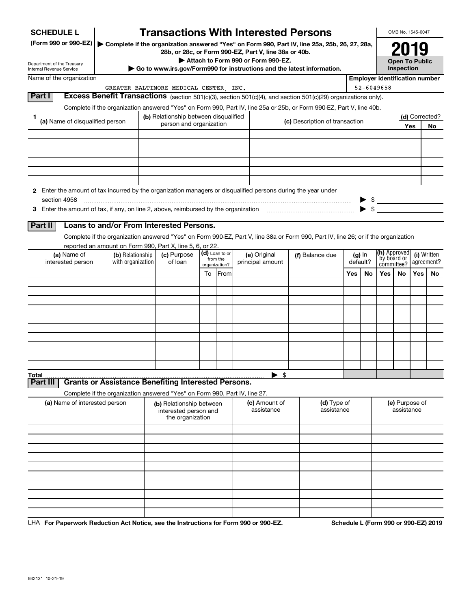| <b>SCHEDULE L</b>                                                                                             |                                                                            | <b>Transactions With Interested Persons</b>                           |    |                            |                                    |                                                                                                                                    |     |          |                                       | OMB No. 1545-0047                   |       |                |
|---------------------------------------------------------------------------------------------------------------|----------------------------------------------------------------------------|-----------------------------------------------------------------------|----|----------------------------|------------------------------------|------------------------------------------------------------------------------------------------------------------------------------|-----|----------|---------------------------------------|-------------------------------------|-------|----------------|
| (Form 990 or 990-EZ)                                                                                          |                                                                            | 28b, or 28c, or Form 990-EZ, Part V, line 38a or 40b.                 |    |                            |                                    | Complete if the organization answered "Yes" on Form 990, Part IV, line 25a, 25b, 26, 27, 28a,                                      |     |          |                                       |                                     |       |                |
| Department of the Treasury<br>Internal Revenue Service                                                        |                                                                            |                                                                       |    |                            | Attach to Form 990 or Form 990-EZ. | Go to www.irs.gov/Form990 for instructions and the latest information.                                                             |     |          |                                       | <b>Open To Public</b><br>Inspection |       |                |
| Name of the organization                                                                                      |                                                                            |                                                                       |    |                            |                                    |                                                                                                                                    |     |          | <b>Employer identification number</b> |                                     |       |                |
|                                                                                                               |                                                                            | GREATER BALTIMORE MEDICAL CENTER, INC.                                |    |                            |                                    |                                                                                                                                    |     |          | 52-6049658                            |                                     |       |                |
| Part I                                                                                                        |                                                                            |                                                                       |    |                            |                                    | Excess Benefit Transactions (section 501(c)(3), section 501(c)(4), and section 501(c)(29) organizations only).                     |     |          |                                       |                                     |       |                |
|                                                                                                               |                                                                            |                                                                       |    |                            |                                    | Complete if the organization answered "Yes" on Form 990, Part IV, line 25a or 25b, or Form 990-EZ, Part V, line 40b.               |     |          |                                       |                                     |       |                |
| 1<br>(a) Name of disqualified person                                                                          |                                                                            | (b) Relationship between disqualified                                 |    |                            |                                    |                                                                                                                                    |     |          |                                       |                                     |       | (d) Corrected? |
|                                                                                                               |                                                                            | person and organization                                               |    |                            |                                    | (c) Description of transaction                                                                                                     |     |          |                                       |                                     | Yes   | No             |
|                                                                                                               |                                                                            |                                                                       |    |                            |                                    |                                                                                                                                    |     |          |                                       |                                     |       |                |
|                                                                                                               |                                                                            |                                                                       |    |                            |                                    |                                                                                                                                    |     |          |                                       |                                     |       |                |
|                                                                                                               |                                                                            |                                                                       |    |                            |                                    |                                                                                                                                    |     |          |                                       |                                     |       |                |
|                                                                                                               |                                                                            |                                                                       |    |                            |                                    |                                                                                                                                    |     |          |                                       |                                     |       |                |
|                                                                                                               |                                                                            |                                                                       |    |                            |                                    |                                                                                                                                    |     |          |                                       |                                     |       |                |
| 2 Enter the amount of tax incurred by the organization managers or disqualified persons during the year under |                                                                            |                                                                       |    |                            |                                    |                                                                                                                                    |     |          |                                       |                                     |       |                |
| section 4958                                                                                                  |                                                                            |                                                                       |    |                            |                                    |                                                                                                                                    |     |          | $\frac{1}{2}$                         |                                     |       |                |
|                                                                                                               |                                                                            |                                                                       |    |                            |                                    |                                                                                                                                    |     |          |                                       |                                     |       |                |
|                                                                                                               |                                                                            |                                                                       |    |                            |                                    |                                                                                                                                    |     |          |                                       |                                     |       |                |
| Part II                                                                                                       | Loans to and/or From Interested Persons.                                   |                                                                       |    |                            |                                    |                                                                                                                                    |     |          |                                       |                                     |       |                |
|                                                                                                               |                                                                            |                                                                       |    |                            |                                    | Complete if the organization answered "Yes" on Form 990-EZ, Part V, line 38a or Form 990, Part IV, line 26; or if the organization |     |          |                                       |                                     |       |                |
|                                                                                                               | reported an amount on Form 990, Part X, line 5, 6, or 22.                  |                                                                       |    |                            |                                    |                                                                                                                                    |     |          |                                       |                                     |       |                |
| (a) Name of                                                                                                   | (b) Relationship                                                           | (c) Purpose                                                           |    | (d) Loan to or<br>from the | (e) Original                       | (f) Balance due                                                                                                                    |     | $(g)$ In | <b>(h)</b> Approved<br>by board or    |                                     |       | (i) Written    |
| interested person                                                                                             | with organization                                                          | of loan                                                               |    | organization?              | principal amount                   |                                                                                                                                    |     | default? | committee?                            |                                     |       | agreement?     |
|                                                                                                               |                                                                            |                                                                       | To | From                       |                                    |                                                                                                                                    | Yes | No       | Yes                                   | No                                  | Yes l | <b>No</b>      |
|                                                                                                               |                                                                            |                                                                       |    |                            |                                    |                                                                                                                                    |     |          |                                       |                                     |       |                |
|                                                                                                               |                                                                            |                                                                       |    |                            |                                    |                                                                                                                                    |     |          |                                       |                                     |       |                |
|                                                                                                               |                                                                            |                                                                       |    |                            |                                    |                                                                                                                                    |     |          |                                       |                                     |       |                |
|                                                                                                               |                                                                            |                                                                       |    |                            |                                    |                                                                                                                                    |     |          |                                       |                                     |       |                |
|                                                                                                               |                                                                            |                                                                       |    |                            |                                    |                                                                                                                                    |     |          |                                       |                                     |       |                |
|                                                                                                               |                                                                            |                                                                       |    |                            |                                    |                                                                                                                                    |     |          |                                       |                                     |       |                |
|                                                                                                               |                                                                            |                                                                       |    |                            |                                    |                                                                                                                                    |     |          |                                       |                                     |       |                |
|                                                                                                               |                                                                            |                                                                       |    |                            |                                    |                                                                                                                                    |     |          |                                       |                                     |       |                |
|                                                                                                               |                                                                            |                                                                       |    |                            |                                    |                                                                                                                                    |     |          |                                       |                                     |       |                |
| Total                                                                                                         |                                                                            |                                                                       |    |                            | $\blacktriangleright$ \$           |                                                                                                                                    |     |          |                                       |                                     |       |                |
| Part III                                                                                                      | <b>Grants or Assistance Benefiting Interested Persons.</b>                 |                                                                       |    |                            |                                    |                                                                                                                                    |     |          |                                       |                                     |       |                |
|                                                                                                               | Complete if the organization answered "Yes" on Form 990, Part IV, line 27. |                                                                       |    |                            |                                    |                                                                                                                                    |     |          |                                       |                                     |       |                |
| (a) Name of interested person                                                                                 |                                                                            | (b) Relationship between<br>interested person and<br>the organization |    |                            | (c) Amount of<br>assistance        | (d) Type of<br>assistance                                                                                                          |     |          |                                       | (e) Purpose of<br>assistance        |       |                |
|                                                                                                               |                                                                            |                                                                       |    |                            |                                    |                                                                                                                                    |     |          |                                       |                                     |       |                |
|                                                                                                               |                                                                            |                                                                       |    |                            |                                    |                                                                                                                                    |     |          |                                       |                                     |       |                |
|                                                                                                               |                                                                            |                                                                       |    |                            |                                    |                                                                                                                                    |     |          |                                       |                                     |       |                |
|                                                                                                               |                                                                            |                                                                       |    |                            |                                    |                                                                                                                                    |     |          |                                       |                                     |       |                |
|                                                                                                               |                                                                            |                                                                       |    |                            |                                    |                                                                                                                                    |     |          |                                       |                                     |       |                |
|                                                                                                               |                                                                            |                                                                       |    |                            |                                    |                                                                                                                                    |     |          |                                       |                                     |       |                |
|                                                                                                               |                                                                            |                                                                       |    |                            |                                    |                                                                                                                                    |     |          |                                       |                                     |       |                |
|                                                                                                               |                                                                            |                                                                       |    |                            |                                    |                                                                                                                                    |     |          |                                       |                                     |       |                |
|                                                                                                               |                                                                            |                                                                       |    |                            |                                    |                                                                                                                                    |     |          |                                       |                                     |       |                |
|                                                                                                               |                                                                            |                                                                       |    |                            |                                    |                                                                                                                                    |     |          |                                       |                                     |       |                |

LHA For Paperwork Reduction Act Notice, see the Instructions for Form 990 or 990-EZ. Schedule L (Form 990 or 990-EZ) 2019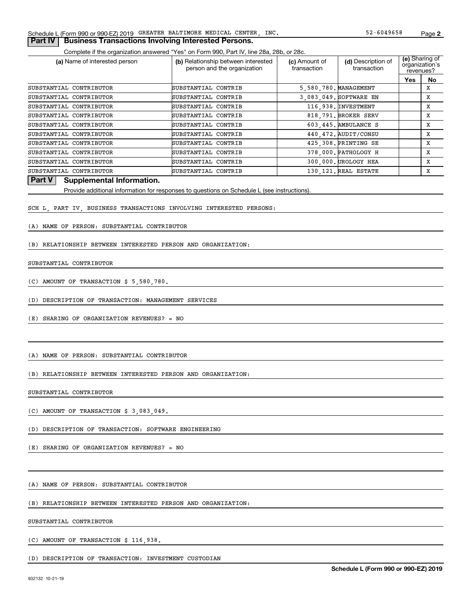#### **2**52-6049658

#### **Part IV | Business Transactions Involving Interested Persons.**

Complete if the organization answered "Yes" on Form 990, Part IV, line 28a, 28b, or 28c.

| (a) Name of interested person | (b) Relationship between interested<br>person and the organization | (c) Amount of<br>transaction | (d) Description of<br>transaction | organization's<br>revenues? | (e) Sharing of |
|-------------------------------|--------------------------------------------------------------------|------------------------------|-----------------------------------|-----------------------------|----------------|
|                               |                                                                    |                              |                                   | Yes                         | No             |
| SUBSTANTIAL CONTRIBUTOR       | SUBSTANTIAL CONTRIB                                                | 5,580,780. MANAGEMENT        |                                   |                             | х              |
| SUBSTANTIAL CONTRIBUTOR       | SUBSTANTIAL CONTRIB                                                |                              | 3,083,049. SOFTWARE EN            |                             | х              |
| SUBSTANTIAL CONTRIBUTOR       | SUBSTANTIAL CONTRIB                                                |                              | 116,938. INVESTMENT               |                             | x              |
| SUBSTANTIAL CONTRIBUTOR       | SUBSTANTIAL CONTRIB                                                |                              | 818,791. BROKER SERV              |                             | X              |
| SUBSTANTIAL CONTRIBUTOR       | SUBSTANTIAL CONTRIB                                                |                              | 603.445. AMBULANCE S              |                             | X              |
| SUBSTANTIAL CONTRIBUTOR       | SUBSTANTIAL CONTRIB                                                |                              | 440.472. AUDIT/CONSU              |                             | X              |
| SUBSTANTIAL CONTRIBUTOR       | SUBSTANTIAL CONTRIB                                                |                              | 425,308. PRINTING SE              |                             | x              |
| SUBSTANTIAL CONTRIBUTOR       | SUBSTANTIAL CONTRIB                                                |                              | 378,000. PATHOLOGY H              |                             | X              |
| SUBSTANTIAL CONTRIBUTOR       | SUBSTANTIAL CONTRIB                                                |                              | 300,000. UROLOGY HEA              |                             | X              |
| SUBSTANTIAL CONTRIBUTOR       | SUBSTANTIAL CONTRIB                                                |                              | 130.121. REAL ESTATE              |                             | X              |

#### **Part V Supplemental Information.**

Provide additional information for responses to questions on Schedule L (see instructions).

SCH L, PART IV, BUSINESS TRANSACTIONS INVOLVING INTERESTED PERSONS:

#### (A) NAME OF PERSON: SUBSTANTIAL CONTRIBUTOR

(B) RELATIONSHIP BETWEEN INTERESTED PERSON AND ORGANIZATION:

#### SUBSTANTIAL CONTRIBUTOR

(C) AMOUNT OF TRANSACTION \$ 5,580,780.

(D) DESCRIPTION OF TRANSACTION: MANAGEMENT SERVICES

(E) SHARING OF ORGANIZATION REVENUES? = NO

(A) NAME OF PERSON: SUBSTANTIAL CONTRIBUTOR

(B) RELATIONSHIP BETWEEN INTERESTED PERSON AND ORGANIZATION:

SUBSTANTIAL CONTRIBUTOR

(C) AMOUNT OF TRANSACTION \$ 3,083,049.

(D) DESCRIPTION OF TRANSACTION: SOFTWARE ENGINEERING

(E) SHARING OF ORGANIZATION REVENUES? = NO

(A) NAME OF PERSON: SUBSTANTIAL CONTRIBUTOR

(B) RELATIONSHIP BETWEEN INTERESTED PERSON AND ORGANIZATION:

SUBSTANTIAL CONTRIBUTOR

(C) AMOUNT OF TRANSACTION \$ 116,938.

(D) DESCRIPTION OF TRANSACTION: INVESTMENT CUSTODIAN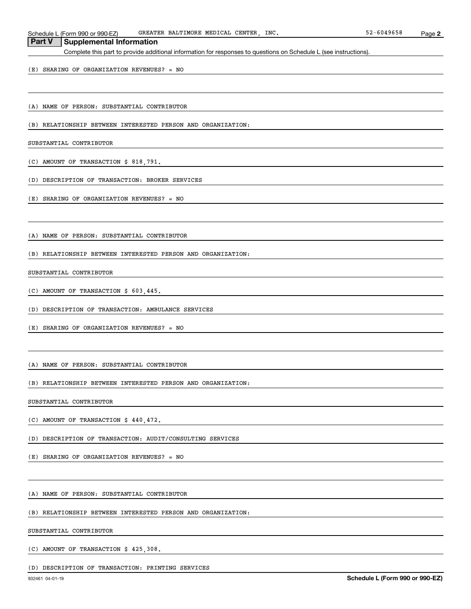Schedule L (Form 990 or 990-EZ) GREATER BALTIMORE MEDICAL CENTER, INC. 52-6049658 Page

#### **Part V Supplemental Information**

Complete this part to provide additional information for responses to questions on Schedule L (see instructions).

(E) SHARING OF ORGANIZATION REVENUES? = NO

(A) NAME OF PERSON: SUBSTANTIAL CONTRIBUTOR

(B) RELATIONSHIP BETWEEN INTERESTED PERSON AND ORGANIZATION:

SUBSTANTIAL CONTRIBUTOR

(C) AMOUNT OF TRANSACTION \$ 818,791.

(D) DESCRIPTION OF TRANSACTION: BROKER SERVICES

(E) SHARING OF ORGANIZATION REVENUES? = NO

(A) NAME OF PERSON: SUBSTANTIAL CONTRIBUTOR

(B) RELATIONSHIP BETWEEN INTERESTED PERSON AND ORGANIZATION:

#### SUBSTANTIAL CONTRIBUTOR

(C) AMOUNT OF TRANSACTION \$ 603,445.

(D) DESCRIPTION OF TRANSACTION: AMBULANCE SERVICES

(E) SHARING OF ORGANIZATION REVENUES? = NO

(A) NAME OF PERSON: SUBSTANTIAL CONTRIBUTOR

(B) RELATIONSHIP BETWEEN INTERESTED PERSON AND ORGANIZATION:

SUBSTANTIAL CONTRIBUTOR

(C) AMOUNT OF TRANSACTION \$ 440,472.

(D) DESCRIPTION OF TRANSACTION: AUDIT/CONSULTING SERVICES

(E) SHARING OF ORGANIZATION REVENUES? = NO

(A) NAME OF PERSON: SUBSTANTIAL CONTRIBUTOR

(B) RELATIONSHIP BETWEEN INTERESTED PERSON AND ORGANIZATION:

SUBSTANTIAL CONTRIBUTOR

(C) AMOUNT OF TRANSACTION \$ 425,308.

(D) DESCRIPTION OF TRANSACTION: PRINTING SERVICES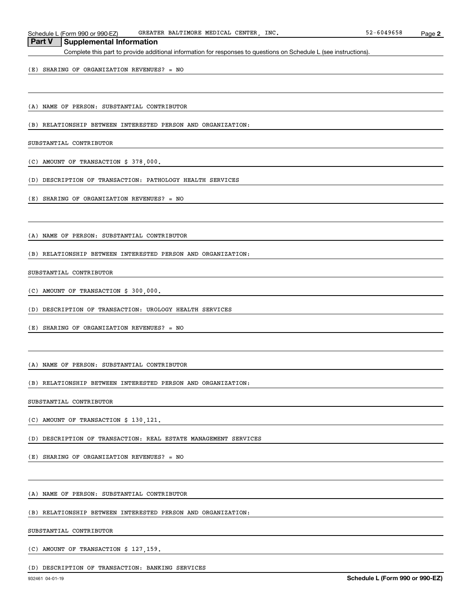Schedule L (Form 990 or 990-EZ) GREATER BALTIMORE MEDICAL CENTER, INC. 52-6049658 Page

#### **Part V Supplemental Information**

Complete this part to provide additional information for responses to questions on Schedule L (see instructions).

(E) SHARING OF ORGANIZATION REVENUES? = NO

(A) NAME OF PERSON: SUBSTANTIAL CONTRIBUTOR

(B) RELATIONSHIP BETWEEN INTERESTED PERSON AND ORGANIZATION:

SUBSTANTIAL CONTRIBUTOR

(C) AMOUNT OF TRANSACTION \$ 378,000.

(D) DESCRIPTION OF TRANSACTION: PATHOLOGY HEALTH SERVICES

(E) SHARING OF ORGANIZATION REVENUES? = NO

(A) NAME OF PERSON: SUBSTANTIAL CONTRIBUTOR

(B) RELATIONSHIP BETWEEN INTERESTED PERSON AND ORGANIZATION:

#### SUBSTANTIAL CONTRIBUTOR

(C) AMOUNT OF TRANSACTION \$ 300,000.

(D) DESCRIPTION OF TRANSACTION: UROLOGY HEALTH SERVICES

(E) SHARING OF ORGANIZATION REVENUES? = NO

(A) NAME OF PERSON: SUBSTANTIAL CONTRIBUTOR

(B) RELATIONSHIP BETWEEN INTERESTED PERSON AND ORGANIZATION:

SUBSTANTIAL CONTRIBUTOR

(C) AMOUNT OF TRANSACTION \$ 130,121.

(D) DESCRIPTION OF TRANSACTION: REAL ESTATE MANAGEMENT SERVICES

(E) SHARING OF ORGANIZATION REVENUES? = NO

(A) NAME OF PERSON: SUBSTANTIAL CONTRIBUTOR

(B) RELATIONSHIP BETWEEN INTERESTED PERSON AND ORGANIZATION:

SUBSTANTIAL CONTRIBUTOR

(C) AMOUNT OF TRANSACTION \$ 127,159.

(D) DESCRIPTION OF TRANSACTION: BANKING SERVICES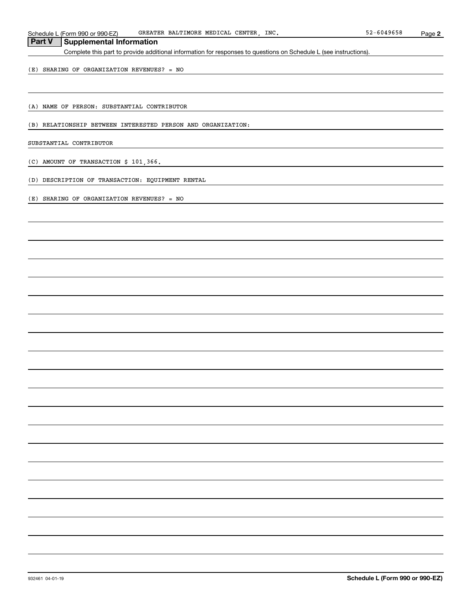Schedule L (Form 990 or 990-EZ) GREATER BALTIMORE MEDICAL CENTER, INC. 52-6049658 Page

## **Part V Supplemental Information**

Complete this part to provide additional information for responses to questions on Schedule L (see instructions).

(E) SHARING OF ORGANIZATION REVENUES? = NO

(A) NAME OF PERSON: SUBSTANTIAL CONTRIBUTOR

(B) RELATIONSHIP BETWEEN INTERESTED PERSON AND ORGANIZATION:

SUBSTANTIAL CONTRIBUTOR

(C) AMOUNT OF TRANSACTION \$ 101,366.

(D) DESCRIPTION OF TRANSACTION: EQUIPMENT RENTAL

(E) SHARING OF ORGANIZATION REVENUES? = NO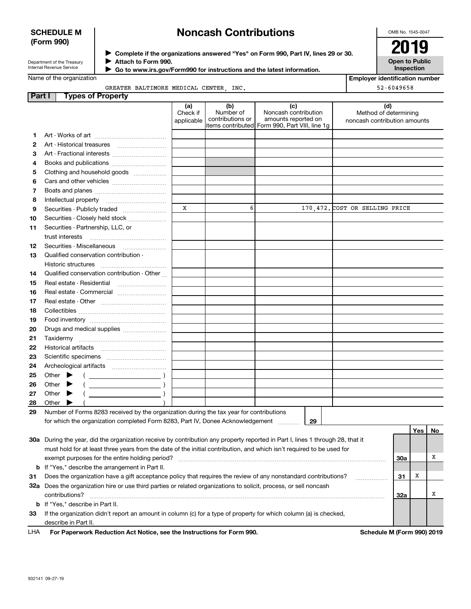#### **SCHEDULE M (Form 990)**

## **Noncash Contributions**

OMB No. 1545-0047

| Department of the Treasury      |  |
|---------------------------------|--|
| <b>Internal Revenue Service</b> |  |

**Complete if the organizations answered "Yes" on Form 990, Part IV, lines 29 or 30.** <sup>J</sup>**2019 Attach to Form 990.** J

 **Go to www.irs.gov/Form990 for instructions and the latest information.** J

**Open to Public Inspection**

**Employer identification number**

52-6049658

Name of the organization

| וונ |                                       |  |  |
|-----|---------------------------------------|--|--|
|     | GREATER BALTIMORE MEDICAL CENTER INC. |  |  |

| <b>Part I</b> | <b>Types of Property</b>                                                                                                                                                                                                                                                                                                                                     |                               |                                      |                                                                                                       |                                                              |
|---------------|--------------------------------------------------------------------------------------------------------------------------------------------------------------------------------------------------------------------------------------------------------------------------------------------------------------------------------------------------------------|-------------------------------|--------------------------------------|-------------------------------------------------------------------------------------------------------|--------------------------------------------------------------|
|               |                                                                                                                                                                                                                                                                                                                                                              | (a)<br>Check if<br>applicable | (b)<br>Number of<br>contributions or | (c)<br>Noncash contribution<br>amounts reported on<br>items contributed  Form 990, Part VIII, line 1g | (d)<br>Method of determining<br>noncash contribution amounts |
| 1.            |                                                                                                                                                                                                                                                                                                                                                              |                               |                                      |                                                                                                       |                                                              |
| 2             |                                                                                                                                                                                                                                                                                                                                                              |                               |                                      |                                                                                                       |                                                              |
| 3             | Art - Fractional interests                                                                                                                                                                                                                                                                                                                                   |                               |                                      |                                                                                                       |                                                              |
| 4             | Books and publications                                                                                                                                                                                                                                                                                                                                       |                               |                                      |                                                                                                       |                                                              |
| 5             | Clothing and household goods                                                                                                                                                                                                                                                                                                                                 |                               |                                      |                                                                                                       |                                                              |
| 6             |                                                                                                                                                                                                                                                                                                                                                              |                               |                                      |                                                                                                       |                                                              |
| 7             |                                                                                                                                                                                                                                                                                                                                                              |                               |                                      |                                                                                                       |                                                              |
| 8             | Intellectual property                                                                                                                                                                                                                                                                                                                                        |                               |                                      |                                                                                                       |                                                              |
| 9             | Securities - Publicly traded                                                                                                                                                                                                                                                                                                                                 | X                             | 6                                    |                                                                                                       | 170,472. COST OR SELLING PRICE                               |
| 10            | Securities - Closely held stock                                                                                                                                                                                                                                                                                                                              |                               |                                      |                                                                                                       |                                                              |
| 11            | Securities - Partnership, LLC, or                                                                                                                                                                                                                                                                                                                            |                               |                                      |                                                                                                       |                                                              |
|               |                                                                                                                                                                                                                                                                                                                                                              |                               |                                      |                                                                                                       |                                                              |
| 12            | Securities - Miscellaneous                                                                                                                                                                                                                                                                                                                                   |                               |                                      |                                                                                                       |                                                              |
| 13            | Qualified conservation contribution -                                                                                                                                                                                                                                                                                                                        |                               |                                      |                                                                                                       |                                                              |
|               | Historic structures                                                                                                                                                                                                                                                                                                                                          |                               |                                      |                                                                                                       |                                                              |
| 14            | Qualified conservation contribution - Other                                                                                                                                                                                                                                                                                                                  |                               |                                      |                                                                                                       |                                                              |
| 15            | Real estate - Residential                                                                                                                                                                                                                                                                                                                                    |                               |                                      |                                                                                                       |                                                              |
| 16            | Real estate - Commercial                                                                                                                                                                                                                                                                                                                                     |                               |                                      |                                                                                                       |                                                              |
| 17            |                                                                                                                                                                                                                                                                                                                                                              |                               |                                      |                                                                                                       |                                                              |
| 18            |                                                                                                                                                                                                                                                                                                                                                              |                               |                                      |                                                                                                       |                                                              |
| 19            |                                                                                                                                                                                                                                                                                                                                                              |                               |                                      |                                                                                                       |                                                              |
| 20            | Drugs and medical supplies                                                                                                                                                                                                                                                                                                                                   |                               |                                      |                                                                                                       |                                                              |
| 21            |                                                                                                                                                                                                                                                                                                                                                              |                               |                                      |                                                                                                       |                                                              |
| 22            |                                                                                                                                                                                                                                                                                                                                                              |                               |                                      |                                                                                                       |                                                              |
| 23            |                                                                                                                                                                                                                                                                                                                                                              |                               |                                      |                                                                                                       |                                                              |
| 24            |                                                                                                                                                                                                                                                                                                                                                              |                               |                                      |                                                                                                       |                                                              |
| 25            | Other $\blacktriangleright$<br>$\left($ $\right)$                                                                                                                                                                                                                                                                                                            |                               |                                      |                                                                                                       |                                                              |
| 26            | $\begin{picture}(20,10) \put(0,0){\line(1,0){10}} \put(15,0){\line(1,0){10}} \put(15,0){\line(1,0){10}} \put(15,0){\line(1,0){10}} \put(15,0){\line(1,0){10}} \put(15,0){\line(1,0){10}} \put(15,0){\line(1,0){10}} \put(15,0){\line(1,0){10}} \put(15,0){\line(1,0){10}} \put(15,0){\line(1,0){10}} \put(15,0){\line(1,0){10}} \put(15,0){\line(1$<br>Other |                               |                                      |                                                                                                       |                                                              |
| 27            | $($ $)$<br>Other $\blacktriangleright$                                                                                                                                                                                                                                                                                                                       |                               |                                      |                                                                                                       |                                                              |
| 28            | Other                                                                                                                                                                                                                                                                                                                                                        |                               |                                      |                                                                                                       |                                                              |
| 29            | Number of Forms 8283 received by the organization during the tax year for contributions                                                                                                                                                                                                                                                                      |                               |                                      |                                                                                                       |                                                              |
|               | for which the organization completed Form 8283, Part IV, Donee Acknowledgement                                                                                                                                                                                                                                                                               |                               |                                      | 29                                                                                                    |                                                              |
|               |                                                                                                                                                                                                                                                                                                                                                              |                               |                                      |                                                                                                       | Yes<br>No.                                                   |
|               | 30a During the year, did the organization receive by contribution any property reported in Part I, lines 1 through 28, that it<br>must hold for at logat three years from the date of the initial contribution, and which isn't required to be used for                                                                                                      |                               |                                      |                                                                                                       |                                                              |

| <b>LHA</b> | For Paperwork Reduction Act Notice, see the Instructions for Form 990.                                                | Schedule M (Form 990) 2019 |     |   |  |
|------------|-----------------------------------------------------------------------------------------------------------------------|----------------------------|-----|---|--|
|            | describe in Part II.                                                                                                  |                            |     |   |  |
| 33         | If the organization didn't report an amount in column (c) for a type of property for which column (a) is checked,     |                            |     |   |  |
|            | <b>b</b> If "Yes," describe in Part II.                                                                               |                            |     |   |  |
|            | contributions?                                                                                                        |                            | 32a |   |  |
| 32a        | Does the organization hire or use third parties or related organizations to solicit, process, or sell noncash         |                            |     |   |  |
| 31         | Does the organization have a gift acceptance policy that requires the review of any nonstandard contributions?        |                            | 31  | X |  |
|            | <b>b</b> If "Yes," describe the arrangement in Part II.                                                               |                            |     |   |  |
|            | exempt purposes for the entire holding period?                                                                        |                            | 30a |   |  |
|            | must hold for at least three years from the date of the initial contribution, and which isn't required to be used for |                            |     |   |  |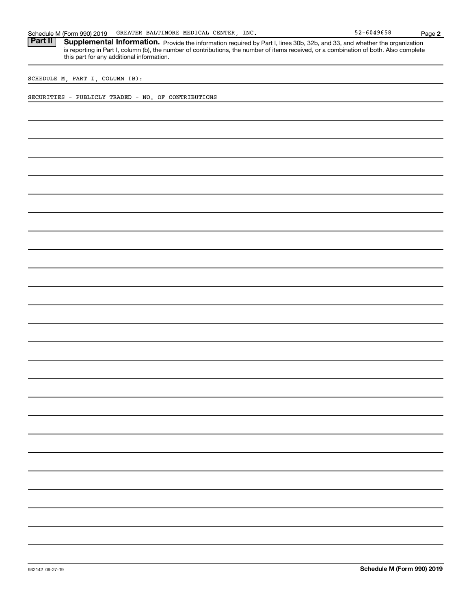Part II | Supplemental Information. Provide the information required by Part I, lines 30b, 32b, and 33, and whether the organization is reporting in Part I, column (b), the number of contributions, the number of items received, or a combination of both. Also complete this part for any additional information.

SCHEDULE M, PART I, COLUMN (B):

SECURITIES - PUBLICLY TRADED - NO. OF CONTRIBUTIONS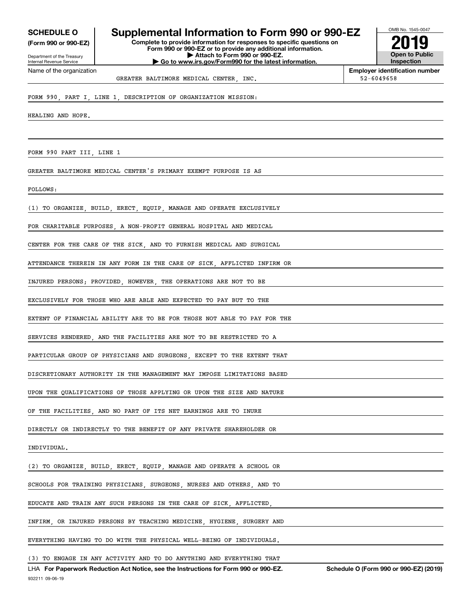**(Form 990 or 990-EZ)**

Department of the Treasury Internal Revenue Service Name of the organization

## **SCHEDULE O Supplemental Information to Form 990 or 990-EZ**

**Complete to provide information for responses to specific questions on Form 990 or 990-EZ or to provide any additional information. | Attach to Form 990 or 990-EZ. | Go to www.irs.gov/Form990 for the latest information.**



**Employer identification number** GREATER BALTIMORE MEDICAL CENTER, INC.  $\vert$  52-6049658

#### FORM 990, PART I, LINE 1, DESCRIPTION OF ORGANIZATION MISSION:

HEALING AND HOPE.

FORM 990 PART III, LINE 1

GREATER BALTIMORE MEDICAL CENTER'S PRIMARY EXEMPT PURPOSE IS AS

FOLLOWS:

(1) TO ORGANIZE, BUILD, ERECT, EQUIP, MANAGE AND OPERATE EXCLUSIVELY

FOR CHARITABLE PURPOSES A NON-PROFIT GENERAL HOSPITAL AND MEDICAL

CENTER FOR THE CARE OF THE SICK, AND TO FURNISH MEDICAL AND SURGICAL

ATTENDANCE THEREIN IN ANY FORM IN THE CARE OF SICK, AFFLICTED INFIRM OR

INJURED PERSONS; PROVIDED, HOWEVER, THE OPERATIONS ARE NOT TO BE

EXCLUSIVELY FOR THOSE WHO ARE ABLE AND EXPECTED TO PAY BUT TO THE

EXTENT OF FINANCIAL ABILITY ARE TO BE FOR THOSE NOT ABLE TO PAY FOR THE

SERVICES RENDERED, AND THE FACILITIES ARE NOT TO BE RESTRICTED TO A

PARTICULAR GROUP OF PHYSICIANS AND SURGEONS, EXCEPT TO THE EXTENT THAT

DISCRETIONARY AUTHORITY IN THE MANAGEMENT MAY IMPOSE LIMITATIONS BASED

UPON THE QUALIFICATIONS OF THOSE APPLYING OR UPON THE SIZE AND NATURE

OF THE FACILITIES, AND NO PART OF ITS NET EARNINGS ARE TO INURE

DIRECTLY OR INDIRECTLY TO THE BENEFIT OF ANY PRIVATE SHAREHOLDER OR

INDIVIDUAL.

(2) TO ORGANIZE, BUILD, ERECT, EQUIP, MANAGE AND OPERATE A SCHOOL OR

SCHOOLS FOR TRAINING PHYSICIANS, SURGEONS, NURSES AND OTHERS, AND TO

EDUCATE AND TRAIN ANY SUCH PERSONS IN THE CARE OF SICK, AFFLICTED,

INFIRM, OR INJURED PERSONS BY TEACHING MEDICINE, HYGIENE, SURGERY AND

EVERYTHING HAVING TO DO WITH THE PHYSICAL WELL-BEING OF INDIVIDUALS.

(3) TO ENGAGE IN ANY ACTIVITY AND TO DO ANYTHING AND EVERYTHING THAT

932211 09-06-19 LHA For Paperwork Reduction Act Notice, see the Instructions for Form 990 or 990-EZ. Schedule O (Form 990 or 990-EZ) (2019)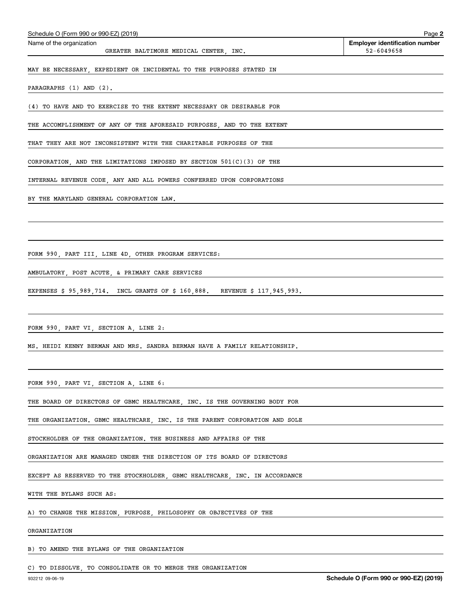| Schedule O (Form 990 or 990-EZ) (2019)                                     | Page 2                                              |
|----------------------------------------------------------------------------|-----------------------------------------------------|
| Name of the organization<br>GREATER BALTIMORE MEDICAL CENTER, INC.         | <b>Employer identification number</b><br>52-6049658 |
| MAY BE NECESSARY, EXPEDIENT OR INCIDENTAL TO THE PURPOSES STATED IN        |                                                     |
| PARAGRAPHS (1) AND (2).                                                    |                                                     |
| (4) TO HAVE AND TO EXERCISE TO THE EXTENT NECESSARY OR DESIRABLE FOR       |                                                     |
| THE ACCOMPLISHMENT OF ANY OF THE AFORESAID PURPOSES, AND TO THE EXTENT     |                                                     |
| THAT THEY ARE NOT INCONSISTENT WITH THE CHARITABLE PURPOSES OF THE         |                                                     |
| CORPORATION, AND THE LIMITATIONS IMPOSED BY SECTION $501(C)(3)$ OF THE     |                                                     |
| INTERNAL REVENUE CODE, ANY AND ALL POWERS CONFERRED UPON CORPORATIONS      |                                                     |
| BY THE MARYLAND GENERAL CORPORATION LAW.                                   |                                                     |
|                                                                            |                                                     |
| FORM 990, PART III, LINE 4D, OTHER PROGRAM SERVICES:                       |                                                     |
| AMBULATORY, POST ACUTE, & PRIMARY CARE SERVICES                            |                                                     |
| EXPENSES \$95,989,714. INCL GRANTS OF \$160,888. REVENUE \$117,945,993.    |                                                     |
|                                                                            |                                                     |
| FORM 990, PART VI, SECTION A, LINE 2:                                      |                                                     |
| MS. HEIDI KENNY BERMAN AND MRS. SANDRA BERMAN HAVE A FAMILY RELATIONSHIP.  |                                                     |
| FORM 990, PART VI, SECTION A, LINE 6:                                      |                                                     |
| THE BOARD OF DIRECTORS OF GBMC HEALTHCARE, INC. IS THE GOVERNING BODY FOR  |                                                     |
| THE ORGANIZATION. GBMC HEALTHCARE, INC. IS THE PARENT CORPORATION AND SOLE |                                                     |
|                                                                            |                                                     |
| STOCKHOLDER OF THE ORGANIZATION. THE BUSINESS AND AFFAIRS OF THE           |                                                     |
| ORGANIZATION ARE MANAGED UNDER THE DIRECTION OF ITS BOARD OF DIRECTORS     |                                                     |
| EXCEPT AS RESERVED TO THE STOCKHOLDER, GBMC HEALTHCARE, INC. IN ACCORDANCE |                                                     |
| WITH THE BYLAWS SUCH AS:                                                   |                                                     |
| A) TO CHANGE THE MISSION, PURPOSE, PHILOSOPHY OR OBJECTIVES OF THE         |                                                     |
| ORGANIZATION                                                               |                                                     |
| B) TO AMEND THE BYLAWS OF THE ORGANIZATION                                 |                                                     |

C) TO DISSOLVE, TO CONSOLIDATE OR TO MERGE THE ORGANIZATION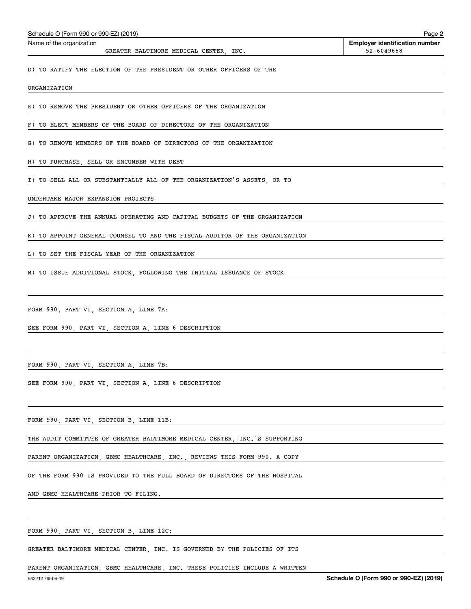| Schedule O (Form 990 or 990-EZ) (2019)                                      | Page 2                                              |
|-----------------------------------------------------------------------------|-----------------------------------------------------|
| Name of the organization<br>GREATER BALTIMORE MEDICAL CENTER, INC.          | <b>Employer identification number</b><br>52-6049658 |
| D) TO RATIFY THE ELECTION OF THE PRESIDENT OR OTHER OFFICERS OF THE         |                                                     |
| ORGANIZATION                                                                |                                                     |
| E) TO REMOVE THE PRESIDENT OR OTHER OFFICERS OF THE ORGANIZATION            |                                                     |
| F) TO ELECT MEMBERS OF THE BOARD OF DIRECTORS OF THE ORGANIZATION           |                                                     |
| G) TO REMOVE MEMBERS OF THE BOARD OF DIRECTORS OF THE ORGANIZATION          |                                                     |
| H) TO PURCHASE, SELL OR ENCUMBER WITH DEBT                                  |                                                     |
| I) TO SELL ALL OR SUBSTANTIALLY ALL OF THE ORGANIZATION'S ASSETS, OR TO     |                                                     |
| UNDERTAKE MAJOR EXPANSION PROJECTS                                          |                                                     |
| J) TO APPROVE THE ANNUAL OPERATING AND CAPITAL BUDGETS OF THE ORGANIZATION  |                                                     |
| K) TO APPOINT GENERAL COUNSEL TO AND THE FISCAL AUDITOR OF THE ORGANIZATION |                                                     |
| L) TO SET THE FISCAL YEAR OF THE ORGANIZATION                               |                                                     |
| M) TO ISSUE ADDITIONAL STOCK, FOLLOWING THE INITIAL ISSUANCE OF STOCK       |                                                     |
|                                                                             |                                                     |
| FORM 990, PART VI, SECTION A, LINE 7A:                                      |                                                     |
| SEE FORM 990, PART VI, SECTION A, LINE 6 DESCRIPTION                        |                                                     |
|                                                                             |                                                     |
| FORM 990, PART VI, SECTION A, LINE 7B:                                      |                                                     |
| SEE FORM 990, PART VI, SECTION A, LINE 6 DESCRIPTION                        |                                                     |
|                                                                             |                                                     |
| FORM 990, PART VI, SECTION B, LINE 11B:                                     |                                                     |
| THE AUDIT COMMITTEE OF GREATER BALTIMORE MEDICAL CENTER, INC. S SUPPORTING  |                                                     |
| PARENT ORGANIZATION, GBMC HEALTHCARE, INC., REVIEWS THIS FORM 990. A COPY   |                                                     |
| OF THE FORM 990 IS PROVIDED TO THE FULL BOARD OF DIRECTORS OF THE HOSPITAL  |                                                     |
| AND GBMC HEALTHCARE PRIOR TO FILING.                                        |                                                     |

FORM 990, PART VI, SECTION B, LINE 12C:

GREATER BALTIMORE MEDICAL CENTER, INC. IS GOVERNED BY THE POLICIES OF ITS

PARENT ORGANIZATION, GBMC HEALTHCARE, INC. THESE POLICIES INCLUDE A WRITTEN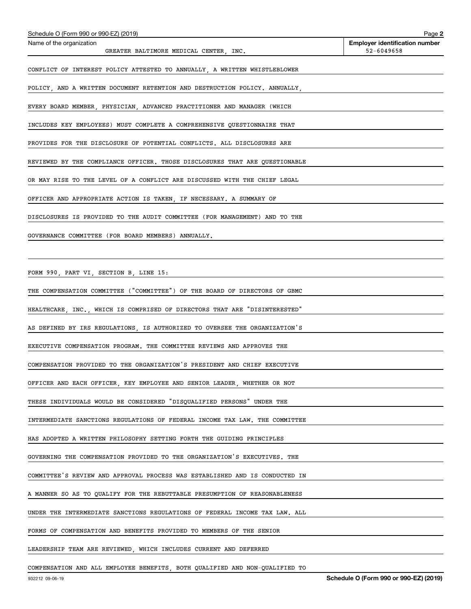| Schedule O (Form 990 or 990-EZ) (2019)                                      | Page 2                                              |
|-----------------------------------------------------------------------------|-----------------------------------------------------|
| Name of the organization<br>GREATER BALTIMORE MEDICAL CENTER, INC.          | <b>Employer identification number</b><br>52-6049658 |
| CONFLICT OF INTEREST POLICY ATTESTED TO ANNUALLY, A WRITTEN WHISTLEBLOWER   |                                                     |
| POLICY, AND A WRITTEN DOCUMENT RETENTION AND DESTRUCTION POLICY. ANNUALLY,  |                                                     |
| EVERY BOARD MEMBER, PHYSICIAN, ADVANCED PRACTITIONER AND MANAGER (WHICH     |                                                     |
| INCLUDES KEY EMPLOYEES) MUST COMPLETE A COMPREHENSIVE QUESTIONNAIRE THAT    |                                                     |
| PROVIDES FOR THE DISCLOSURE OF POTENTIAL CONFLICTS. ALL DISCLOSURES ARE     |                                                     |
| REVIEWED BY THE COMPLIANCE OFFICER. THOSE DISCLOSURES THAT ARE QUESTIONABLE |                                                     |
| OR MAY RISE TO THE LEVEL OF A CONFLICT ARE DISCUSSED WITH THE CHIEF LEGAL   |                                                     |
| OFFICER AND APPROPRIATE ACTION IS TAKEN, IF NECESSARY. A SUMMARY OF         |                                                     |
| DISCLOSURES IS PROVIDED TO THE AUDIT COMMITTEE (FOR MANAGEMENT) AND TO THE  |                                                     |
| GOVERNANCE COMMITTEE (FOR BOARD MEMBERS) ANNUALLY.                          |                                                     |
|                                                                             |                                                     |
| FORM 990, PART VI, SECTION B, LINE 15:                                      |                                                     |
| THE COMPENSATION COMMITTEE ("COMMITTEE") OF THE BOARD OF DIRECTORS OF GBMC  |                                                     |
| HEALTHCARE, INC., WHICH IS COMPRISED OF DIRECTORS THAT ARE "DISINTERESTED"  |                                                     |
| AS DEFINED BY IRS REGULATIONS, IS AUTHORIZED TO OVERSEE THE ORGANIZATION S  |                                                     |
| EXECUTIVE COMPENSATION PROGRAM. THE COMMITTEE REVIEWS AND APPROVES THE      |                                                     |
| COMPENSATION PROVIDED TO THE ORGANIZATION'S PRESIDENT AND CHIEF EXECUTIVE   |                                                     |
| OFFICER AND EACH OFFICER, KEY EMPLOYEE AND SENIOR LEADER, WHETHER OR NOT    |                                                     |
| THESE INDIVIDUALS WOULD BE CONSIDERED "DISQUALIFIED PERSONS" UNDER THE      |                                                     |
| INTERMEDIATE SANCTIONS REGULATIONS OF FEDERAL INCOME TAX LAW. THE COMMITTEE |                                                     |
| HAS ADOPTED A WRITTEN PHILOSOPHY SETTING FORTH THE GUIDING PRINCIPLES       |                                                     |
| GOVERNING THE COMPENSATION PROVIDED TO THE ORGANIZATION'S EXECUTIVES. THE   |                                                     |
| COMMITTEE'S REVIEW AND APPROVAL PROCESS WAS ESTABLISHED AND IS CONDUCTED IN |                                                     |
| A MANNER SO AS TO QUALIFY FOR THE REBUTTABLE PRESUMPTION OF REASONABLENESS  |                                                     |
| UNDER THE INTERMEDIATE SANCTIONS REGULATIONS OF FEDERAL INCOME TAX LAW. ALL |                                                     |
| FORMS OF COMPENSATION AND BENEFITS PROVIDED TO MEMBERS OF THE SENIOR        |                                                     |
| LEADERSHIP TEAM ARE REVIEWED, WHICH INCLUDES CURRENT AND DEFERRED           |                                                     |

COMPENSATION AND ALL EMPLOYEE BENEFITS, BOTH QUALIFIED AND NON-QUALIFIED TO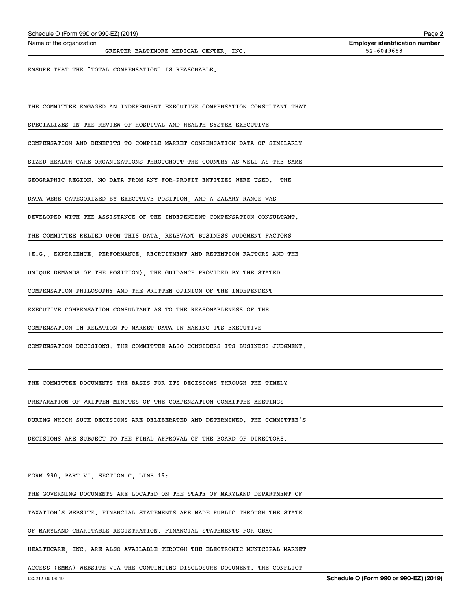|  | Schedule O (Form 990 or 990-EZ) (2019) |  |  |  |  |
|--|----------------------------------------|--|--|--|--|
|--|----------------------------------------|--|--|--|--|

GREATER BALTIMORE MEDICAL CENTER, INC.  $52-6049658$ 

**2**

ENSURE THAT THE "TOTAL COMPENSATION" IS REASONABLE.

THE COMMITTEE ENGAGED AN INDEPENDENT EXECUTIVE COMPENSATION CONSULTANT THAT

SPECIALIZES IN THE REVIEW OF HOSPITAL AND HEALTH SYSTEM EXECUTIVE

COMPENSATION AND BENEFITS TO COMPILE MARKET COMPENSATION DATA OF SIMILARLY

SIZED HEALTH CARE ORGANIZATIONS THROUGHOUT THE COUNTRY AS WELL AS THE SAME

GEOGRAPHIC REGION. NO DATA FROM ANY FOR-PROFIT ENTITIES WERE USED. THE

DATA WERE CATEGORIZED BY EXECUTIVE POSITION, AND A SALARY RANGE WAS

DEVELOPED WITH THE ASSISTANCE OF THE INDEPENDENT COMPENSATION CONSULTANT.

THE COMMITTEE RELIED UPON THIS DATA, RELEVANT BUSINESS JUDGMENT FACTORS

(E.G., EXPERIENCE, PERFORMANCE, RECRUITMENT AND RETENTION FACTORS AND THE

UNIQUE DEMANDS OF THE POSITION), THE GUIDANCE PROVIDED BY THE STATED

COMPENSATION PHILOSOPHY AND THE WRITTEN OPINION OF THE INDEPENDENT

EXECUTIVE COMPENSATION CONSULTANT AS TO THE REASONABLENESS OF THE

COMPENSATION IN RELATION TO MARKET DATA IN MAKING ITS EXECUTIVE

COMPENSATION DECISIONS. THE COMMITTEE ALSO CONSIDERS ITS BUSINESS JUDGMENT.

THE COMMITTEE DOCUMENTS THE BASIS FOR ITS DECISIONS THROUGH THE TIMELY

PREPARATION OF WRITTEN MINUTES OF THE COMPENSATION COMMITTEE MEETINGS

DURING WHICH SUCH DECISIONS ARE DELIBERATED AND DETERMINED. THE COMMITTEE'S

DECISIONS ARE SUBJECT TO THE FINAL APPROVAL OF THE BOARD OF DIRECTORS.

FORM 990, PART VI, SECTION C, LINE 19:

THE GOVERNING DOCUMENTS ARE LOCATED ON THE STATE OF MARYLAND DEPARTMENT OF

TAXATION'S WEBSITE. FINANCIAL STATEMENTS ARE MADE PUBLIC THROUGH THE STATE

OF MARYLAND CHARITABLE REGISTRATION. FINANCIAL STATEMENTS FOR GBMC

HEALTHCARE, INC. ARE ALSO AVAILABLE THROUGH THE ELECTRONIC MUNICIPAL MARKET

ACCESS (EMMA) WEBSITE VIA THE CONTINUING DISCLOSURE DOCUMENT. THE CONFLICT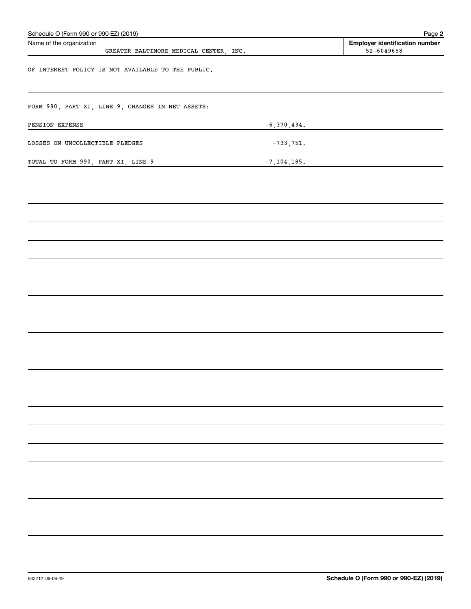| Schedule O (Form 990 or 990-EZ) (2019)<br>Name of the organization |                 | Page 2                                                  |
|--------------------------------------------------------------------|-----------------|---------------------------------------------------------|
| GREATER BALTIMORE MEDICAL CENTER, INC.                             |                 | <b>Employer identification number</b><br>$52 - 6049658$ |
|                                                                    |                 |                                                         |
| OF INTEREST POLICY IS NOT AVAILABLE TO THE PUBLIC.                 |                 |                                                         |
|                                                                    |                 |                                                         |
| FORM 990, PART XI, LINE 9, CHANGES IN NET ASSETS:                  |                 |                                                         |
|                                                                    |                 |                                                         |
| PENSION EXPENSE                                                    | $-6,370,434.$   |                                                         |
| LOSSES ON UNCOLLECTIBLE PLEDGES                                    | $-733,751.$     |                                                         |
| TOTAL TO FORM 990, PART XI, LINE 9                                 | $-7, 104, 185.$ |                                                         |
|                                                                    |                 |                                                         |
|                                                                    |                 |                                                         |
|                                                                    |                 |                                                         |
|                                                                    |                 |                                                         |
|                                                                    |                 |                                                         |
|                                                                    |                 |                                                         |
|                                                                    |                 |                                                         |
|                                                                    |                 |                                                         |
|                                                                    |                 |                                                         |
|                                                                    |                 |                                                         |
|                                                                    |                 |                                                         |
|                                                                    |                 |                                                         |
|                                                                    |                 |                                                         |
|                                                                    |                 |                                                         |
|                                                                    |                 |                                                         |
|                                                                    |                 |                                                         |
|                                                                    |                 |                                                         |
|                                                                    |                 |                                                         |
|                                                                    |                 |                                                         |
|                                                                    |                 |                                                         |
|                                                                    |                 |                                                         |
|                                                                    |                 |                                                         |
|                                                                    |                 |                                                         |
|                                                                    |                 |                                                         |
|                                                                    |                 |                                                         |
|                                                                    |                 |                                                         |
|                                                                    |                 |                                                         |
|                                                                    |                 |                                                         |
|                                                                    |                 |                                                         |
|                                                                    |                 |                                                         |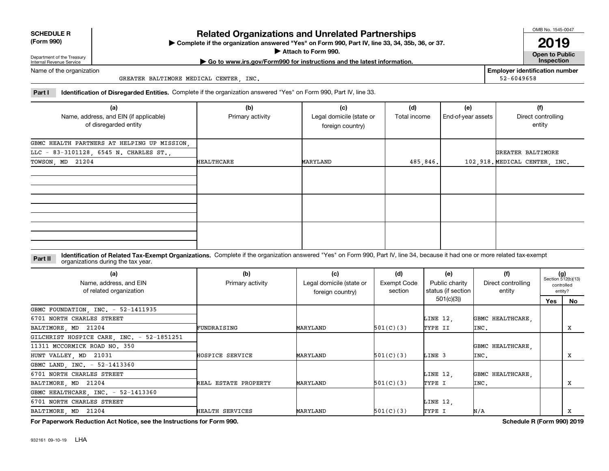|            | <b>SCHEDULE R</b> |  |
|------------|-------------------|--|
| $\sqrt{2}$ | $\sim$ 0.00       |  |

**(Form 990)**

## **Related Organizations and Unrelated Partnerships**

**Complete if the organization answered "Yes" on Form 990, Part IV, line 33, 34, 35b, 36, or 37.** |

**Attach to Form 990.**  |

OMB No. 1545-0047

**Open to Public | Go to www.irs.gov/Form990 for instructions and the latest information. Inspection 2019**

**Employer identification number**

52-6049658

Department of the Treasury Internal Revenue Service Name of the organization

GREATER BALTIMORE MEDICAL CENTER, INC.

**Part I Identification of Disregarded Entities.**  Complete if the organization answered "Yes" on Form 990, Part IV, line 33.

| (a)                                         | (b)              | (c)                      | (d)          | (e)                | (f)                           |
|---------------------------------------------|------------------|--------------------------|--------------|--------------------|-------------------------------|
| Name, address, and EIN (if applicable)      | Primary activity | Legal domicile (state or | Total income | End-of-year assets | Direct controlling            |
| of disregarded entity                       |                  | foreign country)         |              |                    | entity                        |
|                                             |                  |                          |              |                    |                               |
| GBMC HEALTH PARTNERS AT HELPING UP MISSION, |                  |                          |              |                    |                               |
| LLC - 83-3101128, 6545 N. CHARLES ST.,      |                  |                          |              |                    | GREATER BALTIMORE             |
| TOWSON, MD 21204                            | HEALTHCARE       | MARYLAND                 | 485,846.     |                    | 102,918. MEDICAL CENTER, INC. |
|                                             |                  |                          |              |                    |                               |
|                                             |                  |                          |              |                    |                               |
|                                             |                  |                          |              |                    |                               |
|                                             |                  |                          |              |                    |                               |
|                                             |                  |                          |              |                    |                               |
|                                             |                  |                          |              |                    |                               |
|                                             |                  |                          |              |                    |                               |
|                                             |                  |                          |              |                    |                               |
|                                             |                  |                          |              |                    |                               |

**Identification of Related Tax-Exempt Organizations.** Complete if the organization answered "Yes" on Form 990, Part IV, line 34, because it had one or more related tax-exempt **Part II** organizations during the tax year.

| (a)<br>Name, address, and EIN<br>of related organization | (b)<br>Primary activity | (c)<br>Legal domicile (state or<br>foreign country) | (d)<br>Exempt Code<br>section | (e)<br>Public charity<br>status (if section | (f)<br>Direct controlling<br>entity | $(g)$<br>Section 512(b)(13) | controlled<br>entity? |
|----------------------------------------------------------|-------------------------|-----------------------------------------------------|-------------------------------|---------------------------------------------|-------------------------------------|-----------------------------|-----------------------|
|                                                          |                         |                                                     |                               | 501(c)(3)                                   |                                     | Yes                         | No                    |
| GBMC FOUNDATION, INC. - 52-1411935                       |                         |                                                     |                               |                                             |                                     |                             |                       |
| 6701 NORTH CHARLES STREET                                |                         |                                                     |                               | LINE 12,                                    | GBMC HEALTHCARE.                    |                             |                       |
| BALTIMORE, MD 21204                                      | FUNDRAISING             | MARYLAND                                            | 501(C)(3)                     | TYPE II                                     | INC.                                |                             | x                     |
| GILCHRIST HOSPICE CARE, INC. - 52-1851251                |                         |                                                     |                               |                                             |                                     |                             |                       |
| 11311 MCCORMICK ROAD NO. 350                             |                         |                                                     |                               |                                             | GBMC HEALTHCARE.                    |                             |                       |
| HUNT VALLEY, MD 21031                                    | HOSPICE SERVICE         | MARYLAND                                            | 501(C)(3)                     | LINE 3                                      | INC.                                |                             | x                     |
| GBMC LAND, INC. - 52-1413360                             |                         |                                                     |                               |                                             |                                     |                             |                       |
| 6701 NORTH CHARLES STREET                                |                         |                                                     |                               | LINE 12,                                    | GBMC HEALTHCARE.                    |                             |                       |
| BALTIMORE, MD 21204                                      | REAL ESTATE PROPERTY    | MARYLAND                                            | 501(C)(3)                     | TYPE I                                      | INC.                                |                             | x                     |
| GBMC HEALTHCARE, INC. - 52-1413360                       |                         |                                                     |                               |                                             |                                     |                             |                       |
| 6701 NORTH CHARLES STREET                                |                         |                                                     |                               | LINE 12,                                    |                                     |                             |                       |
| BALTIMORE, MD 21204                                      | HEALTH SERVICES         | MARYLAND                                            | 501(C)(3)                     | TYPE I                                      | N/A                                 |                             | х                     |

**For Paperwork Reduction Act Notice, see the Instructions for Form 990. Schedule R (Form 990) 2019**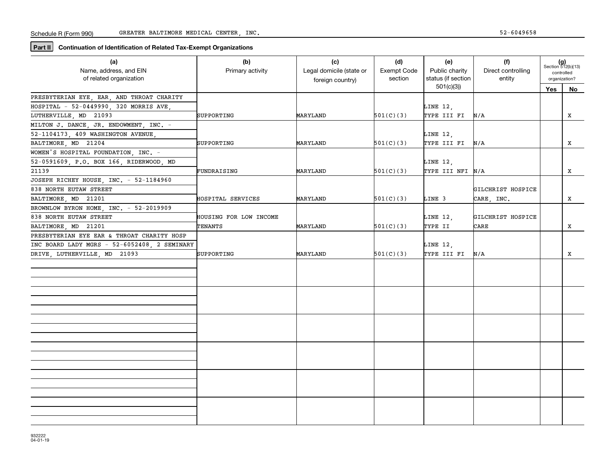**Part II** Continuation of Identification of Related Tax-Exempt Organizations

| (a)                                          | (b)                    | (c)                      | (d)         | (e)                | (f)                | $(g)$<br>Section 512(b)(13) |    |
|----------------------------------------------|------------------------|--------------------------|-------------|--------------------|--------------------|-----------------------------|----|
| Name, address, and EIN                       | Primary activity       | Legal domicile (state or | Exempt Code | Public charity     | Direct controlling | controlled                  |    |
| of related organization                      |                        | foreign country)         | section     | status (if section | entity             | organization?               |    |
|                                              |                        |                          |             | 501(c)(3)          |                    | Yes                         | No |
| PRESBYTERIAN EYE, EAR, AND THROAT CHARITY    |                        |                          |             |                    |                    |                             |    |
| HOSPITAL - 52-0449990, 320 MORRIS AVE        |                        |                          |             | LINE 12,           |                    |                             |    |
| LUTHERVILLE, MD 21093                        | SUPPORTING             | MARYLAND                 | 501(C)(3)   | TYPE III FI        | N/A                |                             | X  |
| MILTON J. DANCE, JR. ENDOWMENT, INC. -       |                        |                          |             |                    |                    |                             |    |
| 52-1104173, 409 WASHINGTON AVENUE,           |                        |                          |             | LINE 12,           |                    |                             |    |
| BALTIMORE MD 21204                           | SUPPORTING             | MARYLAND                 | 501(C)(3)   | TYPE III FI        | N/A                |                             | X  |
| WOMEN'S HOSPITAL FOUNDATION, INC. -          |                        |                          |             |                    |                    |                             |    |
| 52-0591609, P.O. BOX 166, RIDERWOOD, MD      |                        |                          |             | LINE 12,           |                    |                             |    |
| 21139                                        | FUNDRAISING            | MARYLAND                 | 501(C)(3)   | TYPE III NFI N/A   |                    |                             | x  |
| JOSEPH RICHEY HOUSE, INC. - 52-1184960       |                        |                          |             |                    |                    |                             |    |
| 838 NORTH EUTAW STREET                       |                        |                          |             |                    | GILCHRIST HOSPICE  |                             |    |
| BALTIMORE, MD 21201                          | HOSPITAL SERVICES      | MARYLAND                 | 501(C)(3)   | LINE 3             | CARE, INC.         |                             | x  |
| BROWNLOW BYRON HOME, INC. - 52-2019909       |                        |                          |             |                    |                    |                             |    |
| 838 NORTH EUTAW STREET                       | HOUSING FOR LOW INCOME |                          |             | LINE 12,           | GILCHRIST HOSPICE  |                             |    |
| BALTIMORE, MD 21201                          | TENANTS                | MARYLAND                 | 501(C)(3)   | TYPE II            | CARE               |                             | x  |
| PRESBYTERIAN EYE EAR & THROAT CHARITY HOSP   |                        |                          |             |                    |                    |                             |    |
| INC BOARD LADY MGRS - 52-6052408, 2 SEMINARY |                        |                          |             | LINE 12,           |                    |                             |    |
| DRIVE, LUTHERVILLE, MD 21093                 | SUPPORTING             | MARYLAND                 | 501(C)(3)   | TYPE III FI        | N/A                |                             | x  |
|                                              |                        |                          |             |                    |                    |                             |    |
|                                              |                        |                          |             |                    |                    |                             |    |
|                                              |                        |                          |             |                    |                    |                             |    |
|                                              |                        |                          |             |                    |                    |                             |    |
|                                              |                        |                          |             |                    |                    |                             |    |
|                                              |                        |                          |             |                    |                    |                             |    |
|                                              |                        |                          |             |                    |                    |                             |    |
|                                              |                        |                          |             |                    |                    |                             |    |
|                                              |                        |                          |             |                    |                    |                             |    |
|                                              |                        |                          |             |                    |                    |                             |    |
|                                              |                        |                          |             |                    |                    |                             |    |
|                                              |                        |                          |             |                    |                    |                             |    |
|                                              |                        |                          |             |                    |                    |                             |    |
|                                              |                        |                          |             |                    |                    |                             |    |
|                                              |                        |                          |             |                    |                    |                             |    |
|                                              |                        |                          |             |                    |                    |                             |    |
|                                              |                        |                          |             |                    |                    |                             |    |
|                                              |                        |                          |             |                    |                    |                             |    |
|                                              |                        |                          |             |                    |                    |                             |    |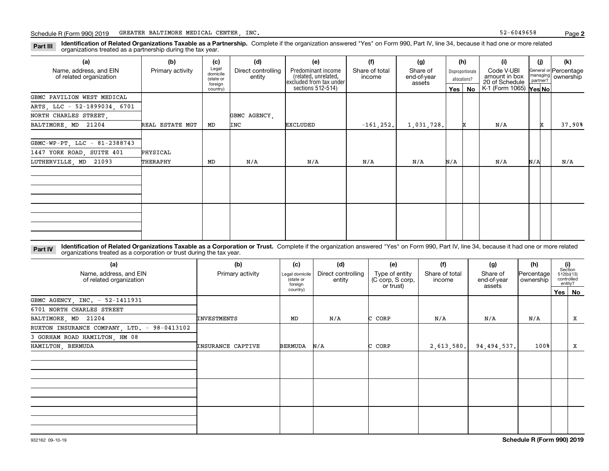**Identification of Related Organizations Taxable as a Partnership.** Complete if the organization answered "Yes" on Form 990, Part IV, line 34, because it had one or more related **Part III** organizations treated as a partnership during the tax year.

| (a)                          | (b)              | (c)                  | (d)                | (e)                                          | (f)            | (g)                     |                  | (h)          | (i)                         | (i)      |          | (k)                   |
|------------------------------|------------------|----------------------|--------------------|----------------------------------------------|----------------|-------------------------|------------------|--------------|-----------------------------|----------|----------|-----------------------|
| Name, address, and EIN       | Primary activity | Legal<br>domicile    | Direct controlling | Predominant income<br>(related, unrelated,   | Share of total | Share of<br>end-of-year | Disproportionate |              | Code V-UBI<br>amount in box |          | managing | General or Percentage |
| of related organization      |                  | (state or<br>foreign | entity             | excluded from tax under<br>sections 512-514) | income         | assets                  |                  | allocations? | 20 of Schedule              | partner? |          | ownership             |
|                              |                  | country)             |                    |                                              |                |                         |                  | Yes   No     | K-1 (Form 1065) Yes No      |          |          |                       |
| GBMC PAVILION WEST MEDICAL   |                  |                      |                    |                                              |                |                         |                  |              |                             |          |          |                       |
| ARTS, LLC - 52-1899034, 6701 |                  |                      |                    |                                              |                |                         |                  |              |                             |          |          |                       |
| NORTH CHARLES STREET,        |                  |                      | GBMC AGENCY,       |                                              |                |                         |                  |              |                             |          |          |                       |
| BALTIMORE, MD 21204          | REAL ESTATE MGT  | MD                   | INC                | <b>EXCLUDED</b>                              | $-161, 252.$   | 1,031,728.              |                  | ×            | N/A                         |          | x        | 37.90%                |
|                              |                  |                      |                    |                                              |                |                         |                  |              |                             |          |          |                       |
| GBMC-WP-PT, LLC - 81-2388743 |                  |                      |                    |                                              |                |                         |                  |              |                             |          |          |                       |
| 1447 YORK ROAD, SUITE 401    | PHYSICAL         |                      |                    |                                              |                |                         |                  |              |                             |          |          |                       |
| LUTHERVILLE MD 21093         | THERAPHY         | MD                   | N/A                | $\mathrm{N}/\mathrm{A}$                      | N/A            | N/A                     | N/A              |              | N/A                         | N/A      |          | N/A                   |
|                              |                  |                      |                    |                                              |                |                         |                  |              |                             |          |          |                       |
|                              |                  |                      |                    |                                              |                |                         |                  |              |                             |          |          |                       |
|                              |                  |                      |                    |                                              |                |                         |                  |              |                             |          |          |                       |
|                              |                  |                      |                    |                                              |                |                         |                  |              |                             |          |          |                       |
|                              |                  |                      |                    |                                              |                |                         |                  |              |                             |          |          |                       |
|                              |                  |                      |                    |                                              |                |                         |                  |              |                             |          |          |                       |
|                              |                  |                      |                    |                                              |                |                         |                  |              |                             |          |          |                       |
|                              |                  |                      |                    |                                              |                |                         |                  |              |                             |          |          |                       |

**Identification of Related Organizations Taxable as a Corporation or Trust.** Complete if the organization answered "Yes" on Form 990, Part IV, line 34, because it had one or more related **Part IV** organizations treated as a corporation or trust during the tax year.

| (a)<br>Name, address, and EIN<br>of related organization | (b)<br>Primary activity  | (c)<br>Legal domicile<br>(state or<br>foreign | (d)<br>Direct controlling<br>entity | (e)<br>Type of entity<br>(C corp, S corp,<br>or trust) | (f)<br>Share of total<br>income | (g)<br>Share of<br>end-of-year<br>assets | (h)<br>Percentage<br>ownership | (i)<br>Section<br>512(b)(13) | controlled<br>entity? |
|----------------------------------------------------------|--------------------------|-----------------------------------------------|-------------------------------------|--------------------------------------------------------|---------------------------------|------------------------------------------|--------------------------------|------------------------------|-----------------------|
|                                                          |                          | country)                                      |                                     |                                                        |                                 |                                          |                                |                              | Yes   No              |
| GBMC AGENCY, INC. - 52-1411931                           |                          |                                               |                                     |                                                        |                                 |                                          |                                |                              |                       |
| 6701 NORTH CHARLES STREET                                |                          |                                               |                                     |                                                        |                                 |                                          |                                |                              |                       |
| BALTIMORE, MD 21204                                      | INVESTMENTS              | MD                                            | N/A                                 | C CORP                                                 | N/A                             | N/A                                      | N/A                            |                              | x                     |
| RUXTON INSURANCE COMPANY, LTD. - 98-0413102              |                          |                                               |                                     |                                                        |                                 |                                          |                                |                              |                       |
| 3 GORHAM ROAD HAMILTON, HM 08                            |                          |                                               |                                     |                                                        |                                 |                                          |                                |                              |                       |
| HAMILTON, BERMUDA                                        | <b>INSURANCE CAPTIVE</b> | <b>BERMUDA</b>                                | N/A                                 | C CORP                                                 | 2,613,580.                      | 94,494,537.                              | 100%                           |                              | X                     |
|                                                          |                          |                                               |                                     |                                                        |                                 |                                          |                                |                              |                       |
|                                                          |                          |                                               |                                     |                                                        |                                 |                                          |                                |                              |                       |
|                                                          |                          |                                               |                                     |                                                        |                                 |                                          |                                |                              |                       |
|                                                          |                          |                                               |                                     |                                                        |                                 |                                          |                                |                              |                       |
|                                                          |                          |                                               |                                     |                                                        |                                 |                                          |                                |                              |                       |
|                                                          |                          |                                               |                                     |                                                        |                                 |                                          |                                |                              |                       |
|                                                          |                          |                                               |                                     |                                                        |                                 |                                          |                                |                              |                       |
|                                                          |                          |                                               |                                     |                                                        |                                 |                                          |                                |                              |                       |
|                                                          |                          |                                               |                                     |                                                        |                                 |                                          |                                |                              |                       |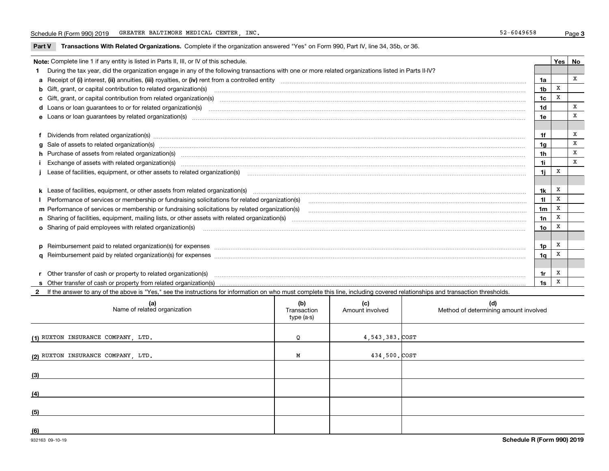**Part V** T**ransactions With Related Organizations.** Complete if the organization answered "Yes" on Form 990, Part IV, line 34, 35b, or 36.

| Note: Complete line 1 if any entity is listed in Parts II, III, or IV of this schedule. |                                                                                                                                                                                                                                |                |   |   |  |
|-----------------------------------------------------------------------------------------|--------------------------------------------------------------------------------------------------------------------------------------------------------------------------------------------------------------------------------|----------------|---|---|--|
|                                                                                         | During the tax year, did the organization engage in any of the following transactions with one or more related organizations listed in Parts II-IV?                                                                            |                |   |   |  |
|                                                                                         |                                                                                                                                                                                                                                | 1a             |   | x |  |
|                                                                                         | <b>b</b> Gift, grant, or capital contribution to related organization(s)                                                                                                                                                       | 1 <sub>b</sub> | X |   |  |
|                                                                                         | c Gift, grant, or capital contribution from related organization(s) matches contains and content and contribution from related organization(s) matches contains and contribution from related organization(s) matches contains | 1c             | X |   |  |
|                                                                                         |                                                                                                                                                                                                                                | 1d             |   | x |  |
|                                                                                         |                                                                                                                                                                                                                                | 1e             |   | X |  |
|                                                                                         |                                                                                                                                                                                                                                |                |   |   |  |
|                                                                                         | f Dividends from related organization(s) manufactured contains and contained a state of the contact of the contact of the contact of the contact of the contact of the contact of the contact of the contact of the contact of | 1f             |   | X |  |
|                                                                                         | g Sale of assets to related organization(s) www.assettion.com/www.assettion.com/www.assettion.com/www.assettion.com/www.assettion.com/www.assettion.com/www.assettion.com/www.assettion.com/www.assettion.com/www.assettion.co | 1a             |   | X |  |
|                                                                                         | h Purchase of assets from related organization(s) manufactured and content to content the content of assets from related organization(s)                                                                                       | 1h             |   | x |  |
|                                                                                         | Exchange of assets with related organization(s) www.assettion.com/www.assettion.com/www.assettion.com/www.assettion.com/www.assettion.com/www.assettion.com/www.assettion.com/www.assettion.com/www.assettion.com/www.assettio | 1i.            |   | x |  |
|                                                                                         |                                                                                                                                                                                                                                | 1i.            | x |   |  |
|                                                                                         |                                                                                                                                                                                                                                |                |   |   |  |
|                                                                                         | k Lease of facilities, equipment, or other assets from related organization(s) manufaction content and content to the content of facilities, equipment, or other assets from related organization(s) manufaction content and c | 1k             | х |   |  |
|                                                                                         | Performance of services or membership or fundraising solicitations for related organization(s)                                                                                                                                 | 11             | x |   |  |
|                                                                                         | m Performance of services or membership or fundraising solicitations by related organization(s)                                                                                                                                | 1 <sub>m</sub> | х |   |  |
|                                                                                         |                                                                                                                                                                                                                                | 1n             | X |   |  |
|                                                                                         | o Sharing of paid employees with related organization(s) <b>contracts</b> and account to the contract of the contract or starting of paid employees with related organization(s)                                               | 1o             | x |   |  |
|                                                                                         |                                                                                                                                                                                                                                |                |   |   |  |
|                                                                                         | p Reimbursement paid to related organization(s) for expenses [11111] [12] Research Manuscript Reimbursement paid to related organization(s) for expenses [11111] [12] Manuscript Manuscript Reimbursement Paid to related orga | 1p             | х |   |  |
|                                                                                         |                                                                                                                                                                                                                                | 1q             | х |   |  |
|                                                                                         |                                                                                                                                                                                                                                |                |   |   |  |
|                                                                                         |                                                                                                                                                                                                                                | 1r             | х |   |  |
|                                                                                         |                                                                                                                                                                                                                                | 1s             | X |   |  |

**2**If the answer to any of the above is "Yes," see the instructions for information on who must complete this line, including covered relationships and transaction thresholds.

| (a)<br>Name of related organization | (b)<br>Transaction<br>type (a-s) | (c)<br>Amount involved | (d)<br>Method of determining amount involved |
|-------------------------------------|----------------------------------|------------------------|----------------------------------------------|
| (1) RUXTON INSURANCE COMPANY, LTD.  | $\Omega$                         | $4,543,383$ , $cost$   |                                              |
| (2) RUXTON INSURANCE COMPANY, LTD.  | М                                | 434,500. COST          |                                              |
| (3)                                 |                                  |                        |                                              |
| (4)                                 |                                  |                        |                                              |
| (5)                                 |                                  |                        |                                              |
| (6)                                 |                                  |                        |                                              |

 $\overline{\phantom{0}}$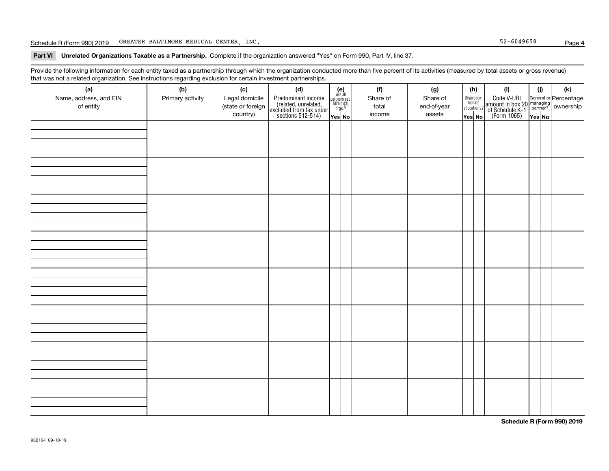## Schedule R (Form 990) 2019 Page GREATER BALTIMORE MEDICAL CENTER, INC. 52-6049658

## **Part VI Unrelated Organizations Taxable as a Partnership. Complete if the organization answered "Yes" on Form 990, Part IV, line 37.**

Provide the following information for each entity taxed as a partnership through which the organization conducted more than five percent of its activities (measured by total assets or gross revenue) that was not a related organization. See instructions regarding exclusion for certain investment partnerships.

| ັ                      | ັ<br>ັ           |                   |                                                                                            |                                                                                     |  |          |             |  |                                       |                                                                                                                                       |        |     |
|------------------------|------------------|-------------------|--------------------------------------------------------------------------------------------|-------------------------------------------------------------------------------------|--|----------|-------------|--|---------------------------------------|---------------------------------------------------------------------------------------------------------------------------------------|--------|-----|
| (a)                    | (b)              | (c)               | (d)                                                                                        | (e)<br>Are all                                                                      |  | (f)      | (g)         |  | (h)                                   | (i)                                                                                                                                   | (i)    | (k) |
| Name, address, and EIN | Primary activity | Legal domicile    |                                                                                            | $\begin{array}{c}\n\text{partners} \sec.\n\\ \n501(c)(3)\n\\ \n0rgs.?\n\end{array}$ |  | Share of | Share of    |  | Dispropor-<br>tionate<br>allocations? |                                                                                                                                       |        |     |
| of entity              |                  | (state or foreign | Predominant income<br>(related, unrelated,<br>excluded from tax under<br>sections 512-514) |                                                                                     |  | total    | end-of-year |  |                                       | Code V-UBI<br>  amount in box 20 managing<br>  of Schedule K-1 partner? ownership<br>  of Schedule K-1 partner? ownership<br>  Yes No |        |     |
|                        |                  | country)          |                                                                                            | Yes No                                                                              |  | income   | assets      |  | Yes No                                |                                                                                                                                       | Yes No |     |
|                        |                  |                   |                                                                                            |                                                                                     |  |          |             |  |                                       |                                                                                                                                       |        |     |
|                        |                  |                   |                                                                                            |                                                                                     |  |          |             |  |                                       |                                                                                                                                       |        |     |
|                        |                  |                   |                                                                                            |                                                                                     |  |          |             |  |                                       |                                                                                                                                       |        |     |
|                        |                  |                   |                                                                                            |                                                                                     |  |          |             |  |                                       |                                                                                                                                       |        |     |
|                        |                  |                   |                                                                                            |                                                                                     |  |          |             |  |                                       |                                                                                                                                       |        |     |
|                        |                  |                   |                                                                                            |                                                                                     |  |          |             |  |                                       |                                                                                                                                       |        |     |
|                        |                  |                   |                                                                                            |                                                                                     |  |          |             |  |                                       |                                                                                                                                       |        |     |
|                        |                  |                   |                                                                                            |                                                                                     |  |          |             |  |                                       |                                                                                                                                       |        |     |
|                        |                  |                   |                                                                                            |                                                                                     |  |          |             |  |                                       |                                                                                                                                       |        |     |
|                        |                  |                   |                                                                                            |                                                                                     |  |          |             |  |                                       |                                                                                                                                       |        |     |
|                        |                  |                   |                                                                                            |                                                                                     |  |          |             |  |                                       |                                                                                                                                       |        |     |
|                        |                  |                   |                                                                                            |                                                                                     |  |          |             |  |                                       |                                                                                                                                       |        |     |
|                        |                  |                   |                                                                                            |                                                                                     |  |          |             |  |                                       |                                                                                                                                       |        |     |
|                        |                  |                   |                                                                                            |                                                                                     |  |          |             |  |                                       |                                                                                                                                       |        |     |
|                        |                  |                   |                                                                                            |                                                                                     |  |          |             |  |                                       |                                                                                                                                       |        |     |
|                        |                  |                   |                                                                                            |                                                                                     |  |          |             |  |                                       |                                                                                                                                       |        |     |
|                        |                  |                   |                                                                                            |                                                                                     |  |          |             |  |                                       |                                                                                                                                       |        |     |
|                        |                  |                   |                                                                                            |                                                                                     |  |          |             |  |                                       |                                                                                                                                       |        |     |
|                        |                  |                   |                                                                                            |                                                                                     |  |          |             |  |                                       |                                                                                                                                       |        |     |
|                        |                  |                   |                                                                                            |                                                                                     |  |          |             |  |                                       |                                                                                                                                       |        |     |
|                        |                  |                   |                                                                                            |                                                                                     |  |          |             |  |                                       |                                                                                                                                       |        |     |
|                        |                  |                   |                                                                                            |                                                                                     |  |          |             |  |                                       |                                                                                                                                       |        |     |
|                        |                  |                   |                                                                                            |                                                                                     |  |          |             |  |                                       |                                                                                                                                       |        |     |
|                        |                  |                   |                                                                                            |                                                                                     |  |          |             |  |                                       |                                                                                                                                       |        |     |
|                        |                  |                   |                                                                                            |                                                                                     |  |          |             |  |                                       |                                                                                                                                       |        |     |
|                        |                  |                   |                                                                                            |                                                                                     |  |          |             |  |                                       |                                                                                                                                       |        |     |
|                        |                  |                   |                                                                                            |                                                                                     |  |          |             |  |                                       |                                                                                                                                       |        |     |
|                        |                  |                   |                                                                                            |                                                                                     |  |          |             |  |                                       |                                                                                                                                       |        |     |
|                        |                  |                   |                                                                                            |                                                                                     |  |          |             |  |                                       |                                                                                                                                       |        |     |
|                        |                  |                   |                                                                                            |                                                                                     |  |          |             |  |                                       |                                                                                                                                       |        |     |
|                        |                  |                   |                                                                                            |                                                                                     |  |          |             |  |                                       |                                                                                                                                       |        |     |
|                        |                  |                   |                                                                                            |                                                                                     |  |          |             |  |                                       |                                                                                                                                       |        |     |
|                        |                  |                   |                                                                                            |                                                                                     |  |          |             |  |                                       |                                                                                                                                       |        |     |
|                        |                  |                   |                                                                                            |                                                                                     |  |          |             |  |                                       |                                                                                                                                       |        |     |
|                        |                  |                   |                                                                                            |                                                                                     |  |          |             |  |                                       |                                                                                                                                       |        |     |
|                        |                  |                   |                                                                                            |                                                                                     |  |          |             |  |                                       |                                                                                                                                       |        |     |

**Schedule R (Form 990) 2019**